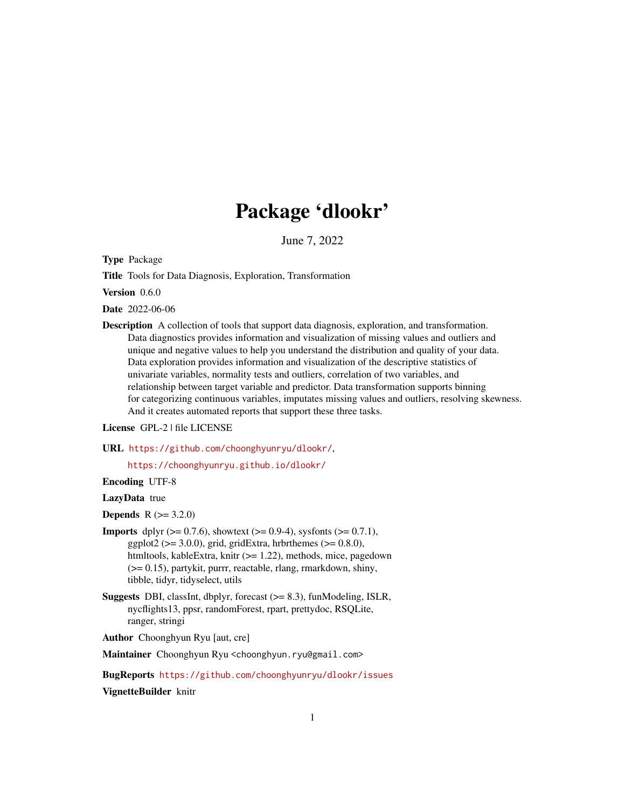# Package 'dlookr'

June 7, 2022

<span id="page-0-0"></span>Type Package

Title Tools for Data Diagnosis, Exploration, Transformation

Version 0.6.0

Date 2022-06-06

Description A collection of tools that support data diagnosis, exploration, and transformation. Data diagnostics provides information and visualization of missing values and outliers and unique and negative values to help you understand the distribution and quality of your data. Data exploration provides information and visualization of the descriptive statistics of univariate variables, normality tests and outliers, correlation of two variables, and relationship between target variable and predictor. Data transformation supports binning for categorizing continuous variables, imputates missing values and outliers, resolving skewness. And it creates automated reports that support these three tasks.

#### License GPL-2 | file LICENSE

URL <https://github.com/choonghyunryu/dlookr/>,

<https://choonghyunryu.github.io/dlookr/>

Encoding UTF-8

### LazyData true

**Depends**  $R (= 3.2.0)$ 

- **Imports** dplyr ( $>= 0.7.6$ ), showtext ( $>= 0.9-4$ ), sysfonts ( $>= 0.7.1$ ), ggplot2 ( $>= 3.0.0$ ), grid, gridExtra, hrbrthemes ( $>= 0.8.0$ ), htmltools, kableExtra, knitr (>= 1.22), methods, mice, pagedown (>= 0.15), partykit, purrr, reactable, rlang, rmarkdown, shiny, tibble, tidyr, tidyselect, utils
- Suggests DBI, classInt, dbplyr, forecast (>= 8.3), funModeling, ISLR, nycflights13, ppsr, randomForest, rpart, prettydoc, RSQLite, ranger, stringi

Author Choonghyun Ryu [aut, cre]

Maintainer Choonghyun Ryu <choonghyun.ryu@gmail.com>

BugReports <https://github.com/choonghyunryu/dlookr/issues> VignetteBuilder knitr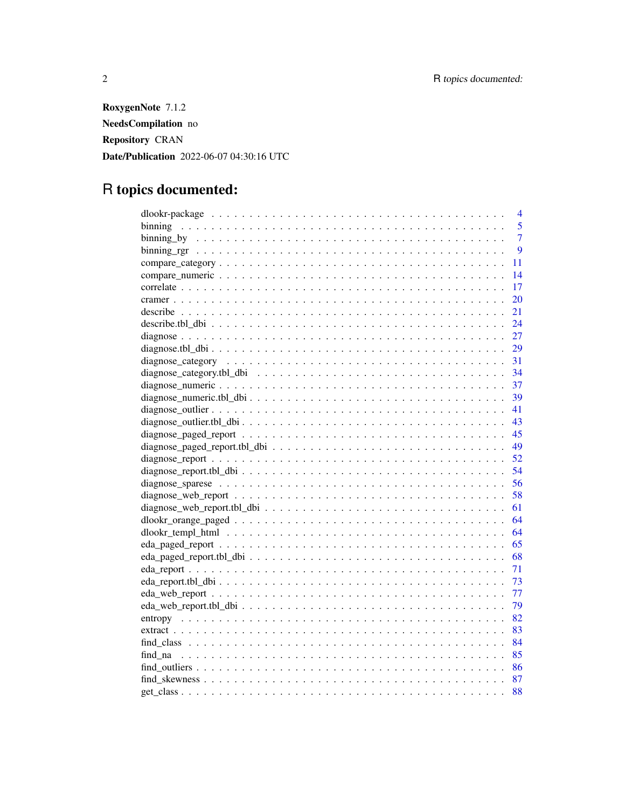RoxygenNote 7.1.2 NeedsCompilation no Repository CRAN Date/Publication 2022-06-07 04:30:16 UTC

# R topics documented:

| 4              |
|----------------|
| 5              |
| $\overline{7}$ |
| 9              |
| 11             |
| 14             |
| 17             |
| 20             |
| 21             |
| 24             |
| 27             |
| 29             |
| 31             |
| 34             |
| 37             |
| 39             |
| 41             |
| 43             |
| 45             |
| 49             |
| 52             |
| 54             |
| 56             |
| 58             |
| 61             |
| 64             |
| 64             |
| 65             |
| 68             |
| 71             |
| 73             |
| 77             |
| 79             |
| 82             |
| 83             |
| 84             |
| 85             |
| 86             |
| 87             |
| 88             |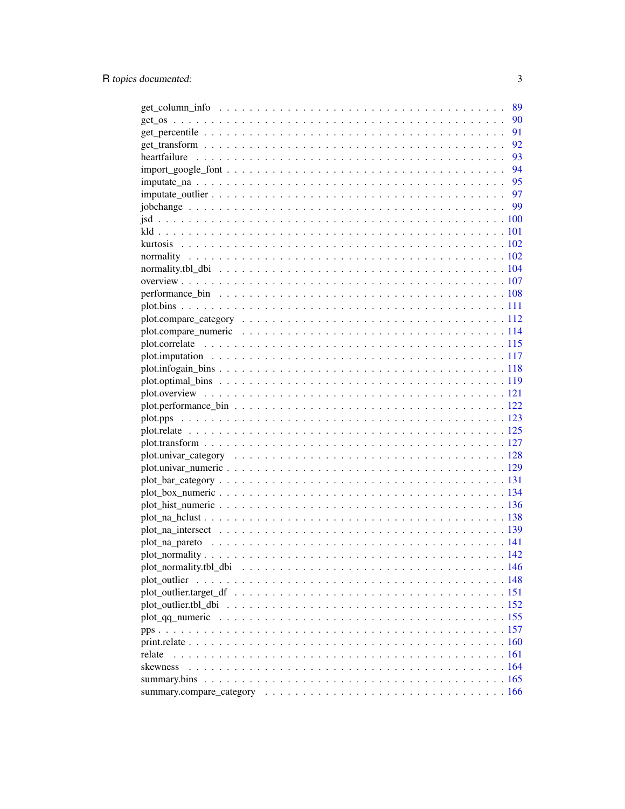|              | 89 |
|--------------|----|
|              | 90 |
|              | 91 |
|              | 92 |
|              | 93 |
|              |    |
|              |    |
|              |    |
|              |    |
|              |    |
|              |    |
|              |    |
|              |    |
|              |    |
|              |    |
|              |    |
|              |    |
|              |    |
|              |    |
|              |    |
|              |    |
|              |    |
|              |    |
|              |    |
|              |    |
|              |    |
|              |    |
|              |    |
|              |    |
|              |    |
|              |    |
|              |    |
|              |    |
|              |    |
|              |    |
|              |    |
|              |    |
|              |    |
| plot_outlier |    |
|              |    |
|              |    |
|              |    |
|              |    |
|              |    |
| relate       |    |
| skewness     |    |
|              |    |
|              |    |
|              |    |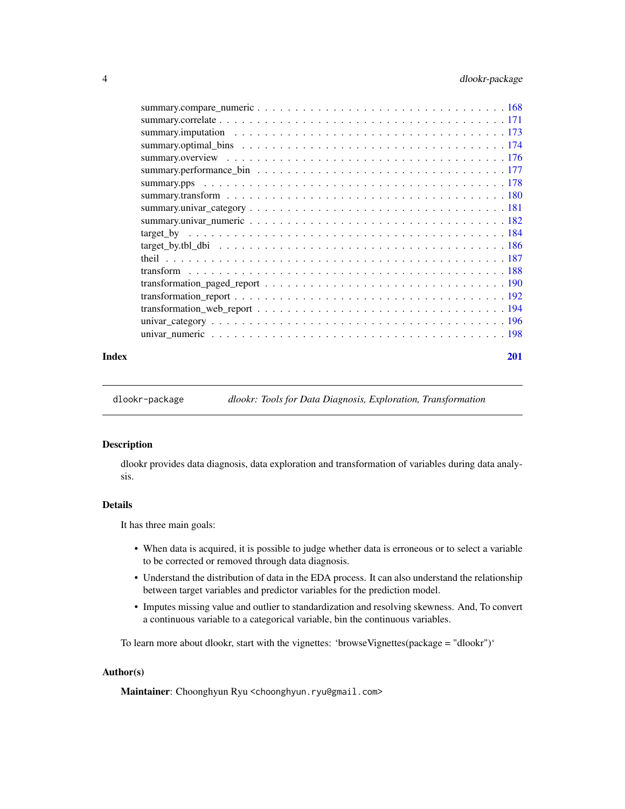<span id="page-3-0"></span>

### **Index** [201](#page-200-0)

dlookr-package *dlookr: Tools for Data Diagnosis, Exploration, Transformation*

# Description

dlookr provides data diagnosis, data exploration and transformation of variables during data analysis.

# Details

It has three main goals:

- When data is acquired, it is possible to judge whether data is erroneous or to select a variable to be corrected or removed through data diagnosis.
- Understand the distribution of data in the EDA process. It can also understand the relationship between target variables and predictor variables for the prediction model.
- Imputes missing value and outlier to standardization and resolving skewness. And, To convert a continuous variable to a categorical variable, bin the continuous variables.

To learn more about dlookr, start with the vignettes: 'browseVignettes(package = "dlookr")'

### Author(s)

Maintainer: Choonghyun Ryu <choonghyun.ryu@gmail.com>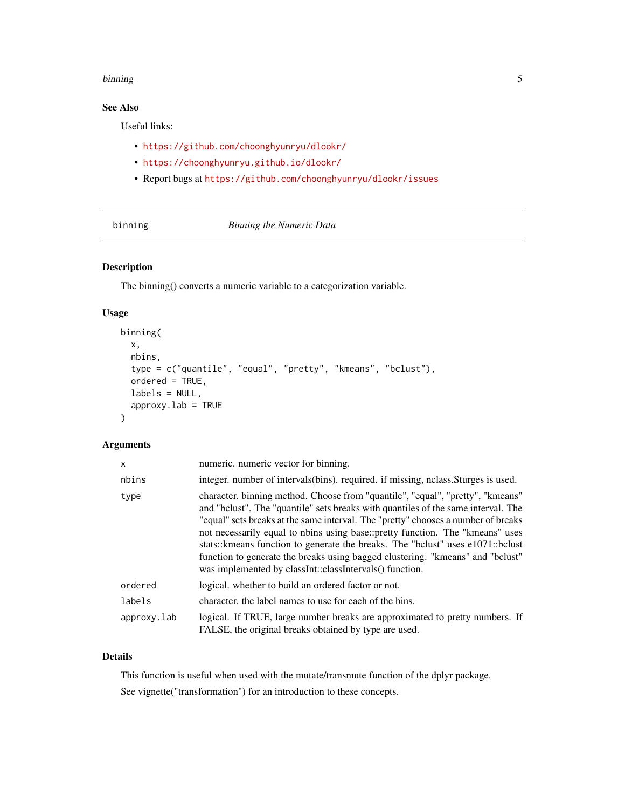#### <span id="page-4-0"></span>binning 5

# See Also

Useful links:

- <https://github.com/choonghyunryu/dlookr/>
- <https://choonghyunryu.github.io/dlookr/>
- Report bugs at <https://github.com/choonghyunryu/dlookr/issues>

<span id="page-4-1"></span>binning *Binning the Numeric Data*

# Description

The binning() converts a numeric variable to a categorization variable.

### Usage

```
binning(
  x,
  nbins,
  type = c("quantile", "equal", "pretty", "kmeans", "bclust"),
  ordered = TRUE,
  labels = NULL,
  approxy.lab = TRUE
)
```
# Arguments

| x           | numeric. numeric vector for binning.                                                                                                                                                                                                                                                                                                                                                                                                                                                                                                                                       |
|-------------|----------------------------------------------------------------------------------------------------------------------------------------------------------------------------------------------------------------------------------------------------------------------------------------------------------------------------------------------------------------------------------------------------------------------------------------------------------------------------------------------------------------------------------------------------------------------------|
| nbins       | integer, number of intervals (bins), required, if missing, nelass. Sturges is used.                                                                                                                                                                                                                                                                                                                                                                                                                                                                                        |
| type        | character. binning method. Choose from "quantile", "equal", "pretty", "kmeans"<br>and "belust". The "quantile" sets breaks with quantiles of the same interval. The<br>"equal" sets breaks at the same interval. The "pretty" chooses a number of breaks<br>not necessarily equal to nbins using base::pretty function. The "kmeans" uses<br>stats:: kmeans function to generate the breaks. The "bclust" uses e1071:: bclust<br>function to generate the breaks using bagged clustering. "kmeans" and "belust"<br>was implemented by classInt::classIntervals() function. |
| ordered     | logical, whether to build an ordered factor or not.                                                                                                                                                                                                                                                                                                                                                                                                                                                                                                                        |
| labels      | character, the label names to use for each of the bins.                                                                                                                                                                                                                                                                                                                                                                                                                                                                                                                    |
| approxy.lab | logical. If TRUE, large number breaks are approximated to pretty numbers. If<br>FALSE, the original breaks obtained by type are used.                                                                                                                                                                                                                                                                                                                                                                                                                                      |

# Details

This function is useful when used with the mutate/transmute function of the dplyr package. See vignette("transformation") for an introduction to these concepts.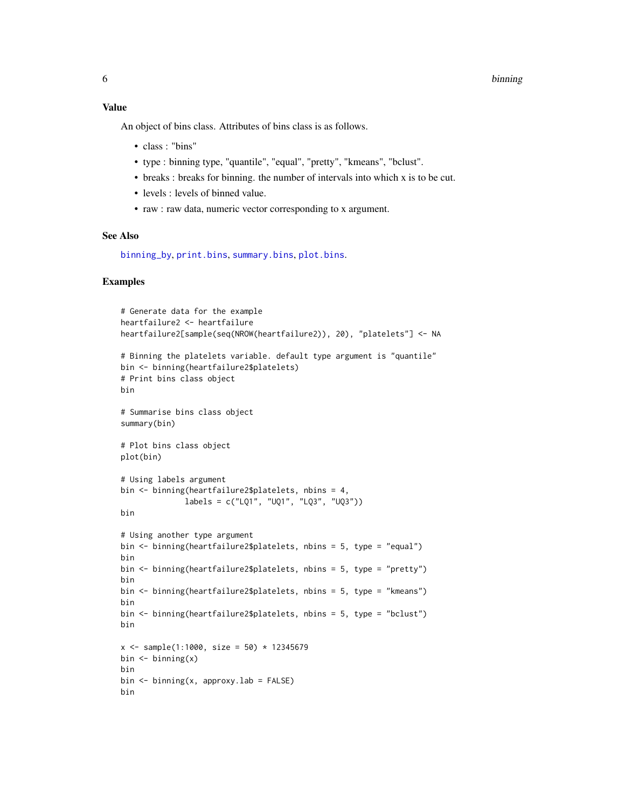#### 6 binning

# Value

An object of bins class. Attributes of bins class is as follows.

- class : "bins"
- type : binning type, "quantile", "equal", "pretty", "kmeans", "bclust".
- breaks : breaks for binning. the number of intervals into which x is to be cut.
- levels : levels of binned value.
- raw : raw data, numeric vector corresponding to x argument.

# See Also

[binning\\_by](#page-6-1), [print.bins](#page-164-1), [summary.bins](#page-164-2), [plot.bins](#page-110-1).

```
# Generate data for the example
heartfailure2 <- heartfailure
heartfailure2[sample(seq(NROW(heartfailure2)), 20), "platelets"] <- NA
# Binning the platelets variable. default type argument is "quantile"
bin <- binning(heartfailure2$platelets)
# Print bins class object
bin
# Summarise bins class object
summary(bin)
# Plot bins class object
plot(bin)
# Using labels argument
bin <- binning(heartfailure2$platelets, nbins = 4,
              labels = c("LQ1", "UQ1", "LQ3", "UQ3"))
bin
# Using another type argument
bin <- binning(heartfailure2$platelets, nbins = 5, type = "equal")
bin
bin <- binning(heartfailure2$platelets, nbins = 5, type = "pretty")
bin
bin <- binning(heartfailure2$platelets, nbins = 5, type = "kmeans")
bin
bin <- binning(heartfailure2$platelets, nbins = 5, type = "bclust")
bin
x \le - sample(1:1000, size = 50) * 12345679
bin \leftarrow binning(x)bin
bin \leq binning(x, approxy.lab = FALSE)
bin
```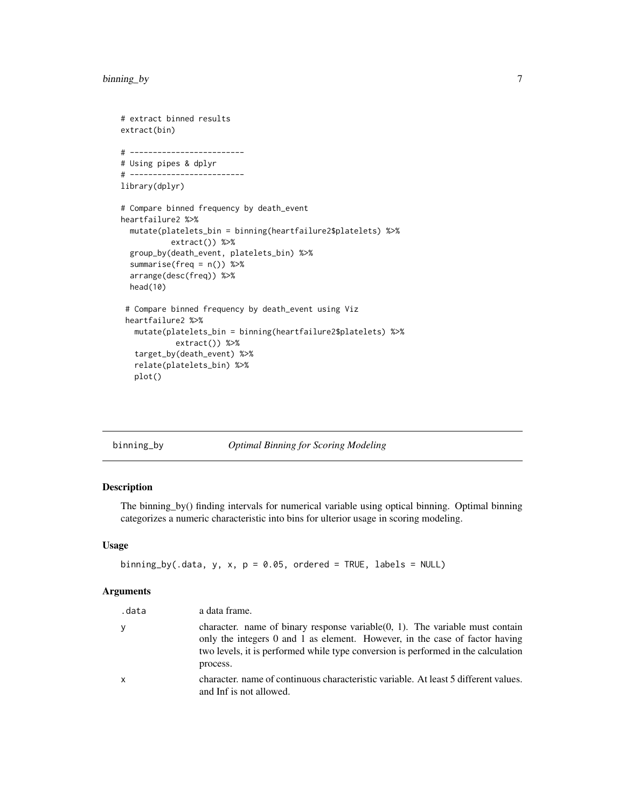```
# extract binned results
extract(bin)
# -------------------------
# Using pipes & dplyr
# -------------------------
library(dplyr)
# Compare binned frequency by death_event
heartfailure2 %>%
  mutate(platelets_bin = binning(heartfailure2$platelets) %>%
           extract()) %>%
  group_by(death_event, platelets_bin) %>%
  summarise(freq = n()) %>%
  arrange(desc(freq)) %>%
  head(10)
 # Compare binned frequency by death_event using Viz
 heartfailure2 %>%
   mutate(platelets_bin = binning(heartfailure2$platelets) %>%
            extract()) %>%
   target_by(death_event) %>%
   relate(platelets_bin) %>%
   plot()
```
<span id="page-6-1"></span>

|  | binning_by |  |
|--|------------|--|

# by *Optimal Binning for Scoring Modeling*

### Description

The binning\_by() finding intervals for numerical variable using optical binning. Optimal binning categorizes a numeric characteristic into bins for ulterior usage in scoring modeling.

### Usage

```
binning_by(.data, y, x, p = 0.05, ordered = TRUE, labels = NULL)
```
### Arguments

| .data | a data frame.                                                                                                                                                                                                                                                    |
|-------|------------------------------------------------------------------------------------------------------------------------------------------------------------------------------------------------------------------------------------------------------------------|
| ٧     | character. name of binary response variable $(0, 1)$ . The variable must contain<br>only the integers 0 and 1 as element. However, in the case of factor having<br>two levels, it is performed while type conversion is performed in the calculation<br>process. |
| x     | character, name of continuous characteristic variable. At least 5 different values.<br>and Inf is not allowed.                                                                                                                                                   |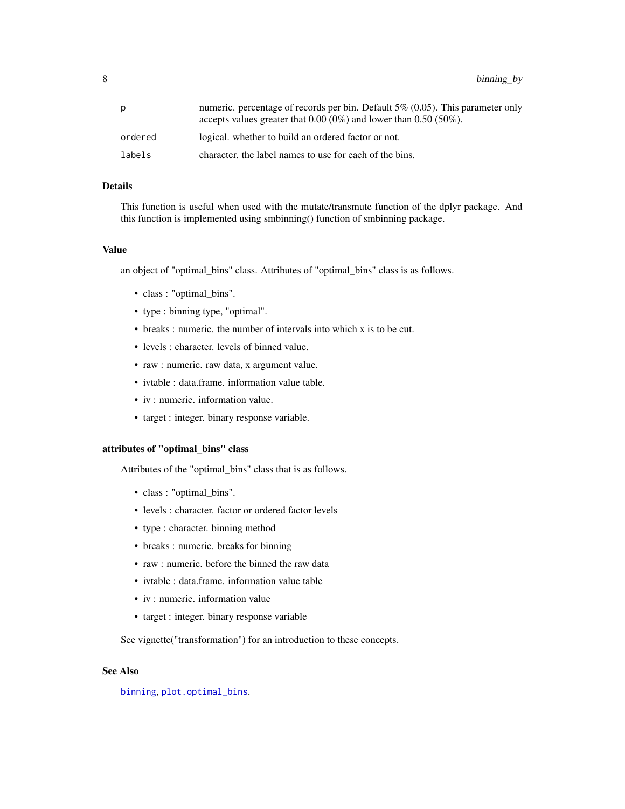8 binning\_by

| р       | numeric. percentage of records per bin. Default $5\%$ (0.05). This parameter only<br>accepts values greater that $0.00~(0\%)$ and lower than $0.50~(50\%).$ |
|---------|-------------------------------------------------------------------------------------------------------------------------------------------------------------|
| ordered | logical, whether to build an ordered factor or not.                                                                                                         |
| labels  | character, the label names to use for each of the bins.                                                                                                     |

### Details

This function is useful when used with the mutate/transmute function of the dplyr package. And this function is implemented using smbinning() function of smbinning package.

#### Value

an object of "optimal\_bins" class. Attributes of "optimal\_bins" class is as follows.

- class : "optimal\_bins".
- type : binning type, "optimal".
- breaks : numeric. the number of intervals into which x is to be cut.
- levels : character. levels of binned value.
- raw : numeric. raw data, x argument value.
- ivtable : data.frame. information value table.
- iv : numeric. information value.
- target : integer. binary response variable.

### attributes of "optimal\_bins" class

Attributes of the "optimal\_bins" class that is as follows.

- class : "optimal\_bins".
- levels : character. factor or ordered factor levels
- type : character. binning method
- breaks : numeric. breaks for binning
- raw : numeric. before the binned the raw data
- ivtable : data.frame. information value table
- iv : numeric. information value
- target : integer. binary response variable

See vignette("transformation") for an introduction to these concepts.

### See Also

[binning](#page-4-1), [plot.optimal\\_bins](#page-118-1).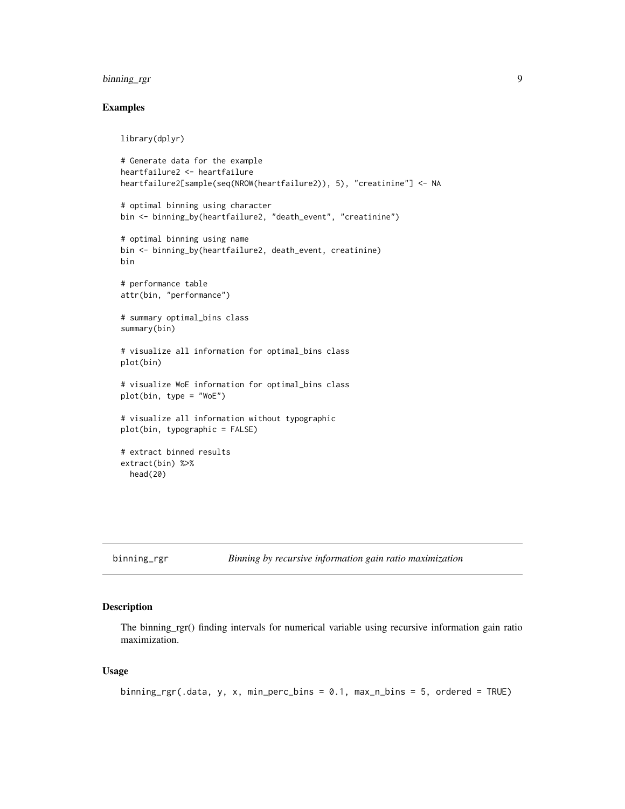# <span id="page-8-0"></span>binning\_rgr 9

### Examples

library(dplyr)

```
# Generate data for the example
heartfailure2 <- heartfailure
heartfailure2[sample(seq(NROW(heartfailure2)), 5), "creatinine"] <- NA
# optimal binning using character
bin <- binning_by(heartfailure2, "death_event", "creatinine")
# optimal binning using name
bin <- binning_by(heartfailure2, death_event, creatinine)
bin
# performance table
attr(bin, "performance")
# summary optimal_bins class
summary(bin)
# visualize all information for optimal_bins class
plot(bin)
# visualize WoE information for optimal_bins class
plot(bin, type = "WoE")
# visualize all information without typographic
plot(bin, typographic = FALSE)
# extract binned results
extract(bin) %>%
  head(20)
```
binning\_rgr *Binning by recursive information gain ratio maximization*

### Description

The binning\_rgr() finding intervals for numerical variable using recursive information gain ratio maximization.

### Usage

```
binning_rgr(.data, y, x, min_perc_bins = 0.1, max_n_bins = 5, ordered = TRUE)
```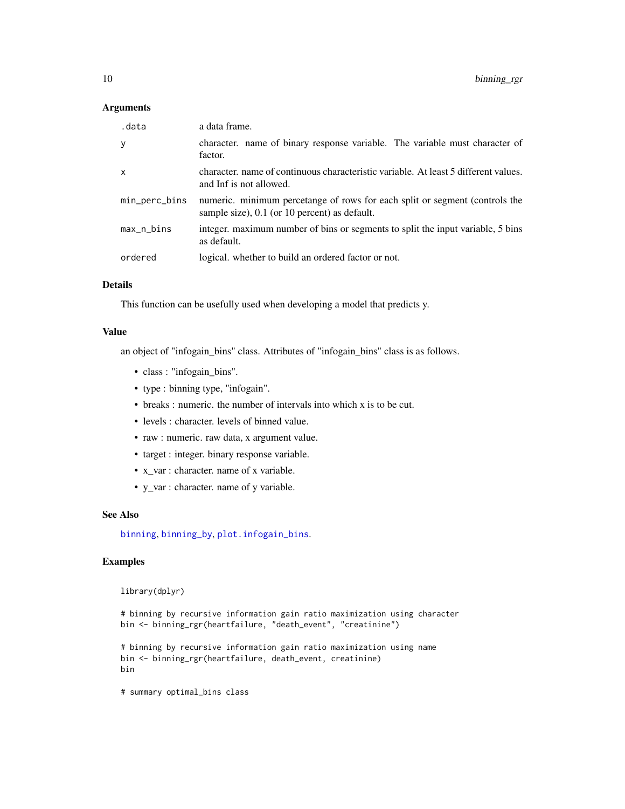### Arguments

| .data         | a data frame.                                                                                                                |
|---------------|------------------------------------------------------------------------------------------------------------------------------|
| у             | character, name of binary response variable. The variable must character of<br>factor.                                       |
| x             | character, name of continuous characteristic variable. At least 5 different values.<br>and Inf is not allowed.               |
| min_perc_bins | numeric. minimum percetange of rows for each split or segment (controls the<br>sample size), 0.1 (or 10 percent) as default. |
| max_n_bins    | integer. maximum number of bins or segments to split the input variable, 5 bins<br>as default.                               |
| ordered       | logical, whether to build an ordered factor or not.                                                                          |

### Details

This function can be usefully used when developing a model that predicts y.

### Value

an object of "infogain\_bins" class. Attributes of "infogain\_bins" class is as follows.

- class : "infogain bins".
- type : binning type, "infogain".
- breaks : numeric. the number of intervals into which x is to be cut.
- levels : character. levels of binned value.
- raw : numeric. raw data, x argument value.
- target : integer. binary response variable.
- x\_var : character. name of x variable.
- y\_var : character. name of y variable.

#### See Also

[binning](#page-4-1), [binning\\_by](#page-6-1), [plot.infogain\\_bins](#page-117-1).

# Examples

library(dplyr)

# binning by recursive information gain ratio maximization using character bin <- binning\_rgr(heartfailure, "death\_event", "creatinine")

```
# binning by recursive information gain ratio maximization using name
bin <- binning_rgr(heartfailure, death_event, creatinine)
bin
```
# summary optimal\_bins class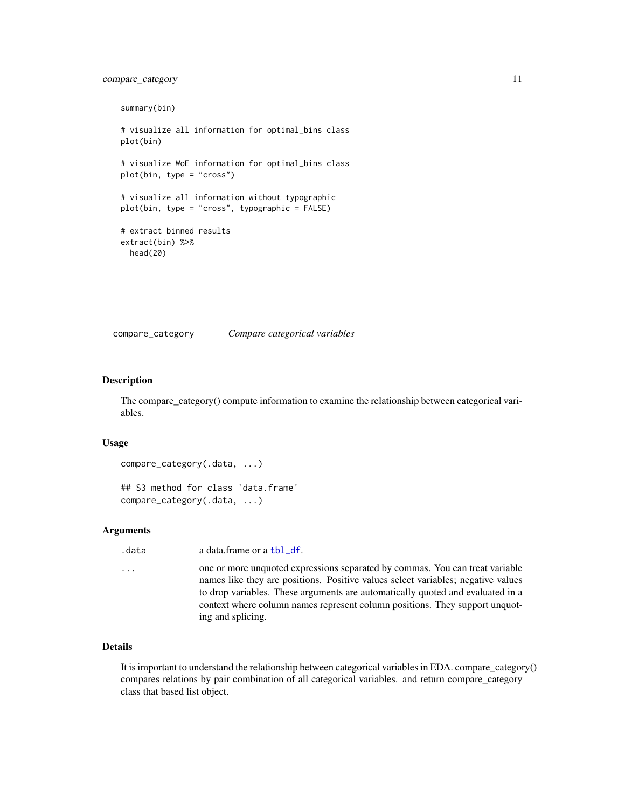# <span id="page-10-0"></span>compare\_category 11

```
summary(bin)
# visualize all information for optimal_bins class
plot(bin)
# visualize WoE information for optimal_bins class
plot(bin, type = "cross")
# visualize all information without typographic
plot(bin, type = "cross", typographic = FALSE)
# extract binned results
extract(bin) %>%
 head(20)
```
compare\_category *Compare categorical variables*

#### Description

The compare\_category() compute information to examine the relationship between categorical variables.

#### Usage

```
compare_category(.data, ...)
```
## S3 method for class 'data.frame' compare\_category(.data, ...)

#### Arguments

.data a data.frame or a [tbl\\_df](#page-0-0).

```
... one or more unquoted expressions separated by commas. You can treat variable
                 names like they are positions. Positive values select variables; negative values
                 to drop variables. These arguments are automatically quoted and evaluated in a
                 context where column names represent column positions. They support unquot-
                  ing and splicing.
```
# Details

It is important to understand the relationship between categorical variables in EDA. compare\_category() compares relations by pair combination of all categorical variables. and return compare\_category class that based list object.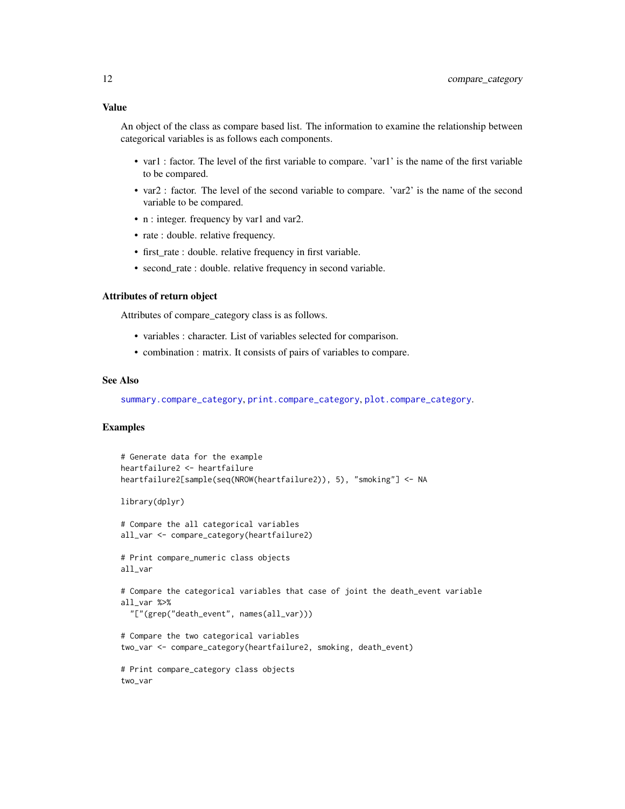### Value

An object of the class as compare based list. The information to examine the relationship between categorical variables is as follows each components.

- var1 : factor. The level of the first variable to compare. 'var1' is the name of the first variable to be compared.
- var2 : factor. The level of the second variable to compare. 'var2' is the name of the second variable to be compared.
- n : integer. frequency by var1 and var2.
- rate : double. relative frequency.
- first\_rate : double. relative frequency in first variable.
- second\_rate : double. relative frequency in second variable.

#### Attributes of return object

Attributes of compare\_category class is as follows.

- variables : character. List of variables selected for comparison.
- combination : matrix. It consists of pairs of variables to compare.

### See Also

[summary.compare\\_category](#page-165-1), [print.compare\\_category](#page-165-2), [plot.compare\\_category](#page-111-1).

```
# Generate data for the example
heartfailure2 <- heartfailure
heartfailure2[sample(seq(NROW(heartfailure2)), 5), "smoking"] <- NA
library(dplyr)
# Compare the all categorical variables
all_var <- compare_category(heartfailure2)
# Print compare_numeric class objects
all_var
# Compare the categorical variables that case of joint the death_event variable
all_var %>%
  "["(grep("death_event", names(all_var)))
# Compare the two categorical variables
two_var <- compare_category(heartfailure2, smoking, death_event)
# Print compare_category class objects
two_var
```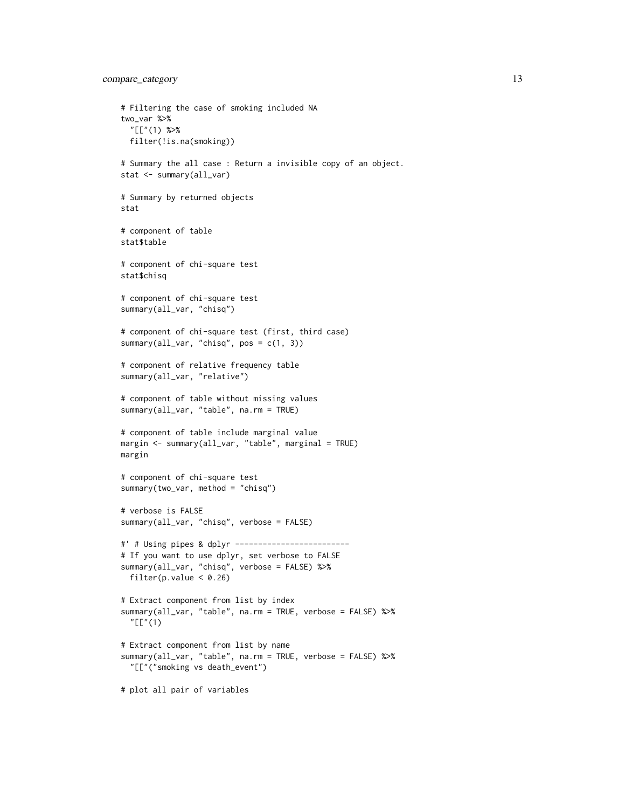```
# Filtering the case of smoking included NA
two_var %>%
  "[["(1) %>%
  filter(!is.na(smoking))
# Summary the all case : Return a invisible copy of an object.
stat <- summary(all_var)
# Summary by returned objects
stat
# component of table
stat$table
# component of chi-square test
stat$chisq
# component of chi-square test
summary(all_var, "chisq")
# component of chi-square test (first, third case)
summary(all_var, "chisq", pos = c(1, 3))
# component of relative frequency table
summary(all_var, "relative")
# component of table without missing values
summary(all_var, "table", na.rm = TRUE)
# component of table include marginal value
margin <- summary(all_var, "table", marginal = TRUE)
margin
# component of chi-square test
summary(two_var, method = "chisq")
# verbose is FALSE
summary(all_var, "chisq", verbose = FALSE)
#' # Using pipes & dplyr -------------------------
# If you want to use dplyr, set verbose to FALSE
summary(all_var, "chisq", verbose = FALSE) %>%
  filter(p.value < 0.26)# Extract component from list by index
summary(all_var, "table", na.rm = TRUE, verbose = FALSE) %>%
  "[["(1)
# Extract component from list by name
summary(all_var, "table", na.rm = TRUE, verbose = FALSE) %>%
  "[["("smoking vs death_event")
# plot all pair of variables
```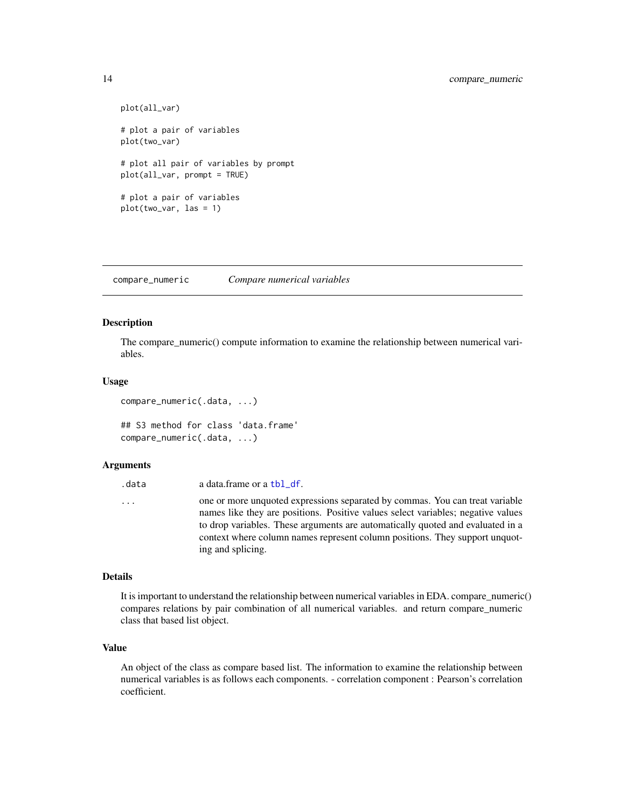```
plot(all_var)
# plot a pair of variables
plot(two_var)
# plot all pair of variables by prompt
plot(all_var, prompt = TRUE)
# plot a pair of variables
plot(two_var, las = 1)
```
compare\_numeric *Compare numerical variables*

#### Description

The compare\_numeric() compute information to examine the relationship between numerical variables.

#### Usage

```
compare_numeric(.data, ...)
## S3 method for class 'data.frame'
compare_numeric(.data, ...)
```
#### Arguments

| .data | a data.frame or a tbl_df.                                                                                                                                                                                                                                                                                                                              |
|-------|--------------------------------------------------------------------------------------------------------------------------------------------------------------------------------------------------------------------------------------------------------------------------------------------------------------------------------------------------------|
| .     | one or more unquoted expressions separated by commas. You can treat variable<br>names like they are positions. Positive values select variables; negative values<br>to drop variables. These arguments are automatically quoted and evaluated in a<br>context where column names represent column positions. They support unquot-<br>ing and splicing. |
|       |                                                                                                                                                                                                                                                                                                                                                        |

### Details

It is important to understand the relationship between numerical variables in EDA. compare\_numeric() compares relations by pair combination of all numerical variables. and return compare\_numeric class that based list object.

### Value

An object of the class as compare based list. The information to examine the relationship between numerical variables is as follows each components. - correlation component : Pearson's correlation coefficient.

<span id="page-13-0"></span>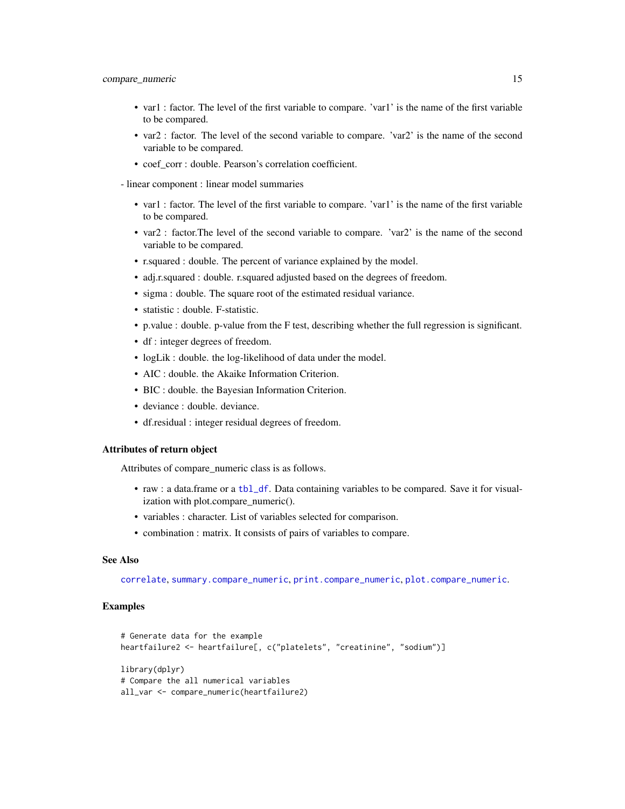- var1 : factor. The level of the first variable to compare. 'var1' is the name of the first variable to be compared.
- var2 : factor. The level of the second variable to compare. 'var2' is the name of the second variable to be compared.
- coef\_corr : double. Pearson's correlation coefficient.
- linear component : linear model summaries
	- var1 : factor. The level of the first variable to compare. 'var1' is the name of the first variable to be compared.
	- var2 : factor.The level of the second variable to compare. 'var2' is the name of the second variable to be compared.
	- r.squared : double. The percent of variance explained by the model.
	- adj.r.squared : double. r.squared adjusted based on the degrees of freedom.
	- sigma : double. The square root of the estimated residual variance.
	- statistic : double. F-statistic.
	- p.value : double. p-value from the F test, describing whether the full regression is significant.
	- df : integer degrees of freedom.
	- logLik : double. the log-likelihood of data under the model.
	- AIC : double. the Akaike Information Criterion.
	- BIC : double. the Bayesian Information Criterion.
	- deviance : double. deviance.
	- df.residual : integer residual degrees of freedom.

#### Attributes of return object

Attributes of compare\_numeric class is as follows.

- raw : a data.frame or a [tbl\\_df](#page-0-0). Data containing variables to be compared. Save it for visualization with plot.compare\_numeric().
- variables : character. List of variables selected for comparison.
- combination : matrix. It consists of pairs of variables to compare.

### See Also

[correlate](#page-16-1), [summary.compare\\_numeric](#page-167-1), [print.compare\\_numeric](#page-167-2), [plot.compare\\_numeric](#page-113-1).

```
# Generate data for the example
heartfailure2 <- heartfailure[, c("platelets", "creatinine", "sodium")]
library(dplyr)
# Compare the all numerical variables
all_var <- compare_numeric(heartfailure2)
```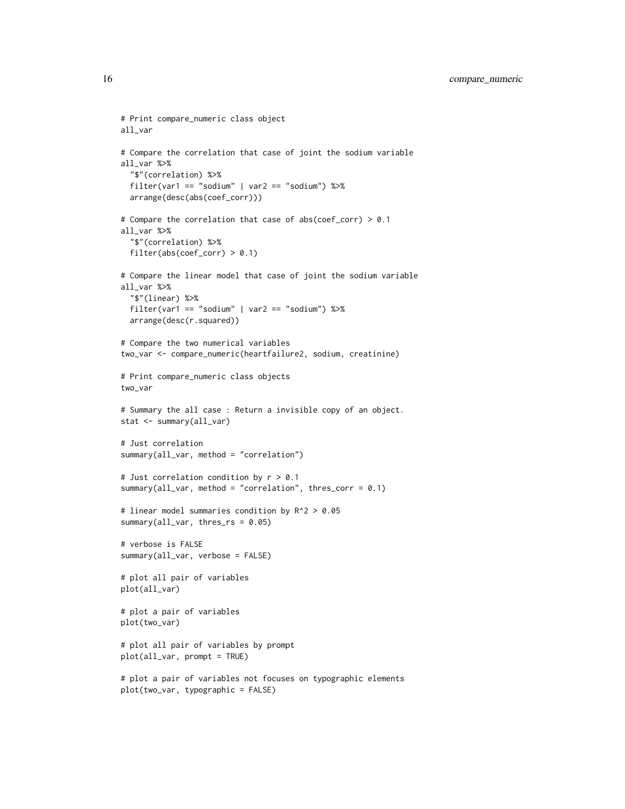```
# Print compare_numeric class object
all_var
# Compare the correlation that case of joint the sodium variable
all_var %>%
  "$"(correlation) %>%
  filter(var1 == "sodium" | var2 == "sodium") %>%
  arrange(desc(abs(coef_corr)))
# Compare the correlation that case of abs(coef_corr) > 0.1
all_var %>%
  "$"(correlation) %>%
  filter(abs(coeff_corr) > 0.1)# Compare the linear model that case of joint the sodium variable
all_var %>%
  "$"(linear) %>%
  filter(var1 == "sodium" | var2 == "sodium") %>%
  arrange(desc(r.squared))
# Compare the two numerical variables
two_var <- compare_numeric(heartfailure2, sodium, creatinine)
# Print compare_numeric class objects
two_var
# Summary the all case : Return a invisible copy of an object.
stat <- summary(all_var)
# Just correlation
summary(all_var, method = "correlation")
# Just correlation condition by r > 0.1
summary(all_var, method = "correlation", thres_corr = 0.1)
# linear model summaries condition by R^2 > 0.05
summary(all_var, thres_rs = 0.05)
# verbose is FALSE
summary(all_var, verbose = FALSE)
# plot all pair of variables
plot(all_var)
# plot a pair of variables
plot(two_var)
# plot all pair of variables by prompt
plot(all_var, prompt = TRUE)
# plot a pair of variables not focuses on typographic elements
plot(two_var, typographic = FALSE)
```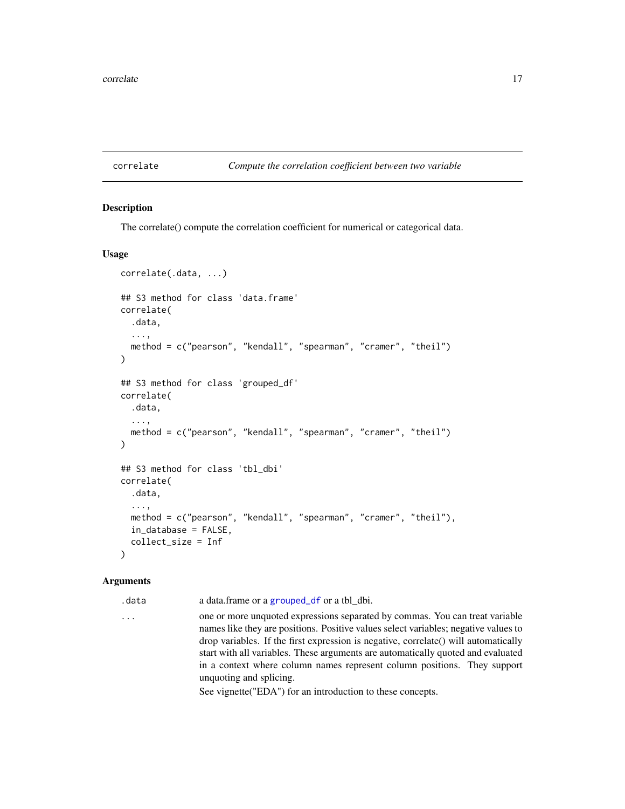#### <span id="page-16-1"></span><span id="page-16-0"></span>correlate *Compute the correlation coefficient between two variable*

# Description

The correlate() compute the correlation coefficient for numerical or categorical data.

#### Usage

```
correlate(.data, ...)
## S3 method for class 'data.frame'
correlate(
  .data,
  ...,
  method = c("pearson", "kendall", "spearman", "cramer", "theil")
)
## S3 method for class 'grouped_df'
correlate(
  .data,
  ...,
 method = c("pearson", "kendall", "spearman", "cramer", "theil")
)
## S3 method for class 'tbl_dbi'
correlate(
  .data,
  ...,
  method = c("pearson", "kendall", "spearman", "cramer", "theil"),
  in_database = FALSE,
  collect_size = Inf
)
```
#### Arguments

.data a data.frame or a [grouped\\_df](#page-0-0) or a tbl\_dbi.

... one or more unquoted expressions separated by commas. You can treat variable names like they are positions. Positive values select variables; negative values to drop variables. If the first expression is negative, correlate() will automatically start with all variables. These arguments are automatically quoted and evaluated in a context where column names represent column positions. They support unquoting and splicing.

See vignette("EDA") for an introduction to these concepts.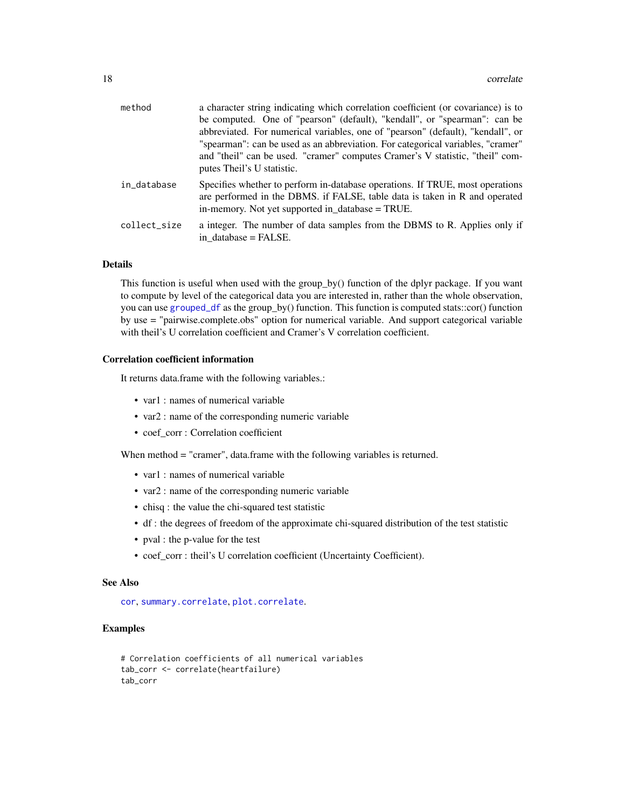| method       | a character string indicating which correlation coefficient (or covariance) is to                                                                                                                               |
|--------------|-----------------------------------------------------------------------------------------------------------------------------------------------------------------------------------------------------------------|
|              | be computed. One of "pearson" (default), "kendall", or "spearman": can be                                                                                                                                       |
|              | abbreviated. For numerical variables, one of "pearson" (default), "kendall", or                                                                                                                                 |
|              | "spearman": can be used as an abbreviation. For categorical variables, "cramer"                                                                                                                                 |
|              | and "theil" can be used. "cramer" computes Cramer's V statistic, "theil" com-<br>putes Theil's U statistic.                                                                                                     |
| in_database  | Specifies whether to perform in-database operations. If TRUE, most operations<br>are performed in the DBMS. if FALSE, table data is taken in R and operated<br>in-memory. Not yet supported in database = TRUE. |
| collect_size | a integer. The number of data samples from the DBMS to R. Applies only if<br>in database = FALSE.                                                                                                               |

#### Details

This function is useful when used with the group\_by() function of the dplyr package. If you want to compute by level of the categorical data you are interested in, rather than the whole observation, you can use [grouped\\_df](#page-0-0) as the group\_by() function. This function is computed stats::cor() function by use = "pairwise.complete.obs" option for numerical variable. And support categorical variable with theil's U correlation coefficient and Cramer's V correlation coefficient.

### Correlation coefficient information

It returns data.frame with the following variables.:

- var1 : names of numerical variable
- var2 : name of the corresponding numeric variable
- coef\_corr : Correlation coefficient

When method = "cramer", data.frame with the following variables is returned.

- var1 : names of numerical variable
- var2 : name of the corresponding numeric variable
- chisq : the value the chi-squared test statistic
- df : the degrees of freedom of the approximate chi-squared distribution of the test statistic
- pval : the p-value for the test
- coef\_corr : theil's U correlation coefficient (Uncertainty Coefficient).

### See Also

[cor](#page-0-0), [summary.correlate](#page-170-1), [plot.correlate](#page-114-1).

```
# Correlation coefficients of all numerical variables
tab_corr <- correlate(heartfailure)
tab_corr
```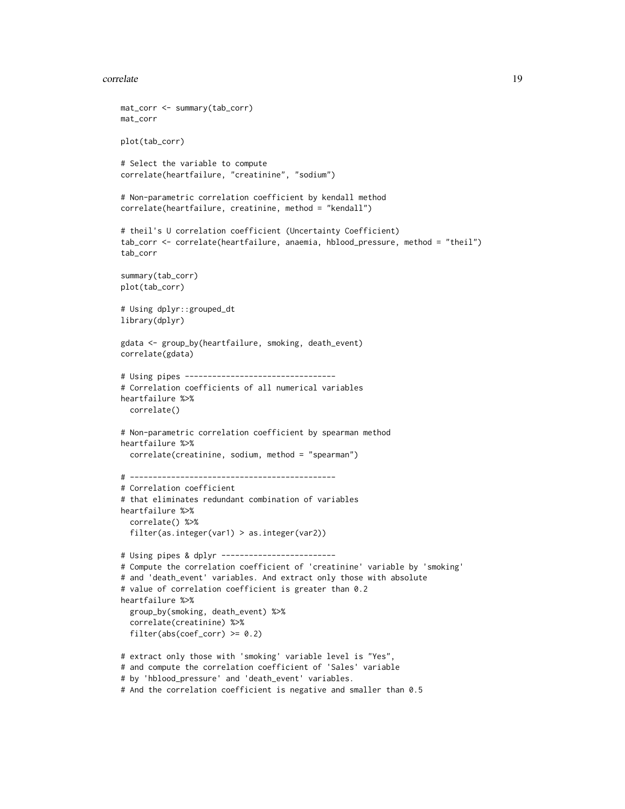#### correlate the control of the control of the control of the control of the control of the control of the control of the control of the control of the control of the control of the control of the control of the control of th

```
mat_corr <- summary(tab_corr)
mat_corr
plot(tab_corr)
# Select the variable to compute
correlate(heartfailure, "creatinine", "sodium")
# Non-parametric correlation coefficient by kendall method
correlate(heartfailure, creatinine, method = "kendall")
# theil's U correlation coefficient (Uncertainty Coefficient)
tab_corr <- correlate(heartfailure, anaemia, hblood_pressure, method = "theil")
tab_corr
summary(tab_corr)
plot(tab_corr)
# Using dplyr::grouped_dt
library(dplyr)
gdata <- group_by(heartfailure, smoking, death_event)
correlate(gdata)
# Using pipes ---------------------------------
# Correlation coefficients of all numerical variables
heartfailure %>%
  correlate()
# Non-parametric correlation coefficient by spearman method
heartfailure %>%
  correlate(creatinine, sodium, method = "spearman")
# ---------------------------------------------
# Correlation coefficient
# that eliminates redundant combination of variables
heartfailure %>%
  correlate() %>%
  filter(as.integer(var1) > as.integer(var2))
# Using pipes & dplyr -------------------------
# Compute the correlation coefficient of 'creatinine' variable by 'smoking'
# and 'death_event' variables. And extract only those with absolute
# value of correlation coefficient is greater than 0.2
heartfailure %>%
  group_by(smoking, death_event) %>%
  correlate(creatinine) %>%
  filter(abs(coef\_corr) \ge 0.2)# extract only those with 'smoking' variable level is "Yes",
# and compute the correlation coefficient of 'Sales' variable
# by 'hblood_pressure' and 'death_event' variables.
```

```
# And the correlation coefficient is negative and smaller than 0.5
```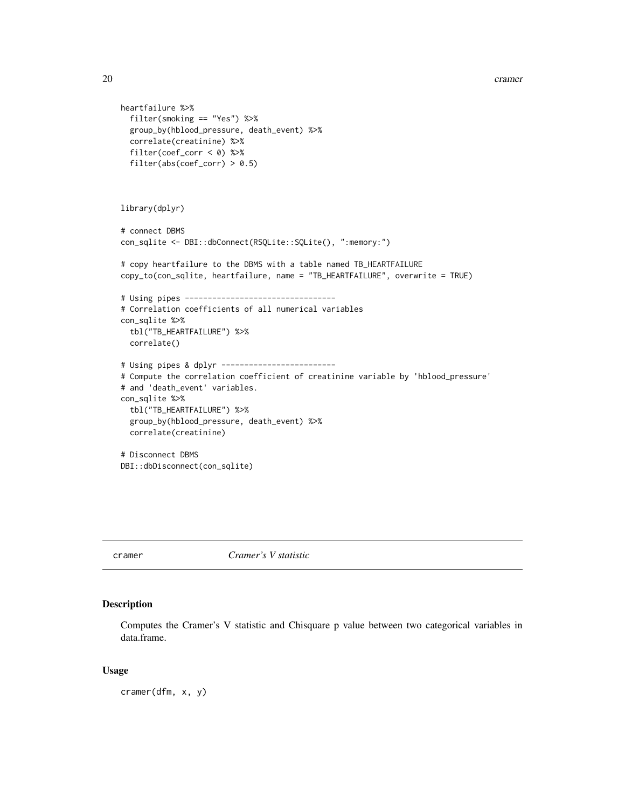```
heartfailure %>%
  filter(smoking == "Yes") %>%
  group_by(hblood_pressure, death_event) %>%
  correlate(creatinine) %>%
  filter(coef_corr < 0) %>%
  filter(abs(coef_corr) > 0.5)
library(dplyr)
# connect DBMS
con_sqlite <- DBI::dbConnect(RSQLite::SQLite(), ":memory:")
# copy heartfailure to the DBMS with a table named TB_HEARTFAILURE
copy_to(con_sqlite, heartfailure, name = "TB_HEARTFAILURE", overwrite = TRUE)
# Using pipes ---------------------------------
# Correlation coefficients of all numerical variables
con_sqlite %>%
  tbl("TB_HEARTFAILURE") %>%
  correlate()
# Using pipes & dplyr -------------------------
# Compute the correlation coefficient of creatinine variable by 'hblood_pressure'
# and 'death_event' variables.
con_sqlite %>%
  tbl("TB_HEARTFAILURE") %>%
  group_by(hblood_pressure, death_event) %>%
  correlate(creatinine)
# Disconnect DBMS
DBI::dbDisconnect(con_sqlite)
```
cramer *Cramer's V statistic*

### Description

Computes the Cramer's V statistic and Chisquare p value between two categorical variables in data.frame.

#### Usage

cramer(dfm, x, y)

<span id="page-19-0"></span>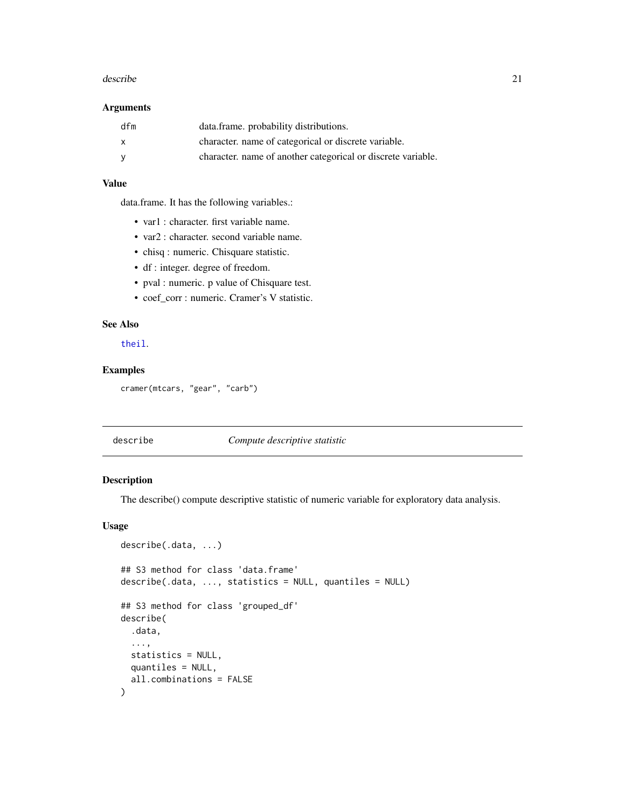#### <span id="page-20-0"></span>describe 21 and 22 and 22 and 22 and 22 and 22 and 22 and 22 and 22 and 22 and 22 and 22 and 22 and 22 and 22 and 22 and 22 and 22 and 22 and 22 and 22 and 22 and 22 and 22 and 22 and 22 and 22 and 22 and 22 and 22 and 22

### Arguments

| dfm          | data.frame. probability distributions.                       |
|--------------|--------------------------------------------------------------|
| $\mathsf{x}$ | character, name of categorical or discrete variable.         |
| - V          | character, name of another categorical or discrete variable. |

### Value

data.frame. It has the following variables.:

- var1 : character. first variable name.
- var2 : character. second variable name.
- chisq : numeric. Chisquare statistic.
- df : integer. degree of freedom.
- pval : numeric. p value of Chisquare test.
- coef\_corr : numeric. Cramer's V statistic.

# See Also

[theil](#page-186-1).

# Examples

cramer(mtcars, "gear", "carb")

# describe *Compute descriptive statistic*

### <span id="page-20-1"></span>Description

The describe() compute descriptive statistic of numeric variable for exploratory data analysis.

#### Usage

```
describe(.data, ...)
## S3 method for class 'data.frame'
describe(.data, ..., statistics = NULL, quantiles = NULL)
## S3 method for class 'grouped_df'
describe(
  .data,
  ...,
 statistics = NULL,
 quantiles = NULL,
  all.combinations = FALSE
)
```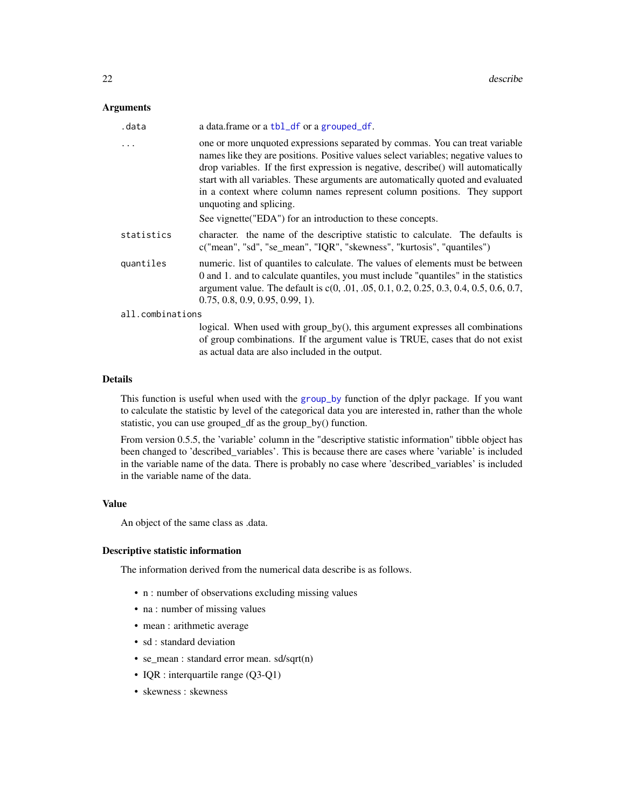# Arguments

| .data            | a data.frame or a tbl_df or a grouped_df.                                                                                                                                                                                                                                                                                                                                                                                                                                                                           |
|------------------|---------------------------------------------------------------------------------------------------------------------------------------------------------------------------------------------------------------------------------------------------------------------------------------------------------------------------------------------------------------------------------------------------------------------------------------------------------------------------------------------------------------------|
| $\cdots$         | one or more unquoted expressions separated by commas. You can treat variable<br>names like they are positions. Positive values select variables; negative values to<br>drop variables. If the first expression is negative, describe() will automatically<br>start with all variables. These arguments are automatically quoted and evaluated<br>in a context where column names represent column positions. They support<br>unquoting and splicing.<br>See vignette ("EDA") for an introduction to these concepts. |
| statistics       | character. the name of the descriptive statistic to calculate. The defaults is<br>c("mean", "sd", "se_mean", "IQR", "skewness", "kurtosis", "quantiles")                                                                                                                                                                                                                                                                                                                                                            |
| quantiles        | numeric. list of quantiles to calculate. The values of elements must be between<br>0 and 1. and to calculate quantiles, you must include "quantiles" in the statistics<br>argument value. The default is c(0, .01, .05, 0.1, 0.2, 0.25, 0.3, 0.4, 0.5, 0.6, 0.7,<br>$0.75, 0.8, 0.9, 0.95, 0.99, 1$ .                                                                                                                                                                                                               |
| all.combinations |                                                                                                                                                                                                                                                                                                                                                                                                                                                                                                                     |
|                  | logical. When used with group_by(), this argument expresses all combinations<br>of group combinations. If the argument value is TRUE, cases that do not exist                                                                                                                                                                                                                                                                                                                                                       |

### Details

This function is useful when used with the [group\\_by](#page-0-0) function of the dplyr package. If you want to calculate the statistic by level of the categorical data you are interested in, rather than the whole statistic, you can use grouped\_df as the group\_by() function.

as actual data are also included in the output.

From version 0.5.5, the 'variable' column in the "descriptive statistic information" tibble object has been changed to 'described\_variables'. This is because there are cases where 'variable' is included in the variable name of the data. There is probably no case where 'described\_variables' is included in the variable name of the data.

#### Value

An object of the same class as .data.

### Descriptive statistic information

The information derived from the numerical data describe is as follows.

- n : number of observations excluding missing values
- na : number of missing values
- mean : arithmetic average
- sd : standard deviation
- se\_mean : standard error mean. sd/sqrt(n)
- IQR : interquartile range (Q3-Q1)
- skewness : skewness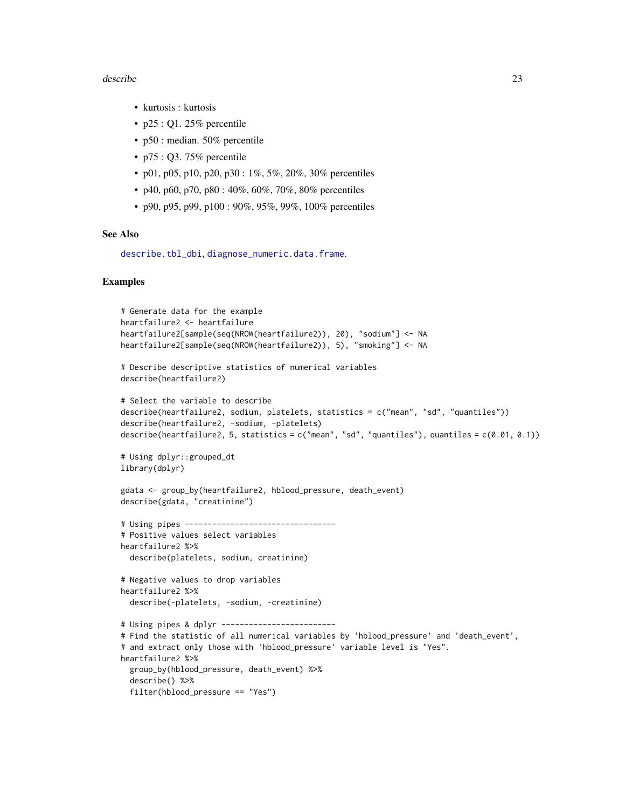#### describe 23

- kurtosis : kurtosis
- $p25:Q1.25%$  percentile
- p50 : median. 50% percentile
- p75 : Q3. 75% percentile
- p01, p05, p10, p20, p30 :  $1\%$ , 5%, 20%, 30% percentiles
- p40, p60, p70, p80 :  $40\%$ ,  $60\%$ ,  $70\%$ ,  $80\%$  percentiles
- p90, p95, p99, p100 : 90%, 95%, 99%, 100% percentiles

### See Also

```
describe.tbl_dbi, diagnose_numeric.data.frame.
```

```
# Generate data for the example
heartfailure2 <- heartfailure
heartfailure2[sample(seq(NROW(heartfailure2)), 20), "sodium"] <- NA
heartfailure2[sample(seq(NROW(heartfailure2)), 5), "smoking"] <- NA
# Describe descriptive statistics of numerical variables
describe(heartfailure2)
# Select the variable to describe
describe(heartfailure2, sodium, platelets, statistics = c("mean", "sd", "quantiles"))
describe(heartfailure2, -sodium, -platelets)
describe(heartfailure2, 5, statistics = c("mean", "sd", "quantiles"), quantiles = c(0.01, 0.1))
# Using dplyr::grouped_dt
library(dplyr)
gdata <- group_by(heartfailure2, hblood_pressure, death_event)
describe(gdata, "creatinine")
# Using pipes ---------------------------------
# Positive values select variables
heartfailure2 %>%
  describe(platelets, sodium, creatinine)
# Negative values to drop variables
heartfailure2 %>%
  describe(-platelets, -sodium, -creatinine)
# Using pipes & dplyr -------------------------
# Find the statistic of all numerical variables by 'hblood_pressure' and 'death_event',
# and extract only those with 'hblood_pressure' variable level is "Yes".
heartfailure2 %>%
  group_by(hblood_pressure, death_event) %>%
  describe() %>%
  filter(hblood_pressure == "Yes")
```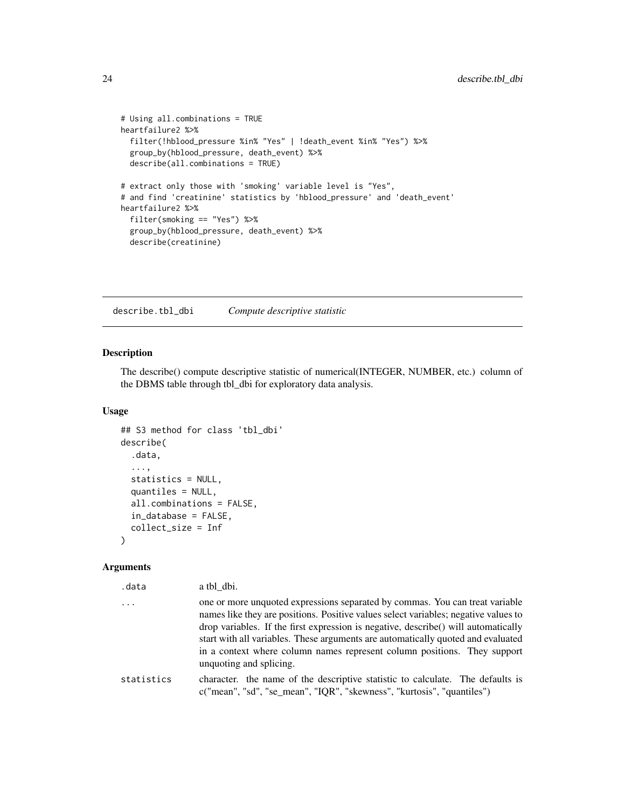```
# Using all.combinations = TRUE
heartfailure2 %>%
  filter(!hblood_pressure %in% "Yes" | !death_event %in% "Yes") %>%
  group_by(hblood_pressure, death_event) %>%
  describe(all.combinations = TRUE)
# extract only those with 'smoking' variable level is "Yes",
# and find 'creatinine' statistics by 'hblood_pressure' and 'death_event'
heartfailure2 %>%
  filter(smoking == "Yes") %>%
  group_by(hblood_pressure, death_event) %>%
  describe(creatinine)
```
<span id="page-23-1"></span>describe.tbl\_dbi *Compute descriptive statistic*

### Description

The describe() compute descriptive statistic of numerical(INTEGER, NUMBER, etc.) column of the DBMS table through tbl\_dbi for exploratory data analysis.

#### Usage

```
## S3 method for class 'tbl_dbi'
describe(
  .data,
  ...,
  statistics = NULL,
  quantiles = NULL,
  all.combinations = FALSE,
  in_database = FALSE,
  collect_size = Inf
)
```
# Arguments

| .data      | a tbl dbi.                                                                                                                                                                                                                                                                                                                                                                                                                                           |
|------------|------------------------------------------------------------------------------------------------------------------------------------------------------------------------------------------------------------------------------------------------------------------------------------------------------------------------------------------------------------------------------------------------------------------------------------------------------|
| $\ddots$   | one or more unquoted expressions separated by commas. You can treat variable<br>names like they are positions. Positive values select variables; negative values to<br>drop variables. If the first expression is negative, describe() will automatically<br>start with all variables. These arguments are automatically quoted and evaluated<br>in a context where column names represent column positions. They support<br>unquoting and splicing. |
| statistics | character, the name of the descriptive statistic to calculate. The defaults is<br>c("mean", "sd", "se_mean", "IQR", "skewness", "kurtosis", "quantiles")                                                                                                                                                                                                                                                                                             |

<span id="page-23-0"></span>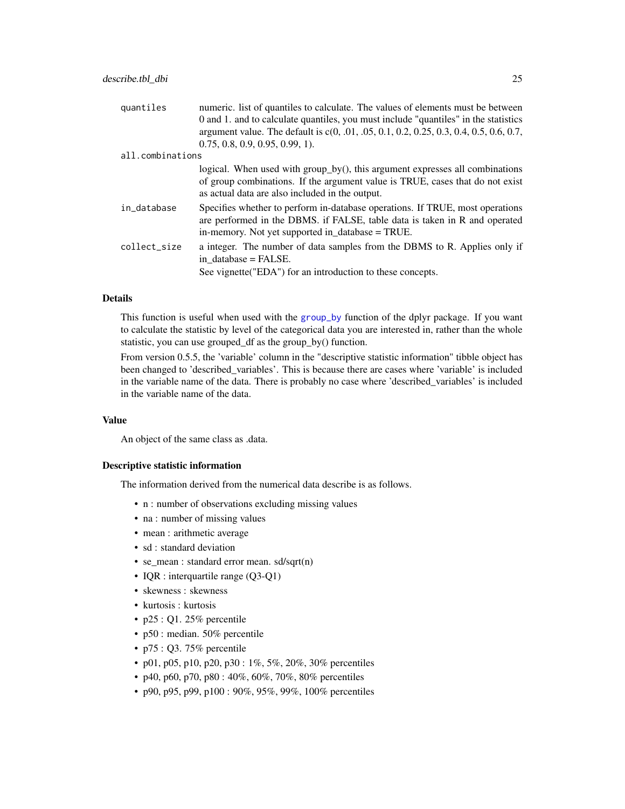| quantiles        | numeric. list of quantiles to calculate. The values of elements must be between                                                                                                                                  |
|------------------|------------------------------------------------------------------------------------------------------------------------------------------------------------------------------------------------------------------|
|                  | 0 and 1, and to calculate quantiles, you must include "quantiles" in the statistics                                                                                                                              |
|                  | argument value. The default is c(0, .01, .05, 0.1, 0.2, 0.25, 0.3, 0.4, 0.5, 0.6, 0.7,                                                                                                                           |
|                  | $0.75, 0.8, 0.9, 0.95, 0.99, 1$ .                                                                                                                                                                                |
| all.combinations |                                                                                                                                                                                                                  |
|                  | logical. When used with group_by(), this argument expresses all combinations<br>of group combinations. If the argument value is TRUE, cases that do not exist<br>as actual data are also included in the output. |
| in_database      | Specifies whether to perform in-database operations. If TRUE, most operations<br>are performed in the DBMS. if FALSE, table data is taken in R and operated<br>in-memory. Not yet supported in database = TRUE.  |
| collect_size     | a integer. The number of data samples from the DBMS to R. Applies only if<br>in database = FALSE.                                                                                                                |
|                  | See vignette ("EDA") for an introduction to these concepts.                                                                                                                                                      |

# Details

This function is useful when used with the [group\\_by](#page-0-0) function of the dplyr package. If you want to calculate the statistic by level of the categorical data you are interested in, rather than the whole statistic, you can use grouped\_df as the group\_by() function.

From version 0.5.5, the 'variable' column in the "descriptive statistic information" tibble object has been changed to 'described\_variables'. This is because there are cases where 'variable' is included in the variable name of the data. There is probably no case where 'described\_variables' is included in the variable name of the data.

### Value

An object of the same class as .data.

### Descriptive statistic information

The information derived from the numerical data describe is as follows.

- n : number of observations excluding missing values
- na : number of missing values
- mean : arithmetic average
- sd : standard deviation
- se\_mean : standard error mean. sd/sqrt(n)
- IQR : interquartile range (Q3-Q1)
- skewness : skewness
- kurtosis : kurtosis
- $p25:Q1.25%$  percentile
- p50 : median. 50% percentile
- p75 : Q3. 75% percentile
- p01, p05, p10, p20, p30 :  $1\%$ , 5%, 20%, 30% percentiles
- p40, p60, p70, p80 :  $40\%$ ,  $60\%$ ,  $70\%$ ,  $80\%$  percentiles
- p90, p95, p99, p100 : 90%, 95%, 99%, 100% percentiles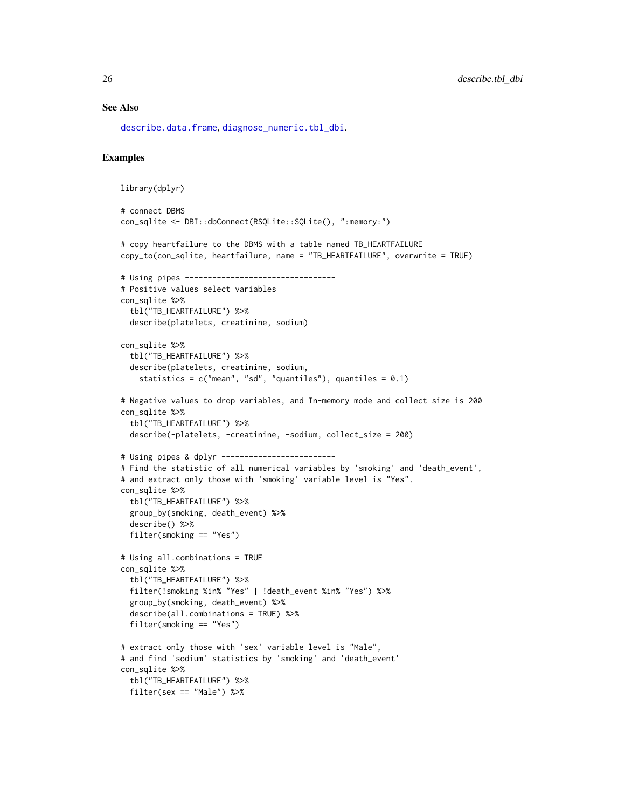### See Also

[describe.data.frame](#page-20-1), [diagnose\\_numeric.tbl\\_dbi](#page-38-1).

```
library(dplyr)
# connect DBMS
con_sqlite <- DBI::dbConnect(RSQLite::SQLite(), ":memory:")
# copy heartfailure to the DBMS with a table named TB_HEARTFAILURE
copy_to(con_sqlite, heartfailure, name = "TB_HEARTFAILURE", overwrite = TRUE)
# Using pipes ---------------------------------
# Positive values select variables
con_sqlite %>%
  tbl("TB_HEARTFAILURE") %>%
  describe(platelets, creatinine, sodium)
con_sqlite %>%
  tbl("TB_HEARTFAILURE") %>%
  describe(platelets, creatinine, sodium,
    statistics = c("mean", "sd", "quantiles"), quantiles = <math>0.1</math>)# Negative values to drop variables, and In-memory mode and collect size is 200
con_sqlite %>%
  tbl("TB_HEARTFAILURE") %>%
  describe(-platelets, -creatinine, -sodium, collect_size = 200)
# Using pipes & dplyr -------------------------
# Find the statistic of all numerical variables by 'smoking' and 'death_event',
# and extract only those with 'smoking' variable level is "Yes".
con_sqlite %>%
  tbl("TB_HEARTFAILURE") %>%
  group_by(smoking, death_event) %>%
  describe() %>%
  filter(smoking == "Yes")
# Using all.combinations = TRUE
con_sqlite %>%
  tbl("TB_HEARTFAILURE") %>%
  filter(!smoking %in% "Yes" | !death_event %in% "Yes") %>%
  group_by(smoking, death_event) %>%
  describe(all.combinations = TRUE) %>%
  filter(smoking == "Yes")
# extract only those with 'sex' variable level is "Male",
# and find 'sodium' statistics by 'smoking' and 'death_event'
con_sqlite %>%
  tbl("TB_HEARTFAILURE") %>%
  filter(sex == "Male") %>%
```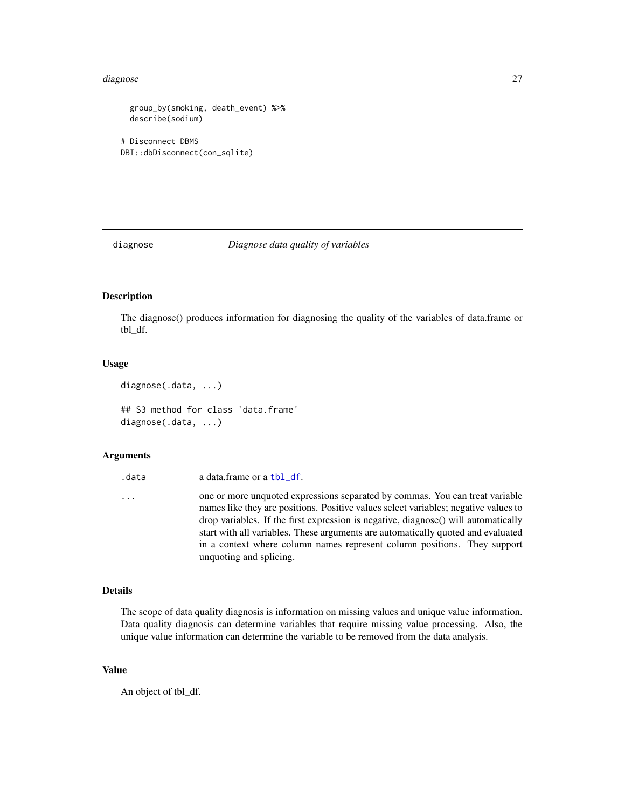#### <span id="page-26-0"></span>diagnose 27 and 2012 and 2013 and 2014 and 2014 and 2014 and 2014 and 2014 and 2014 and 2014 and 2014 and 2014

```
group_by(smoking, death_event) %>%
 describe(sodium)
# Disconnect DBMS
DBI::dbDisconnect(con_sqlite)
```
diagnose *Diagnose data quality of variables*

### <span id="page-26-1"></span>Description

The diagnose() produces information for diagnosing the quality of the variables of data.frame or tbl\_df.

### Usage

```
diagnose(.data, ...)
```
## S3 method for class 'data.frame' diagnose(.data, ...)

### Arguments

.data a data.frame or a [tbl\\_df](#page-0-0).

... one or more unquoted expressions separated by commas. You can treat variable names like they are positions. Positive values select variables; negative values to drop variables. If the first expression is negative, diagnose() will automatically start with all variables. These arguments are automatically quoted and evaluated in a context where column names represent column positions. They support unquoting and splicing.

# Details

The scope of data quality diagnosis is information on missing values and unique value information. Data quality diagnosis can determine variables that require missing value processing. Also, the unique value information can determine the variable to be removed from the data analysis.

### Value

An object of tbl\_df.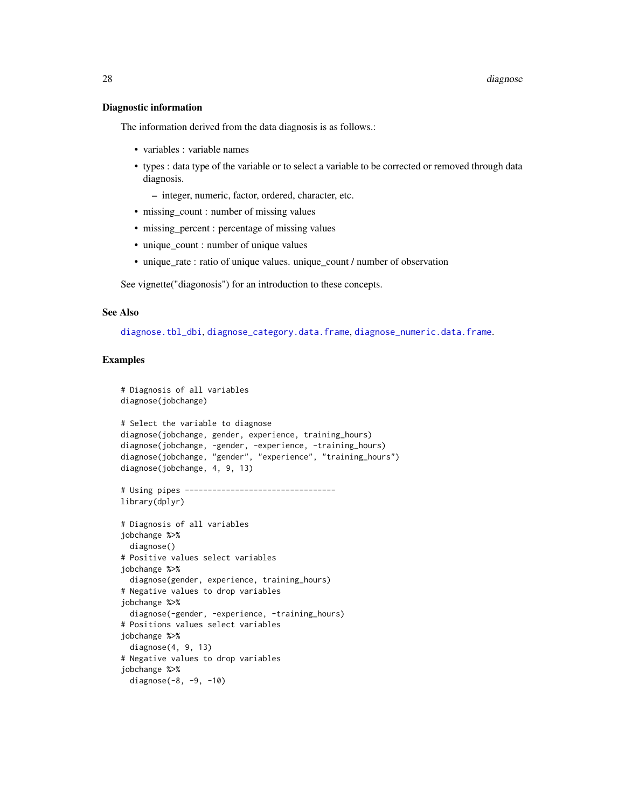#### Diagnostic information

The information derived from the data diagnosis is as follows.:

- variables : variable names
- types : data type of the variable or to select a variable to be corrected or removed through data diagnosis.
	- integer, numeric, factor, ordered, character, etc.
- missing\_count : number of missing values
- missing percent : percentage of missing values
- unique\_count : number of unique values
- unique\_rate : ratio of unique values. unique\_count / number of observation

See vignette("diagonosis") for an introduction to these concepts.

### See Also

[diagnose.tbl\\_dbi](#page-28-1), [diagnose\\_category.data.frame](#page-30-1), [diagnose\\_numeric.data.frame](#page-36-1).

```
# Diagnosis of all variables
diagnose(jobchange)
# Select the variable to diagnose
diagnose(jobchange, gender, experience, training_hours)
diagnose(jobchange, -gender, -experience, -training_hours)
diagnose(jobchange, "gender", "experience", "training_hours")
diagnose(jobchange, 4, 9, 13)
# Using pipes ---------------------------------
library(dplyr)
# Diagnosis of all variables
jobchange %>%
 diagnose()
# Positive values select variables
jobchange %>%
 diagnose(gender, experience, training_hours)
# Negative values to drop variables
jobchange %>%
 diagnose(-gender, -experience, -training_hours)
# Positions values select variables
jobchange %>%
 diagnose(4, 9, 13)
# Negative values to drop variables
jobchange %>%
 diagnose(-8, -9, -10)
```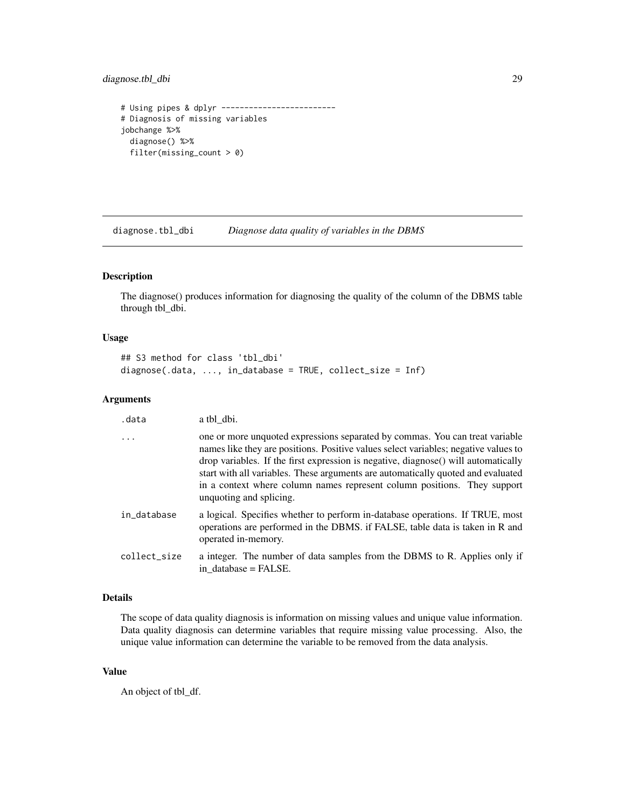# <span id="page-28-0"></span>diagnose.tbl\_dbi 29

```
# Using pipes & dplyr -------------------------
# Diagnosis of missing variables
jobchange %>%
 diagnose() %>%
 filter(missing_count > 0)
```
<span id="page-28-1"></span>diagnose.tbl\_dbi *Diagnose data quality of variables in the DBMS*

# Description

The diagnose() produces information for diagnosing the quality of the column of the DBMS table through tbl\_dbi.

### Usage

```
## S3 method for class 'tbl_dbi'
diagnose(.data, ..., in_database = TRUE, collect_size = Inf)
```
### Arguments

| .data        | a tbl dbi.                                                                                                                                                                                                                                                                                                                                                                                                                                           |
|--------------|------------------------------------------------------------------------------------------------------------------------------------------------------------------------------------------------------------------------------------------------------------------------------------------------------------------------------------------------------------------------------------------------------------------------------------------------------|
| $\ddots$     | one or more unquoted expressions separated by commas. You can treat variable<br>names like they are positions. Positive values select variables; negative values to<br>drop variables. If the first expression is negative, diagnose() will automatically<br>start with all variables. These arguments are automatically quoted and evaluated<br>in a context where column names represent column positions. They support<br>unquoting and splicing. |
| in_database  | a logical. Specifies whether to perform in-database operations. If TRUE, most<br>operations are performed in the DBMS. if FALSE, table data is taken in R and<br>operated in-memory.                                                                                                                                                                                                                                                                 |
| collect_size | a integer. The number of data samples from the DBMS to R. Applies only if<br>in database = FALSE.                                                                                                                                                                                                                                                                                                                                                    |

### Details

The scope of data quality diagnosis is information on missing values and unique value information. Data quality diagnosis can determine variables that require missing value processing. Also, the unique value information can determine the variable to be removed from the data analysis.

#### Value

An object of tbl\_df.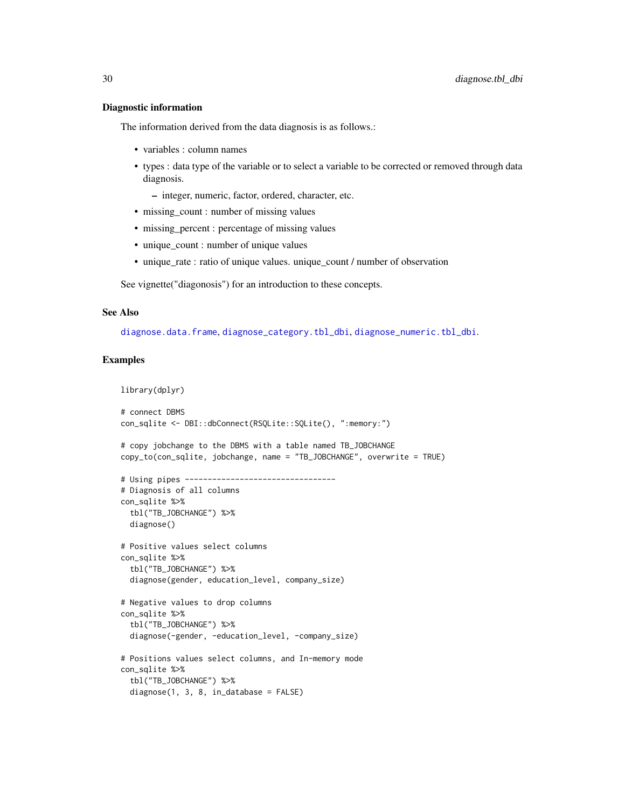#### Diagnostic information

The information derived from the data diagnosis is as follows.:

- variables : column names
- types : data type of the variable or to select a variable to be corrected or removed through data diagnosis.

– integer, numeric, factor, ordered, character, etc.

- missing\_count : number of missing values
- missing percent : percentage of missing values
- unique\_count : number of unique values
- unique\_rate : ratio of unique values. unique\_count / number of observation

See vignette("diagonosis") for an introduction to these concepts.

#### See Also

[diagnose.data.frame](#page-26-1), [diagnose\\_category.tbl\\_dbi](#page-33-1), [diagnose\\_numeric.tbl\\_dbi](#page-38-1).

# Examples

library(dplyr)

```
# connect DBMS
con_sqlite <- DBI::dbConnect(RSQLite::SQLite(), ":memory:")
# copy jobchange to the DBMS with a table named TB_JOBCHANGE
copy_to(con_sqlite, jobchange, name = "TB_JOBCHANGE", overwrite = TRUE)
# Using pipes ---------------------------------
# Diagnosis of all columns
con_sqlite %>%
 tbl("TB_JOBCHANGE") %>%
 diagnose()
# Positive values select columns
con_sqlite %>%
 tbl("TB_JOBCHANGE") %>%
 diagnose(gender, education_level, company_size)
# Negative values to drop columns
con_sqlite %>%
 tbl("TB_JOBCHANGE") %>%
 diagnose(-gender, -education_level, -company_size)
# Positions values select columns, and In-memory mode
con_sqlite %>%
 tbl("TB_JOBCHANGE") %>%
 diagnose(1, 3, 8, in_database = FALSE)
```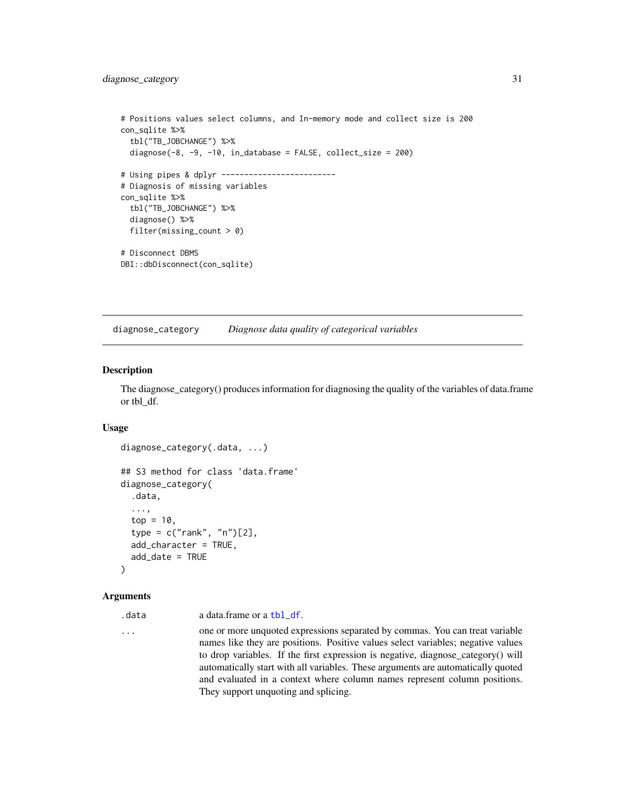# <span id="page-30-0"></span>diagnose\_category 31

```
# Positions values select columns, and In-memory mode and collect size is 200
con_sqlite %>%
 tbl("TB_JOBCHANGE") %>%
 diagnose(-8, -9, -10, in_database = FALSE, collect_size = 200)
# Using pipes & dplyr -------------------------
# Diagnosis of missing variables
con_sqlite %>%
 tbl("TB_JOBCHANGE") %>%
 diagnose() %>%
 filter(missing_count > 0)
# Disconnect DBMS
DBI::dbDisconnect(con_sqlite)
```
diagnose\_category *Diagnose data quality of categorical variables*

# <span id="page-30-1"></span>**Description**

The diagnose\_category() produces information for diagnosing the quality of the variables of data.frame or tbl\_df.

### Usage

```
diagnose_category(.data, ...)
## S3 method for class 'data.frame'
diagnose_category(
  .data,
  ...,
  top = 10,
  type = c("rank", "n")[2],
  add_character = TRUE,
  add_date = TRUE
\lambda
```
### Arguments

```
tbl_df.
```
... one or more unquoted expressions separated by commas. You can treat variable names like they are positions. Positive values select variables; negative values to drop variables. If the first expression is negative, diagnose\_category() will automatically start with all variables. These arguments are automatically quoted and evaluated in a context where column names represent column positions. They support unquoting and splicing.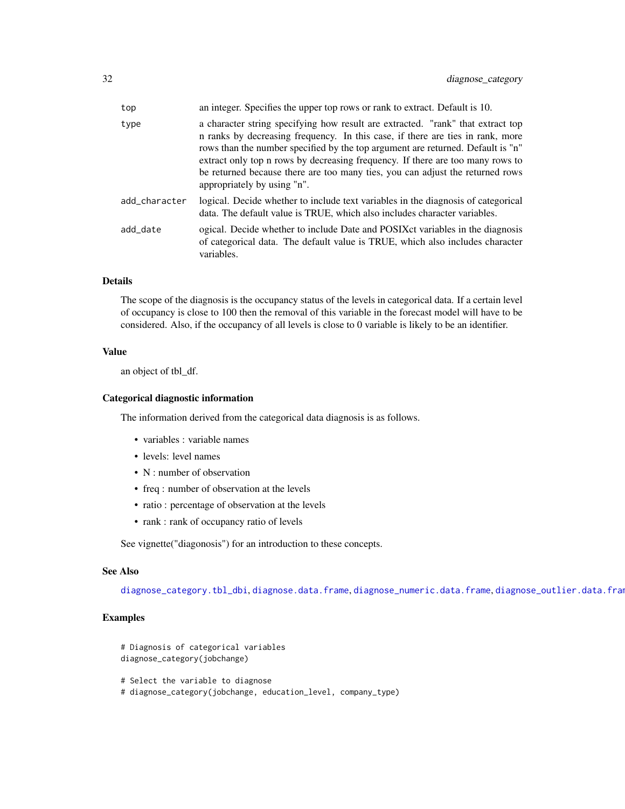| an integer. Specifies the upper top rows or rank to extract. Default is 10.                                                                                                                                                                                                                                                                                                                                                                            |
|--------------------------------------------------------------------------------------------------------------------------------------------------------------------------------------------------------------------------------------------------------------------------------------------------------------------------------------------------------------------------------------------------------------------------------------------------------|
| a character string specifying how result are extracted. "rank" that extract top<br>n ranks by decreasing frequency. In this case, if there are ties in rank, more<br>rows than the number specified by the top argument are returned. Default is "n"<br>extract only top n rows by decreasing frequency. If there are too many rows to<br>be returned because there are too many ties, you can adjust the returned rows<br>appropriately by using "n". |
| logical. Decide whether to include text variables in the diagnosis of categorical<br>data. The default value is TRUE, which also includes character variables.                                                                                                                                                                                                                                                                                         |
| ogical. Decide whether to include Date and POSIX ct variables in the diagnosis<br>of categorical data. The default value is TRUE, which also includes character<br>variables.                                                                                                                                                                                                                                                                          |
|                                                                                                                                                                                                                                                                                                                                                                                                                                                        |

# Details

The scope of the diagnosis is the occupancy status of the levels in categorical data. If a certain level of occupancy is close to 100 then the removal of this variable in the forecast model will have to be considered. Also, if the occupancy of all levels is close to 0 variable is likely to be an identifier.

# Value

an object of tbl\_df.

### Categorical diagnostic information

The information derived from the categorical data diagnosis is as follows.

- variables : variable names
- levels: level names
- N : number of observation
- freq : number of observation at the levels
- ratio : percentage of observation at the levels
- rank : rank of occupancy ratio of levels

See vignette("diagonosis") for an introduction to these concepts.

#### See Also

[diagnose\\_category.tbl\\_dbi](#page-33-1), [diagnose.data.frame](#page-26-1), [diagnose\\_numeric.data.frame](#page-36-1), [diagnose\\_outlier.data.frame](#page-40-1)

```
# Diagnosis of categorical variables
diagnose_category(jobchange)
```
- # Select the variable to diagnose
- # diagnose\_category(jobchange, education\_level, company\_type)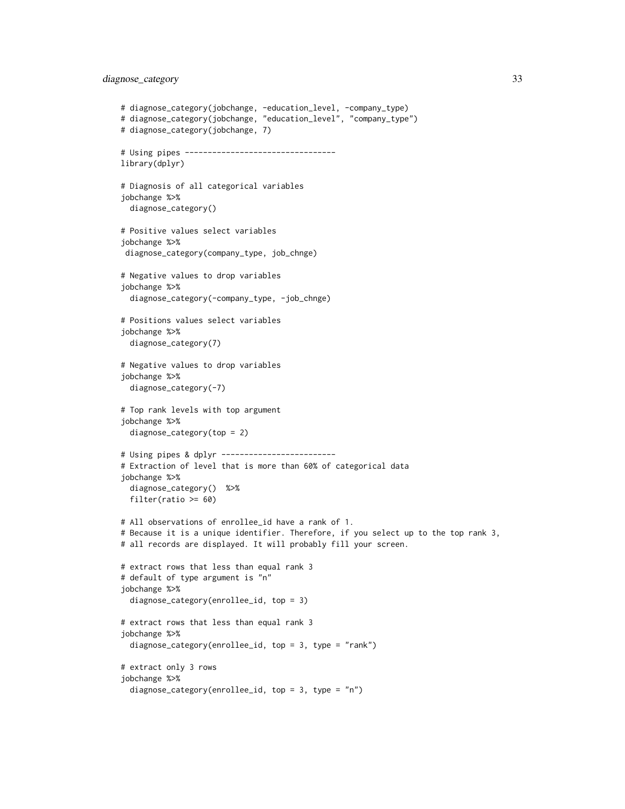# diagnose\_category 33

```
# diagnose_category(jobchange, -education_level, -company_type)
# diagnose_category(jobchange, "education_level", "company_type")
# diagnose_category(jobchange, 7)
# Using pipes ---------------------------------
library(dplyr)
# Diagnosis of all categorical variables
jobchange %>%
 diagnose_category()
# Positive values select variables
jobchange %>%
diagnose_category(company_type, job_chnge)
# Negative values to drop variables
jobchange %>%
 diagnose_category(-company_type, -job_chnge)
# Positions values select variables
jobchange %>%
 diagnose_category(7)
# Negative values to drop variables
jobchange %>%
 diagnose_category(-7)
# Top rank levels with top argument
jobchange %>%
 diagnose_category(top = 2)
# Using pipes & dplyr -------------------------
# Extraction of level that is more than 60% of categorical data
jobchange %>%
 diagnose_category() %>%
 filter(ratio >= 60)
# All observations of enrollee_id have a rank of 1.
# Because it is a unique identifier. Therefore, if you select up to the top rank 3,
# all records are displayed. It will probably fill your screen.
# extract rows that less than equal rank 3
# default of type argument is "n"
jobchange %>%
 diagnose_category(enrollee_id, top = 3)
# extract rows that less than equal rank 3
jobchange %>%
 diagnose_category(enrollee_id, top = 3, type = "rank")
# extract only 3 rows
jobchange %>%
 diagnose_category(enrollee_id, top = 3, type = "n")
```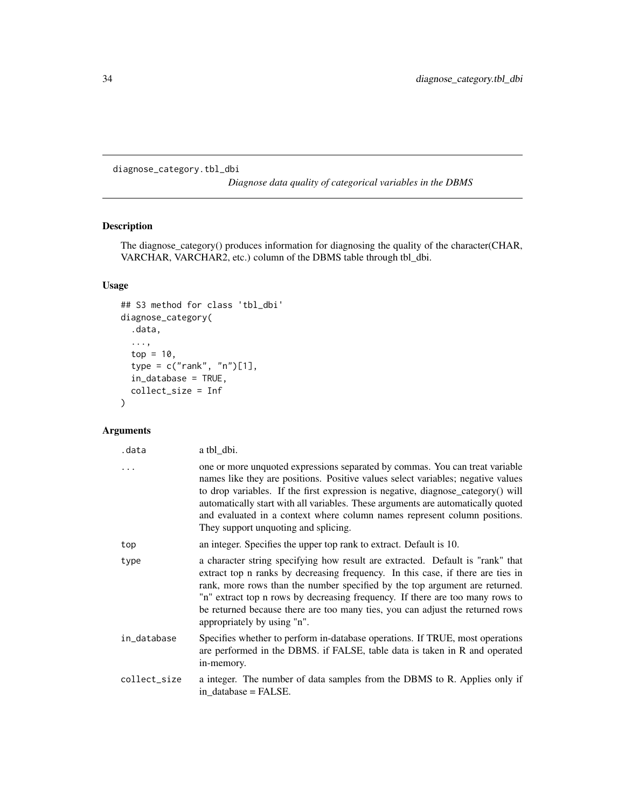<span id="page-33-1"></span><span id="page-33-0"></span>diagnose\_category.tbl\_dbi

*Diagnose data quality of categorical variables in the DBMS*

# Description

The diagnose\_category() produces information for diagnosing the quality of the character(CHAR, VARCHAR, VARCHAR2, etc.) column of the DBMS table through tbl\_dbi.

# Usage

```
## S3 method for class 'tbl_dbi'
diagnose_category(
  .data,
  ...,
  top = 10,
  type = c("rank", "n")[1],in_database = TRUE,
  collect_size = Inf
)
```
# Arguments

| .data        | a tbl_dbi.                                                                                                                                                                                                                                                                                                                                                                                                                                                    |
|--------------|---------------------------------------------------------------------------------------------------------------------------------------------------------------------------------------------------------------------------------------------------------------------------------------------------------------------------------------------------------------------------------------------------------------------------------------------------------------|
| .            | one or more unquoted expressions separated by commas. You can treat variable<br>names like they are positions. Positive values select variables; negative values<br>to drop variables. If the first expression is negative, diagnose_category() will<br>automatically start with all variables. These arguments are automatically quoted<br>and evaluated in a context where column names represent column positions.<br>They support unquoting and splicing. |
| top          | an integer. Specifies the upper top rank to extract. Default is 10.                                                                                                                                                                                                                                                                                                                                                                                           |
| type         | a character string specifying how result are extracted. Default is "rank" that<br>extract top n ranks by decreasing frequency. In this case, if there are ties in<br>rank, more rows than the number specified by the top argument are returned.<br>"n" extract top n rows by decreasing frequency. If there are too many rows to<br>be returned because there are too many ties, you can adjust the returned rows<br>appropriately by using "n".             |
| in_database  | Specifies whether to perform in-database operations. If TRUE, most operations<br>are performed in the DBMS. if FALSE, table data is taken in R and operated<br>in-memory.                                                                                                                                                                                                                                                                                     |
| collect_size | a integer. The number of data samples from the DBMS to R. Applies only if<br>in database = FALSE.                                                                                                                                                                                                                                                                                                                                                             |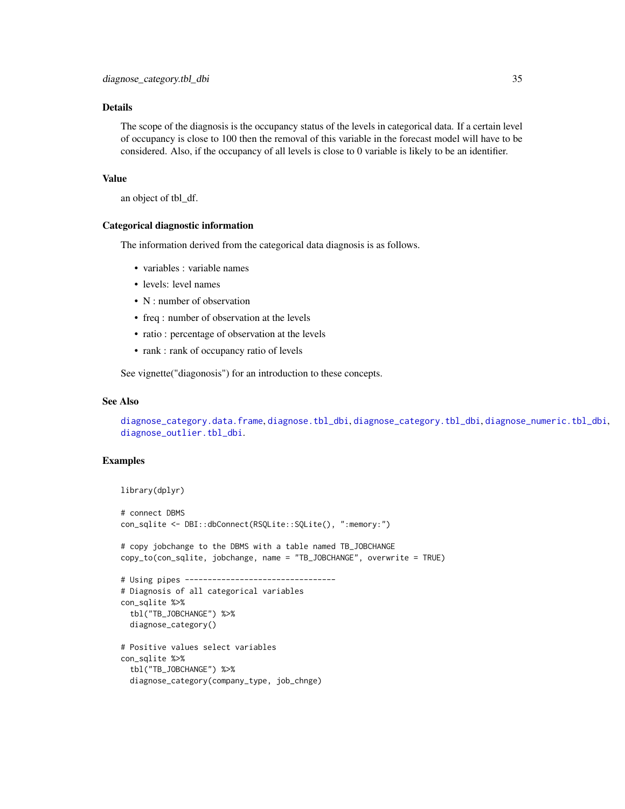### Details

The scope of the diagnosis is the occupancy status of the levels in categorical data. If a certain level of occupancy is close to 100 then the removal of this variable in the forecast model will have to be considered. Also, if the occupancy of all levels is close to 0 variable is likely to be an identifier.

### Value

an object of tbl\_df.

### Categorical diagnostic information

The information derived from the categorical data diagnosis is as follows.

- variables : variable names
- levels: level names
- N : number of observation
- freq : number of observation at the levels
- ratio : percentage of observation at the levels
- rank : rank of occupancy ratio of levels

See vignette("diagonosis") for an introduction to these concepts.

#### See Also

[diagnose\\_category.data.frame](#page-30-1), [diagnose.tbl\\_dbi](#page-28-1), [diagnose\\_category.tbl\\_dbi](#page-33-1), [diagnose\\_numeric.tbl\\_dbi](#page-38-1), [diagnose\\_outlier.tbl\\_dbi](#page-42-1).

```
library(dplyr)
# connect DBMS
con_sqlite <- DBI::dbConnect(RSQLite::SQLite(), ":memory:")
# copy jobchange to the DBMS with a table named TB_JOBCHANGE
copy_to(con_sqlite, jobchange, name = "TB_JOBCHANGE", overwrite = TRUE)
# Using pipes ---------------------------------
# Diagnosis of all categorical variables
con_sqlite %>%
 tbl("TB_JOBCHANGE") %>%
 diagnose_category()
# Positive values select variables
con_sqlite %>%
 tbl("TB_JOBCHANGE") %>%
 diagnose_category(company_type, job_chnge)
```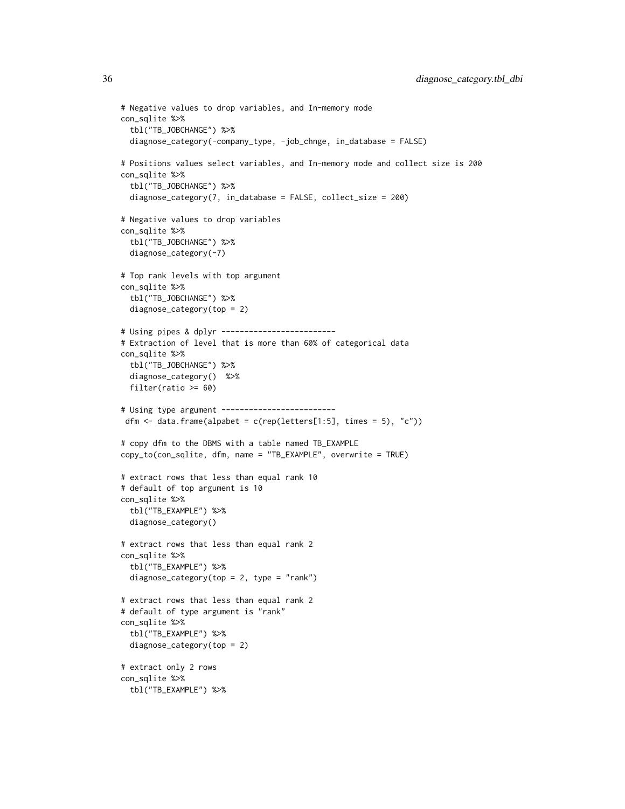```
# Negative values to drop variables, and In-memory mode
con_sqlite %>%
 tbl("TB_JOBCHANGE") %>%
 diagnose_category(-company_type, -job_chnge, in_database = FALSE)
# Positions values select variables, and In-memory mode and collect size is 200
con_sqlite %>%
 tbl("TB_JOBCHANGE") %>%
 diagnose_category(7, in_database = FALSE, collect_size = 200)
# Negative values to drop variables
con_sqlite %>%
 tbl("TB_JOBCHANGE") %>%
 diagnose_category(-7)
# Top rank levels with top argument
con_sqlite %>%
 tbl("TB_JOBCHANGE") %>%
 diagnose_category(top = 2)
# Using pipes & dplyr -------------------------
# Extraction of level that is more than 60% of categorical data
con_sqlite %>%
 tbl("TB_JOBCHANGE") %>%
 diagnose_category() %>%
 filter(ratio >= 60)
# Using type argument -------------------------
dfm \le data.frame(alpabet = c(rep(letters[1:5], times = 5), "c"))
# copy dfm to the DBMS with a table named TB_EXAMPLE
copy_to(con_sqlite, dfm, name = "TB_EXAMPLE", overwrite = TRUE)
# extract rows that less than equal rank 10
# default of top argument is 10
con_sqlite %>%
 tbl("TB_EXAMPLE") %>%
 diagnose_category()
# extract rows that less than equal rank 2
con_sqlite %>%
 tbl("TB_EXAMPLE") %>%
 diagnose_category(top = 2, type = "rank")
# extract rows that less than equal rank 2
# default of type argument is "rank"
con_sqlite %>%
 tbl("TB_EXAMPLE") %>%
 diagnose_category(top = 2)
# extract only 2 rows
con_sqlite %>%
 tbl("TB_EXAMPLE") %>%
```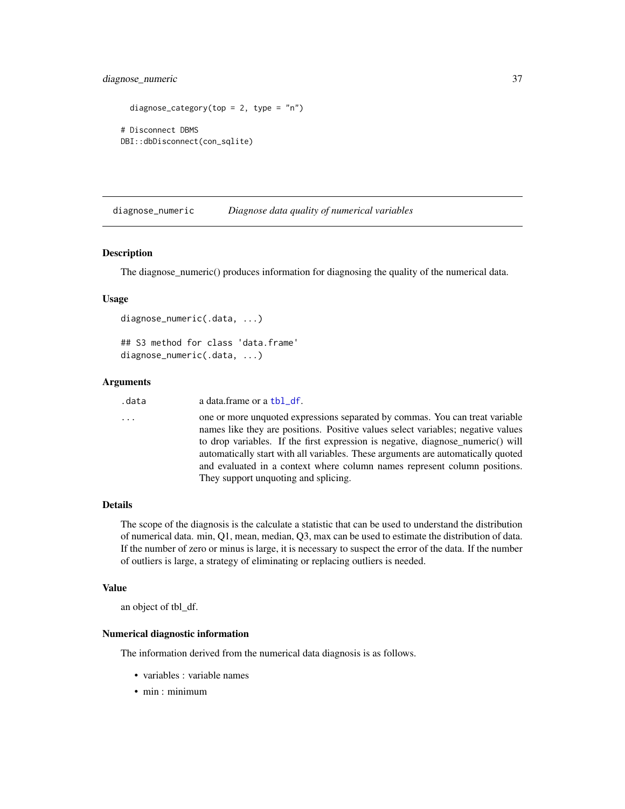# diagnose\_numeric 37

```
diagnose_category(top = 2, type = "n")
# Disconnect DBMS
DBI::dbDisconnect(con_sqlite)
```
diagnose\_numeric *Diagnose data quality of numerical variables*

#### <span id="page-36-0"></span>Description

The diagnose numeric() produces information for diagnosing the quality of the numerical data.

#### Usage

```
diagnose_numeric(.data, ...)
## S3 method for class 'data.frame'
diagnose_numeric(.data, ...)
```
#### Arguments

```
tbl_df.
```
... one or more unquoted expressions separated by commas. You can treat variable names like they are positions. Positive values select variables; negative values to drop variables. If the first expression is negative, diagnose\_numeric() will automatically start with all variables. These arguments are automatically quoted and evaluated in a context where column names represent column positions. They support unquoting and splicing.

## Details

The scope of the diagnosis is the calculate a statistic that can be used to understand the distribution of numerical data. min, Q1, mean, median, Q3, max can be used to estimate the distribution of data. If the number of zero or minus is large, it is necessary to suspect the error of the data. If the number of outliers is large, a strategy of eliminating or replacing outliers is needed.

#### Value

an object of tbl\_df.

## Numerical diagnostic information

The information derived from the numerical data diagnosis is as follows.

- variables : variable names
- min : minimum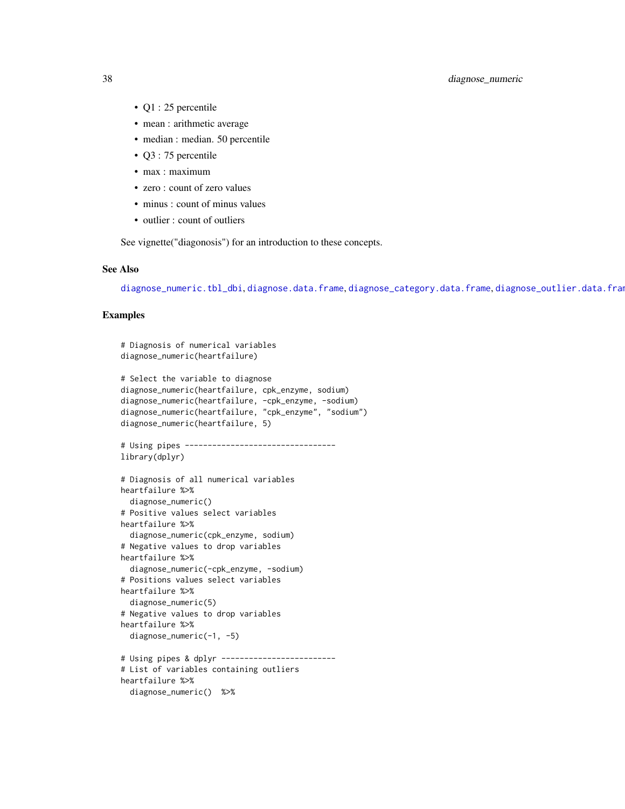# 38 diagnose\_numeric

- Q1 : 25 percentile
- mean : arithmetic average
- median : median. 50 percentile
- Q3 : 75 percentile
- max : maximum
- zero : count of zero values
- minus : count of minus values
- outlier : count of outliers

See vignette("diagonosis") for an introduction to these concepts.

## See Also

[diagnose\\_numeric.tbl\\_dbi](#page-38-0), [diagnose.data.frame](#page-26-0), [diagnose\\_category.data.frame](#page-30-0), [diagnose\\_outlier.data.frame](#page-40-0).

```
# Diagnosis of numerical variables
diagnose_numeric(heartfailure)
# Select the variable to diagnose
diagnose_numeric(heartfailure, cpk_enzyme, sodium)
diagnose_numeric(heartfailure, -cpk_enzyme, -sodium)
diagnose_numeric(heartfailure, "cpk_enzyme", "sodium")
diagnose_numeric(heartfailure, 5)
# Using pipes ---------------------------------
library(dplyr)
# Diagnosis of all numerical variables
heartfailure %>%
  diagnose_numeric()
# Positive values select variables
heartfailure %>%
  diagnose_numeric(cpk_enzyme, sodium)
# Negative values to drop variables
heartfailure %>%
  diagnose_numeric(-cpk_enzyme, -sodium)
# Positions values select variables
heartfailure %>%
  diagnose_numeric(5)
# Negative values to drop variables
heartfailure %>%
  diagnose_numeric(-1, -5)
# Using pipes & dplyr -------------------------
# List of variables containing outliers
heartfailure %>%
  diagnose_numeric() %>%
```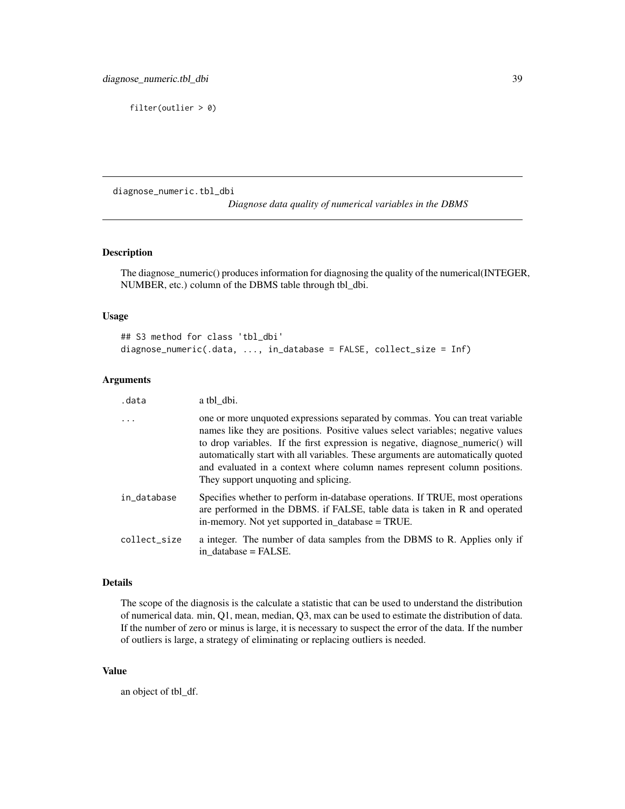filter(outlier > 0)

<span id="page-38-0"></span>diagnose\_numeric.tbl\_dbi

*Diagnose data quality of numerical variables in the DBMS*

# Description

The diagnose\_numeric() produces information for diagnosing the quality of the numerical(INTEGER, NUMBER, etc.) column of the DBMS table through tbl\_dbi.

# Usage

```
## S3 method for class 'tbl_dbi'
diagnose_numeric(.data, ..., in_database = FALSE, collect_size = Inf)
```
#### Arguments

| .data        | a tbl_dbi.                                                                                                                                                                                                                                                                                                                                                                                                                                                   |
|--------------|--------------------------------------------------------------------------------------------------------------------------------------------------------------------------------------------------------------------------------------------------------------------------------------------------------------------------------------------------------------------------------------------------------------------------------------------------------------|
| .            | one or more unquoted expressions separated by commas. You can treat variable<br>names like they are positions. Positive values select variables; negative values<br>to drop variables. If the first expression is negative, diagnose_numeric() will<br>automatically start with all variables. These arguments are automatically quoted<br>and evaluated in a context where column names represent column positions.<br>They support unquoting and splicing. |
| in_database  | Specifies whether to perform in-database operations. If TRUE, most operations<br>are performed in the DBMS. if FALSE, table data is taken in R and operated<br>in-memory. Not yet supported in_database = TRUE.                                                                                                                                                                                                                                              |
| collect size | a integer. The number of data samples from the DBMS to R. Applies only if<br>in database = FALSE.                                                                                                                                                                                                                                                                                                                                                            |

#### Details

The scope of the diagnosis is the calculate a statistic that can be used to understand the distribution of numerical data. min, Q1, mean, median, Q3, max can be used to estimate the distribution of data. If the number of zero or minus is large, it is necessary to suspect the error of the data. If the number of outliers is large, a strategy of eliminating or replacing outliers is needed.

#### Value

an object of tbl\_df.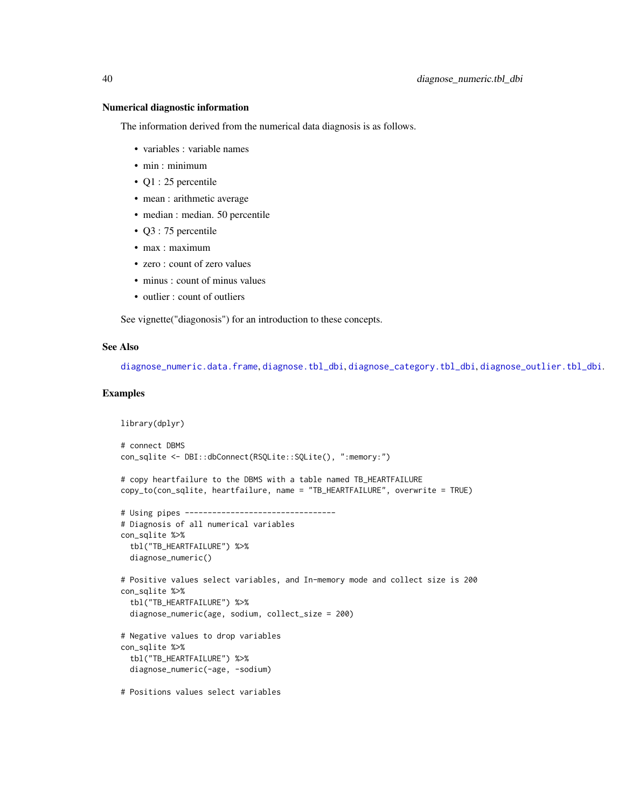#### Numerical diagnostic information

The information derived from the numerical data diagnosis is as follows.

- variables : variable names
- min : minimum
- Q1 : 25 percentile
- mean : arithmetic average
- median : median. 50 percentile
- Q3 : 75 percentile
- max : maximum
- zero : count of zero values
- minus : count of minus values
- outlier : count of outliers

See vignette("diagonosis") for an introduction to these concepts.

#### See Also

[diagnose\\_numeric.data.frame](#page-36-0), [diagnose.tbl\\_dbi](#page-28-0), [diagnose\\_category.tbl\\_dbi](#page-33-0), [diagnose\\_outlier.tbl\\_dbi](#page-42-0).

```
library(dplyr)
# connect DBMS
con_sqlite <- DBI::dbConnect(RSQLite::SQLite(), ":memory:")
# copy heartfailure to the DBMS with a table named TB_HEARTFAILURE
copy_to(con_sqlite, heartfailure, name = "TB_HEARTFAILURE", overwrite = TRUE)
# Using pipes ---------------------------------
# Diagnosis of all numerical variables
con_sqlite %>%
 tbl("TB_HEARTFAILURE") %>%
 diagnose_numeric()
# Positive values select variables, and In-memory mode and collect size is 200
con_sqlite %>%
 tbl("TB_HEARTFAILURE") %>%
 diagnose_numeric(age, sodium, collect_size = 200)
# Negative values to drop variables
con_sqlite %>%
 tbl("TB_HEARTFAILURE") %>%
 diagnose_numeric(-age, -sodium)
# Positions values select variables
```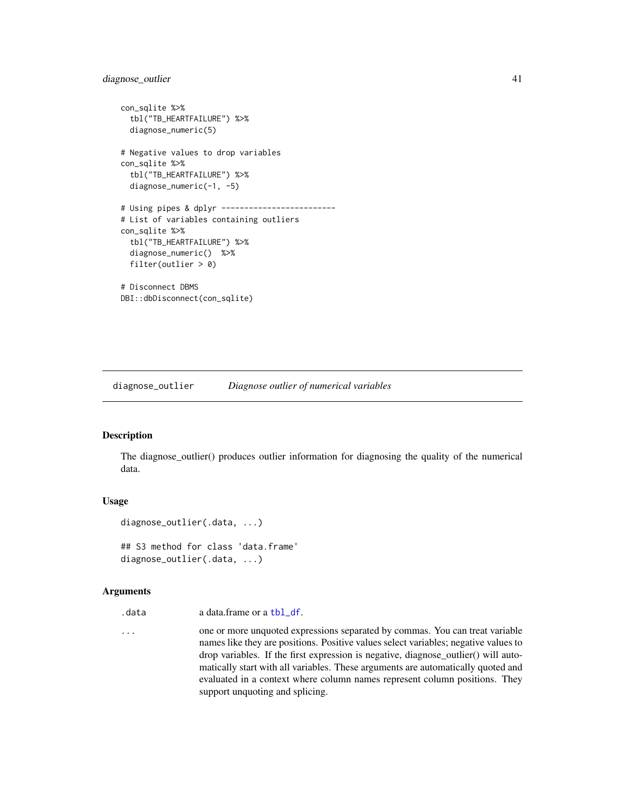# diagnose\_outlier 41

```
con_sqlite %>%
 tbl("TB_HEARTFAILURE") %>%
 diagnose_numeric(5)
# Negative values to drop variables
con_sqlite %>%
 tbl("TB_HEARTFAILURE") %>%
 diagnose_numeric(-1, -5)
# Using pipes & dplyr -------------------------
# List of variables containing outliers
con_sqlite %>%
 tbl("TB_HEARTFAILURE") %>%
 diagnose_numeric() %>%
 filter(outlier > 0)
# Disconnect DBMS
DBI::dbDisconnect(con_sqlite)
```
diagnose\_outlier *Diagnose outlier of numerical variables*

#### <span id="page-40-0"></span>Description

The diagnose\_outlier() produces outlier information for diagnosing the quality of the numerical data.

#### Usage

```
diagnose_outlier(.data, ...)
```
## S3 method for class 'data.frame' diagnose\_outlier(.data, ...)

#### **Arguments**

```
tbl_df.
```
... one or more unquoted expressions separated by commas. You can treat variable names like they are positions. Positive values select variables; negative values to drop variables. If the first expression is negative, diagnose\_outlier() will automatically start with all variables. These arguments are automatically quoted and evaluated in a context where column names represent column positions. They support unquoting and splicing.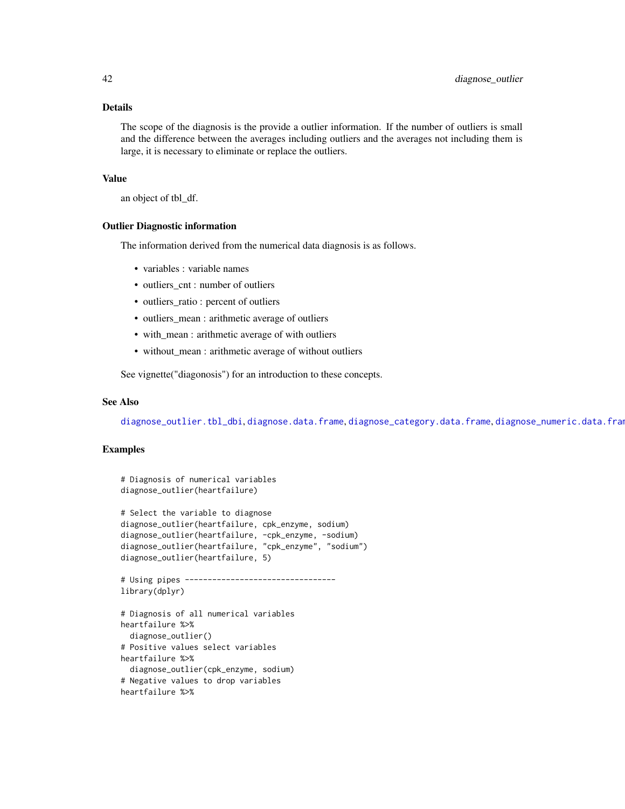## Details

The scope of the diagnosis is the provide a outlier information. If the number of outliers is small and the difference between the averages including outliers and the averages not including them is large, it is necessary to eliminate or replace the outliers.

# Value

an object of tbl\_df.

#### Outlier Diagnostic information

The information derived from the numerical data diagnosis is as follows.

- variables : variable names
- outliers\_cnt : number of outliers
- outliers\_ratio : percent of outliers
- outliers\_mean : arithmetic average of outliers
- with\_mean : arithmetic average of with outliers
- without\_mean : arithmetic average of without outliers

See vignette("diagonosis") for an introduction to these concepts.

#### See Also

[diagnose\\_outlier.tbl\\_dbi](#page-42-0), [diagnose.data.frame](#page-26-0), [diagnose\\_category.data.frame](#page-30-0), [diagnose\\_numeric.data.frame](#page-36-0).

```
# Diagnosis of numerical variables
diagnose_outlier(heartfailure)
# Select the variable to diagnose
diagnose_outlier(heartfailure, cpk_enzyme, sodium)
diagnose_outlier(heartfailure, -cpk_enzyme, -sodium)
diagnose_outlier(heartfailure, "cpk_enzyme", "sodium")
diagnose_outlier(heartfailure, 5)
# Using pipes ---------------------------------
library(dplyr)
# Diagnosis of all numerical variables
heartfailure %>%
 diagnose_outlier()
# Positive values select variables
heartfailure %>%
 diagnose_outlier(cpk_enzyme, sodium)
# Negative values to drop variables
heartfailure %>%
```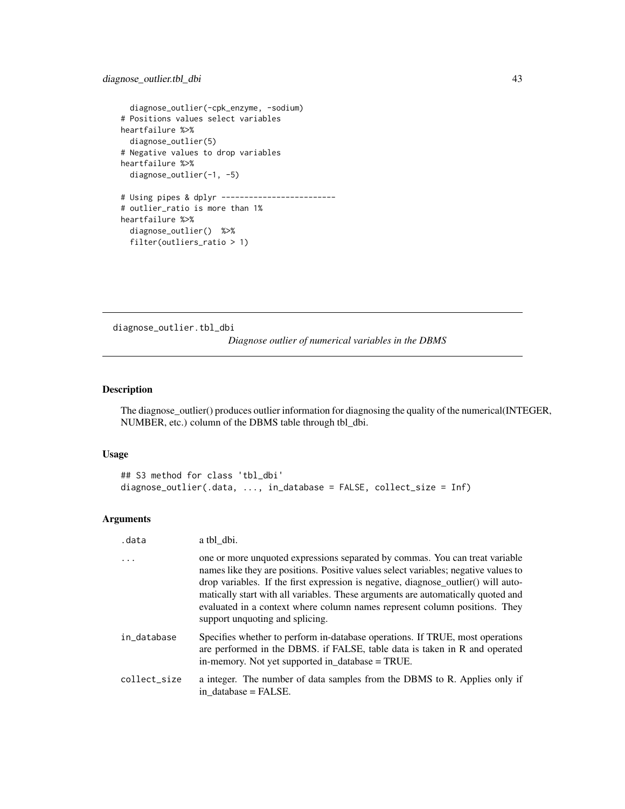```
diagnose_outlier(-cpk_enzyme, -sodium)
# Positions values select variables
heartfailure %>%
  diagnose_outlier(5)
# Negative values to drop variables
heartfailure %>%
  diagnose_outlier(-1, -5)
# Using pipes & dplyr -------------------------
# outlier_ratio is more than 1%
heartfailure %>%
  diagnose_outlier() %>%
  filter(outliers_ratio > 1)
```
<span id="page-42-0"></span>diagnose\_outlier.tbl\_dbi

*Diagnose outlier of numerical variables in the DBMS*

# Description

The diagnose\_outlier() produces outlier information for diagnosing the quality of the numerical(INTEGER, NUMBER, etc.) column of the DBMS table through tbl\_dbi.

## Usage

```
## S3 method for class 'tbl_dbi'
diagnose_outlier(.data, ..., in_database = FALSE, collect_size = Inf)
```
## Arguments

| .data        | a tbl dbi.                                                                                                                                                                                                                                                                                                                                                                                                                                                     |
|--------------|----------------------------------------------------------------------------------------------------------------------------------------------------------------------------------------------------------------------------------------------------------------------------------------------------------------------------------------------------------------------------------------------------------------------------------------------------------------|
| .            | one or more unquoted expressions separated by commas. You can treat variable<br>names like they are positions. Positive values select variables; negative values to<br>drop variables. If the first expression is negative, diagnose_outlier() will auto-<br>matically start with all variables. These arguments are automatically quoted and<br>evaluated in a context where column names represent column positions. They<br>support unquoting and splicing. |
| in database  | Specifies whether to perform in-database operations. If TRUE, most operations<br>are performed in the DBMS. if FALSE, table data is taken in R and operated<br>in-memory. Not yet supported in_database = TRUE.                                                                                                                                                                                                                                                |
| collect size | a integer. The number of data samples from the DBMS to R. Applies only if<br>in database $=$ FALSE.                                                                                                                                                                                                                                                                                                                                                            |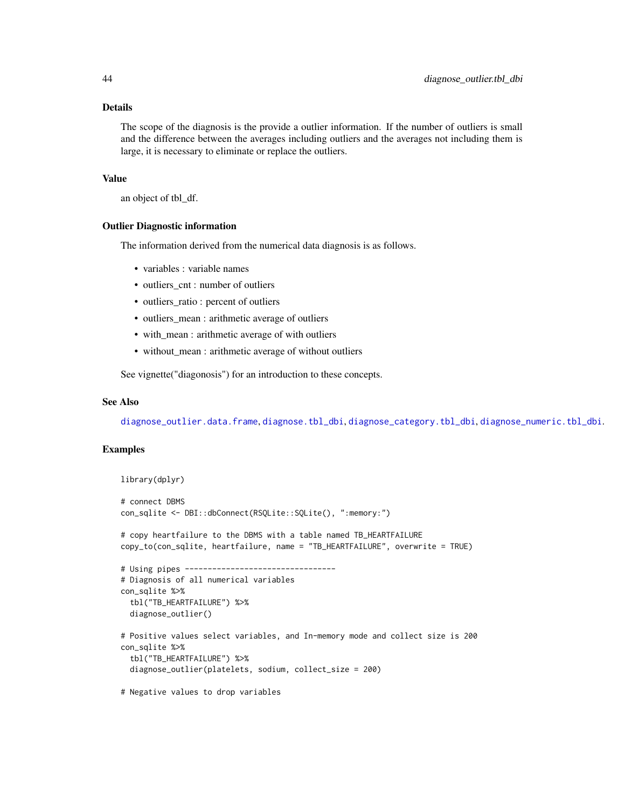## Details

The scope of the diagnosis is the provide a outlier information. If the number of outliers is small and the difference between the averages including outliers and the averages not including them is large, it is necessary to eliminate or replace the outliers.

# Value

an object of tbl\_df.

#### Outlier Diagnostic information

The information derived from the numerical data diagnosis is as follows.

- variables : variable names
- outliers\_cnt : number of outliers
- outliers\_ratio : percent of outliers
- outliers\_mean : arithmetic average of outliers
- with\_mean : arithmetic average of with outliers
- without\_mean : arithmetic average of without outliers

See vignette("diagonosis") for an introduction to these concepts.

#### See Also

[diagnose\\_outlier.data.frame](#page-40-0), [diagnose.tbl\\_dbi](#page-28-0), [diagnose\\_category.tbl\\_dbi](#page-33-0), [diagnose\\_numeric.tbl\\_dbi](#page-38-0).

```
library(dplyr)
# connect DBMS
con_sqlite <- DBI::dbConnect(RSQLite::SQLite(), ":memory:")
# copy heartfailure to the DBMS with a table named TB_HEARTFAILURE
copy_to(con_sqlite, heartfailure, name = "TB_HEARTFAILURE", overwrite = TRUE)
# Using pipes ---------------------------------
# Diagnosis of all numerical variables
con_sqlite %>%
 tbl("TB_HEARTFAILURE") %>%
 diagnose_outlier()
# Positive values select variables, and In-memory mode and collect size is 200
con_sqlite %>%
 tbl("TB_HEARTFAILURE") %>%
 diagnose_outlier(platelets, sodium, collect_size = 200)
# Negative values to drop variables
```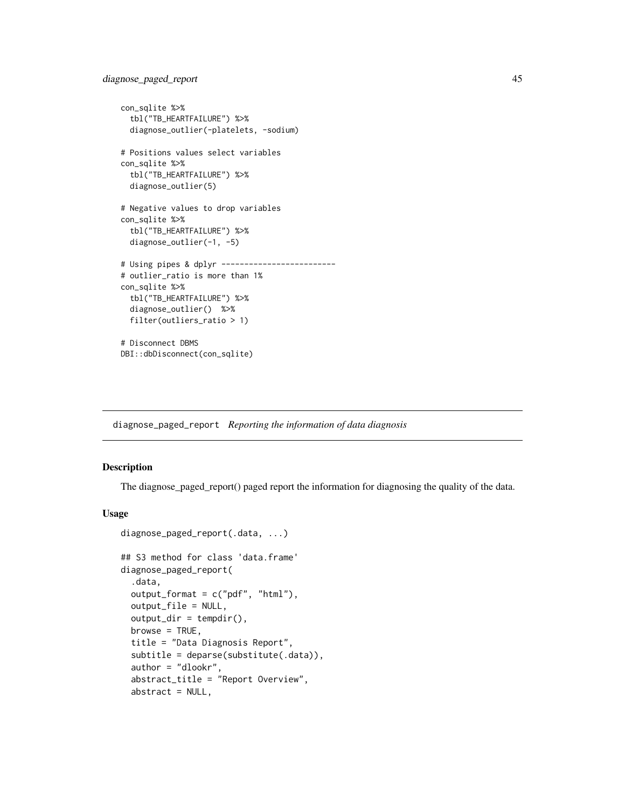```
con_sqlite %>%
  tbl("TB_HEARTFAILURE") %>%
  diagnose_outlier(-platelets, -sodium)
# Positions values select variables
con_sqlite %>%
  tbl("TB_HEARTFAILURE") %>%
  diagnose_outlier(5)
# Negative values to drop variables
con_sqlite %>%
  tbl("TB_HEARTFAILURE") %>%
  diagnose_outlier(-1, -5)
# Using pipes & dplyr -------------------------
# outlier_ratio is more than 1%
con_sqlite %>%
  tbl("TB_HEARTFAILURE") %>%
  diagnose_outlier() %>%
  filter(outliers_ratio > 1)
# Disconnect DBMS
DBI::dbDisconnect(con_sqlite)
```
diagnose\_paged\_report *Reporting the information of data diagnosis*

# <span id="page-44-0"></span>Description

The diagnose\_paged\_report() paged report the information for diagnosing the quality of the data.

```
diagnose_paged_report(.data, ...)
## S3 method for class 'data.frame'
diagnose_paged_report(
  .data,
 output_format = c("pdf", "html"),output_file = NULL,
  output\_dir = template(),browse = TRUE,
  title = "Data Diagnosis Report",
  subtitle = deparse(substitute(.data)),
  author = "dlookr",
  abstract_title = "Report Overview",
  abstract = NULL,
```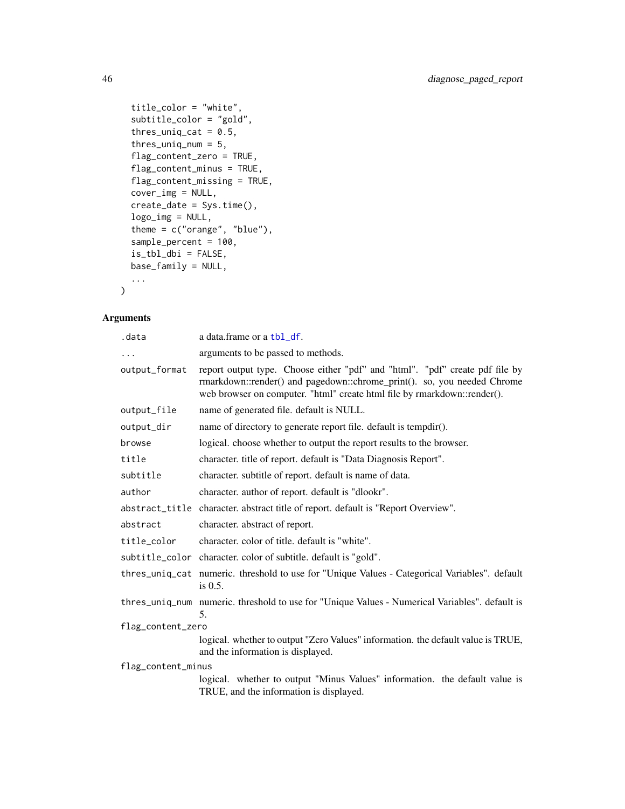```
title_color = "white",
  subtitle_color = "gold",
  thres_uniq_cat = 0.5,
  thres_uniq_num = 5,
  flag_content_zero = TRUE,
  flag_content_minus = TRUE,
 flag_content_missing = TRUE,
 cover_img = NULL,
 create_date = Sys.time(),
 logo_img = NULL,
 theme = c("orange", "blue"),
  sample_percent = 100,
 is_tbl_dbi = FALSE,
 base_family = NULL,
  ...
\mathcal{L}
```
# Arguments

| .data              | a data.frame or a tbl_df.                                                                                                                                                                                                           |  |
|--------------------|-------------------------------------------------------------------------------------------------------------------------------------------------------------------------------------------------------------------------------------|--|
|                    | arguments to be passed to methods.                                                                                                                                                                                                  |  |
| output_format      | report output type. Choose either "pdf" and "html". "pdf" create pdf file by<br>rmarkdown::render() and pagedown::chrome_print(). so, you needed Chrome<br>web browser on computer. "html" create html file by rmarkdown::render(). |  |
| output_file        | name of generated file. default is NULL.                                                                                                                                                                                            |  |
| output_dir         | name of directory to generate report file. default is tempdir().                                                                                                                                                                    |  |
| browse             | logical. choose whether to output the report results to the browser.                                                                                                                                                                |  |
| title              | character. title of report. default is "Data Diagnosis Report".                                                                                                                                                                     |  |
| subtitle           | character. subtitle of report. default is name of data.                                                                                                                                                                             |  |
| author             | character, author of report, default is "dlookr".                                                                                                                                                                                   |  |
|                    | abstract_title character. abstract title of report. default is "Report Overview".                                                                                                                                                   |  |
| abstract           | character. abstract of report.                                                                                                                                                                                                      |  |
| title_color        | character, color of title, default is "white".                                                                                                                                                                                      |  |
|                    | subtitle_color character. color of subtitle. default is "gold".                                                                                                                                                                     |  |
|                    | thres_uniq_cat numeric. threshold to use for "Unique Values - Categorical Variables". default<br>is 0.5.                                                                                                                            |  |
|                    | thres_uniq_num_numeric. threshold to use for "Unique Values - Numerical Variables". default is<br>5.                                                                                                                                |  |
| flag_content_zero  |                                                                                                                                                                                                                                     |  |
|                    | logical. whether to output "Zero Values" information. the default value is TRUE,<br>and the information is displayed.                                                                                                               |  |
| flag_content_minus |                                                                                                                                                                                                                                     |  |
|                    | logical. whether to output "Minus Values" information. the default value is<br>TRUE, and the information is displayed.                                                                                                              |  |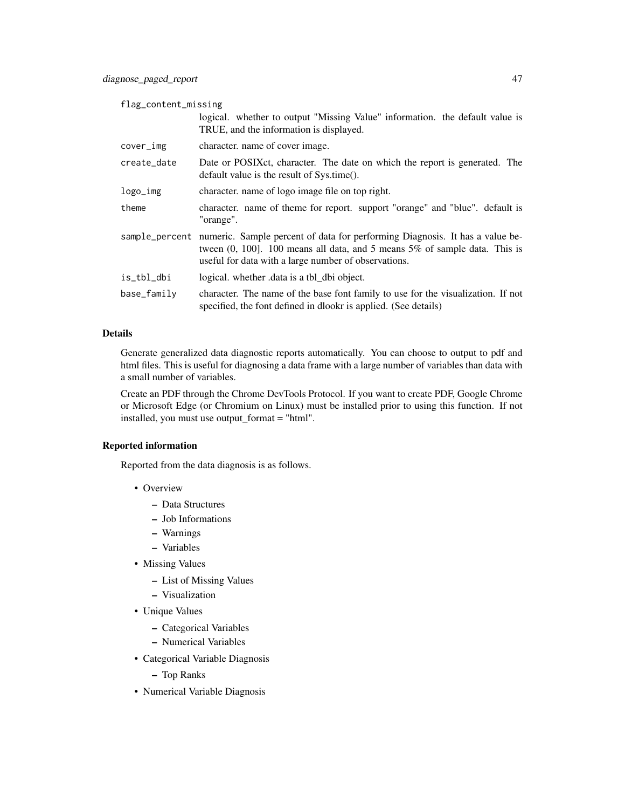flag\_content\_missing

|             | logical. whether to output "Missing Value" information. the default value is<br>TRUE, and the information is displayed.                                                                                                              |
|-------------|--------------------------------------------------------------------------------------------------------------------------------------------------------------------------------------------------------------------------------------|
| cover_img   | character. name of cover image.                                                                                                                                                                                                      |
| create_date | Date or POSIXct, character. The date on which the report is generated. The<br>default value is the result of Sys.time().                                                                                                             |
| logo_img    | character, name of logo image file on top right.                                                                                                                                                                                     |
| theme       | character. name of theme for report. support "orange" and "blue". default is<br>"orange".                                                                                                                                            |
|             | sample_percent numeric. Sample percent of data for performing Diagnosis. It has a value be-<br>tween $(0, 100]$ . 100 means all data, and 5 means 5% of sample data. This is<br>useful for data with a large number of observations. |
| is_tbl_dbi  | logical. whether data is a tbl_dbi object.                                                                                                                                                                                           |
| base_family | character. The name of the base font family to use for the visualization. If not<br>specified, the font defined in dlookr is applied. (See details)                                                                                  |

# Details

Generate generalized data diagnostic reports automatically. You can choose to output to pdf and html files. This is useful for diagnosing a data frame with a large number of variables than data with a small number of variables.

Create an PDF through the Chrome DevTools Protocol. If you want to create PDF, Google Chrome or Microsoft Edge (or Chromium on Linux) must be installed prior to using this function. If not installed, you must use output\_format = "html".

## Reported information

Reported from the data diagnosis is as follows.

- Overview
	- Data Structures
	- Job Informations
	- Warnings
	- Variables
- Missing Values
	- List of Missing Values
	- Visualization
- Unique Values
	- Categorical Variables
	- Numerical Variables
- Categorical Variable Diagnosis
	- Top Ranks
- Numerical Variable Diagnosis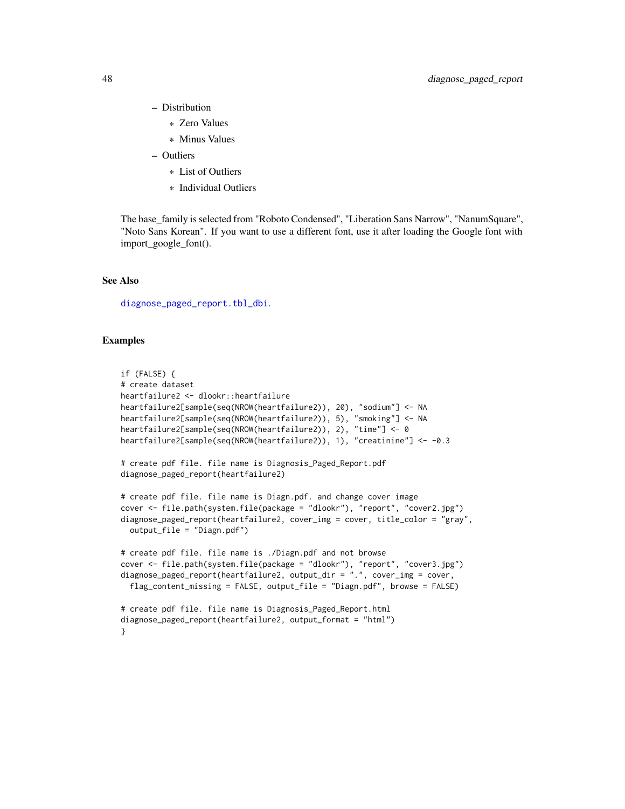- Distribution
	- \* Zero Values
	- \* Minus Values
- Outliers
	- \* List of Outliers
	- \* Individual Outliers

The base\_family is selected from "Roboto Condensed", "Liberation Sans Narrow", "NanumSquare", "Noto Sans Korean". If you want to use a different font, use it after loading the Google font with import\_google\_font().

# See Also

[diagnose\\_paged\\_report.tbl\\_dbi](#page-48-0).

```
if (FALSE) {
# create dataset
heartfailure2 <- dlookr::heartfailure
heartfailure2[sample(seq(NROW(heartfailure2)), 20), "sodium"] <- NA
heartfailure2[sample(seq(NROW(heartfailure2)), 5), "smoking"] <- NA
heartfailure2[sample(seq(NROW(heartfailure2)), 2), "time"] <- 0
heartfailure2[sample(seq(NROW(heartfailure2)), 1), "creatinine"] <- -0.3
# create pdf file. file name is Diagnosis_Paged_Report.pdf
diagnose_paged_report(heartfailure2)
# create pdf file. file name is Diagn.pdf. and change cover image
cover <- file.path(system.file(package = "dlookr"), "report", "cover2.jpg")
diagnose_paged_report(heartfailure2, cover_img = cover, title_color = "gray",
  output_file = "Diagn.pdf")
# create pdf file. file name is ./Diagn.pdf and not browse
cover <- file.path(system.file(package = "dlookr"), "report", "cover3.jpg")
diagnose_paged_report(heartfailure2, output_dir = ".", cover_img = cover,
  flag_content_missing = FALSE, output_file = "Diagn.pdf", browse = FALSE)
# create pdf file. file name is Diagnosis_Paged_Report.html
diagnose_paged_report(heartfailure2, output_format = "html")
}
```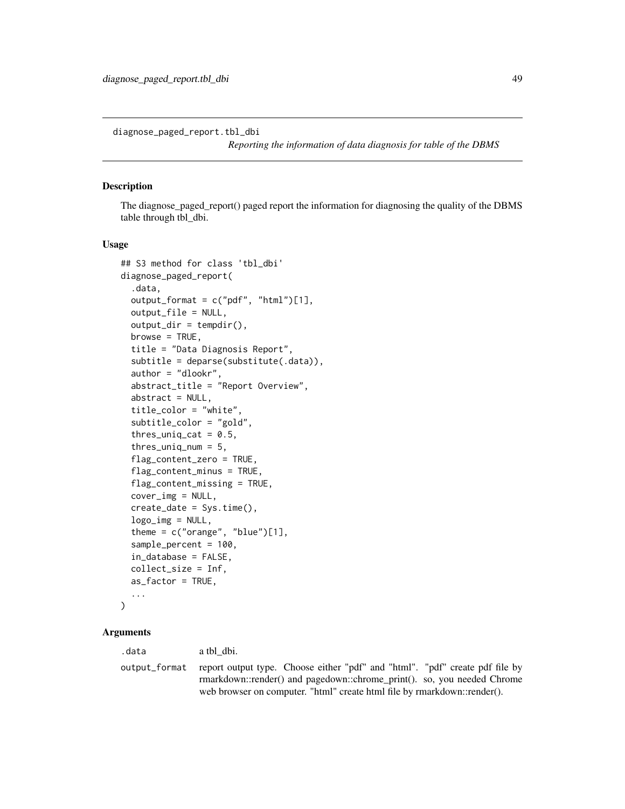<span id="page-48-0"></span>diagnose\_paged\_report.tbl\_dbi

*Reporting the information of data diagnosis for table of the DBMS*

# **Description**

The diagnose\_paged\_report() paged report the information for diagnosing the quality of the DBMS table through tbl\_dbi.

#### Usage

```
## S3 method for class 'tbl_dbi'
diagnose_paged_report(
  .data,
  output_format = c("pdf", "html")[1],output_file = NULL,
  output\_dir = tempdir(),browse = TRUE,title = "Data Diagnosis Report",
  subtitle = deparse(substitute(.data)),
  author = "dlookr",
  abstract_title = "Report Overview",
  abstract = NULL,title_color = "white",
  subtitle_color = "gold",
  thres_uniq_cat = 0.5,
  thres_uniq_num = 5,
  flag_content_zero = TRUE,
  flag_content_minus = TRUE,
  flag_content_missing = TRUE,
  cover\_img = NULL,create_date = Sys.time(),
  logo\_img = NULL,theme = c("orange", "blue")[1],sample_percent = 100,
  in_database = FALSE,
  collect_size = Inf,
  as_factor = TRUE,
  ...
)
```
#### Arguments

.data a tbl\_dbi.

output\_format report output type. Choose either "pdf" and "html". "pdf" create pdf file by rmarkdown::render() and pagedown::chrome\_print(). so, you needed Chrome web browser on computer. "html" create html file by rmarkdown::render().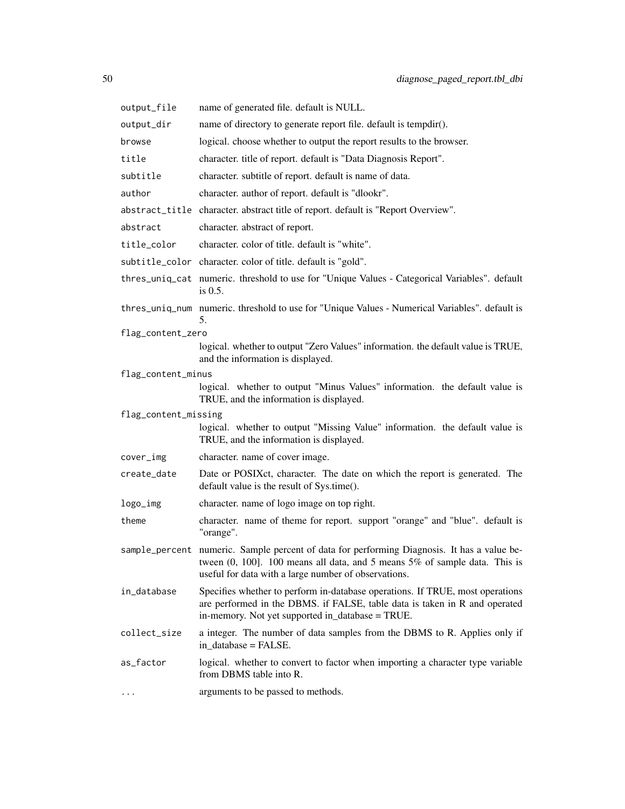| output_file          | name of generated file. default is NULL.                                                                                                                                                                                                |  |
|----------------------|-----------------------------------------------------------------------------------------------------------------------------------------------------------------------------------------------------------------------------------------|--|
| output_dir           | name of directory to generate report file. default is tempdir().                                                                                                                                                                        |  |
| browse               | logical. choose whether to output the report results to the browser.                                                                                                                                                                    |  |
| title                | character. title of report. default is "Data Diagnosis Report".                                                                                                                                                                         |  |
| subtitle             | character. subtitle of report. default is name of data.                                                                                                                                                                                 |  |
| author               | character. author of report. default is "dlookr".                                                                                                                                                                                       |  |
|                      | abstract_title character. abstract title of report. default is "Report Overview".                                                                                                                                                       |  |
| abstract             | character. abstract of report.                                                                                                                                                                                                          |  |
| title_color          | character, color of title, default is "white".                                                                                                                                                                                          |  |
|                      | subtitle_color character. color of title. default is "gold".                                                                                                                                                                            |  |
|                      | thres_uniq_cat numeric. threshold to use for "Unique Values - Categorical Variables". default<br>is $0.5$ .                                                                                                                             |  |
|                      | thres_uniq_num numeric. threshold to use for "Unique Values - Numerical Variables". default is<br>5.                                                                                                                                    |  |
| flag_content_zero    |                                                                                                                                                                                                                                         |  |
|                      | logical. whether to output "Zero Values" information. the default value is TRUE,<br>and the information is displayed.                                                                                                                   |  |
| flag_content_minus   |                                                                                                                                                                                                                                         |  |
|                      | logical. whether to output "Minus Values" information. the default value is<br>TRUE, and the information is displayed.                                                                                                                  |  |
| flag_content_missing |                                                                                                                                                                                                                                         |  |
|                      | logical. whether to output "Missing Value" information. the default value is<br>TRUE, and the information is displayed.                                                                                                                 |  |
| cover_img            | character. name of cover image.                                                                                                                                                                                                         |  |
| create_date          | Date or POSIXct, character. The date on which the report is generated. The<br>default value is the result of Sys.time().                                                                                                                |  |
| logo_img             | character. name of logo image on top right.                                                                                                                                                                                             |  |
| theme                | character. name of theme for report. support "orange" and "blue". default is<br>"orange".                                                                                                                                               |  |
|                      | sample_percent numeric. Sample percent of data for performing Diagnosis. It has a value be-<br>tween $(0, 100]$ . 100 means all data, and 5 means $5\%$ of sample data. This is<br>useful for data with a large number of observations. |  |
| in_database          | Specifies whether to perform in-database operations. If TRUE, most operations<br>are performed in the DBMS. if FALSE, table data is taken in R and operated<br>in-memory. Not yet supported in_database = TRUE.                         |  |
| collect_size         | a integer. The number of data samples from the DBMS to R. Applies only if<br>in_database = FALSE.                                                                                                                                       |  |
| as_factor            | logical. whether to convert to factor when importing a character type variable<br>from DBMS table into R.                                                                                                                               |  |
|                      | arguments to be passed to methods.                                                                                                                                                                                                      |  |
|                      |                                                                                                                                                                                                                                         |  |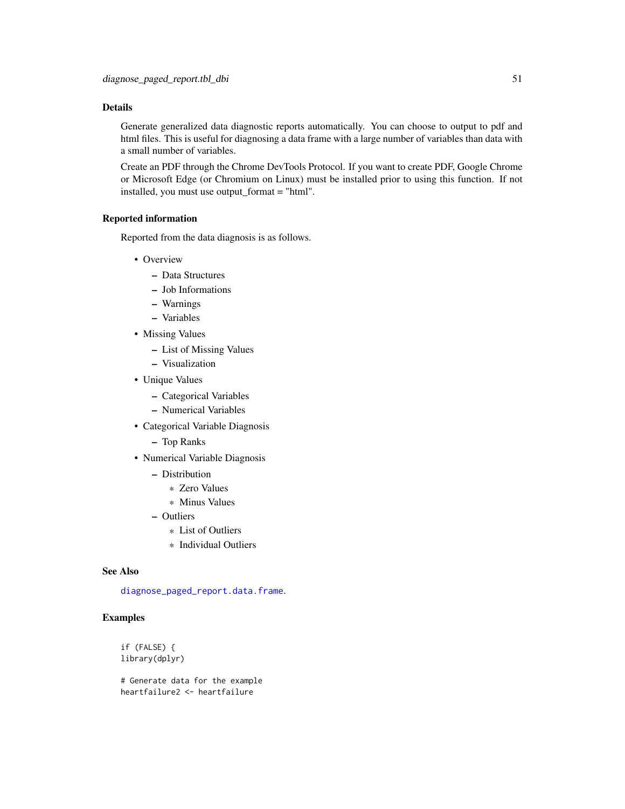## Details

Generate generalized data diagnostic reports automatically. You can choose to output to pdf and html files. This is useful for diagnosing a data frame with a large number of variables than data with a small number of variables.

Create an PDF through the Chrome DevTools Protocol. If you want to create PDF, Google Chrome or Microsoft Edge (or Chromium on Linux) must be installed prior to using this function. If not installed, you must use output\_format = "html".

#### Reported information

Reported from the data diagnosis is as follows.

- Overview
	- Data Structures
	- Job Informations
	- Warnings
	- Variables
- Missing Values
	- List of Missing Values
	- Visualization
- Unique Values
	- Categorical Variables
	- Numerical Variables
- Categorical Variable Diagnosis
	- Top Ranks
- Numerical Variable Diagnosis
	- Distribution
		- \* Zero Values
		- \* Minus Values
	- Outliers
		- \* List of Outliers
		- \* Individual Outliers

#### See Also

[diagnose\\_paged\\_report.data.frame](#page-44-0).

# Examples

if (FALSE) { library(dplyr)

# Generate data for the example heartfailure2 <- heartfailure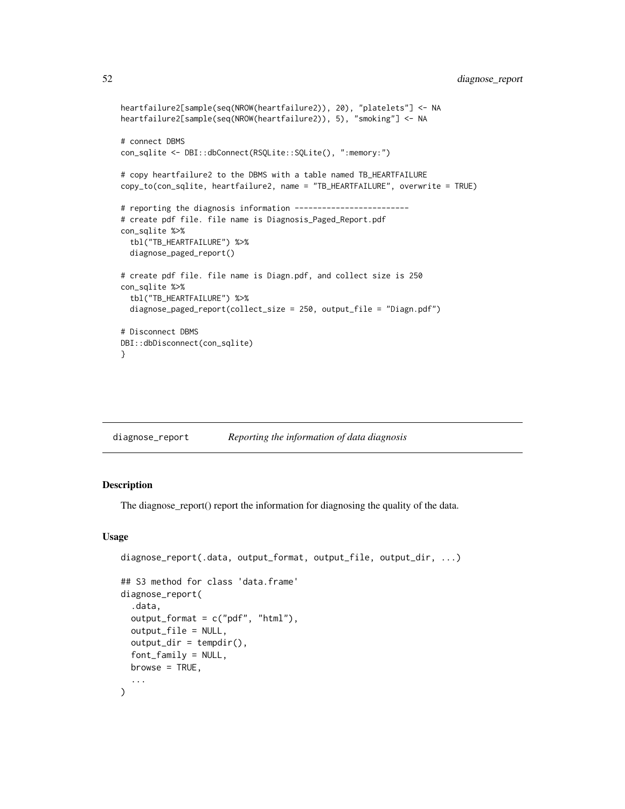```
heartfailure2[sample(seq(NROW(heartfailure2)), 20), "platelets"] <- NA
heartfailure2[sample(seq(NROW(heartfailure2)), 5), "smoking"] <- NA
# connect DBMS
con_sqlite <- DBI::dbConnect(RSQLite::SQLite(), ":memory:")
# copy heartfailure2 to the DBMS with a table named TB_HEARTFAILURE
copy_to(con_sqlite, heartfailure2, name = "TB_HEARTFAILURE", overwrite = TRUE)
# reporting the diagnosis information -------------------------
# create pdf file. file name is Diagnosis_Paged_Report.pdf
con_sqlite %>%
 tbl("TB_HEARTFAILURE") %>%
 diagnose_paged_report()
# create pdf file. file name is Diagn.pdf, and collect size is 250
con_sqlite %>%
 tbl("TB_HEARTFAILURE") %>%
 diagnose_paged_report(collect_size = 250, output_file = "Diagn.pdf")
# Disconnect DBMS
DBI::dbDisconnect(con_sqlite)
}
```

| diagnose_report | Reporting the information of data diagnosis |  |
|-----------------|---------------------------------------------|--|
|                 |                                             |  |

#### <span id="page-51-0"></span>Description

The diagnose\_report() report the information for diagnosing the quality of the data.

```
diagnose_report(.data, output_format, output_file, output_dir, ...)
## S3 method for class 'data.frame'
diagnose_report(
  .data,
  output_format = c("pdf", "html"),
  output_file = NULL,
 output\_dir = template(),font_family = NULL,
 browse = TRUE,
  ...
)
```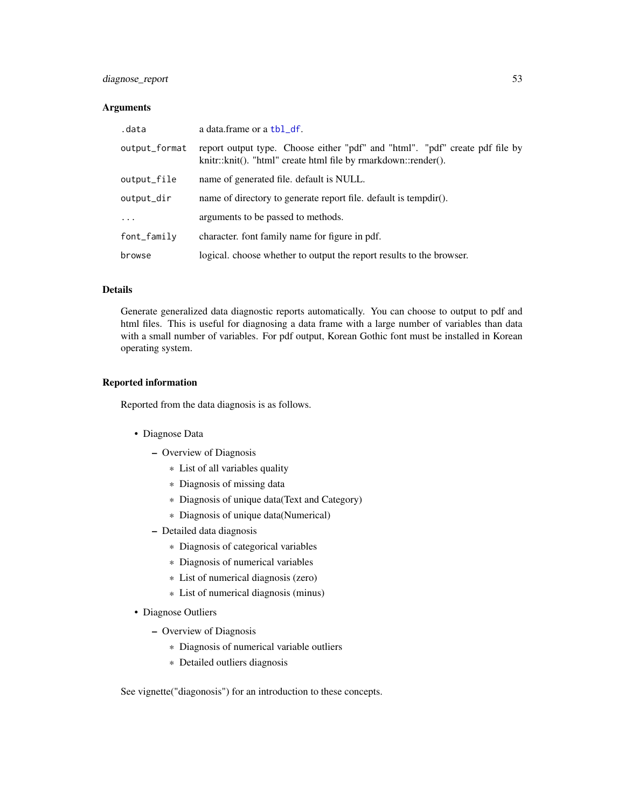# diagnose\_report 53

## Arguments

| .data         | a data.frame or a tbl_df.                                                                                                                      |
|---------------|------------------------------------------------------------------------------------------------------------------------------------------------|
| output_format | report output type. Choose either "pdf" and "html". "pdf" create pdf file by<br>knitr::knit(). "html" create html file by rmarkdown::render(). |
| output_file   | name of generated file. default is NULL.                                                                                                       |
| output_dir    | name of directory to generate report file. default is tempdir().                                                                               |
| $\ddots$      | arguments to be passed to methods.                                                                                                             |
| font_family   | character. font family name for figure in pdf.                                                                                                 |
| browse        | logical, choose whether to output the report results to the browser.                                                                           |

# Details

Generate generalized data diagnostic reports automatically. You can choose to output to pdf and html files. This is useful for diagnosing a data frame with a large number of variables than data with a small number of variables. For pdf output, Korean Gothic font must be installed in Korean operating system.

## Reported information

Reported from the data diagnosis is as follows.

- Diagnose Data
	- Overview of Diagnosis
		- \* List of all variables quality
		- \* Diagnosis of missing data
		- \* Diagnosis of unique data(Text and Category)
		- \* Diagnosis of unique data(Numerical)
	- Detailed data diagnosis
		- \* Diagnosis of categorical variables
		- \* Diagnosis of numerical variables
		- \* List of numerical diagnosis (zero)
		- \* List of numerical diagnosis (minus)
- Diagnose Outliers
	- Overview of Diagnosis
		- \* Diagnosis of numerical variable outliers
		- \* Detailed outliers diagnosis

See vignette("diagonosis") for an introduction to these concepts.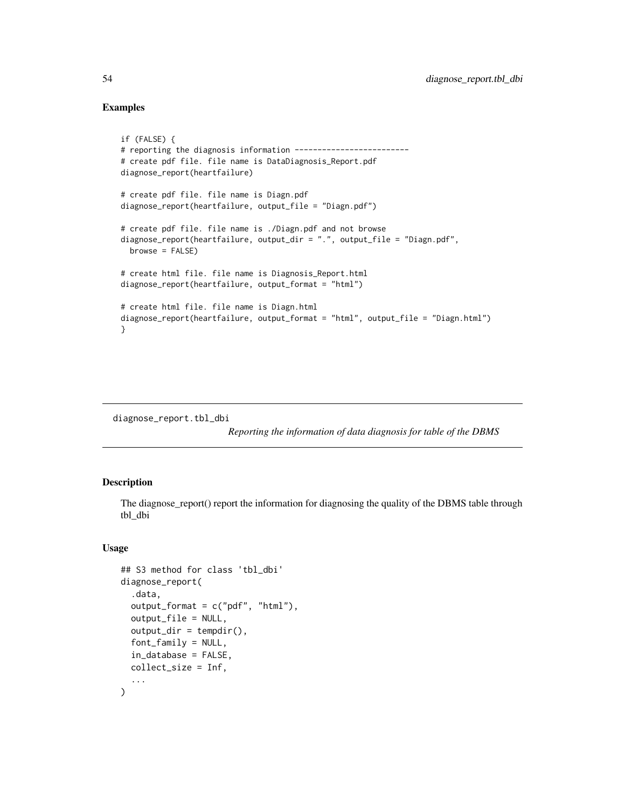## Examples

```
if (FALSE) {
# reporting the diagnosis information -------------------------
# create pdf file. file name is DataDiagnosis_Report.pdf
diagnose_report(heartfailure)
# create pdf file. file name is Diagn.pdf
diagnose_report(heartfailure, output_file = "Diagn.pdf")
# create pdf file. file name is ./Diagn.pdf and not browse
diagnose_report(heartfailure, output_dir = ".", output_file = "Diagn.pdf",
  browse = FALSE)
# create html file. file name is Diagnosis_Report.html
diagnose_report(heartfailure, output_format = "html")
# create html file. file name is Diagn.html
diagnose_report(heartfailure, output_format = "html", output_file = "Diagn.html")
}
```
diagnose\_report.tbl\_dbi

*Reporting the information of data diagnosis for table of the DBMS*

#### Description

The diagnose\_report() report the information for diagnosing the quality of the DBMS table through tbl\_dbi

```
## S3 method for class 'tbl_dbi'
diagnose_report(
  .data,
  output_format = c("pdf", "html"),
  output_file = NULL,
  output\_dir = template(),
  font_family = NULL,
  in_database = FALSE,
  collect_size = Inf,
  ...
)
```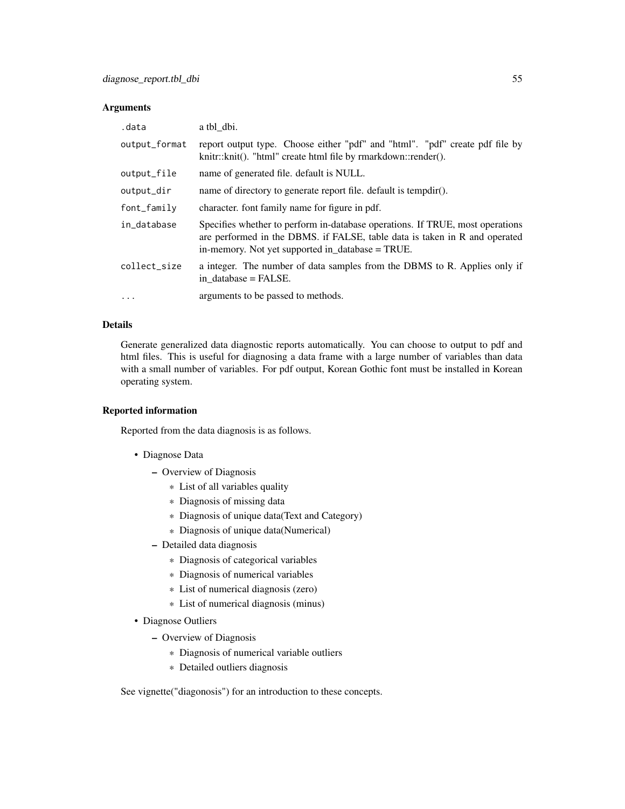## Arguments

| .data         | a tbl dbi.                                                                                                                                                                                                      |
|---------------|-----------------------------------------------------------------------------------------------------------------------------------------------------------------------------------------------------------------|
| output_format | report output type. Choose either "pdf" and "html". "pdf" create pdf file by<br>knitr::knit(). "html" create html file by rmarkdown::render().                                                                  |
| output_file   | name of generated file. default is NULL.                                                                                                                                                                        |
| output_dir    | name of directory to generate report file. default is tempdir().                                                                                                                                                |
| font_family   | character. font family name for figure in pdf.                                                                                                                                                                  |
| in_database   | Specifies whether to perform in-database operations. If TRUE, most operations<br>are performed in the DBMS. if FALSE, table data is taken in R and operated<br>in-memory. Not yet supported in_database = TRUE. |
| collect_size  | a integer. The number of data samples from the DBMS to R. Applies only if<br>in database = FALSE.                                                                                                               |
| $\ddotsc$     | arguments to be passed to methods.                                                                                                                                                                              |

## Details

Generate generalized data diagnostic reports automatically. You can choose to output to pdf and html files. This is useful for diagnosing a data frame with a large number of variables than data with a small number of variables. For pdf output, Korean Gothic font must be installed in Korean operating system.

# Reported information

Reported from the data diagnosis is as follows.

- Diagnose Data
	- Overview of Diagnosis
		- \* List of all variables quality
		- \* Diagnosis of missing data
		- \* Diagnosis of unique data(Text and Category)
		- \* Diagnosis of unique data(Numerical)
	- Detailed data diagnosis
		- \* Diagnosis of categorical variables
		- \* Diagnosis of numerical variables
		- \* List of numerical diagnosis (zero)
		- \* List of numerical diagnosis (minus)
- Diagnose Outliers
	- Overview of Diagnosis
		- \* Diagnosis of numerical variable outliers
		- \* Detailed outliers diagnosis

See vignette("diagonosis") for an introduction to these concepts.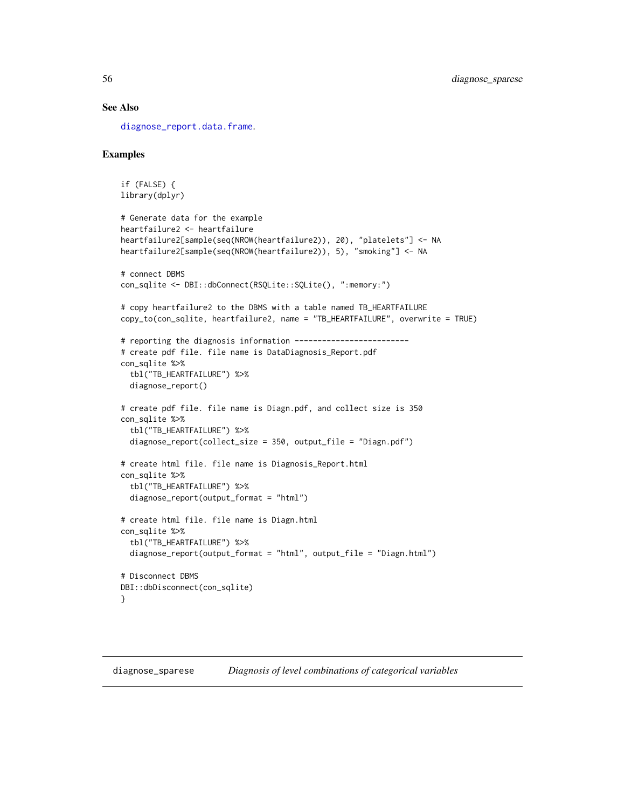# See Also

[diagnose\\_report.data.frame](#page-51-0).

#### Examples

```
if (FALSE) {
library(dplyr)
# Generate data for the example
heartfailure2 <- heartfailure
heartfailure2[sample(seq(NROW(heartfailure2)), 20), "platelets"] <- NA
heartfailure2[sample(seq(NROW(heartfailure2)), 5), "smoking"] <- NA
# connect DBMS
con_sqlite <- DBI::dbConnect(RSQLite::SQLite(), ":memory:")
# copy heartfailure2 to the DBMS with a table named TB_HEARTFAILURE
copy_to(con_sqlite, heartfailure2, name = "TB_HEARTFAILURE", overwrite = TRUE)
# reporting the diagnosis information -------------------------
# create pdf file. file name is DataDiagnosis_Report.pdf
con_sqlite %>%
  tbl("TB_HEARTFAILURE") %>%
  diagnose_report()
# create pdf file. file name is Diagn.pdf, and collect size is 350
con_sqlite %>%
  tbl("TB_HEARTFAILURE") %>%
  diagnose_report(collect_size = 350, output_file = "Diagn.pdf")
# create html file. file name is Diagnosis_Report.html
con_sqlite %>%
  tbl("TB_HEARTFAILURE") %>%
  diagnose_report(output_format = "html")
# create html file. file name is Diagn.html
con_sqlite %>%
  tbl("TB_HEARTFAILURE") %>%
  diagnose_report(output_format = "html", output_file = "Diagn.html")
# Disconnect DBMS
DBI::dbDisconnect(con_sqlite)
}
```
diagnose\_sparese *Diagnosis of level combinations of categorical variables*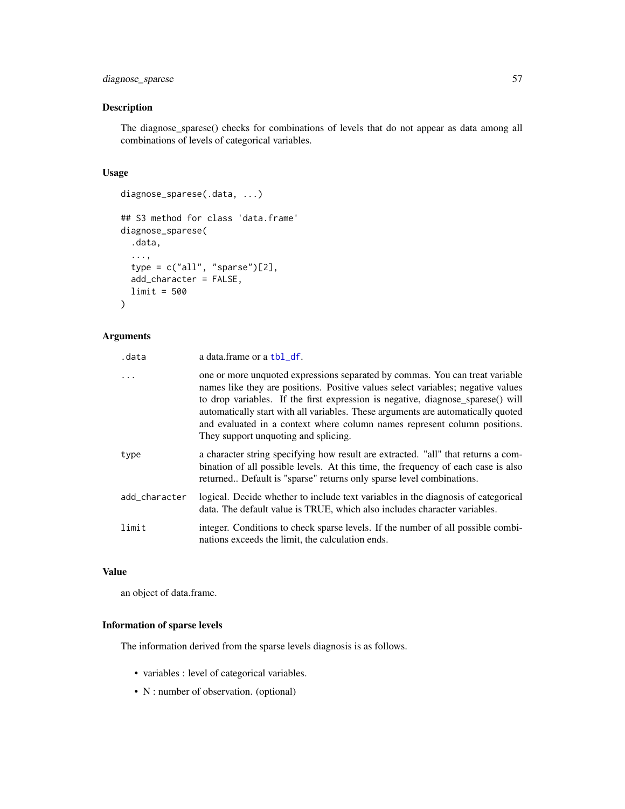# diagnose\_sparese 57

## Description

The diagnose\_sparese() checks for combinations of levels that do not appear as data among all combinations of levels of categorical variables.

#### Usage

```
diagnose_sparese(.data, ...)
## S3 method for class 'data.frame'
diagnose_sparese(
  .data,
  ...,
  type = c("all", "sparse")[2],add_character = FALSE,
  limit = 500
)
```
# Arguments

| .data         | a data.frame or a tbl_df.                                                                                                                                                                                                                                                                                                                                                                                                                                    |
|---------------|--------------------------------------------------------------------------------------------------------------------------------------------------------------------------------------------------------------------------------------------------------------------------------------------------------------------------------------------------------------------------------------------------------------------------------------------------------------|
| $\cdots$      | one or more unquoted expressions separated by commas. You can treat variable<br>names like they are positions. Positive values select variables; negative values<br>to drop variables. If the first expression is negative, diagnose_sparese() will<br>automatically start with all variables. These arguments are automatically quoted<br>and evaluated in a context where column names represent column positions.<br>They support unquoting and splicing. |
| type          | a character string specifying how result are extracted. "all" that returns a com-<br>bination of all possible levels. At this time, the frequency of each case is also<br>returned Default is "sparse" returns only sparse level combinations.                                                                                                                                                                                                               |
| add_character | logical. Decide whether to include text variables in the diagnosis of categorical<br>data. The default value is TRUE, which also includes character variables.                                                                                                                                                                                                                                                                                               |
| limit         | integer. Conditions to check sparse levels. If the number of all possible combi-<br>nations exceeds the limit, the calculation ends.                                                                                                                                                                                                                                                                                                                         |

## Value

an object of data.frame.

# Information of sparse levels

The information derived from the sparse levels diagnosis is as follows.

- variables : level of categorical variables.
- N : number of observation. (optional)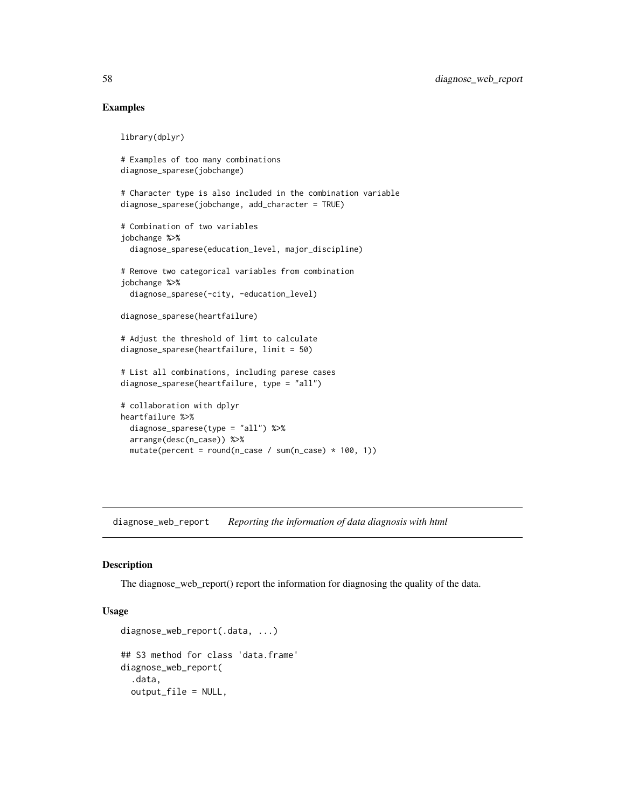## Examples

library(dplyr)

```
# Examples of too many combinations
diagnose_sparese(jobchange)
# Character type is also included in the combination variable
diagnose_sparese(jobchange, add_character = TRUE)
# Combination of two variables
jobchange %>%
 diagnose_sparese(education_level, major_discipline)
# Remove two categorical variables from combination
jobchange %>%
 diagnose_sparese(-city, -education_level)
diagnose_sparese(heartfailure)
# Adjust the threshold of limt to calculate
diagnose_sparese(heartfailure, limit = 50)
# List all combinations, including parese cases
diagnose_sparese(heartfailure, type = "all")
# collaboration with dplyr
heartfailure %>%
 diagnose_sparese(type = "all") %>%
 arrange(desc(n_case)) %>%
 mutate(percent = round(n\_case / sum(n\_case) * 100, 1))
```
diagnose\_web\_report *Reporting the information of data diagnosis with html*

#### <span id="page-57-0"></span>Description

The diagnose\_web\_report() report the information for diagnosing the quality of the data.

```
diagnose_web_report(.data, ...)
## S3 method for class 'data.frame'
diagnose_web_report(
  .data,
  output_file = NULL,
```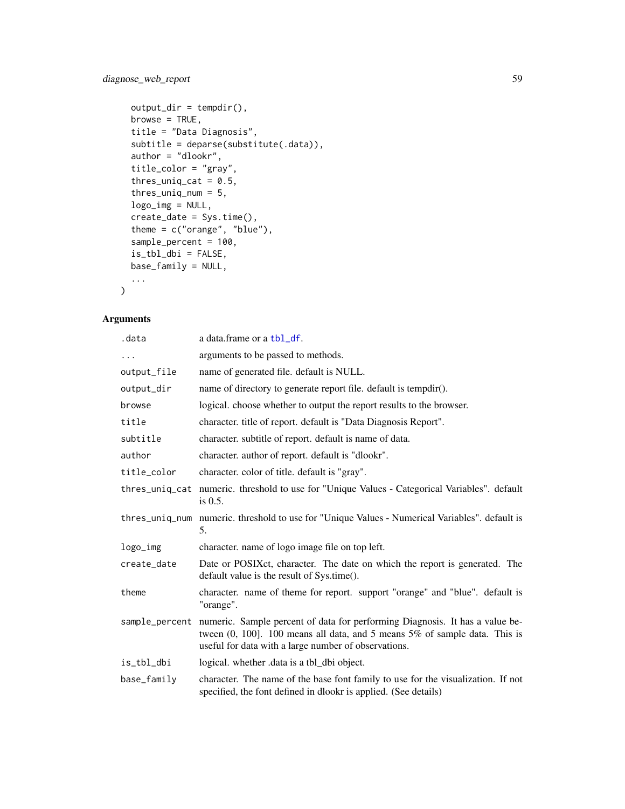# diagnose\_web\_report 59

```
output\_dir = template(),browse = TRUE,
 title = "Data Diagnosis",
 subtitle = deparse(substitute(.data)),
 author = "dlookr",
 title_color = "gray",
  thres_uniq_cat = 0.5,
  thres_uniq_num = 5,
 logo_img = NULL,
 create_date = Sys.time(),
  theme = c("orange", "blue"),
  sample_percent = 100,
 is_tbl_dbi = FALSE,
 base_family = NULL,
  ...
\mathcal{L}
```
# Arguments

| .data       | a data.frame or a tbl_df.                                                                                                                                                                                                               |
|-------------|-----------------------------------------------------------------------------------------------------------------------------------------------------------------------------------------------------------------------------------------|
|             | arguments to be passed to methods.                                                                                                                                                                                                      |
| output_file | name of generated file. default is NULL.                                                                                                                                                                                                |
| output_dir  | name of directory to generate report file. default is tempdir().                                                                                                                                                                        |
| browse      | logical, choose whether to output the report results to the browser.                                                                                                                                                                    |
| title       | character. title of report. default is "Data Diagnosis Report".                                                                                                                                                                         |
| subtitle    | character, subtitle of report, default is name of data.                                                                                                                                                                                 |
| author      | character. author of report. default is "dlookr".                                                                                                                                                                                       |
| title_color | character. color of title. default is "gray".                                                                                                                                                                                           |
|             | thres_uniq_cat numeric. threshold to use for "Unique Values - Categorical Variables". default<br>is $0.5$ .                                                                                                                             |
|             | thres_uniq_num numeric. threshold to use for "Unique Values - Numerical Variables". default is<br>5.                                                                                                                                    |
| logo_img    | character, name of logo image file on top left.                                                                                                                                                                                         |
| create_date | Date or POSIX et, character. The date on which the report is generated. The<br>default value is the result of Sys.time().                                                                                                               |
| theme       | character. name of theme for report. support "orange" and "blue". default is<br>"orange".                                                                                                                                               |
|             | sample_percent numeric. Sample percent of data for performing Diagnosis. It has a value be-<br>tween $(0, 100]$ . 100 means all data, and 5 means $5\%$ of sample data. This is<br>useful for data with a large number of observations. |
| is_tbl_dbi  | logical. whether data is a tbl_dbi object.                                                                                                                                                                                              |
| base_family | character. The name of the base font family to use for the visualization. If not<br>specified, the font defined in dlookr is applied. (See details)                                                                                     |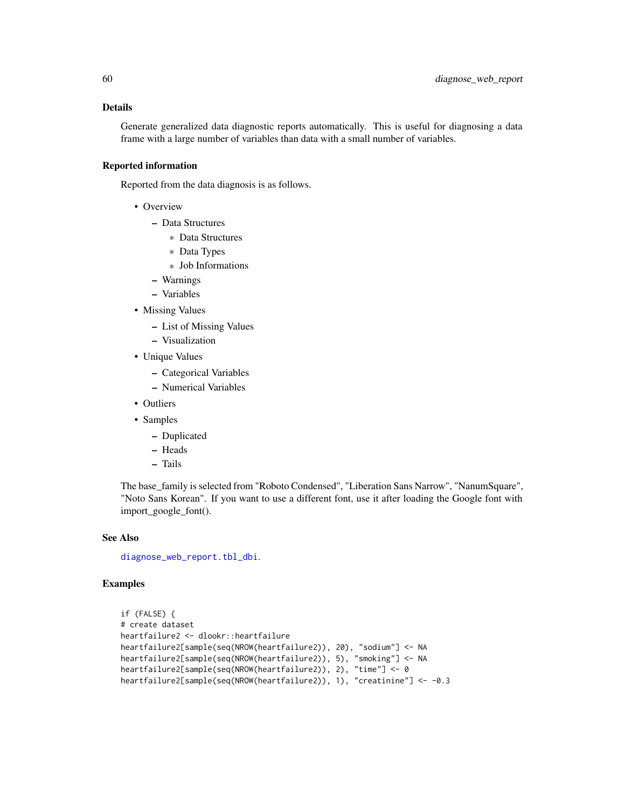## Details

Generate generalized data diagnostic reports automatically. This is useful for diagnosing a data frame with a large number of variables than data with a small number of variables.

## Reported information

Reported from the data diagnosis is as follows.

- Overview
	- Data Structures
		- \* Data Structures
		- \* Data Types
		- \* Job Informations
	- Warnings
	- Variables
- Missing Values
	- List of Missing Values
	- Visualization
- Unique Values
	- Categorical Variables
	- Numerical Variables
- Outliers
- Samples
	- Duplicated
	- Heads
	- Tails

The base\_family is selected from "Roboto Condensed", "Liberation Sans Narrow", "NanumSquare", "Noto Sans Korean". If you want to use a different font, use it after loading the Google font with import\_google\_font().

#### See Also

[diagnose\\_web\\_report.tbl\\_dbi](#page-60-0).

```
if (FALSE) {
# create dataset
heartfailure2 <- dlookr::heartfailure
heartfailure2[sample(seq(NROW(heartfailure2)), 20), "sodium"] <- NA
heartfailure2[sample(seq(NROW(heartfailure2)), 5), "smoking"] <- NA
heartfailure2[sample(seq(NROW(heartfailure2)), 2), "time"] <- 0
heartfailure2[sample(seq(NROW(heartfailure2)), 1), "creatinine"] <- -0.3
```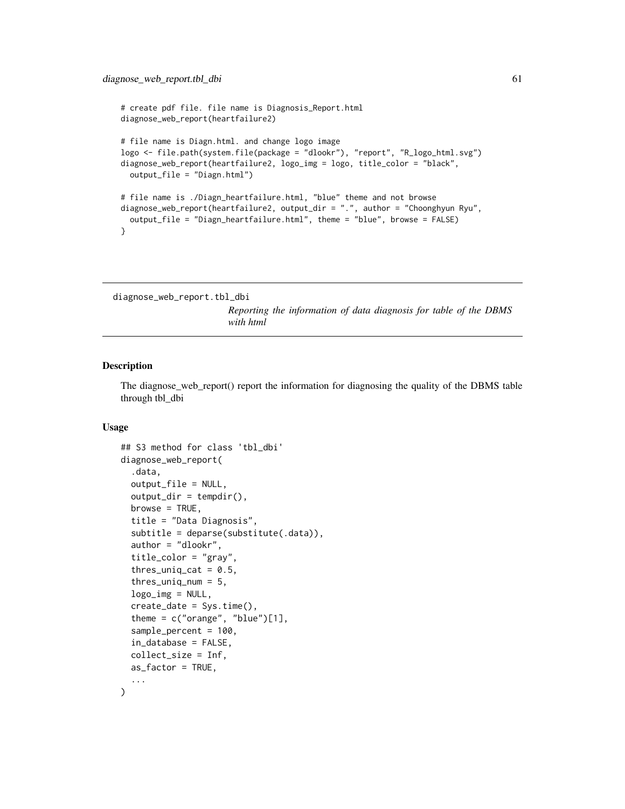```
# create pdf file. file name is Diagnosis_Report.html
diagnose_web_report(heartfailure2)
# file name is Diagn.html. and change logo image
logo <- file.path(system.file(package = "dlookr"), "report", "R_logo_html.svg")
diagnose_web_report(heartfailure2, logo_img = logo, title_color = "black",
 output_file = "Diagn.html")
# file name is ./Diagn_heartfailure.html, "blue" theme and not browse
diagnose_web_report(heartfailure2, output_dir = ".", author = "Choonghyun Ryu",
 output_file = "Diagn_heartfailure.html", theme = "blue", browse = FALSE)
}
```

```
diagnose_web_report.tbl_dbi
```
*Reporting the information of data diagnosis for table of the DBMS with html*

#### Description

The diagnose\_web\_report() report the information for diagnosing the quality of the DBMS table through tbl\_dbi

```
## S3 method for class 'tbl_dbi'
diagnose_web_report(
  .data,
  output_file = NULL,
  output\_dir = tempdir(),browse = TRUE,
  title = "Data Diagnosis",
  subtitle = deparse(substitute(.data)),
  author = "dlookr",
  title_color = "gray",
  thres_uniq_cat = 0.5,
  thres_uniq_num = 5,
  logo_img = NULL,
  create_date = Sys.time(),
  theme = c("orange", "blue")[1],sample_percent = 100,
  in_database = FALSE,
  collect_size = Inf,
  as_factor = TRUE,
  ...
)
```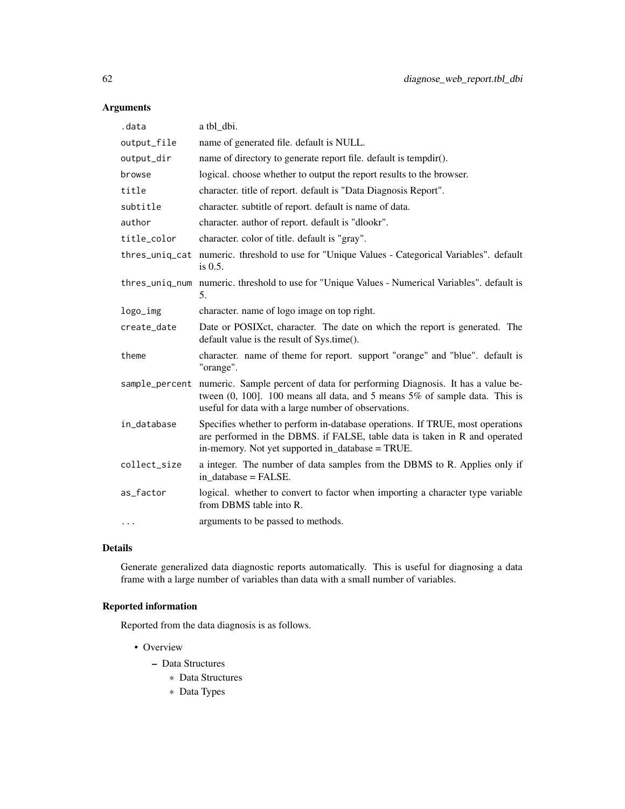# Arguments

| .data        | a tbl dbi.                                                                                                                                                                                                                              |
|--------------|-----------------------------------------------------------------------------------------------------------------------------------------------------------------------------------------------------------------------------------------|
| output_file  | name of generated file. default is NULL.                                                                                                                                                                                                |
| output_dir   | name of directory to generate report file. default is tempdir().                                                                                                                                                                        |
| browse       | logical. choose whether to output the report results to the browser.                                                                                                                                                                    |
| title        | character. title of report. default is "Data Diagnosis Report".                                                                                                                                                                         |
| subtitle     | character. subtitle of report. default is name of data.                                                                                                                                                                                 |
| author       | character. author of report. default is "dlookr".                                                                                                                                                                                       |
| title_color  | character. color of title. default is "gray".                                                                                                                                                                                           |
|              | thres_uniq_cat numeric. threshold to use for "Unique Values - Categorical Variables". default<br>is $0.5$ .                                                                                                                             |
|              | thres_uniq_num numeric. threshold to use for "Unique Values - Numerical Variables". default is<br>5.                                                                                                                                    |
| logo_img     | character. name of logo image on top right.                                                                                                                                                                                             |
| create_date  | Date or POSIX ct, character. The date on which the report is generated. The<br>default value is the result of Sys.time().                                                                                                               |
| theme        | character. name of theme for report. support "orange" and "blue". default is<br>"orange".                                                                                                                                               |
|              | sample_percent numeric. Sample percent of data for performing Diagnosis. It has a value be-<br>tween $(0, 100]$ . 100 means all data, and 5 means $5\%$ of sample data. This is<br>useful for data with a large number of observations. |
| in_database  | Specifies whether to perform in-database operations. If TRUE, most operations<br>are performed in the DBMS. if FALSE, table data is taken in R and operated<br>in-memory. Not yet supported in_database = TRUE.                         |
| collect_size | a integer. The number of data samples from the DBMS to R. Applies only if<br>in database = FALSE.                                                                                                                                       |
| as_factor    | logical. whether to convert to factor when importing a character type variable<br>from DBMS table into R.                                                                                                                               |
| .            | arguments to be passed to methods.                                                                                                                                                                                                      |

# Details

Generate generalized data diagnostic reports automatically. This is useful for diagnosing a data frame with a large number of variables than data with a small number of variables.

# Reported information

Reported from the data diagnosis is as follows.

- Overview
	- Data Structures
		- \* Data Structures
		- \* Data Types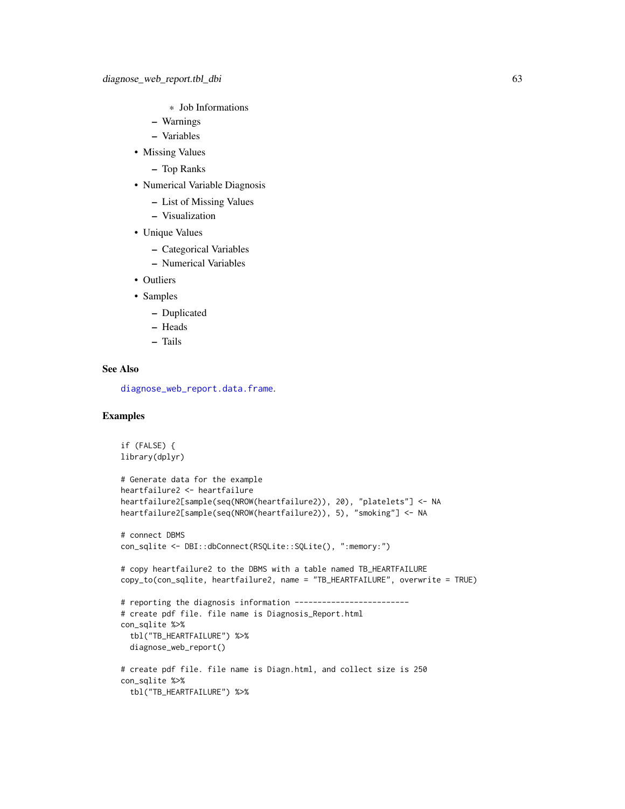- \* Job Informations
- Warnings
- Variables
- Missing Values
	- Top Ranks
- Numerical Variable Diagnosis
	- List of Missing Values
	- Visualization
- Unique Values
	- Categorical Variables
	- Numerical Variables
- Outliers
- Samples
	- Duplicated
	- Heads
	- Tails

## See Also

[diagnose\\_web\\_report.data.frame](#page-57-0).

```
if (FALSE) {
library(dplyr)
# Generate data for the example
heartfailure2 <- heartfailure
heartfailure2[sample(seq(NROW(heartfailure2)), 20), "platelets"] <- NA
heartfailure2[sample(seq(NROW(heartfailure2)), 5), "smoking"] <- NA
# connect DBMS
con_sqlite <- DBI::dbConnect(RSQLite::SQLite(), ":memory:")
# copy heartfailure2 to the DBMS with a table named TB_HEARTFAILURE
copy_to(con_sqlite, heartfailure2, name = "TB_HEARTFAILURE", overwrite = TRUE)
# reporting the diagnosis information -------------------------
# create pdf file. file name is Diagnosis_Report.html
con_sqlite %>%
  tbl("TB_HEARTFAILURE") %>%
  diagnose_web_report()
# create pdf file. file name is Diagn.html, and collect size is 250
con_sqlite %>%
  tbl("TB_HEARTFAILURE") %>%
```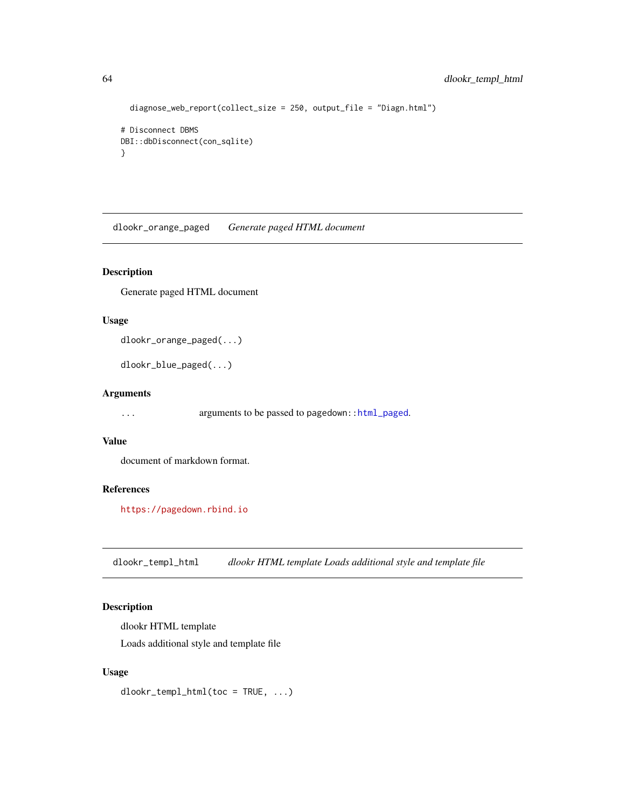```
diagnose_web_report(collect_size = 250, output_file = "Diagn.html")
# Disconnect DBMS
DBI::dbDisconnect(con_sqlite)
}
```
dlookr\_orange\_paged *Generate paged HTML document*

# Description

Generate paged HTML document

#### Usage

```
dlookr_orange_paged(...)
```
dlookr\_blue\_paged(...)

## Arguments

... arguments to be passed to pagedown:[:html\\_paged](#page-0-0).

#### Value

document of markdown format.

# References

<https://pagedown.rbind.io>

dlookr\_templ\_html *dlookr HTML template Loads additional style and template file*

# Description

dlookr HTML template Loads additional style and template file

# Usage

dlookr\_templ\_html(toc = TRUE, ...)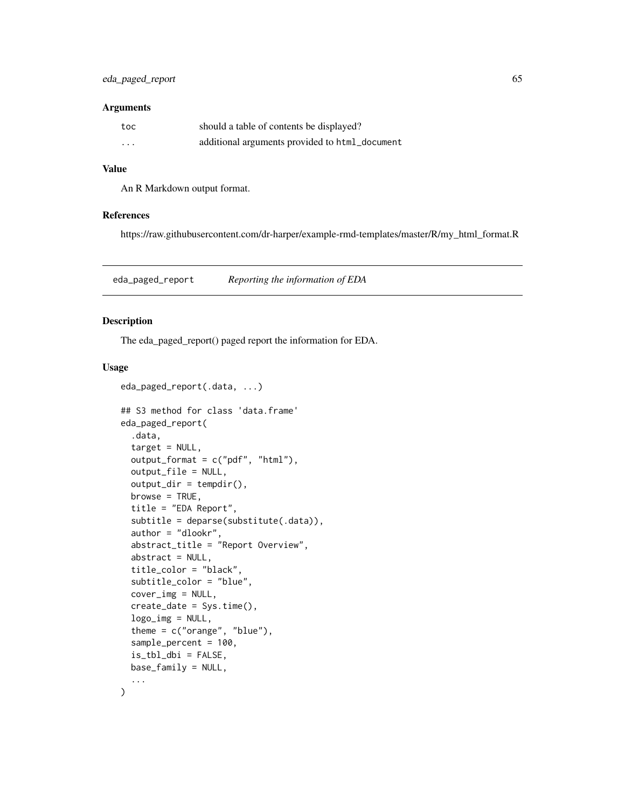#### Arguments

| toc      | should a table of contents be displayed?       |
|----------|------------------------------------------------|
| $\cdots$ | additional arguments provided to html_document |

## Value

An R Markdown output format.

#### References

https://raw.githubusercontent.com/dr-harper/example-rmd-templates/master/R/my\_html\_format.R

eda\_paged\_report *Reporting the information of EDA*

## <span id="page-64-0"></span>Description

The eda\_paged\_report() paged report the information for EDA.

```
eda_paged_report(.data, ...)
## S3 method for class 'data.frame'
eda_paged_report(
  .data,
  target = NULL,output_format = c("pdf", "html"),
 output_file = NULL,
 output\_dir = template(),browse = TRUE,
  title = "EDA Report",
  subtitle = deparse(substitute(.data)),
  author = "dlookr",
  abstract_title = "Report Overview",
  abstract = NULL,title_color = "black",
  subtitle_color = "blue",
  cover_img = NULL,
  create_date = Sys.time(),
  logo_img = NULL,
  theme = c("orange", "blue"),
  sample_percent = 100,
  is_tbl_dbi = FALSE,base_family = NULL,
  ...
\mathcal{L}
```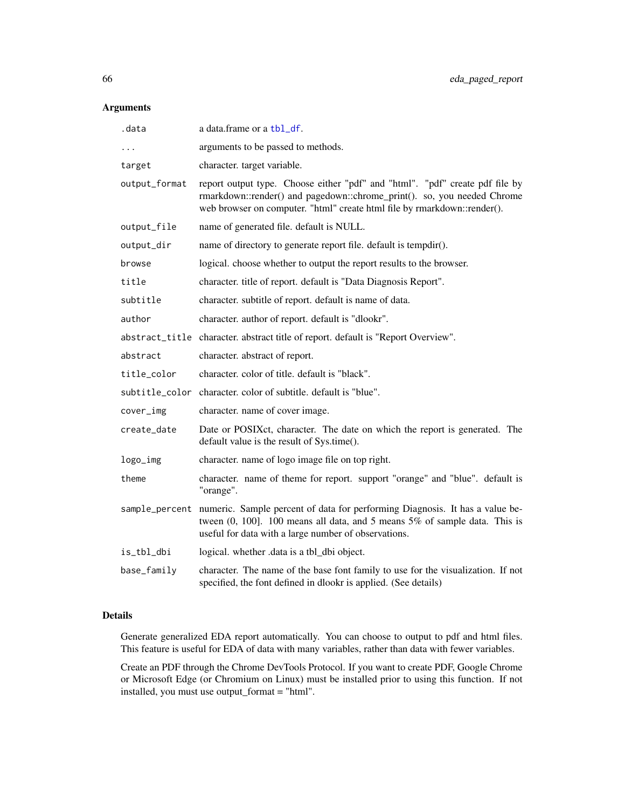## Arguments

| .data          | a data.frame or a tbl_df.                                                                                                                                                                                                               |
|----------------|-----------------------------------------------------------------------------------------------------------------------------------------------------------------------------------------------------------------------------------------|
|                | arguments to be passed to methods.                                                                                                                                                                                                      |
| target         | character. target variable.                                                                                                                                                                                                             |
| output_format  | report output type. Choose either "pdf" and "html". "pdf" create pdf file by<br>rmarkdown::render() and pagedown::chrome_print(). so, you needed Chrome<br>web browser on computer. "html" create html file by rmarkdown::render().     |
| output_file    | name of generated file. default is NULL.                                                                                                                                                                                                |
| output_dir     | name of directory to generate report file. default is tempdir().                                                                                                                                                                        |
| browse         | logical. choose whether to output the report results to the browser.                                                                                                                                                                    |
| title          | character. title of report. default is "Data Diagnosis Report".                                                                                                                                                                         |
| subtitle       | character. subtitle of report. default is name of data.                                                                                                                                                                                 |
| author         | character. author of report. default is "dlookr".                                                                                                                                                                                       |
|                | abstract_title character. abstract title of report. default is "Report Overview".                                                                                                                                                       |
| abstract       | character. abstract of report.                                                                                                                                                                                                          |
| title_color    | character, color of title, default is "black".                                                                                                                                                                                          |
| subtitle_color | character, color of subtitle, default is "blue".                                                                                                                                                                                        |
| cover_img      | character. name of cover image.                                                                                                                                                                                                         |
| create_date    | Date or POSIXct, character. The date on which the report is generated. The<br>default value is the result of Sys.time().                                                                                                                |
| logo_img       | character. name of logo image file on top right.                                                                                                                                                                                        |
| theme          | character. name of theme for report. support "orange" and "blue". default is<br>"orange".                                                                                                                                               |
|                | sample_percent numeric. Sample percent of data for performing Diagnosis. It has a value be-<br>tween $(0, 100]$ . 100 means all data, and 5 means $5\%$ of sample data. This is<br>useful for data with a large number of observations. |
| is_tbl_dbi     | logical. whether .data is a tbl_dbi object.                                                                                                                                                                                             |
| base_family    | character. The name of the base font family to use for the visualization. If not<br>specified, the font defined in dlookr is applied. (See details)                                                                                     |

## Details

Generate generalized EDA report automatically. You can choose to output to pdf and html files. This feature is useful for EDA of data with many variables, rather than data with fewer variables.

Create an PDF through the Chrome DevTools Protocol. If you want to create PDF, Google Chrome or Microsoft Edge (or Chromium on Linux) must be installed prior to using this function. If not installed, you must use output\_format = "html".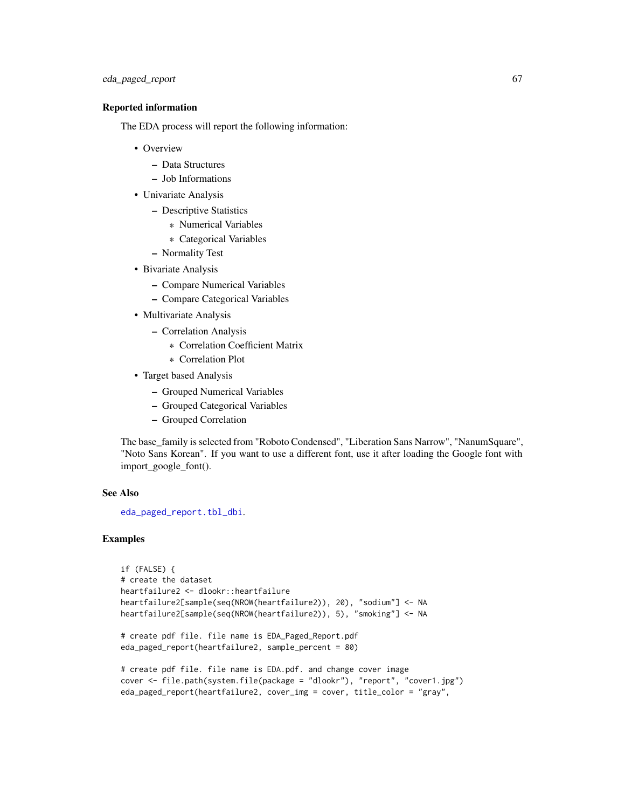# eda\_paged\_report 67

#### Reported information

The EDA process will report the following information:

- Overview
	- Data Structures
	- Job Informations
- Univariate Analysis
	- Descriptive Statistics
		- \* Numerical Variables
		- \* Categorical Variables
	- Normality Test
- Bivariate Analysis
	- Compare Numerical Variables
	- Compare Categorical Variables
- Multivariate Analysis
	- Correlation Analysis
		- \* Correlation Coefficient Matrix
		- \* Correlation Plot
- Target based Analysis
	- Grouped Numerical Variables
	- Grouped Categorical Variables
	- Grouped Correlation

The base\_family is selected from "Roboto Condensed", "Liberation Sans Narrow", "NanumSquare", "Noto Sans Korean". If you want to use a different font, use it after loading the Google font with import\_google\_font().

#### See Also

[eda\\_paged\\_report.tbl\\_dbi](#page-67-0).

```
if (FALSE) {
# create the dataset
heartfailure2 <- dlookr::heartfailure
heartfailure2[sample(seq(NROW(heartfailure2)), 20), "sodium"] <- NA
heartfailure2[sample(seq(NROW(heartfailure2)), 5), "smoking"] <- NA
# create pdf file. file name is EDA_Paged_Report.pdf
eda_paged_report(heartfailure2, sample_percent = 80)
# create pdf file. file name is EDA.pdf. and change cover image
cover <- file.path(system.file(package = "dlookr"), "report", "cover1.jpg")
eda_paged_report(heartfailure2, cover_img = cover, title_color = "gray",
```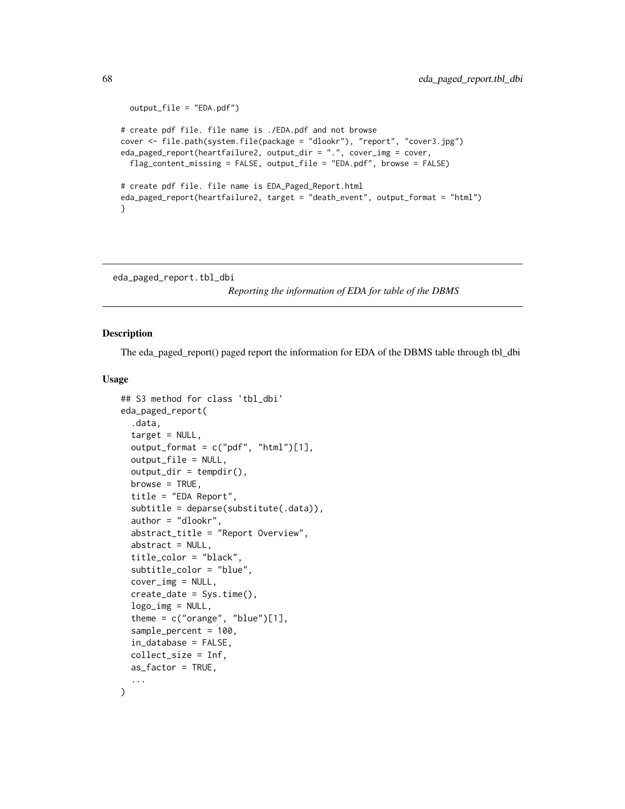```
output_file = "EDA.pdf")
# create pdf file. file name is ./EDA.pdf and not browse
cover <- file.path(system.file(package = "dlookr"), "report", "cover3.jpg")
eda_paged_report(heartfailure2, output_dir = ".", cover_img = cover,
 flag_content_missing = FALSE, output_file = "EDA.pdf", browse = FALSE)
# create pdf file. file name is EDA_Paged_Report.html
eda_paged_report(heartfailure2, target = "death_event", output_format = "html")
}
```
<span id="page-67-0"></span>eda\_paged\_report.tbl\_dbi

*Reporting the information of EDA for table of the DBMS*

## Description

The eda\_paged\_report() paged report the information for EDA of the DBMS table through tbl\_dbi

```
## S3 method for class 'tbl_dbi'
eda_paged_report(
  .data,
  target = NULL,
  output_format = c("pdf", "html")[1],output_file = NULL,
  output\_dir = template(),browse = TRUE,
  title = "EDA Report",
  subtitle = deparse(substitute(.data)),
  author = "dlookr",
  abstract_title = "Report Overview",
  abstract = NULL,title_color = "black",
  subtitle_color = "blue",
  cover_img = NULL,
  create_date = Sys.time(),
  logo\_img = NULL,theme = c("orange", "blue")[1],sample_percent = 100,
  in_database = FALSE,
  collect_size = Inf,
  as_factor = TRUE,
  ...
)
```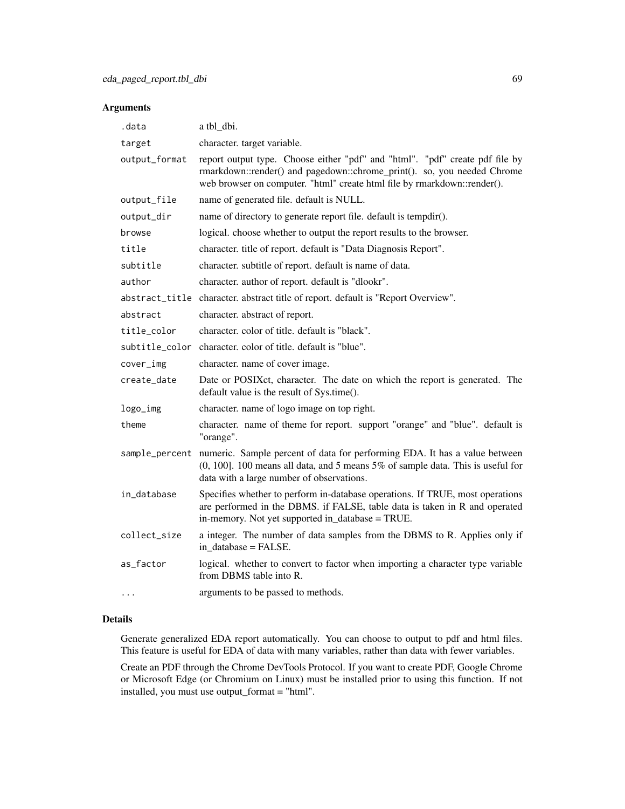## Arguments

| .data          | a tbl_dbi.                                                                                                                                                                                                                          |
|----------------|-------------------------------------------------------------------------------------------------------------------------------------------------------------------------------------------------------------------------------------|
| target         | character. target variable.                                                                                                                                                                                                         |
| output_format  | report output type. Choose either "pdf" and "html". "pdf" create pdf file by<br>rmarkdown::render() and pagedown::chrome_print(). so, you needed Chrome<br>web browser on computer. "html" create html file by rmarkdown::render(). |
| output_file    | name of generated file. default is NULL.                                                                                                                                                                                            |
| output_dir     | name of directory to generate report file. default is tempdir().                                                                                                                                                                    |
| browse         | logical. choose whether to output the report results to the browser.                                                                                                                                                                |
| title          | character. title of report. default is "Data Diagnosis Report".                                                                                                                                                                     |
| subtitle       | character. subtitle of report. default is name of data.                                                                                                                                                                             |
| author         | character. author of report. default is "dlookr".                                                                                                                                                                                   |
|                | abstract_title character. abstract title of report. default is "Report Overview".                                                                                                                                                   |
| abstract       | character. abstract of report.                                                                                                                                                                                                      |
| title_color    | character, color of title, default is "black".                                                                                                                                                                                      |
| subtitle_color | character, color of title, default is "blue".                                                                                                                                                                                       |
| cover_img      | character. name of cover image.                                                                                                                                                                                                     |
| create_date    | Date or POSIXct, character. The date on which the report is generated. The<br>default value is the result of Sys.time().                                                                                                            |
| logo_img       | character. name of logo image on top right.                                                                                                                                                                                         |
| theme          | character. name of theme for report. support "orange" and "blue". default is<br>"orange".                                                                                                                                           |
| sample_percent | numeric. Sample percent of data for performing EDA. It has a value between<br>$(0, 100]$ . 100 means all data, and 5 means 5% of sample data. This is useful for<br>data with a large number of observations.                       |
| in_database    | Specifies whether to perform in-database operations. If TRUE, most operations<br>are performed in the DBMS. if FALSE, table data is taken in R and operated<br>in-memory. Not yet supported in_database = TRUE.                     |
| collect_size   | a integer. The number of data samples from the DBMS to R. Applies only if<br>in database = FALSE.                                                                                                                                   |
| as_factor      | logical. whether to convert to factor when importing a character type variable<br>from DBMS table into R.                                                                                                                           |
| .              | arguments to be passed to methods.                                                                                                                                                                                                  |

#### Details

Generate generalized EDA report automatically. You can choose to output to pdf and html files. This feature is useful for EDA of data with many variables, rather than data with fewer variables.

Create an PDF through the Chrome DevTools Protocol. If you want to create PDF, Google Chrome or Microsoft Edge (or Chromium on Linux) must be installed prior to using this function. If not installed, you must use output\_format = "html".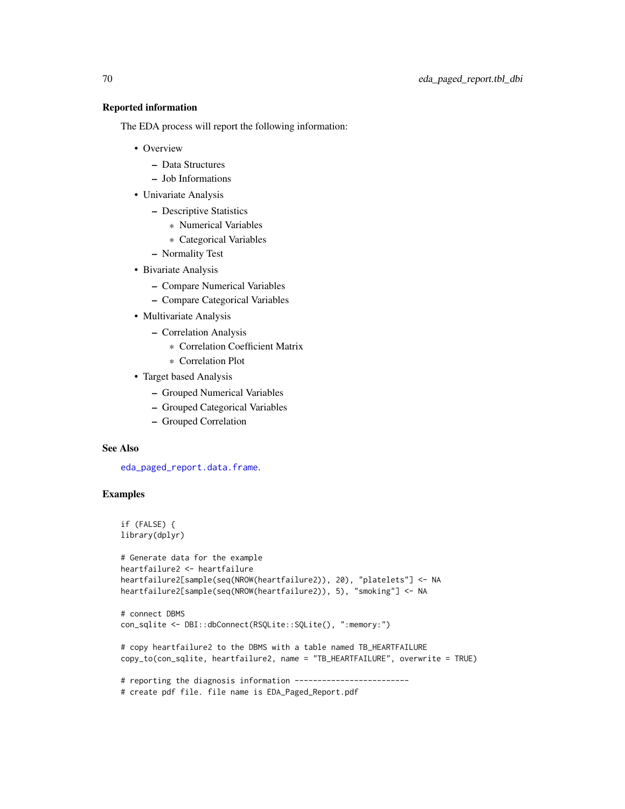#### Reported information

The EDA process will report the following information:

- Overview
	- Data Structures
	- Job Informations
- Univariate Analysis
	- Descriptive Statistics
		- \* Numerical Variables
		- \* Categorical Variables
	- Normality Test
- Bivariate Analysis
	- Compare Numerical Variables
	- Compare Categorical Variables
- Multivariate Analysis
	- Correlation Analysis
		- \* Correlation Coefficient Matrix
		- \* Correlation Plot
- Target based Analysis
	- Grouped Numerical Variables
	- Grouped Categorical Variables
	- Grouped Correlation

# See Also

[eda\\_paged\\_report.data.frame](#page-64-0).

```
if (FALSE) {
library(dplyr)
```

```
# Generate data for the example
heartfailure2 <- heartfailure
heartfailure2[sample(seq(NROW(heartfailure2)), 20), "platelets"] <- NA
heartfailure2[sample(seq(NROW(heartfailure2)), 5), "smoking"] <- NA
```

```
# connect DBMS
con_sqlite <- DBI::dbConnect(RSQLite::SQLite(), ":memory:")
```

```
# copy heartfailure2 to the DBMS with a table named TB_HEARTFAILURE
copy_to(con_sqlite, heartfailure2, name = "TB_HEARTFAILURE", overwrite = TRUE)
```

```
# reporting the diagnosis information -------------------------
```

```
# create pdf file. file name is EDA_Paged_Report.pdf
```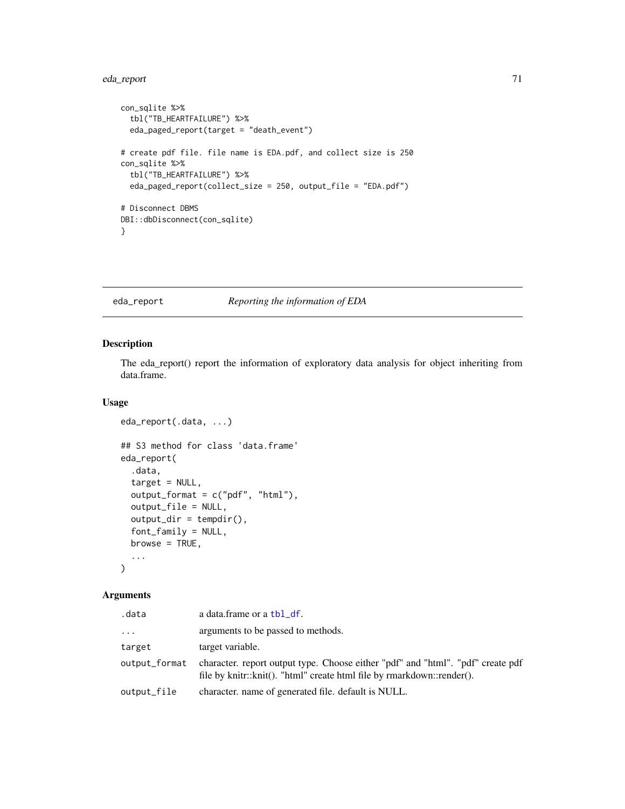# eda\_report 71

```
con_sqlite %>%
  tbl("TB_HEARTFAILURE") %>%
  eda_paged_report(target = "death_event")
# create pdf file. file name is EDA.pdf, and collect size is 250
con_sqlite %>%
  tbl("TB_HEARTFAILURE") %>%
  eda_paged_report(collect_size = 250, output_file = "EDA.pdf")
# Disconnect DBMS
DBI::dbDisconnect(con_sqlite)
}
```
## eda\_report *Reporting the information of EDA*

## Description

The eda\_report() report the information of exploratory data analysis for object inheriting from data.frame.

#### Usage

```
eda_report(.data, ...)
## S3 method for class 'data.frame'
eda_report(
  .data,
  target = NULL,output_format = c("pdf", "html"),output_file = NULL,
 output\_dir = template(),font_family = NULL,
 browse = TRUE,...
)
```
#### Arguments

| .data         | a data.frame or a tbl_df.                                                                                                                                 |
|---------------|-----------------------------------------------------------------------------------------------------------------------------------------------------------|
| .             | arguments to be passed to methods.                                                                                                                        |
| target        | target variable.                                                                                                                                          |
| output_format | character, report output type. Choose either "pdf" and "html". "pdf" create pdf<br>file by knitr::knit(). "html" create html file by rmarkdown::render(). |
| output_file   | character, name of generated file, default is NULL.                                                                                                       |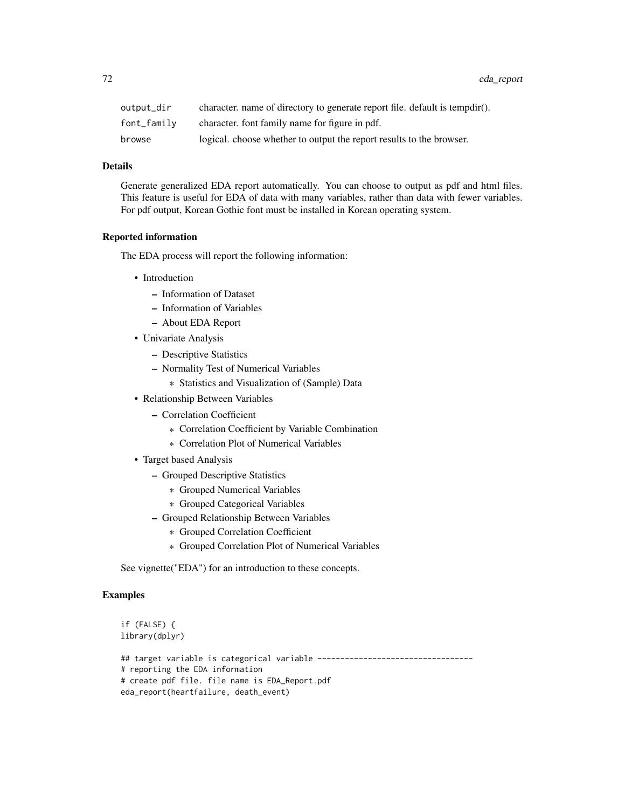| output_dir  | character, name of directory to generate report file, default is tempdir(). |
|-------------|-----------------------------------------------------------------------------|
| font_family | character, font family name for figure in pdf.                              |
| browse      | logical. choose whether to output the report results to the browser.        |

#### Details

Generate generalized EDA report automatically. You can choose to output as pdf and html files. This feature is useful for EDA of data with many variables, rather than data with fewer variables. For pdf output, Korean Gothic font must be installed in Korean operating system.

#### Reported information

The EDA process will report the following information:

- Introduction
	- Information of Dataset
	- Information of Variables
	- About EDA Report
- Univariate Analysis
	- Descriptive Statistics
	- Normality Test of Numerical Variables
		- \* Statistics and Visualization of (Sample) Data
- Relationship Between Variables
	- Correlation Coefficient
		- \* Correlation Coefficient by Variable Combination
		- \* Correlation Plot of Numerical Variables
- Target based Analysis
	- Grouped Descriptive Statistics
		- \* Grouped Numerical Variables
		- \* Grouped Categorical Variables
	- Grouped Relationship Between Variables
		- \* Grouped Correlation Coefficient
		- \* Grouped Correlation Plot of Numerical Variables

See vignette("EDA") for an introduction to these concepts.

```
if (FALSE) {
library(dplyr)
## target variable is categorical variable ----------------------------------
# reporting the EDA information
# create pdf file. file name is EDA_Report.pdf
eda_report(heartfailure, death_event)
```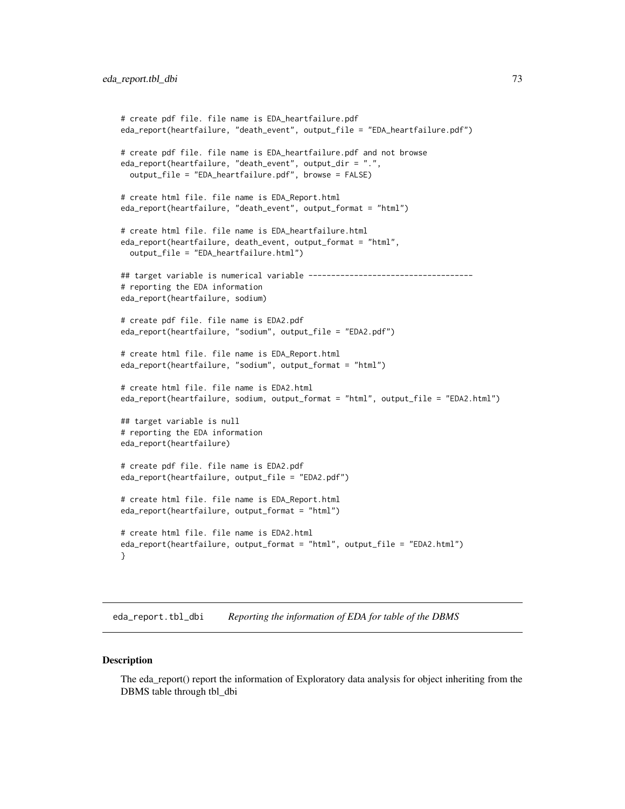```
# create pdf file. file name is EDA_heartfailure.pdf
eda_report(heartfailure, "death_event", output_file = "EDA_heartfailure.pdf")
# create pdf file. file name is EDA_heartfailure.pdf and not browse
eda_report(heartfailure, "death_event", output_dir = ".",
 output_file = "EDA_heartfailure.pdf", browse = FALSE)
# create html file. file name is EDA_Report.html
eda_report(heartfailure, "death_event", output_format = "html")
# create html file. file name is EDA_heartfailure.html
eda_report(heartfailure, death_event, output_format = "html",
 output_file = "EDA_heartfailure.html")
## target variable is numerical variable ------------------------------------
# reporting the EDA information
eda_report(heartfailure, sodium)
# create pdf file. file name is EDA2.pdf
eda_report(heartfailure, "sodium", output_file = "EDA2.pdf")
# create html file. file name is EDA_Report.html
eda_report(heartfailure, "sodium", output_format = "html")
# create html file. file name is EDA2.html
eda_report(heartfailure, sodium, output_format = "html", output_file = "EDA2.html")
## target variable is null
# reporting the EDA information
eda_report(heartfailure)
# create pdf file. file name is EDA2.pdf
eda_report(heartfailure, output_file = "EDA2.pdf")
# create html file. file name is EDA_Report.html
eda_report(heartfailure, output_format = "html")
# create html file. file name is EDA2.html
eda_report(heartfailure, output_format = "html", output_file = "EDA2.html")
}
```
eda\_report.tbl\_dbi *Reporting the information of EDA for table of the DBMS*

#### **Description**

The eda\_report() report the information of Exploratory data analysis for object inheriting from the DBMS table through tbl\_dbi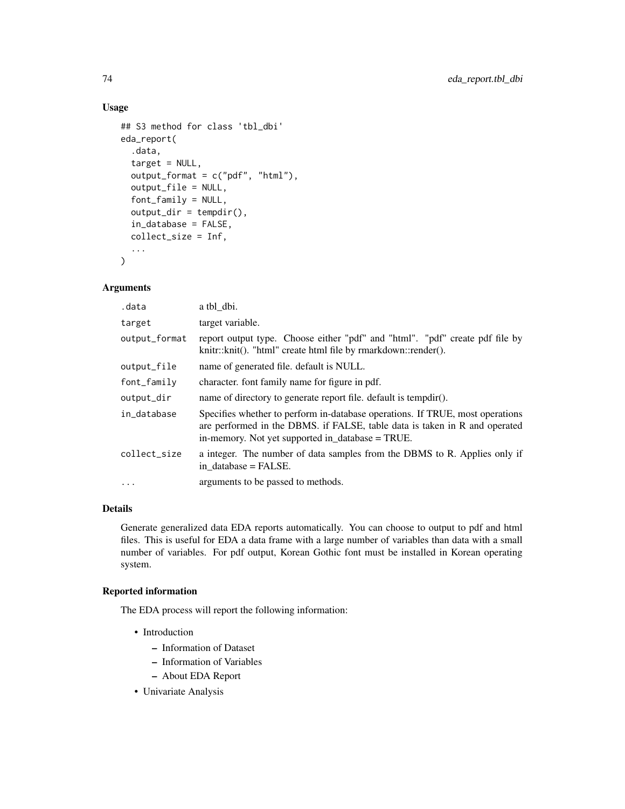# Usage

```
## S3 method for class 'tbl_dbi'
eda_report(
  .data,
  target = NULL,output_format = c("pdf", "html"),
  output_file = NULL,
  font_family = NULL,
  output\_dir = template(),in_database = FALSE,
  collect_size = Inf,
  ...
\mathcal{L}
```
# Arguments

| .data         | a tbl dbi.                                                                                                                                                                                                      |
|---------------|-----------------------------------------------------------------------------------------------------------------------------------------------------------------------------------------------------------------|
| target        | target variable.                                                                                                                                                                                                |
| output_format | report output type. Choose either "pdf" and "html". "pdf" create pdf file by<br>knitr::knit(). "html" create html file by rmarkdown::render().                                                                  |
| output_file   | name of generated file. default is NULL.                                                                                                                                                                        |
| font_family   | character. font family name for figure in pdf.                                                                                                                                                                  |
| output_dir    | name of directory to generate report file. default is tempdir().                                                                                                                                                |
| in_database   | Specifies whether to perform in-database operations. If TRUE, most operations<br>are performed in the DBMS, if FALSE, table data is taken in R and operated<br>in-memory. Not yet supported in_database = TRUE. |
| collect_size  | a integer. The number of data samples from the DBMS to R. Applies only if<br>in database = FALSE.                                                                                                               |
| $\cdots$      | arguments to be passed to methods.                                                                                                                                                                              |

## Details

Generate generalized data EDA reports automatically. You can choose to output to pdf and html files. This is useful for EDA a data frame with a large number of variables than data with a small number of variables. For pdf output, Korean Gothic font must be installed in Korean operating system.

# Reported information

The EDA process will report the following information:

- Introduction
	- Information of Dataset
	- Information of Variables
	- About EDA Report
- Univariate Analysis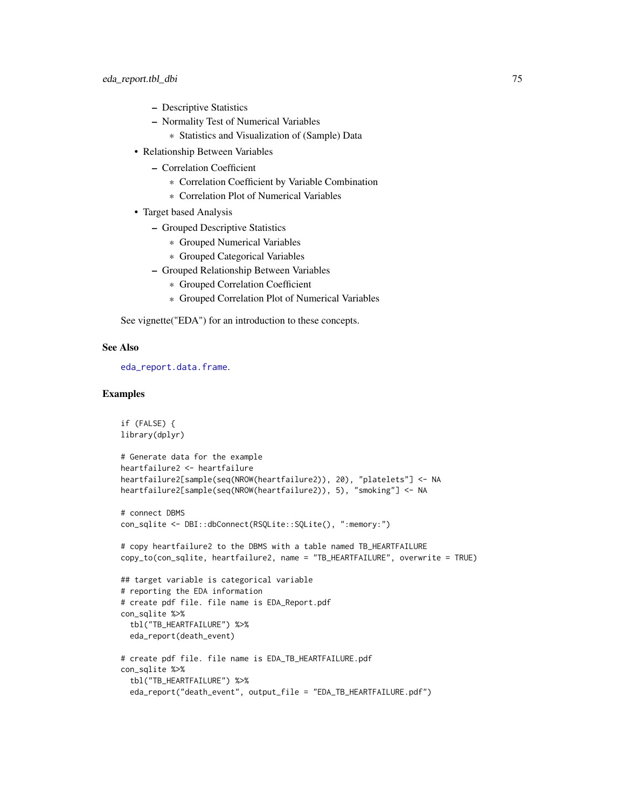- Descriptive Statistics
- Normality Test of Numerical Variables
	- \* Statistics and Visualization of (Sample) Data
- Relationship Between Variables
	- Correlation Coefficient
		- \* Correlation Coefficient by Variable Combination
		- \* Correlation Plot of Numerical Variables
- Target based Analysis
	- Grouped Descriptive Statistics
		- \* Grouped Numerical Variables
		- \* Grouped Categorical Variables
	- Grouped Relationship Between Variables
		- \* Grouped Correlation Coefficient
		- \* Grouped Correlation Plot of Numerical Variables

See vignette("EDA") for an introduction to these concepts.

## See Also

[eda\\_report.data.frame](#page-70-0).

```
if (FALSE) {
library(dplyr)
# Generate data for the example
heartfailure2 <- heartfailure
heartfailure2[sample(seq(NROW(heartfailure2)), 20), "platelets"] <- NA
heartfailure2[sample(seq(NROW(heartfailure2)), 5), "smoking"] <- NA
# connect DBMS
con_sqlite <- DBI::dbConnect(RSQLite::SQLite(), ":memory:")
# copy heartfailure2 to the DBMS with a table named TB_HEARTFAILURE
copy_to(con_sqlite, heartfailure2, name = "TB_HEARTFAILURE", overwrite = TRUE)
## target variable is categorical variable
# reporting the EDA information
# create pdf file. file name is EDA_Report.pdf
con_sqlite %>%
  tbl("TB_HEARTFAILURE") %>%
  eda_report(death_event)
# create pdf file. file name is EDA_TB_HEARTFAILURE.pdf
con_sqlite %>%
  tbl("TB_HEARTFAILURE") %>%
  eda_report("death_event", output_file = "EDA_TB_HEARTFAILURE.pdf")
```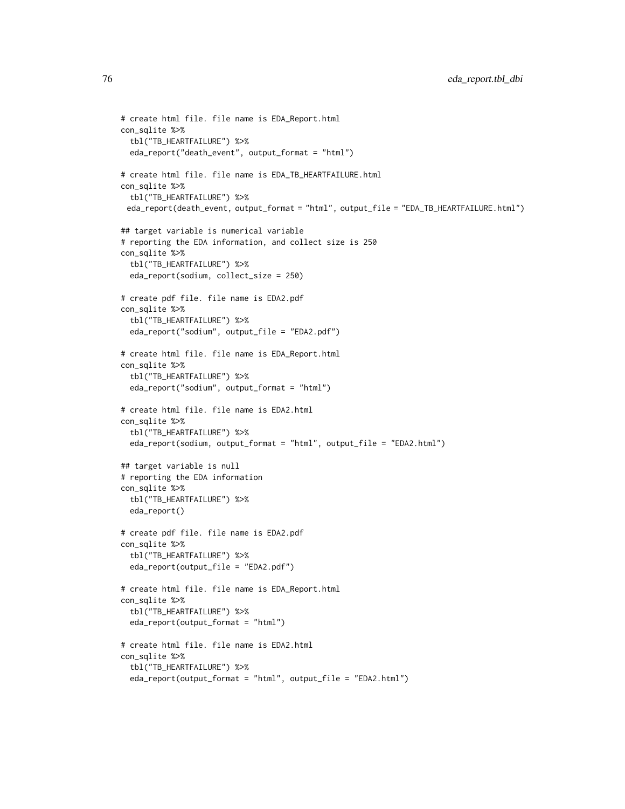```
# create html file. file name is EDA_Report.html
con_sqlite %>%
  tbl("TB_HEARTFAILURE") %>%
  eda_report("death_event", output_format = "html")
# create html file. file name is EDA_TB_HEARTFAILURE.html
con_sqlite %>%
  tbl("TB_HEARTFAILURE") %>%
 eda_report(death_event, output_format = "html", output_file = "EDA_TB_HEARTFAILURE.html")
## target variable is numerical variable
# reporting the EDA information, and collect size is 250
con_sqlite %>%
  tbl("TB_HEARTFAILURE") %>%
  eda_report(sodium, collect_size = 250)
# create pdf file. file name is EDA2.pdf
con_sqlite %>%
  tbl("TB_HEARTFAILURE") %>%
  eda_report("sodium", output_file = "EDA2.pdf")
# create html file. file name is EDA_Report.html
con_sqlite %>%
  tbl("TB_HEARTFAILURE") %>%
  eda_report("sodium", output_format = "html")
# create html file. file name is EDA2.html
con_sqlite %>%
  tbl("TB_HEARTFAILURE") %>%
  eda_report(sodium, output_format = "html", output_file = "EDA2.html")
## target variable is null
# reporting the EDA information
con_sqlite %>%
  tbl("TB_HEARTFAILURE") %>%
  eda_report()
# create pdf file. file name is EDA2.pdf
con_sqlite %>%
  tbl("TB_HEARTFAILURE") %>%
  eda_report(output_file = "EDA2.pdf")
# create html file. file name is EDA_Report.html
con_sqlite %>%
  tbl("TB_HEARTFAILURE") %>%
  eda_report(output_format = "html")
# create html file. file name is EDA2.html
con_sqlite %>%
  tbl("TB_HEARTFAILURE") %>%
  eda_report(output_format = "html", output_file = "EDA2.html")
```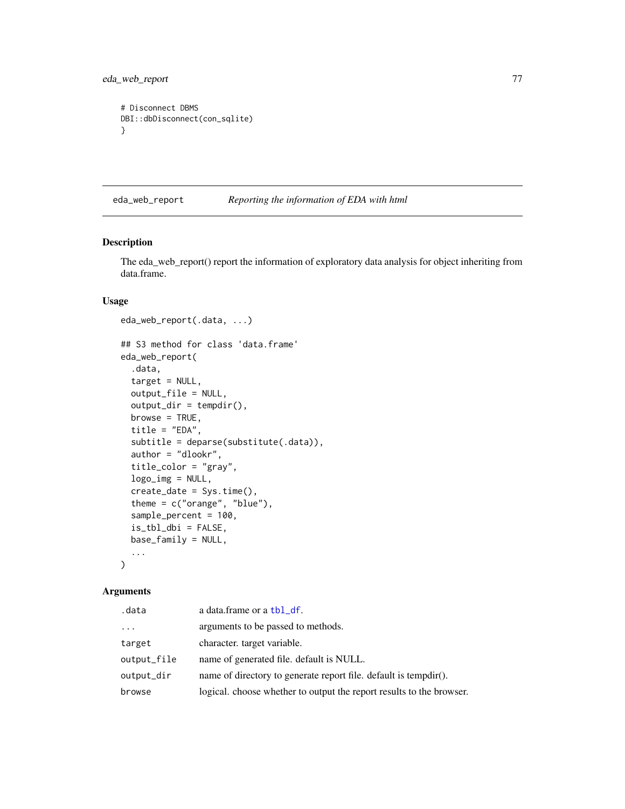eda\_web\_report 77

```
# Disconnect DBMS
DBI::dbDisconnect(con_sqlite)
}
```
# eda\_web\_report *Reporting the information of EDA with html*

## <span id="page-76-0"></span>Description

The eda\_web\_report() report the information of exploratory data analysis for object inheriting from data.frame.

## Usage

```
eda_web_report(.data, ...)
## S3 method for class 'data.frame'
eda_web_report(
  .data,
  target = NULL,
  output_file = NULL,
  output\_dir = template(),browse = TRUE,
  title = "EDA",
  subtitle = deparse(substitute(.data)),
  author = "dlookr",
  title_color = "gray",
  logo_img = NULL,
  create_date = Sys.time(),
  theme = c("orange", "blue"),sample_percent = 100,
  is_tbl_dbi = FALSE,
 base_family = NULL,
  ...
)
```
# Arguments

| .data       | a data.frame or a tbl_df.                                            |
|-------------|----------------------------------------------------------------------|
| $\cdots$    | arguments to be passed to methods.                                   |
| target      | character. target variable.                                          |
| output_file | name of generated file. default is NULL.                             |
| output_dir  | name of directory to generate report file. default is tempdir().     |
| browse      | logical. choose whether to output the report results to the browser. |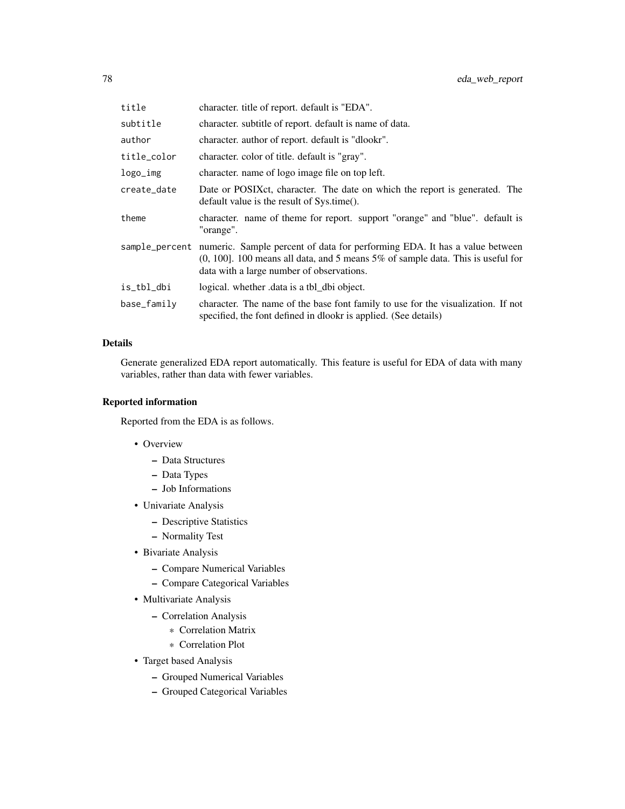| title       | character, title of report, default is "EDA".                                                                                                                                                                                |
|-------------|------------------------------------------------------------------------------------------------------------------------------------------------------------------------------------------------------------------------------|
| subtitle    | character, subtitle of report, default is name of data.                                                                                                                                                                      |
| author      | character. author of report. default is "dlookr".                                                                                                                                                                            |
| title_color | character. color of title. default is "gray".                                                                                                                                                                                |
| logo_img    | character, name of logo image file on top left.                                                                                                                                                                              |
| create_date | Date or POSIX et, character. The date on which the report is generated. The<br>default value is the result of Sys.time().                                                                                                    |
| theme       | character. name of theme for report. support "orange" and "blue". default is<br>"orange".                                                                                                                                    |
|             | sample_percent numeric. Sample percent of data for performing EDA. It has a value between<br>$(0, 100]$ . 100 means all data, and 5 means 5% of sample data. This is useful for<br>data with a large number of observations. |
| is_tbl_dbi  | logical. whether data is a tbl_dbi object.                                                                                                                                                                                   |
| base_family | character. The name of the base font family to use for the visualization. If not<br>specified, the font defined in dlookr is applied. (See details)                                                                          |

# Details

Generate generalized EDA report automatically. This feature is useful for EDA of data with many variables, rather than data with fewer variables.

## Reported information

Reported from the EDA is as follows.

- Overview
	- Data Structures
	- Data Types
	- Job Informations
- Univariate Analysis
	- Descriptive Statistics
	- Normality Test
- Bivariate Analysis
	- Compare Numerical Variables
	- Compare Categorical Variables
- Multivariate Analysis
	- Correlation Analysis
		- \* Correlation Matrix
		- \* Correlation Plot
- Target based Analysis
	- Grouped Numerical Variables
	- Grouped Categorical Variables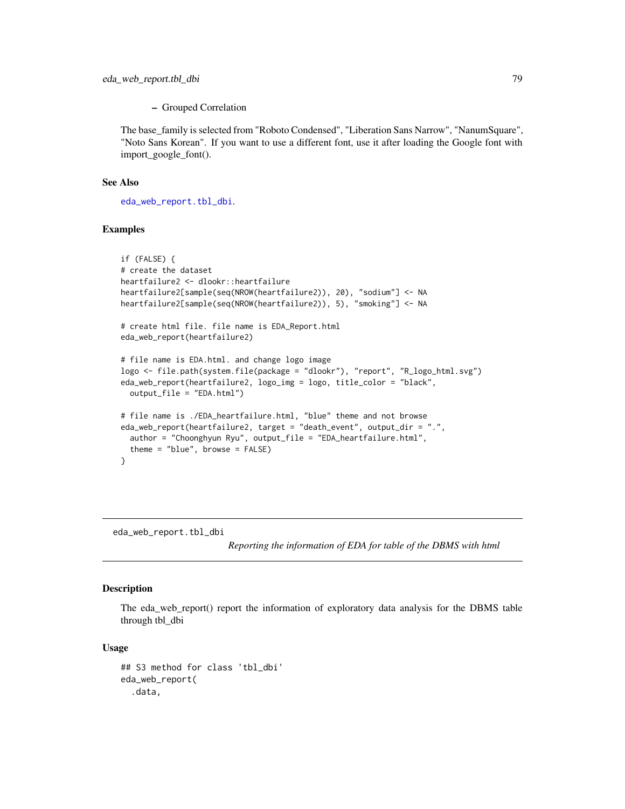#### – Grouped Correlation

The base\_family is selected from "Roboto Condensed", "Liberation Sans Narrow", "NanumSquare", "Noto Sans Korean". If you want to use a different font, use it after loading the Google font with import\_google\_font().

## See Also

[eda\\_web\\_report.tbl\\_dbi](#page-78-0).

## Examples

```
if (FALSE) {
# create the dataset
heartfailure2 <- dlookr::heartfailure
heartfailure2[sample(seq(NROW(heartfailure2)), 20), "sodium"] <- NA
heartfailure2[sample(seq(NROW(heartfailure2)), 5), "smoking"] <- NA
# create html file. file name is EDA_Report.html
eda_web_report(heartfailure2)
# file name is EDA.html. and change logo image
logo <- file.path(system.file(package = "dlookr"), "report", "R_logo_html.svg")
eda_web_report(heartfailure2, logo_img = logo, title_color = "black",
  output_file = "EDA.html")
# file name is ./EDA_heartfailure.html, "blue" theme and not browse
eda_web_report(heartfailure2, target = "death_event", output_dir = ".",
  author = "Choonghyun Ryu", output_file = "EDA_heartfailure.html",
  theme = "blue", browse = FALSE)
}
```
<span id="page-78-0"></span>eda\_web\_report.tbl\_dbi

*Reporting the information of EDA for table of the DBMS with html*

# Description

The eda\_web\_report() report the information of exploratory data analysis for the DBMS table through tbl\_dbi

#### Usage

```
## S3 method for class 'tbl_dbi'
eda_web_report(
  .data,
```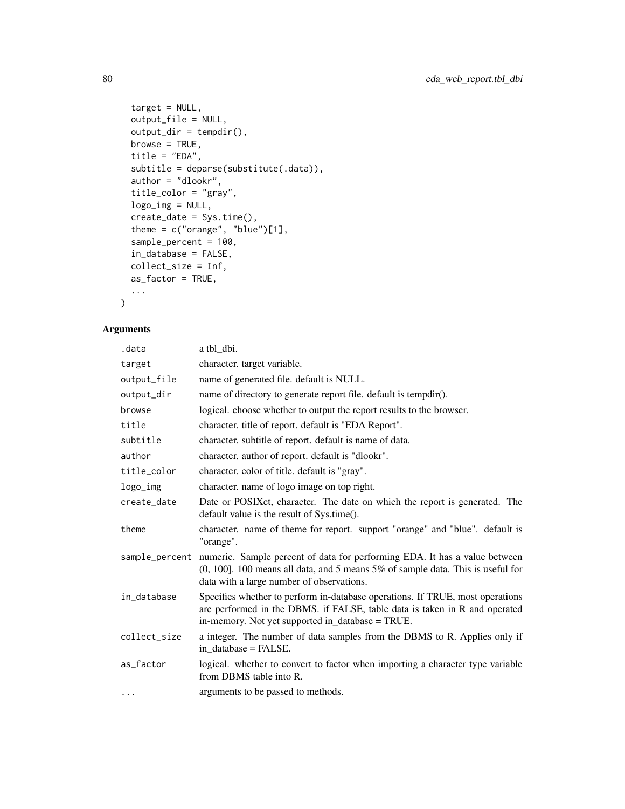```
target = NULL,output_file = NULL,
 output\_dir = tempdir(),browse = TRUE,
  title = "EDA",
  subtitle = deparse(substitute(.data)),
  author = "dlookr",
  title_color = "gray",
  logo_img = NULL,
  create_date = Sys.time(),
  theme = c("orange", "blue")[1],
  sample_percent = 100,
  in_database = FALSE,
 collect_size = Inf,
 as_factor = TRUE,
  ...
\mathcal{L}
```
# Arguments

| .data          | a tbl_dbi.                                                                                                                                                                                                      |
|----------------|-----------------------------------------------------------------------------------------------------------------------------------------------------------------------------------------------------------------|
| target         | character. target variable.                                                                                                                                                                                     |
| output_file    | name of generated file. default is NULL.                                                                                                                                                                        |
| output_dir     | name of directory to generate report file. default is tempdir().                                                                                                                                                |
| browse         | logical. choose whether to output the report results to the browser.                                                                                                                                            |
| title          | character. title of report. default is "EDA Report".                                                                                                                                                            |
| subtitle       | character. subtitle of report. default is name of data.                                                                                                                                                         |
| author         | character. author of report. default is "dlookr".                                                                                                                                                               |
| title_color    | character. color of title. default is "gray".                                                                                                                                                                   |
| logo_img       | character, name of logo image on top right.                                                                                                                                                                     |
| create_date    | Date or POSIX ct, character. The date on which the report is generated. The<br>default value is the result of Sys.time().                                                                                       |
| theme          | character. name of theme for report. support "orange" and "blue". default is<br>"orange".                                                                                                                       |
| sample_percent | numeric. Sample percent of data for performing EDA. It has a value between<br>$(0, 100]$ . 100 means all data, and 5 means 5% of sample data. This is useful for<br>data with a large number of observations.   |
| in_database    | Specifies whether to perform in-database operations. If TRUE, most operations<br>are performed in the DBMS. if FALSE, table data is taken in R and operated<br>in-memory. Not yet supported in database = TRUE. |
| collect_size   | a integer. The number of data samples from the DBMS to R. Applies only if<br>in database = FALSE.                                                                                                               |
| as_factor      | logical. whether to convert to factor when importing a character type variable<br>from DBMS table into R.                                                                                                       |
| .              | arguments to be passed to methods.                                                                                                                                                                              |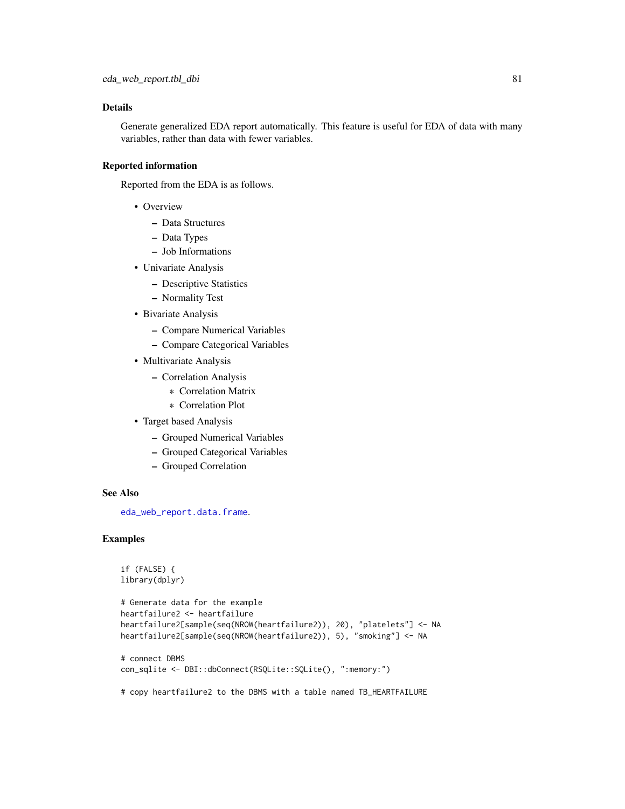## Details

Generate generalized EDA report automatically. This feature is useful for EDA of data with many variables, rather than data with fewer variables.

## Reported information

Reported from the EDA is as follows.

- Overview
	- Data Structures
	- Data Types
	- Job Informations
- Univariate Analysis
	- Descriptive Statistics
	- Normality Test
- Bivariate Analysis
	- Compare Numerical Variables
	- Compare Categorical Variables
- Multivariate Analysis
	- Correlation Analysis
		- \* Correlation Matrix
		- \* Correlation Plot
- Target based Analysis
	- Grouped Numerical Variables
	- Grouped Categorical Variables
	- Grouped Correlation

## See Also

[eda\\_web\\_report.data.frame](#page-76-0).

## Examples

```
if (FALSE) {
library(dplyr)
```

```
# Generate data for the example
heartfailure2 <- heartfailure
heartfailure2[sample(seq(NROW(heartfailure2)), 20), "platelets"] <- NA
heartfailure2[sample(seq(NROW(heartfailure2)), 5), "smoking"] <- NA
```

```
# connect DBMS
con_sqlite <- DBI::dbConnect(RSQLite::SQLite(), ":memory:")
```
# copy heartfailure2 to the DBMS with a table named TB\_HEARTFAILURE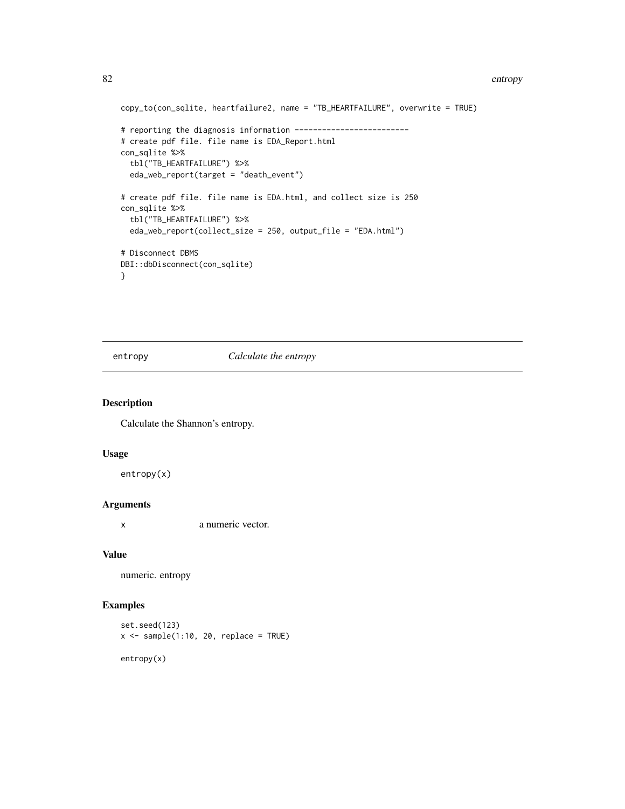#### 82 entropy and the set of the set of the set of the set of the set of the set of the set of the set of the set of the set of the set of the set of the set of the set of the set of the set of the set of the set of the set o

```
copy_to(con_sqlite, heartfailure2, name = "TB_HEARTFAILURE", overwrite = TRUE)
# reporting the diagnosis information ------------------------
# create pdf file. file name is EDA_Report.html
con_sqlite %>%
  tbl("TB_HEARTFAILURE") %>%
  eda_web_report(target = "death_event")
# create pdf file. file name is EDA.html, and collect size is 250
con_sqlite %>%
  tbl("TB_HEARTFAILURE") %>%
  eda_web_report(collect_size = 250, output_file = "EDA.html")
# Disconnect DBMS
DBI::dbDisconnect(con_sqlite)
}
```
entropy *Calculate the entropy*

## Description

Calculate the Shannon's entropy.

## Usage

entropy(x)

## Arguments

x a numeric vector.

#### Value

numeric. entropy

# Examples

```
set.seed(123)
x \le - sample(1:10, 20, replace = TRUE)
```
entropy(x)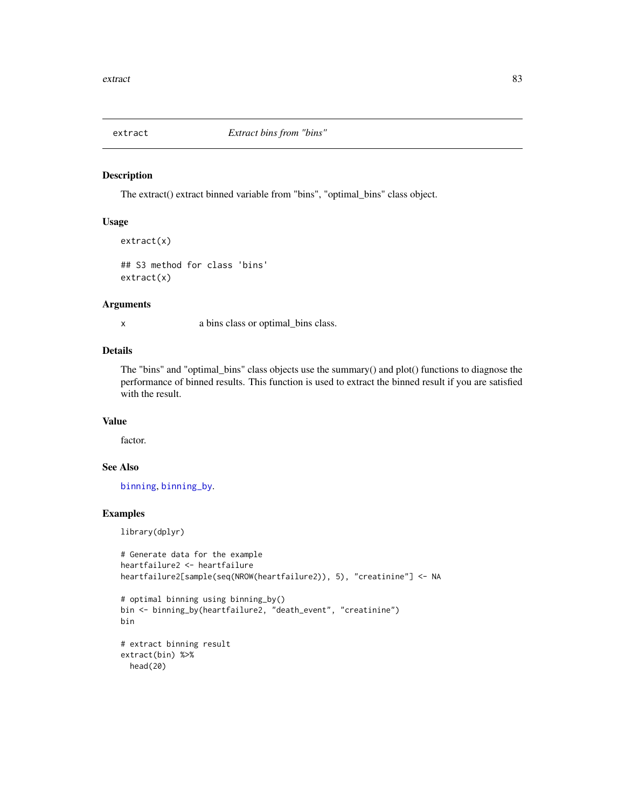The extract() extract binned variable from "bins", "optimal\_bins" class object.

#### Usage

```
extract(x)
```

```
## S3 method for class 'bins'
extract(x)
```
#### Arguments

x a bins class or optimal\_bins class.

#### Details

The "bins" and "optimal\_bins" class objects use the summary() and plot() functions to diagnose the performance of binned results. This function is used to extract the binned result if you are satisfied with the result.

# Value

factor.

# See Also

[binning](#page-4-0), [binning\\_by](#page-6-0).

# Examples

library(dplyr)

```
# Generate data for the example
heartfailure2 <- heartfailure
heartfailure2[sample(seq(NROW(heartfailure2)), 5), "creatinine"] <- NA
```

```
# optimal binning using binning_by()
bin <- binning_by(heartfailure2, "death_event", "creatinine")
bin
```

```
# extract binning result
extract(bin) %>%
 head(20)
```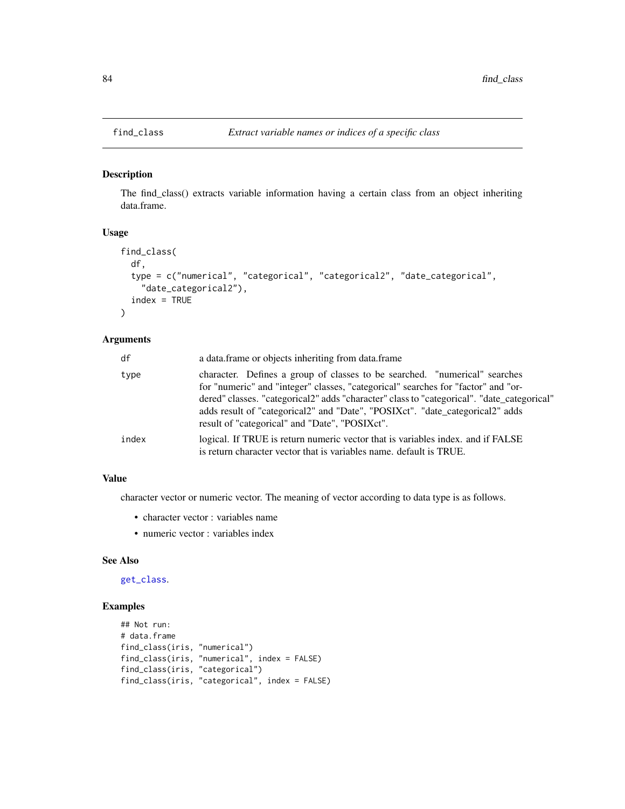<span id="page-83-0"></span>

The find\_class() extracts variable information having a certain class from an object inheriting data.frame.

## Usage

```
find_class(
  df,
  type = c("numerical", "categorical", "categorical2", "date_categorical",
    "date_categorical2"),
  index = TRUE)
```
#### Arguments

| df    | a data.frame or objects inheriting from data.frame                                                                                                                                                                                                                                                                                             |
|-------|------------------------------------------------------------------------------------------------------------------------------------------------------------------------------------------------------------------------------------------------------------------------------------------------------------------------------------------------|
| type  | character. Defines a group of classes to be searched. "numerical" searches<br>for "numeric" and "integer" classes, "categorical" searches for "factor" and "or-<br>dered" classes. "categorical2" adds "character" class to "categorical". "date_categorical"<br>adds result of "categorical2" and "Date", "POSIXct". "date_categorical2" adds |
|       | result of "categorical" and "Date", "POSIXct".                                                                                                                                                                                                                                                                                                 |
| index | logical. If TRUE is return numeric vector that is variables index, and if FALSE<br>is return character vector that is variables name, default is TRUE.                                                                                                                                                                                         |

# Value

character vector or numeric vector. The meaning of vector according to data type is as follows.

- character vector : variables name
- numeric vector : variables index

## See Also

[get\\_class](#page-87-0).

```
## Not run:
# data.frame
find_class(iris, "numerical")
find_class(iris, "numerical", index = FALSE)
find_class(iris, "categorical")
find_class(iris, "categorical", index = FALSE)
```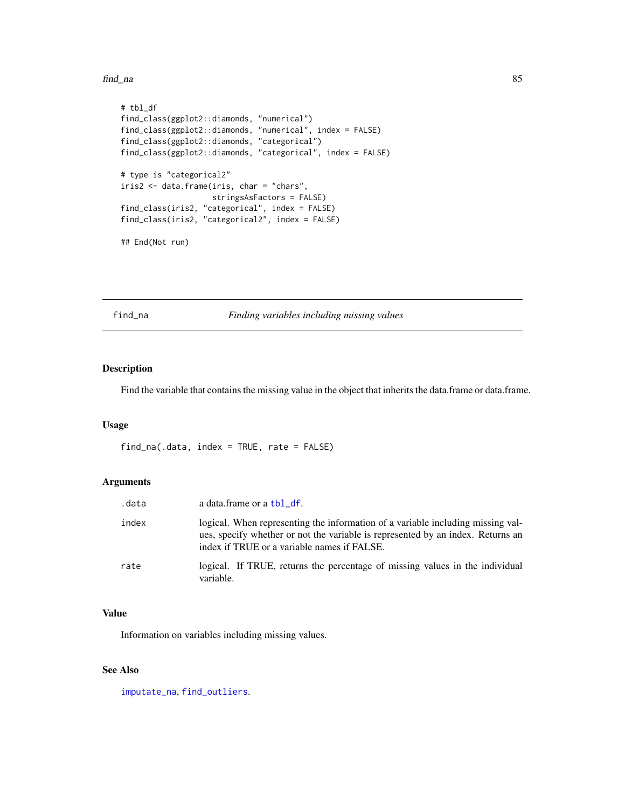find\_na 85

```
# tbl_df
find_class(ggplot2::diamonds, "numerical")
find_class(ggplot2::diamonds, "numerical", index = FALSE)
find_class(ggplot2::diamonds, "categorical")
find_class(ggplot2::diamonds, "categorical", index = FALSE)
# type is "categorical2"
iris2 <- data.frame(iris, char = "chars",
                    stringsAsFactors = FALSE)
find_class(iris2, "categorical", index = FALSE)
find_class(iris2, "categorical2", index = FALSE)
## End(Not run)
```
<span id="page-84-0"></span>find\_na *Finding variables including missing values*

# Description

Find the variable that contains the missing value in the object that inherits the data.frame or data.frame.

#### Usage

find\_na(.data, index = TRUE, rate = FALSE)

#### Arguments

| .data | a data.frame or a tbl_df.                                                                                                                                                                                         |
|-------|-------------------------------------------------------------------------------------------------------------------------------------------------------------------------------------------------------------------|
| index | logical. When representing the information of a variable including missing val-<br>ues, specify whether or not the variable is represented by an index. Returns an<br>index if TRUE or a variable names if FALSE. |
| rate  | logical. If TRUE, returns the percentage of missing values in the individual<br>variable.                                                                                                                         |

# Value

Information on variables including missing values.

# See Also

[imputate\\_na](#page-94-0), [find\\_outliers](#page-85-0).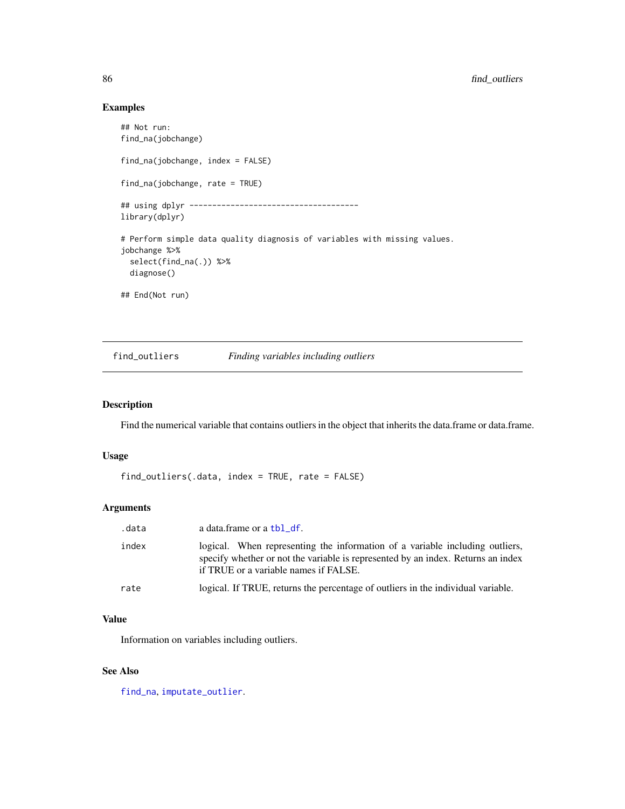## Examples

```
## Not run:
find_na(jobchange)
find_na(jobchange, index = FALSE)
find_na(jobchange, rate = TRUE)
## using dplyr -------------------------------------
library(dplyr)
# Perform simple data quality diagnosis of variables with missing values.
jobchange %>%
  select(find_na(.)) %>%
  diagnose()
## End(Not run)
```
<span id="page-85-0"></span>find\_outliers *Finding variables including outliers*

# Description

Find the numerical variable that contains outliers in the object that inherits the data.frame or data.frame.

## Usage

```
find_outliers(.data, index = TRUE, rate = FALSE)
```
## Arguments

| .data | a data.frame or a tbl_df.                                                                                                                                                                                 |
|-------|-----------------------------------------------------------------------------------------------------------------------------------------------------------------------------------------------------------|
| index | logical. When representing the information of a variable including outliers,<br>specify whether or not the variable is represented by an index. Returns an index<br>if TRUE or a variable names if FALSE. |
| rate  | logical. If TRUE, returns the percentage of outliers in the individual variable.                                                                                                                          |

## Value

Information on variables including outliers.

## See Also

[find\\_na](#page-84-0), [imputate\\_outlier](#page-96-0).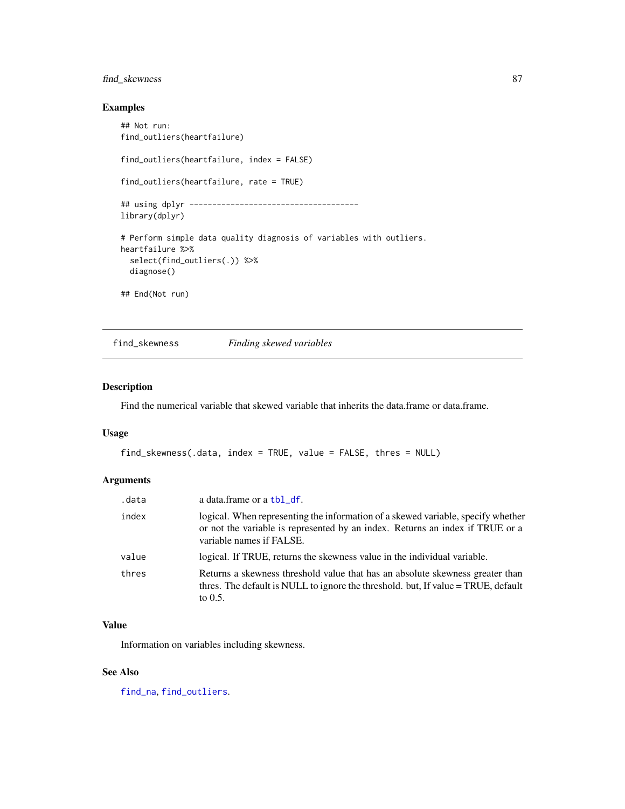# find\_skewness 87

## Examples

```
## Not run:
find_outliers(heartfailure)
find_outliers(heartfailure, index = FALSE)
find_outliers(heartfailure, rate = TRUE)
## using dplyr -------------------------------------
library(dplyr)
# Perform simple data quality diagnosis of variables with outliers.
heartfailure %>%
  select(find_outliers(.)) %>%
  diagnose()
## End(Not run)
```
find\_skewness *Finding skewed variables*

# Description

Find the numerical variable that skewed variable that inherits the data.frame or data.frame.

#### Usage

```
find_skewness(.data, index = TRUE, value = FALSE, thres = NULL)
```
## Arguments

| .data | a data.frame or a tbl_df.                                                                                                                                                                     |
|-------|-----------------------------------------------------------------------------------------------------------------------------------------------------------------------------------------------|
| index | logical. When representing the information of a skewed variable, specify whether<br>or not the variable is represented by an index. Returns an index if TRUE or a<br>variable names if FALSE. |
| value | logical. If TRUE, returns the skewness value in the individual variable.                                                                                                                      |
| thres | Returns a skewness threshold value that has an absolute skewness greater than<br>thres. The default is NULL to ignore the threshold, but, If value = TRUE, default<br>to $0.5$ .              |

## Value

Information on variables including skewness.

## See Also

[find\\_na](#page-84-0), [find\\_outliers](#page-85-0).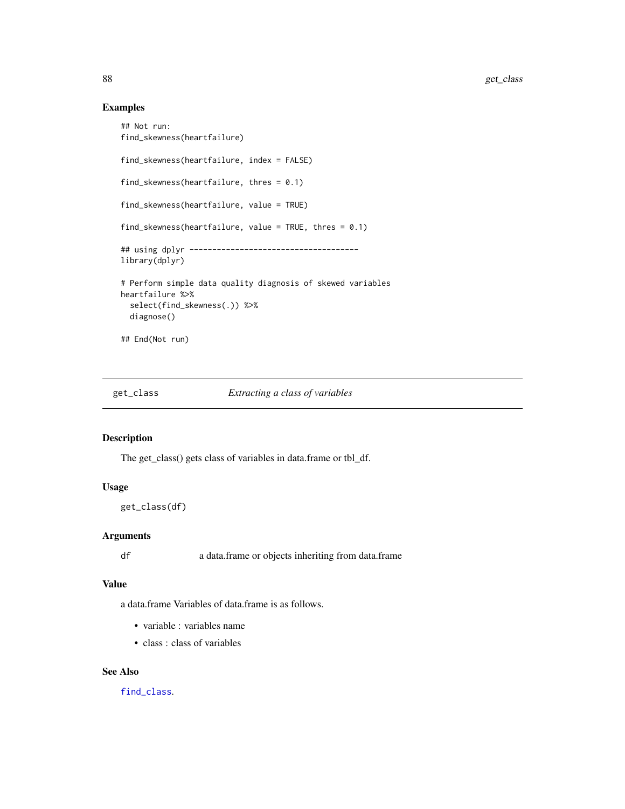# Examples

```
## Not run:
find_skewness(heartfailure)
find_skewness(heartfailure, index = FALSE)
find_skewness(heartfailure, thres = 0.1)
find_skewness(heartfailure, value = TRUE)
find_skewness(heartfailure, value = TRUE, thres = 0.1)
## using dplyr -------------------------------------
library(dplyr)
# Perform simple data quality diagnosis of skewed variables
heartfailure %>%
  select(find_skewness(.)) %>%
  diagnose()
## End(Not run)
```
<span id="page-87-0"></span>

#### get\_class *Extracting a class of variables*

# Description

The get\_class() gets class of variables in data.frame or tbl\_df.

## Usage

```
get_class(df)
```
## Arguments

df a data.frame or objects inheriting from data.frame

# Value

a data.frame Variables of data.frame is as follows.

- variable : variables name
- class : class of variables

#### See Also

[find\\_class](#page-83-0).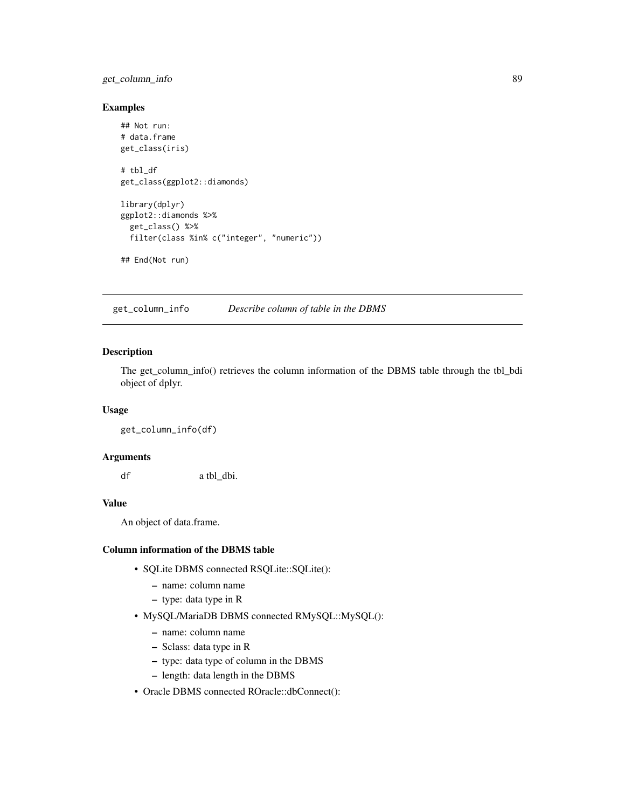# get\_column\_info 89

## Examples

```
## Not run:
# data.frame
get_class(iris)
# tbl_df
get_class(ggplot2::diamonds)
library(dplyr)
ggplot2::diamonds %>%
  get_class() %>%
  filter(class %in% c("integer", "numeric"))
## End(Not run)
```
get\_column\_info *Describe column of table in the DBMS*

# Description

The get\_column\_info() retrieves the column information of the DBMS table through the tbl\_bdi object of dplyr.

## Usage

get\_column\_info(df)

# Arguments

df a tbl\_dbi.

# Value

An object of data.frame.

#### Column information of the DBMS table

- SQLite DBMS connected RSQLite::SQLite():
	- name: column name
	- type: data type in R
- MySQL/MariaDB DBMS connected RMySQL::MySQL():
	- name: column name
	- Sclass: data type in R
	- type: data type of column in the DBMS
	- length: data length in the DBMS
- Oracle DBMS connected ROracle::dbConnect():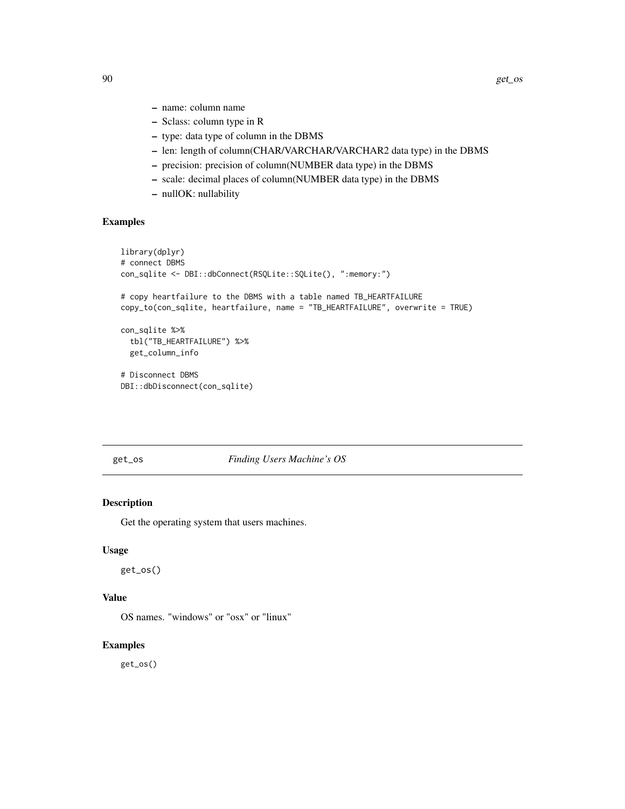- name: column name
- Sclass: column type in R
- type: data type of column in the DBMS
- len: length of column(CHAR/VARCHAR/VARCHAR2 data type) in the DBMS
- precision: precision of column(NUMBER data type) in the DBMS
- scale: decimal places of column(NUMBER data type) in the DBMS
- nullOK: nullability

# Examples

```
library(dplyr)
# connect DBMS
con_sqlite <- DBI::dbConnect(RSQLite::SQLite(), ":memory:")
# copy heartfailure to the DBMS with a table named TB_HEARTFAILURE
copy_to(con_sqlite, heartfailure, name = "TB_HEARTFAILURE", overwrite = TRUE)
con_sqlite %>%
  tbl("TB_HEARTFAILURE") %>%
  get_column_info
# Disconnect DBMS
DBI::dbDisconnect(con_sqlite)
```
get\_os *Finding Users Machine's OS*

# Description

Get the operating system that users machines.

## Usage

get\_os()

## Value

OS names. "windows" or "osx" or "linux"

## Examples

get\_os()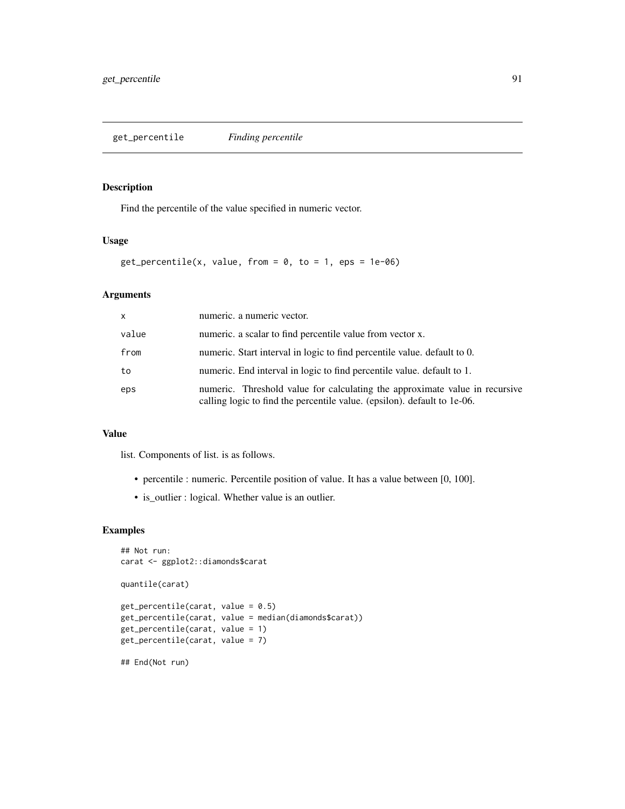Find the percentile of the value specified in numeric vector.

# Usage

```
get\_percentile(x, value, from = 0, to = 1,eps = 1e-06)
```
# Arguments

| $\mathsf{x}$ | numeric. a numeric vector.                                                                                                                              |
|--------------|---------------------------------------------------------------------------------------------------------------------------------------------------------|
| value        | numeric. a scalar to find percentile value from vector x.                                                                                               |
| from         | numeric. Start interval in logic to find percentile value. default to 0.                                                                                |
| to           | numeric. End interval in logic to find percentile value, default to 1.                                                                                  |
| eps          | numeric. Threshold value for calculating the approximate value in recursive<br>calling logic to find the percentile value. (epsilon). default to 1e-06. |

## Value

list. Components of list. is as follows.

- percentile : numeric. Percentile position of value. It has a value between [0, 100].
- is\_outlier : logical. Whether value is an outlier.

```
## Not run:
carat <- ggplot2::diamonds$carat
quantile(carat)
get_percentile(carat, value = 0.5)
get_percentile(carat, value = median(diamonds$carat))
get_percentile(carat, value = 1)
get_percentile(carat, value = 7)
## End(Not run)
```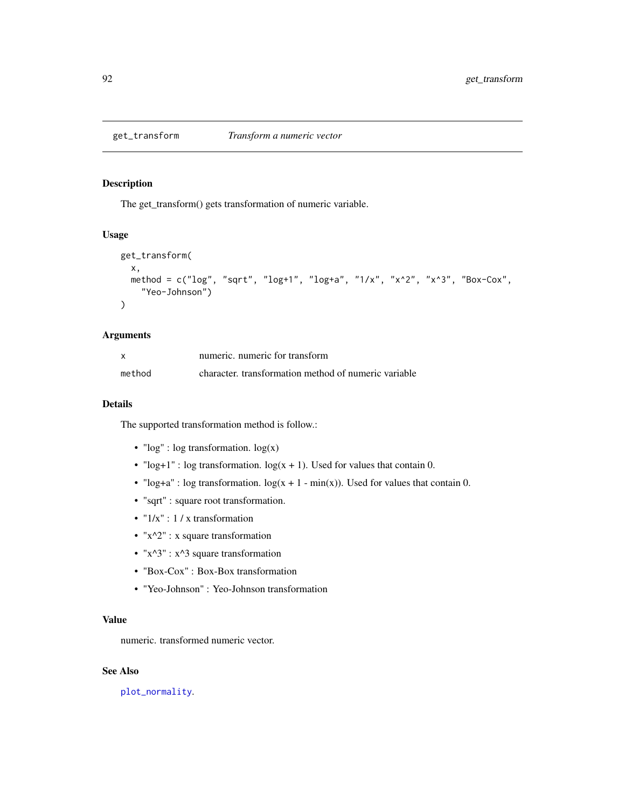The get\_transform() gets transformation of numeric variable.

## Usage

```
get_transform(
 x,
 method = c("log", "sqrt", "log+1", "log+a", "1/x", "x^2", "x^3", "Box-Cox",
    "Yeo-Johnson")
\mathcal{L}
```
## Arguments

|        | numeric, numeric for transform                       |
|--------|------------------------------------------------------|
| method | character, transformation method of numeric variable |

#### Details

The supported transformation method is follow.:

- "log" : log transformation. log(x)
- "log+1" : log transformation.  $log(x + 1)$ . Used for values that contain 0.
- "log+a" : log transformation.  $log(x + 1 min(x))$ . Used for values that contain 0.
- "sqrt" : square root transformation.
- $"1/x"$ : 1 / x transformation
- "x^2" : x square transformation
- " $x^3$ " :  $x^3$  square transformation
- "Box-Cox" : Box-Box transformation
- "Yeo-Johnson" : Yeo-Johnson transformation

## Value

numeric. transformed numeric vector.

## See Also

[plot\\_normality](#page-141-0).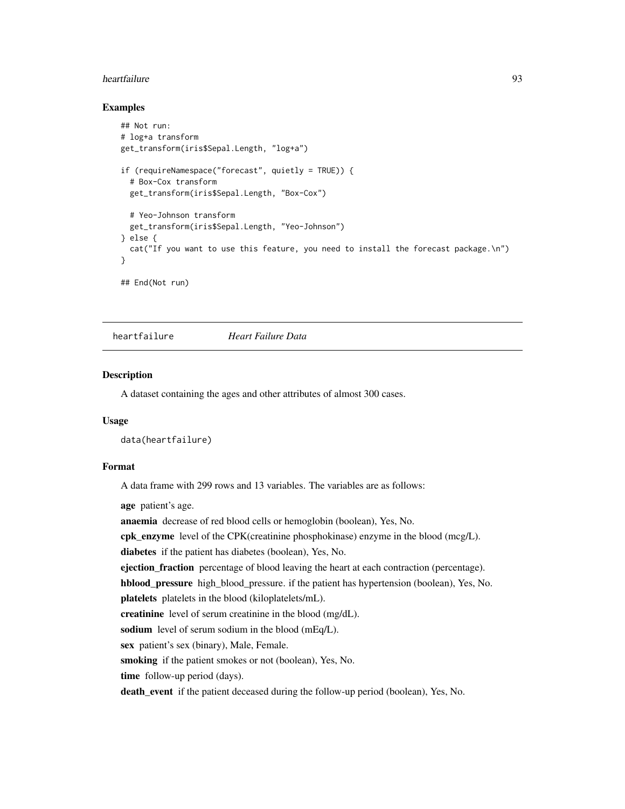#### heartfailure 93

## Examples

```
## Not run:
# log+a transform
get_transform(iris$Sepal.Length, "log+a")
if (requireNamespace("forecast", quietly = TRUE)) {
 # Box-Cox transform
 get_transform(iris$Sepal.Length, "Box-Cox")
 # Yeo-Johnson transform
 get_transform(iris$Sepal.Length, "Yeo-Johnson")
} else {
 cat("If you want to use this feature, you need to install the forecast package.\n")
}
## End(Not run)
```
heartfailure *Heart Failure Data*

## Description

A dataset containing the ages and other attributes of almost 300 cases.

# Usage

```
data(heartfailure)
```
## Format

A data frame with 299 rows and 13 variables. The variables are as follows:

age patient's age.

anaemia decrease of red blood cells or hemoglobin (boolean), Yes, No.

cpk\_enzyme level of the CPK(creatinine phosphokinase) enzyme in the blood (mcg/L).

diabetes if the patient has diabetes (boolean), Yes, No.

ejection\_fraction percentage of blood leaving the heart at each contraction (percentage).

hblood\_pressure high\_blood\_pressure. if the patient has hypertension (boolean), Yes, No.

platelets platelets in the blood (kiloplatelets/mL).

creatinine level of serum creatinine in the blood (mg/dL).

sodium level of serum sodium in the blood (mEq/L).

sex patient's sex (binary), Male, Female.

smoking if the patient smokes or not (boolean), Yes, No.

time follow-up period (days).

death\_event if the patient deceased during the follow-up period (boolean), Yes, No.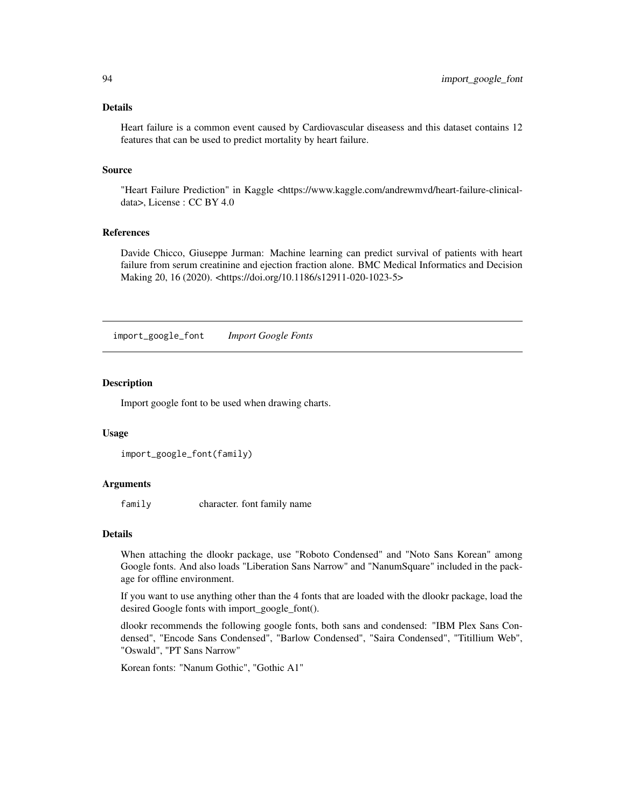## Details

Heart failure is a common event caused by Cardiovascular diseasess and this dataset contains 12 features that can be used to predict mortality by heart failure.

#### Source

"Heart Failure Prediction" in Kaggle <https://www.kaggle.com/andrewmvd/heart-failure-clinicaldata>, License : CC BY 4.0

## References

Davide Chicco, Giuseppe Jurman: Machine learning can predict survival of patients with heart failure from serum creatinine and ejection fraction alone. BMC Medical Informatics and Decision Making 20, 16 (2020). <https://doi.org/10.1186/s12911-020-1023-5>

import\_google\_font *Import Google Fonts*

#### Description

Import google font to be used when drawing charts.

#### Usage

```
import_google_font(family)
```
#### Arguments

family character. font family name

## Details

When attaching the dlookr package, use "Roboto Condensed" and "Noto Sans Korean" among Google fonts. And also loads "Liberation Sans Narrow" and "NanumSquare" included in the package for offline environment.

If you want to use anything other than the 4 fonts that are loaded with the dlookr package, load the desired Google fonts with import\_google\_font().

dlookr recommends the following google fonts, both sans and condensed: "IBM Plex Sans Condensed", "Encode Sans Condensed", "Barlow Condensed", "Saira Condensed", "Titillium Web", "Oswald", "PT Sans Narrow"

Korean fonts: "Nanum Gothic", "Gothic A1"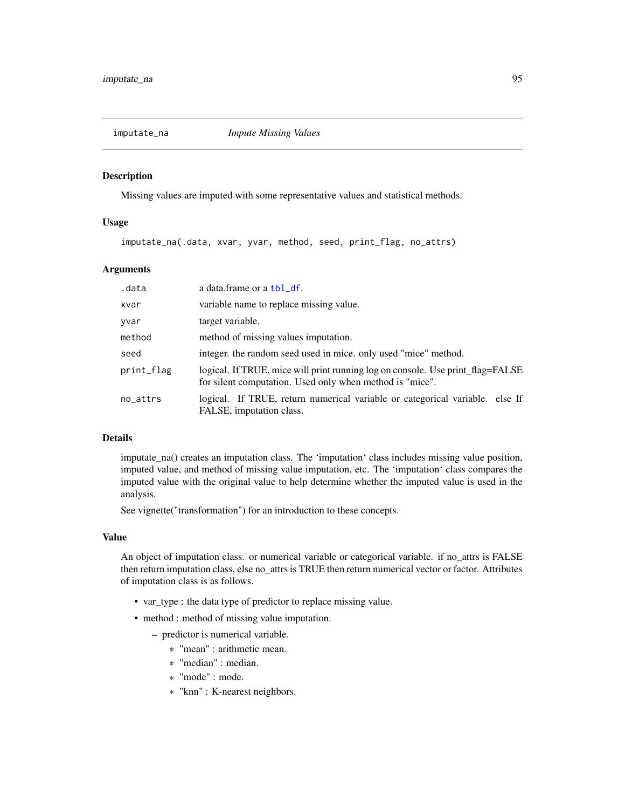<span id="page-94-0"></span>

Missing values are imputed with some representative values and statistical methods.

## Usage

imputate\_na(.data, xvar, yvar, method, seed, print\_flag, no\_attrs)

# Arguments

| .data      | a data.frame or a tbl_df.                                                                                                                  |
|------------|--------------------------------------------------------------------------------------------------------------------------------------------|
| xvar       | variable name to replace missing value.                                                                                                    |
| yvar       | target variable.                                                                                                                           |
| method     | method of missing values imputation.                                                                                                       |
| seed       | integer, the random seed used in mice, only used "mice" method.                                                                            |
| print_flag | logical. If TRUE, mice will print running log on console. Use print_flag=FALSE<br>for silent computation. Used only when method is "mice". |
| no_attrs   | logical. If TRUE, return numerical variable or categorical variable. else If<br>FALSE, imputation class.                                   |

# Details

imputate\_na() creates an imputation class. The 'imputation' class includes missing value position, imputed value, and method of missing value imputation, etc. The 'imputation' class compares the imputed value with the original value to help determine whether the imputed value is used in the analysis.

See vignette("transformation") for an introduction to these concepts.

#### Value

An object of imputation class. or numerical variable or categorical variable. if no\_attrs is FALSE then return imputation class, else no\_attrs is TRUE then return numerical vector or factor. Attributes of imputation class is as follows.

- var\_type : the data type of predictor to replace missing value.
- method : method of missing value imputation.
	- predictor is numerical variable.
		- \* "mean" : arithmetic mean.
		- \* "median" : median.
		- \* "mode" : mode.
		- \* "knn" : K-nearest neighbors.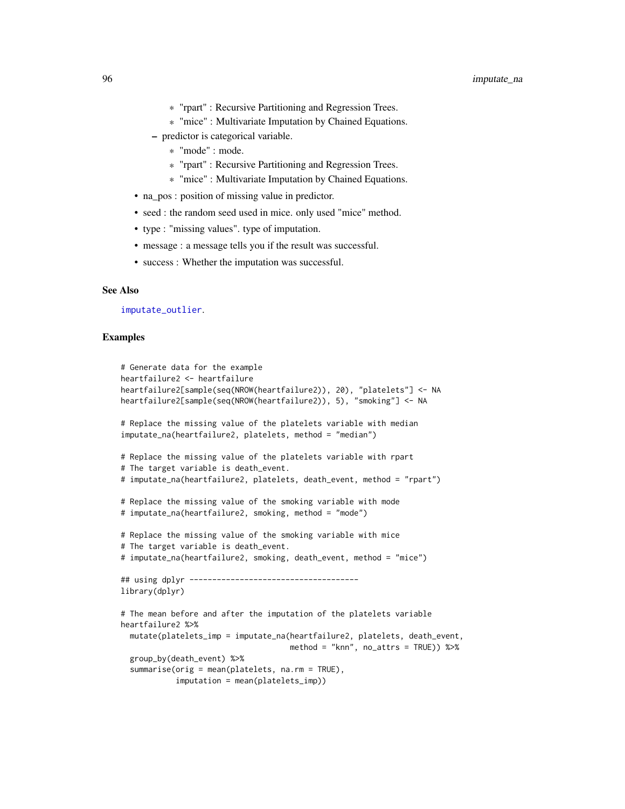- \* "rpart" : Recursive Partitioning and Regression Trees.
- \* "mice" : Multivariate Imputation by Chained Equations.
- predictor is categorical variable.
	- \* "mode" : mode.
	- \* "rpart" : Recursive Partitioning and Regression Trees.
	- \* "mice" : Multivariate Imputation by Chained Equations.
- na\_pos : position of missing value in predictor.
- seed : the random seed used in mice. only used "mice" method.
- type : "missing values". type of imputation.
- message : a message tells you if the result was successful.
- success : Whether the imputation was successful.

#### See Also

[imputate\\_outlier](#page-96-0).

```
# Generate data for the example
heartfailure2 <- heartfailure
heartfailure2[sample(seq(NROW(heartfailure2)), 20), "platelets"] <- NA
heartfailure2[sample(seq(NROW(heartfailure2)), 5), "smoking"] <- NA
# Replace the missing value of the platelets variable with median
imputate_na(heartfailure2, platelets, method = "median")
# Replace the missing value of the platelets variable with rpart
# The target variable is death_event.
# imputate_na(heartfailure2, platelets, death_event, method = "rpart")
# Replace the missing value of the smoking variable with mode
# imputate_na(heartfailure2, smoking, method = "mode")
# Replace the missing value of the smoking variable with mice
# The target variable is death_event.
# imputate_na(heartfailure2, smoking, death_event, method = "mice")
## using dplyr -------------------------------------
library(dplyr)
# The mean before and after the imputation of the platelets variable
heartfailure2 %>%
  mutate(platelets_imp = imputate_na(heartfailure2, platelets, death_event,
                                     method = "knn", no_attrs = TRUE)) %>%
  group_by(death_event) %>%
  summarise(orig = mean(platelets, na.rm = TRUE),
            imputation = mean(platelets_imp))
```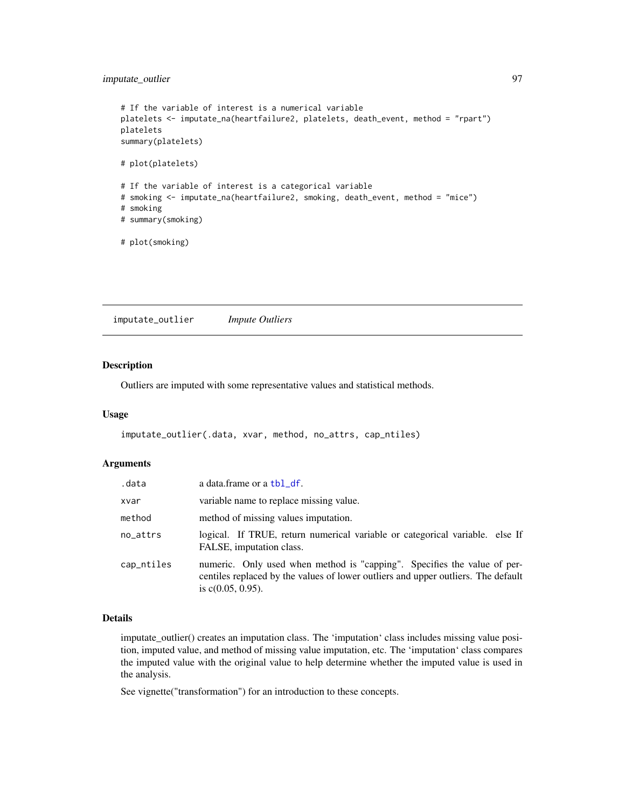# imputate\_outlier 97

```
# If the variable of interest is a numerical variable
platelets <- imputate_na(heartfailure2, platelets, death_event, method = "rpart")
platelets
summary(platelets)
# plot(platelets)
# If the variable of interest is a categorical variable
# smoking <- imputate_na(heartfailure2, smoking, death_event, method = "mice")
# smoking
# summary(smoking)
# plot(smoking)
```
<span id="page-96-0"></span>imputate\_outlier *Impute Outliers*

# Description

Outliers are imputed with some representative values and statistical methods.

#### Usage

```
imputate_outlier(.data, xvar, method, no_attrs, cap_ntiles)
```
#### Arguments

| .data      | a data.frame or a tbl_df.                                                                                                                                                             |
|------------|---------------------------------------------------------------------------------------------------------------------------------------------------------------------------------------|
| xvar       | variable name to replace missing value.                                                                                                                                               |
| method     | method of missing values imputation.                                                                                                                                                  |
| no_attrs   | logical. If TRUE, return numerical variable or categorical variable. else If<br>FALSE, imputation class.                                                                              |
| cap_ntiles | numeric. Only used when method is "capping". Specifies the value of per-<br>centiles replaced by the values of lower outliers and upper outliers. The default<br>is $c(0.05, 0.95)$ . |

## Details

imputate\_outlier() creates an imputation class. The 'imputation' class includes missing value position, imputed value, and method of missing value imputation, etc. The 'imputation' class compares the imputed value with the original value to help determine whether the imputed value is used in the analysis.

See vignette("transformation") for an introduction to these concepts.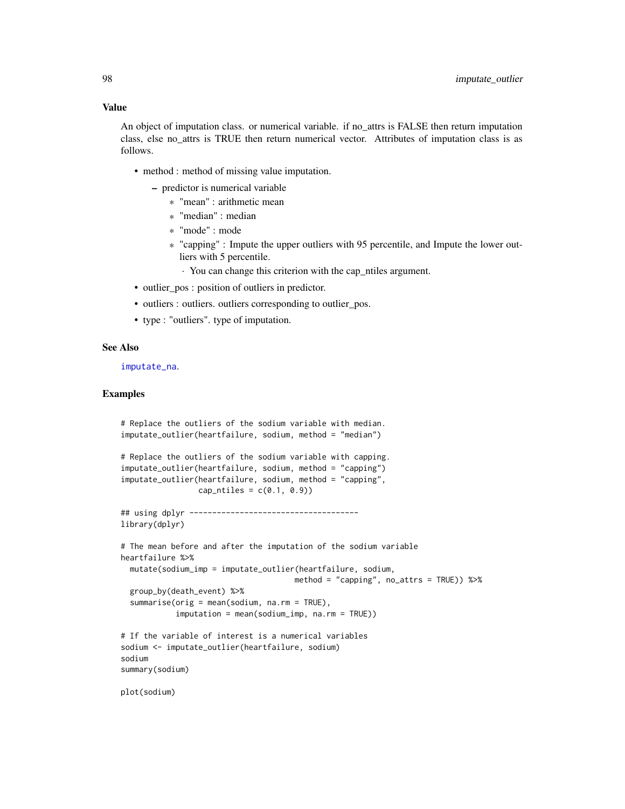#### Value

An object of imputation class. or numerical variable. if no\_attrs is FALSE then return imputation class, else no\_attrs is TRUE then return numerical vector. Attributes of imputation class is as follows.

- method : method of missing value imputation.
	- predictor is numerical variable
		- \* "mean" : arithmetic mean
		- \* "median" : median
		- \* "mode" : mode
		- \* "capping" : Impute the upper outliers with 95 percentile, and Impute the lower outliers with 5 percentile.
			- · You can change this criterion with the cap\_ntiles argument.
- outlier\_pos : position of outliers in predictor.
- outliers : outliers. outliers corresponding to outlier\_pos.
- type : "outliers". type of imputation.

#### See Also

[imputate\\_na](#page-94-0).

```
# Replace the outliers of the sodium variable with median.
imputate_outlier(heartfailure, sodium, method = "median")
# Replace the outliers of the sodium variable with capping.
imputate_outlier(heartfailure, sodium, method = "capping")
imputate_outlier(heartfailure, sodium, method = "capping",
                 cap\_ntiles = c(0.1, 0.9)## using dplyr -------------------------------------
library(dplyr)
# The mean before and after the imputation of the sodium variable
heartfailure %>%
 mutate(sodium_imp = imputate_outlier(heartfailure, sodium,
                                      method = "capping", no\_attrs = TRUE) %>%
 group_by(death_event) %>%
 summarise(orig = mean(sodium, na.rm = TRUE),
            imputation = mean(sodium_imp, na.rm = TRUE))
# If the variable of interest is a numerical variables
sodium <- imputate_outlier(heartfailure, sodium)
sodium
summary(sodium)
plot(sodium)
```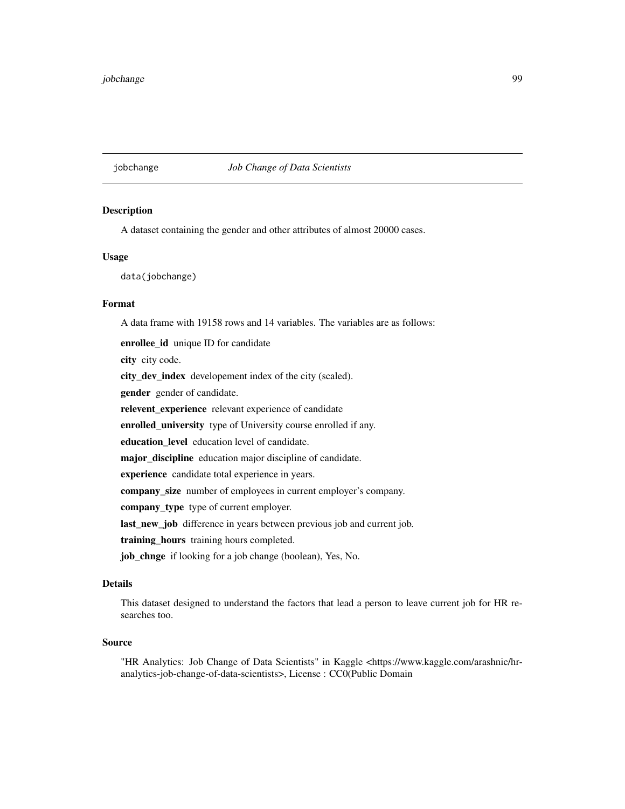# jobchange *Job Change of Data Scientists*

#### **Description**

A dataset containing the gender and other attributes of almost 20000 cases.

# Usage

data(jobchange)

## Format

A data frame with 19158 rows and 14 variables. The variables are as follows:

enrollee\_id unique ID for candidate city city code. city\_dev\_index developement index of the city (scaled). gender gender of candidate. relevent\_experience relevant experience of candidate enrolled\_university type of University course enrolled if any. education\_level education level of candidate. major\_discipline education major discipline of candidate. experience candidate total experience in years. company\_size number of employees in current employer's company. company\_type type of current employer. last\_new\_job difference in years between previous job and current job. training\_hours training hours completed. job\_chnge if looking for a job change (boolean), Yes, No.

# Details

This dataset designed to understand the factors that lead a person to leave current job for HR researches too.

## Source

"HR Analytics: Job Change of Data Scientists" in Kaggle <https://www.kaggle.com/arashnic/hranalytics-job-change-of-data-scientists>, License : CC0(Public Domain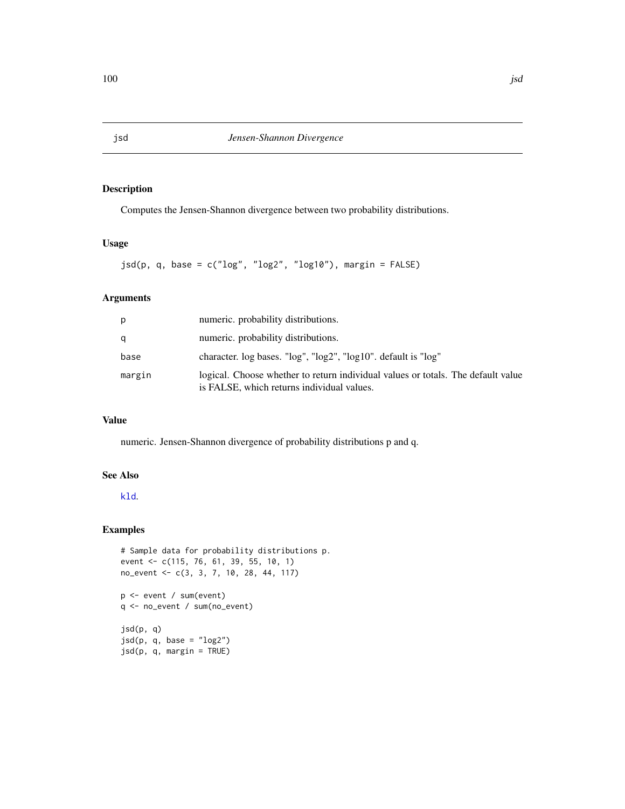<span id="page-99-0"></span>Computes the Jensen-Shannon divergence between two probability distributions.

## Usage

 $jsd(p, q, base = c("log", "log2", "log10"), margin = FALSE)$ 

# Arguments

| р      | numeric. probability distributions.                                                                                            |
|--------|--------------------------------------------------------------------------------------------------------------------------------|
| a      | numeric. probability distributions.                                                                                            |
| base   | character. log bases. "log", "log2", "log10". default is "log"                                                                 |
| margin | logical. Choose whether to return individual values or totals. The default value<br>is FALSE, which returns individual values. |

## Value

numeric. Jensen-Shannon divergence of probability distributions p and q.

## See Also

## [kld](#page-100-0).

```
# Sample data for probability distributions p.
event <- c(115, 76, 61, 39, 55, 10, 1)
no_event <- c(3, 3, 7, 10, 28, 44, 117)
p <- event / sum(event)
q <- no_event / sum(no_event)
jsd(p, q)
jsd(p, q, base = "log2")
jsd(p, q, margin = TRUE)
```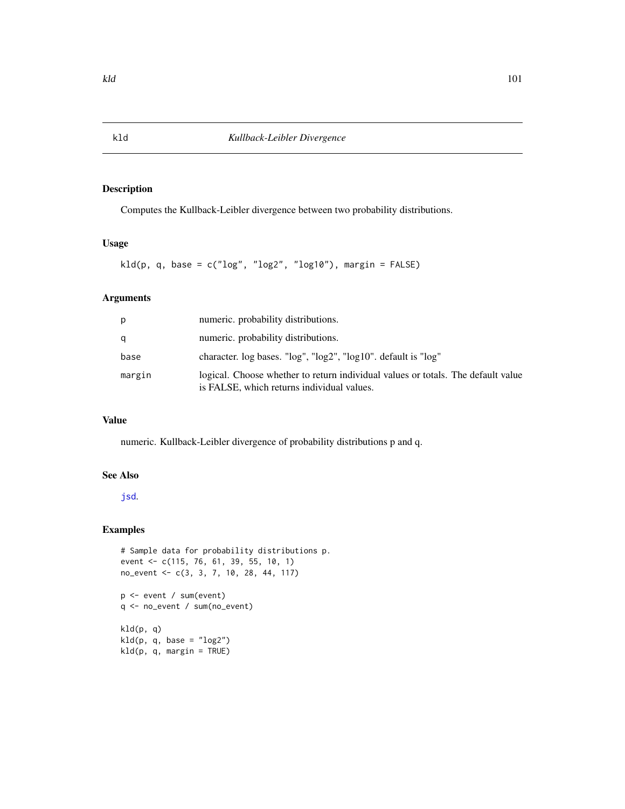Computes the Kullback-Leibler divergence between two probability distributions.

## Usage

 $kld(p, q, base = c("log", "log2", "log10"), margin = FALSE)$ 

# Arguments

| р      | numeric. probability distributions.                                                                                            |
|--------|--------------------------------------------------------------------------------------------------------------------------------|
| q      | numeric. probability distributions.                                                                                            |
| base   | character. log bases. "log", "log2", "log10". default is "log"                                                                 |
| margin | logical. Choose whether to return individual values or totals. The default value<br>is FALSE, which returns individual values. |

#### Value

numeric. Kullback-Leibler divergence of probability distributions p and q.

## See Also

#### [jsd](#page-99-0).

```
# Sample data for probability distributions p.
event <- c(115, 76, 61, 39, 55, 10, 1)
no_event <- c(3, 3, 7, 10, 28, 44, 117)
p <- event / sum(event)
q <- no_event / sum(no_event)
kld(p, q)
kld(p, q, base = "log2")
kld(p, q, margin = TRUE)
```
<span id="page-100-0"></span>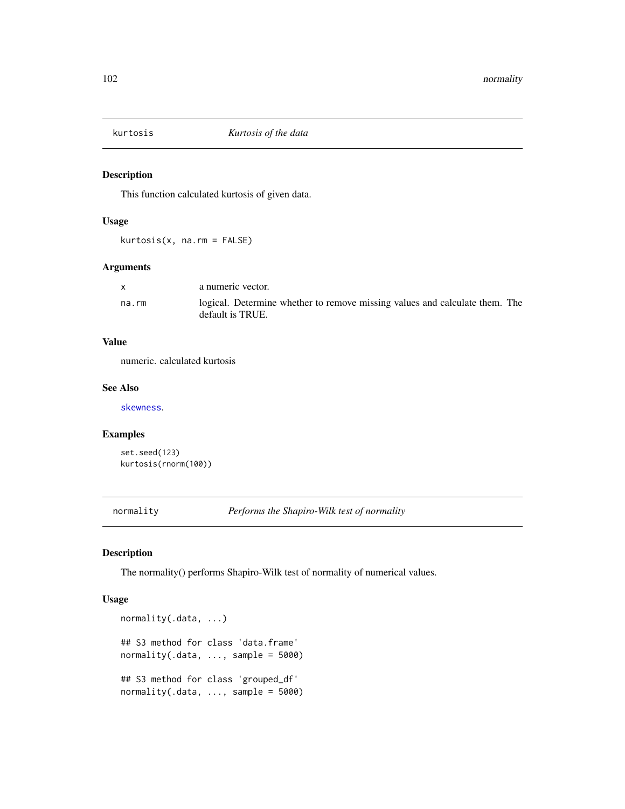This function calculated kurtosis of given data.

## Usage

kurtosis(x, na.rm = FALSE)

# Arguments

|       | a numeric vector.                                                                               |
|-------|-------------------------------------------------------------------------------------------------|
| na.rm | logical. Determine whether to remove missing values and calculate them. The<br>default is TRUE. |

## Value

numeric. calculated kurtosis

## See Also

[skewness](#page-163-0).

# Examples

```
set.seed(123)
kurtosis(rnorm(100))
```
normality *Performs the Shapiro-Wilk test of normality*

# <span id="page-101-0"></span>Description

The normality() performs Shapiro-Wilk test of normality of numerical values.

## Usage

```
normality(.data, ...)
## S3 method for class 'data.frame'
normality(.data, ..., samele = 5000)## S3 method for class 'grouped_df'
normality(.data, ..., samele = 5000)
```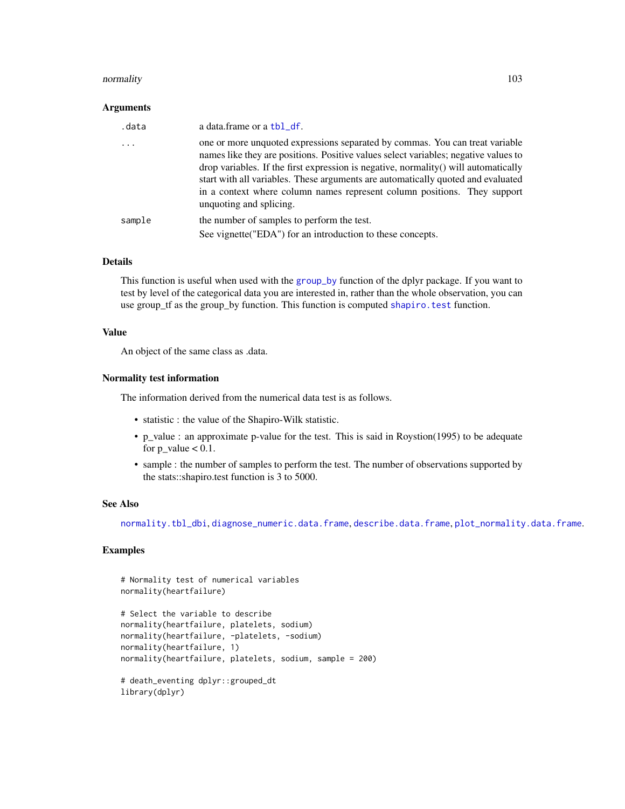#### normality that is a set of the set of the set of the set of the set of the set of the set of the set of the set of the set of the set of the set of the set of the set of the set of the set of the set of the set of the set

#### Arguments

| .data  | a data.frame or a tbl_df.                                                                                                                                                                                                                                                                                                                                                                                                                             |
|--------|-------------------------------------------------------------------------------------------------------------------------------------------------------------------------------------------------------------------------------------------------------------------------------------------------------------------------------------------------------------------------------------------------------------------------------------------------------|
| .      | one or more unquoted expressions separated by commas. You can treat variable<br>names like they are positions. Positive values select variables; negative values to<br>drop variables. If the first expression is negative, normality() will automatically<br>start with all variables. These arguments are automatically quoted and evaluated<br>in a context where column names represent column positions. They support<br>unquoting and splicing. |
| sample | the number of samples to perform the test.                                                                                                                                                                                                                                                                                                                                                                                                            |
|        | See vignette ("EDA") for an introduction to these concepts.                                                                                                                                                                                                                                                                                                                                                                                           |

#### Details

This function is useful when used with the [group\\_by](#page-0-0) function of the dplyr package. If you want to test by level of the categorical data you are interested in, rather than the whole observation, you can use group\_tf as the group\_by function. This function is computed shapiro. test function.

## Value

An object of the same class as .data.

## Normality test information

The information derived from the numerical data test is as follows.

- statistic : the value of the Shapiro-Wilk statistic.
- p\_value : an approximate p-value for the test. This is said in Roystion(1995) to be adequate for  $p_value < 0.1$ .
- sample : the number of samples to perform the test. The number of observations supported by the stats::shapiro.test function is 3 to 5000.

#### See Also

[normality.tbl\\_dbi](#page-103-0), [diagnose\\_numeric.data.frame](#page-36-0), [describe.data.frame](#page-20-0), [plot\\_normality.data.frame](#page-141-1).

```
# Normality test of numerical variables
normality(heartfailure)
# Select the variable to describe
normality(heartfailure, platelets, sodium)
normality(heartfailure, -platelets, -sodium)
normality(heartfailure, 1)
normality(heartfailure, platelets, sodium, sample = 200)
# death_eventing dplyr::grouped_dt
library(dplyr)
```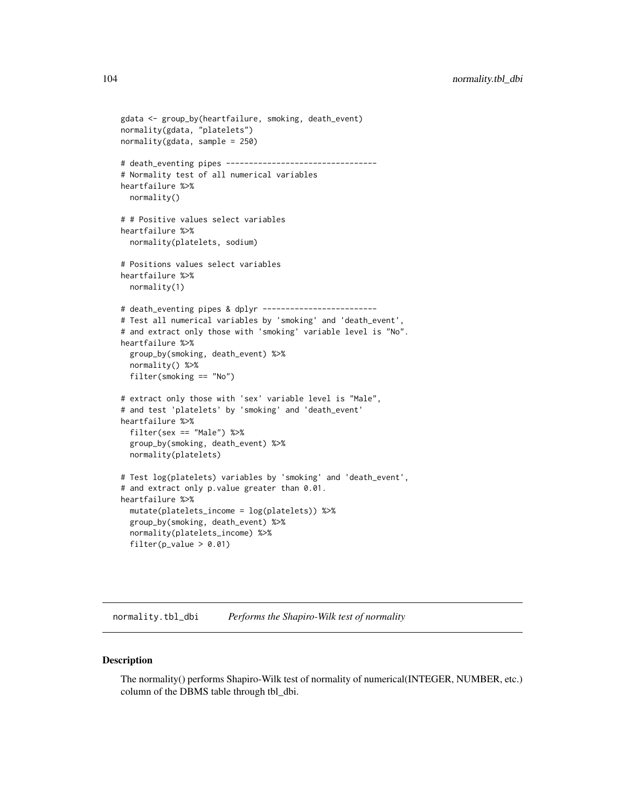104 normality.tbl\_dbi

```
gdata <- group_by(heartfailure, smoking, death_event)
normality(gdata, "platelets")
normality(gdata, sample = 250)
# death_eventing pipes ---------------------------------
# Normality test of all numerical variables
heartfailure %>%
  normality()
# # Positive values select variables
heartfailure %>%
  normality(platelets, sodium)
# Positions values select variables
heartfailure %>%
  normality(1)
# death_eventing pipes & dplyr -------------------------
# Test all numerical variables by 'smoking' and 'death_event',
# and extract only those with 'smoking' variable level is "No".
heartfailure %>%
  group_by(smoking, death_event) %>%
  normality() %>%
  filter(smoking == "No")
# extract only those with 'sex' variable level is "Male",
# and test 'platelets' by 'smoking' and 'death_event'
heartfailure %>%
  filter(sex == "Male") %>%
  group_by(smoking, death_event) %>%
  normality(platelets)
# Test log(platelets) variables by 'smoking' and 'death_event',
# and extract only p.value greater than 0.01.
heartfailure %>%
  mutate(platelets_income = log(platelets)) %>%
  group_by(smoking, death_event) %>%
  normality(platelets_income) %>%
  filter(p_value > 0.01)
```
<span id="page-103-0"></span>normality.tbl\_dbi *Performs the Shapiro-Wilk test of normality*

#### Description

The normality() performs Shapiro-Wilk test of normality of numerical(INTEGER, NUMBER, etc.) column of the DBMS table through tbl\_dbi.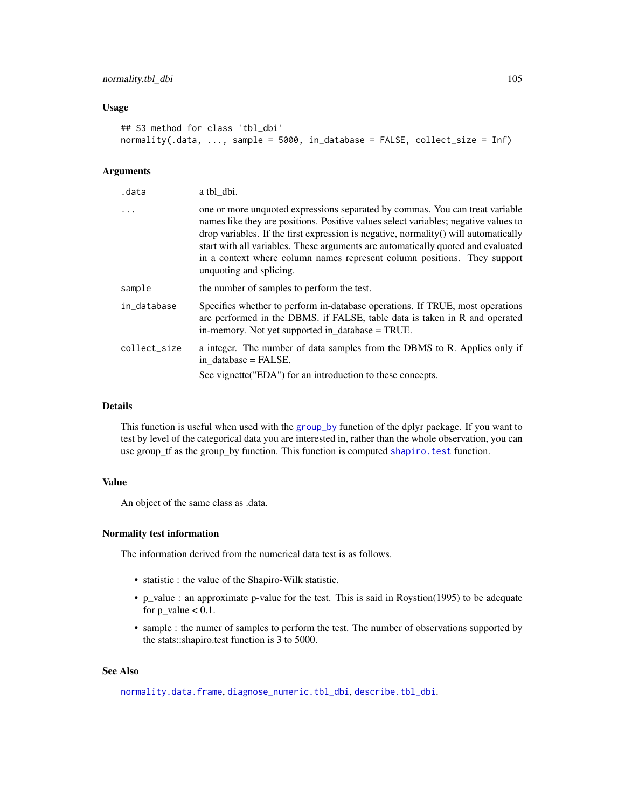#### Usage

```
## S3 method for class 'tbl_dbi'
normality(.data, ..., sample = 5000, in_database = FALSE, collect_size = Inf)
```
## Arguments

| .data        | a tbl_dbi.                                                                                                                                                                                                                                                                                                                                                                                                                                            |
|--------------|-------------------------------------------------------------------------------------------------------------------------------------------------------------------------------------------------------------------------------------------------------------------------------------------------------------------------------------------------------------------------------------------------------------------------------------------------------|
| .            | one or more unquoted expressions separated by commas. You can treat variable<br>names like they are positions. Positive values select variables; negative values to<br>drop variables. If the first expression is negative, normality() will automatically<br>start with all variables. These arguments are automatically quoted and evaluated<br>in a context where column names represent column positions. They support<br>unquoting and splicing. |
| sample       | the number of samples to perform the test.                                                                                                                                                                                                                                                                                                                                                                                                            |
| in_database  | Specifies whether to perform in-database operations. If TRUE, most operations<br>are performed in the DBMS. if FALSE, table data is taken in R and operated<br>in-memory. Not yet supported in_database = TRUE.                                                                                                                                                                                                                                       |
| collect_size | a integer. The number of data samples from the DBMS to R. Applies only if<br>in database = FALSE.                                                                                                                                                                                                                                                                                                                                                     |
|              | See vignette ("EDA") for an introduction to these concepts.                                                                                                                                                                                                                                                                                                                                                                                           |

#### Details

This function is useful when used with the [group\\_by](#page-0-0) function of the dplyr package. If you want to test by level of the categorical data you are interested in, rather than the whole observation, you can use group\_tf as the group\_by function. This function is computed shapiro. test function.

## Value

An object of the same class as .data.

## Normality test information

The information derived from the numerical data test is as follows.

- statistic : the value of the Shapiro-Wilk statistic.
- p\_value : an approximate p-value for the test. This is said in Roystion(1995) to be adequate for  $p_value < 0.1$ .
- sample : the numer of samples to perform the test. The number of observations supported by the stats::shapiro.test function is 3 to 5000.

#### See Also

[normality.data.frame](#page-101-0), [diagnose\\_numeric.tbl\\_dbi](#page-38-0), [describe.tbl\\_dbi](#page-23-0).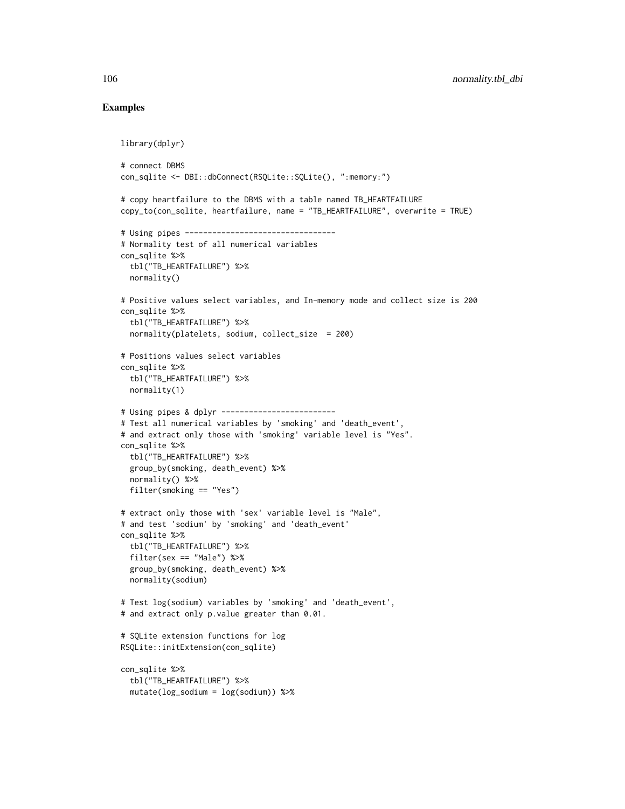```
library(dplyr)
# connect DBMS
con_sqlite <- DBI::dbConnect(RSQLite::SQLite(), ":memory:")
# copy heartfailure to the DBMS with a table named TB_HEARTFAILURE
copy_to(con_sqlite, heartfailure, name = "TB_HEARTFAILURE", overwrite = TRUE)
# Using pipes ---------------------------------
# Normality test of all numerical variables
con_sqlite %>%
  tbl("TB_HEARTFAILURE") %>%
  normality()
# Positive values select variables, and In-memory mode and collect size is 200
con_sqlite %>%
  tbl("TB_HEARTFAILURE") %>%
  normality(platelets, sodium, collect_size = 200)
# Positions values select variables
con_sqlite %>%
  tbl("TB_HEARTFAILURE") %>%
 normality(1)
# Using pipes & dplyr -------------------------
# Test all numerical variables by 'smoking' and 'death_event',
# and extract only those with 'smoking' variable level is "Yes".
con_sqlite %>%
  tbl("TB_HEARTFAILURE") %>%
  group_by(smoking, death_event) %>%
  normality() %>%
  filter(smoking == "Yes")
# extract only those with 'sex' variable level is "Male",
# and test 'sodium' by 'smoking' and 'death_event'
con_sqlite %>%
  tbl("TB_HEARTFAILURE") %>%
  filter(sex == "Male") %>%
  group_by(smoking, death_event) %>%
  normality(sodium)
# Test log(sodium) variables by 'smoking' and 'death_event',
# and extract only p.value greater than 0.01.
# SQLite extension functions for log
RSQLite::initExtension(con_sqlite)
con_sqlite %>%
  tbl("TB_HEARTFAILURE") %>%
  mutate(log_sodium = log(sodium)) %>%
```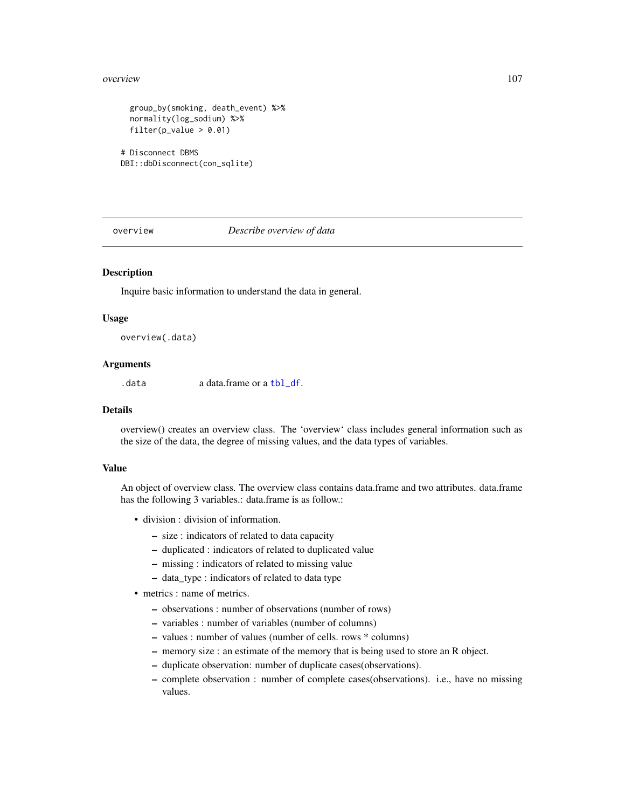#### overview 107

```
group_by(smoking, death_event) %>%
 normality(log_sodium) %>%
 filter(p_value > 0.01)
# Disconnect DBMS
DBI::dbDisconnect(con_sqlite)
```
overview *Describe overview of data*

## Description

Inquire basic information to understand the data in general.

#### Usage

overview(.data)

## Arguments

.data a data.frame or a [tbl\\_df](#page-0-0).

## Details

overview() creates an overview class. The 'overview' class includes general information such as the size of the data, the degree of missing values, and the data types of variables.

#### Value

An object of overview class. The overview class contains data.frame and two attributes. data.frame has the following 3 variables.: data.frame is as follow.:

- division : division of information.
	- size : indicators of related to data capacity
	- duplicated : indicators of related to duplicated value
	- missing : indicators of related to missing value
	- data\_type : indicators of related to data type
- metrics : name of metrics.
	- observations : number of observations (number of rows)
	- variables : number of variables (number of columns)
	- values : number of values (number of cells. rows \* columns)
	- memory size : an estimate of the memory that is being used to store an R object.
	- duplicate observation: number of duplicate cases(observations).
	- complete observation : number of complete cases(observations). i.e., have no missing values.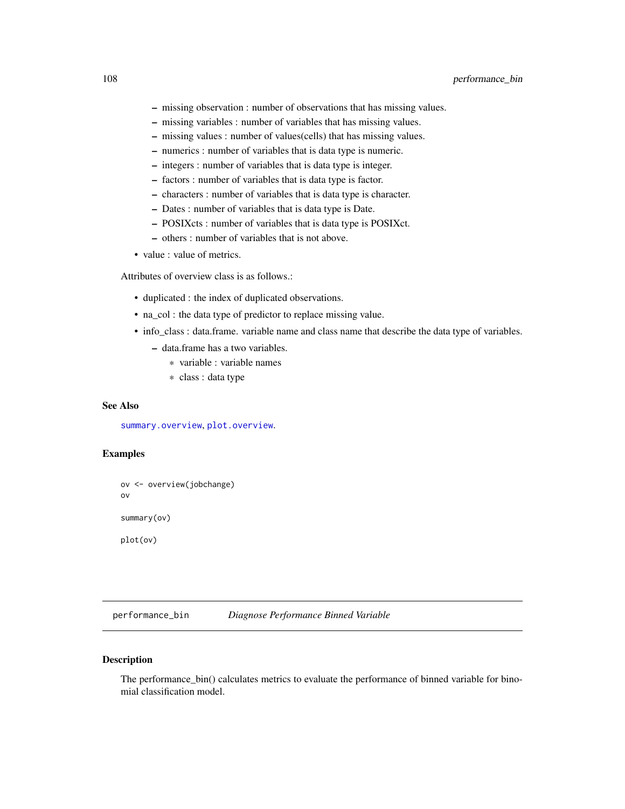- missing observation : number of observations that has missing values.
- missing variables : number of variables that has missing values.
- missing values : number of values(cells) that has missing values.
- numerics : number of variables that is data type is numeric.
- integers : number of variables that is data type is integer.
- factors : number of variables that is data type is factor.
- characters : number of variables that is data type is character.
- Dates : number of variables that is data type is Date.
- POSIXcts : number of variables that is data type is POSIXct.
- others : number of variables that is not above.
- value : value of metrics.

Attributes of overview class is as follows.:

- duplicated : the index of duplicated observations.
- na\_col : the data type of predictor to replace missing value.
- info\_class : data.frame. variable name and class name that describe the data type of variables.
	- data.frame has a two variables.
		- \* variable : variable names
		- \* class : data type

## See Also

[summary.overview](#page-175-0), [plot.overview](#page-120-0).

# Examples

```
ov <- overview(jobchange)
ov
summary(ov)
plot(ov)
```
performance\_bin *Diagnose Performance Binned Variable*

#### Description

The performance\_bin() calculates metrics to evaluate the performance of binned variable for binomial classification model.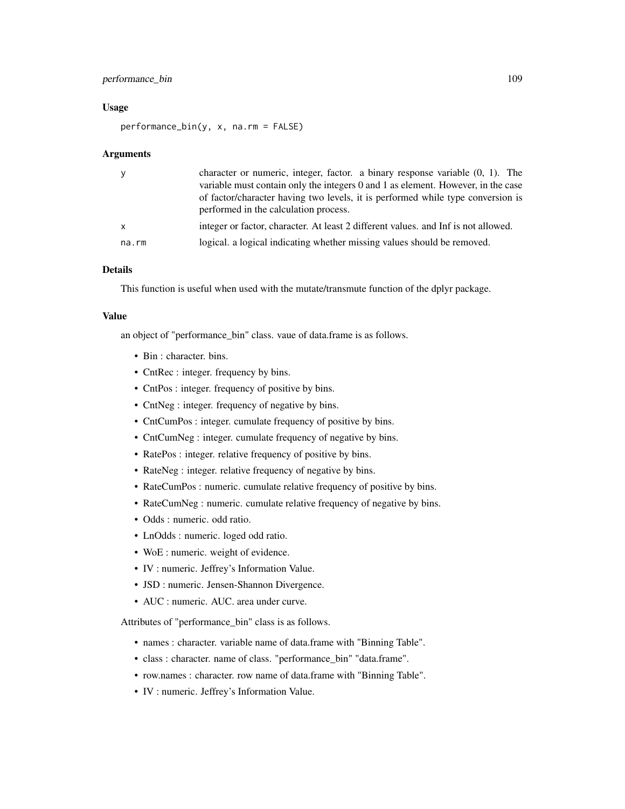# performance\_bin 109

#### Usage

performance\_bin(y, x, na.rm = FALSE)

#### Arguments

| y            | character or numeric, integer, factor. a binary response variable $(0, 1)$ . The<br>variable must contain only the integers 0 and 1 as element. However, in the case |
|--------------|----------------------------------------------------------------------------------------------------------------------------------------------------------------------|
|              | of factor/character having two levels, it is performed while type conversion is<br>performed in the calculation process.                                             |
| $\mathsf{x}$ | integer or factor, character. At least 2 different values, and Inf is not allowed.                                                                                   |
| na.rm        | logical. a logical indicating whether missing values should be removed.                                                                                              |

# Details

This function is useful when used with the mutate/transmute function of the dplyr package.

## Value

an object of "performance\_bin" class. vaue of data.frame is as follows.

- Bin : character. bins.
- CntRec : integer. frequency by bins.
- CntPos : integer. frequency of positive by bins.
- CntNeg : integer. frequency of negative by bins.
- CntCumPos : integer. cumulate frequency of positive by bins.
- CntCumNeg : integer. cumulate frequency of negative by bins.
- RatePos : integer. relative frequency of positive by bins.
- RateNeg : integer. relative frequency of negative by bins.
- RateCumPos : numeric. cumulate relative frequency of positive by bins.
- RateCumNeg : numeric. cumulate relative frequency of negative by bins.
- Odds : numeric. odd ratio.
- LnOdds : numeric. loged odd ratio.
- WoE : numeric. weight of evidence.
- IV : numeric. Jeffrey's Information Value.
- JSD : numeric. Jensen-Shannon Divergence.
- AUC : numeric. AUC. area under curve.

Attributes of "performance\_bin" class is as follows.

- names : character. variable name of data.frame with "Binning Table".
- class : character. name of class. "performance\_bin" "data.frame".
- row.names : character. row name of data.frame with "Binning Table".
- IV : numeric. Jeffrey's Information Value.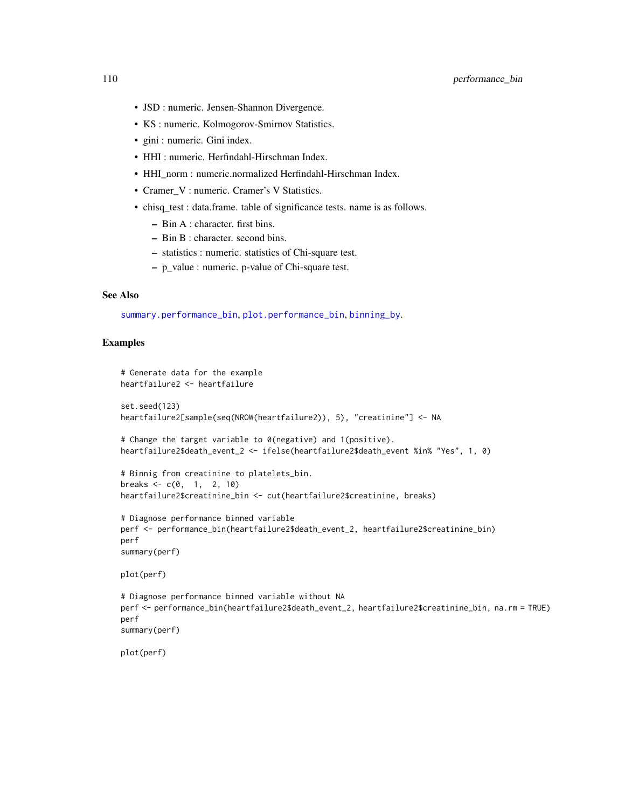- JSD : numeric. Jensen-Shannon Divergence.
- KS : numeric. Kolmogorov-Smirnov Statistics.
- gini : numeric. Gini index.
- HHI : numeric. Herfindahl-Hirschman Index.
- HHI\_norm : numeric.normalized Herfindahl-Hirschman Index.
- Cramer\_V : numeric. Cramer's V Statistics.
- chisq\_test : data.frame. table of significance tests. name is as follows.
	- Bin A : character. first bins.
	- Bin B : character. second bins.
	- statistics : numeric. statistics of Chi-square test.
	- p\_value : numeric. p-value of Chi-square test.

## See Also

[summary.performance\\_bin](#page-176-0), [plot.performance\\_bin](#page-121-0), [binning\\_by](#page-6-0).

```
# Generate data for the example
heartfailure2 <- heartfailure
set.seed(123)
heartfailure2[sample(seq(NROW(heartfailure2)), 5), "creatinine"] <- NA
# Change the target variable to 0(negative) and 1(positive).
heartfailure2$death_event_2 <- ifelse(heartfailure2$death_event %in% "Yes", 1, 0)
# Binnig from creatinine to platelets_bin.
breaks <- c(0, 1, 2, 10)heartfailure2$creatinine_bin <- cut(heartfailure2$creatinine, breaks)
# Diagnose performance binned variable
perf <- performance_bin(heartfailure2$death_event_2, heartfailure2$creatinine_bin)
perf
summary(perf)
plot(perf)
# Diagnose performance binned variable without NA
perf <- performance_bin(heartfailure2$death_event_2, heartfailure2$creatinine_bin, na.rm = TRUE)
perf
summary(perf)
plot(perf)
```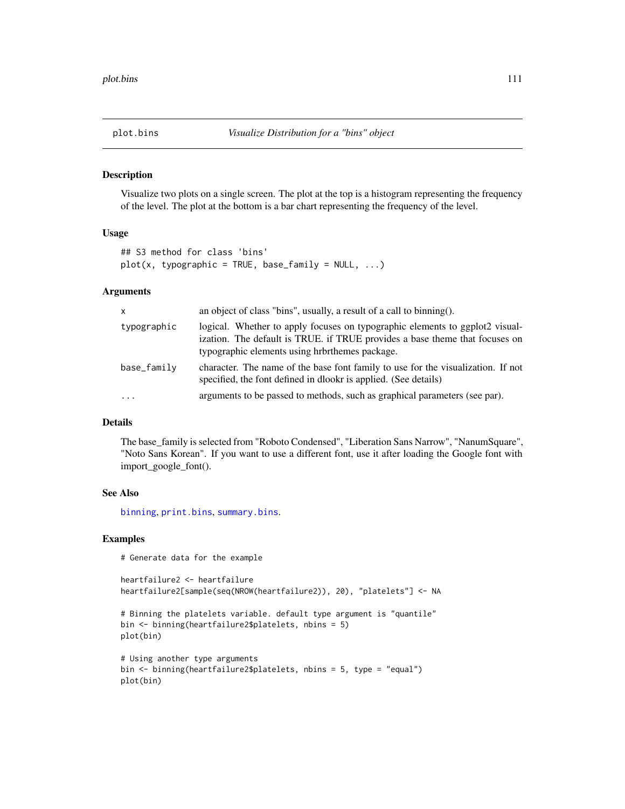## Description

Visualize two plots on a single screen. The plot at the top is a histogram representing the frequency of the level. The plot at the bottom is a bar chart representing the frequency of the level.

## Usage

```
## S3 method for class 'bins'
plot(x, typographic = TRUE, base-family = NULL, ...)
```
## Arguments

| $\mathsf{x}$ | an object of class "bins", usually, a result of a call to binning().                                                                                                                                          |
|--------------|---------------------------------------------------------------------------------------------------------------------------------------------------------------------------------------------------------------|
| typographic  | logical. Whether to apply focuses on typographic elements to ggplot2 visual-<br>ization. The default is TRUE. if TRUE provides a base theme that focuses on<br>typographic elements using hrbrthemes package. |
| base_family  | character. The name of the base font family to use for the visualization. If not<br>specified, the font defined in dlookr is applied. (See details)                                                           |
| .            | arguments to be passed to methods, such as graphical parameters (see par).                                                                                                                                    |

#### Details

The base\_family is selected from "Roboto Condensed", "Liberation Sans Narrow", "NanumSquare", "Noto Sans Korean". If you want to use a different font, use it after loading the Google font with import\_google\_font().

#### See Also

[binning](#page-4-0), [print.bins](#page-164-0), [summary.bins](#page-164-1).

#### Examples

# Generate data for the example

```
heartfailure2 <- heartfailure
heartfailure2[sample(seq(NROW(heartfailure2)), 20), "platelets"] <- NA
```

```
# Binning the platelets variable. default type argument is "quantile"
bin <- binning(heartfailure2$platelets, nbins = 5)
plot(bin)
```

```
# Using another type arguments
bin <- binning(heartfailure2$platelets, nbins = 5, type = "equal")
plot(bin)
```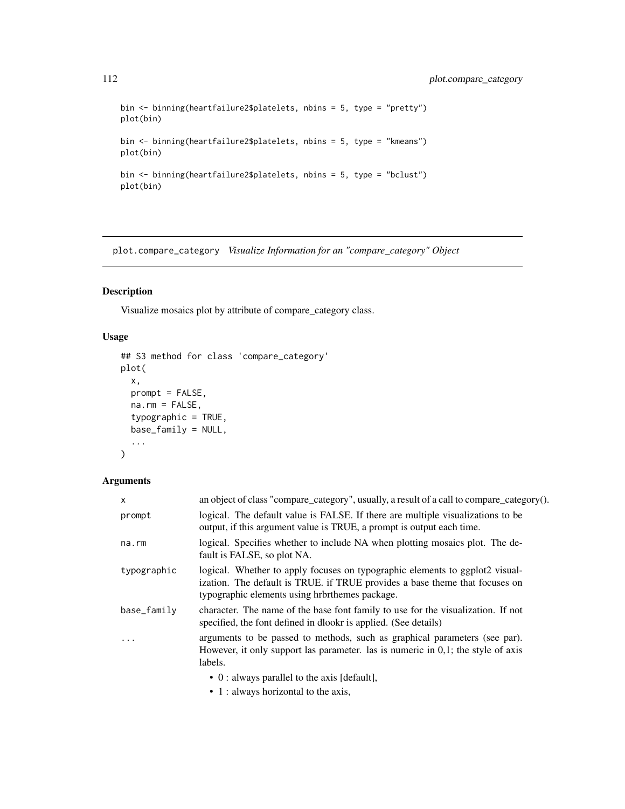```
bin <- binning(heartfailure2$platelets, nbins = 5, type = "pretty")
plot(bin)
bin <- binning(heartfailure2$platelets, nbins = 5, type = "kmeans")
plot(bin)
bin <- binning(heartfailure2$platelets, nbins = 5, type = "bclust")
plot(bin)
```
plot.compare\_category *Visualize Information for an "compare\_category" Object*

## Description

Visualize mosaics plot by attribute of compare\_category class.

# Usage

```
## S3 method for class 'compare_category'
plot(
  x,
  prompt = FALSE,
  na.rm = FALSE,
  typographic = TRUE,
  base_family = NULL,
  ...
\mathcal{L}
```
# Arguments

| $\times$    | an object of class "compare_category", usually, a result of a call to compare_category().                                                                                                                     |
|-------------|---------------------------------------------------------------------------------------------------------------------------------------------------------------------------------------------------------------|
| prompt      | logical. The default value is FALSE. If there are multiple visualizations to be<br>output, if this argument value is TRUE, a prompt is output each time.                                                      |
| $na$ . $rm$ | logical. Specifies whether to include NA when plotting mosaics plot. The de-<br>fault is FALSE, so plot NA.                                                                                                   |
| typographic | logical. Whether to apply focuses on typographic elements to ggplot2 visual-<br>ization. The default is TRUE. if TRUE provides a base theme that focuses on<br>typographic elements using hrbrthemes package. |
| base_family | character. The name of the base font family to use for the visualization. If not<br>specified, the font defined in dlookr is applied. (See details)                                                           |
|             | arguments to be passed to methods, such as graphical parameters (see par).<br>However, it only support las parameter. las is numeric in $0,1$ ; the style of axis<br>labels.                                  |
|             | $\bullet$ 0 : always parallel to the axis [default],                                                                                                                                                          |
|             | • 1 : always horizontal to the axis,                                                                                                                                                                          |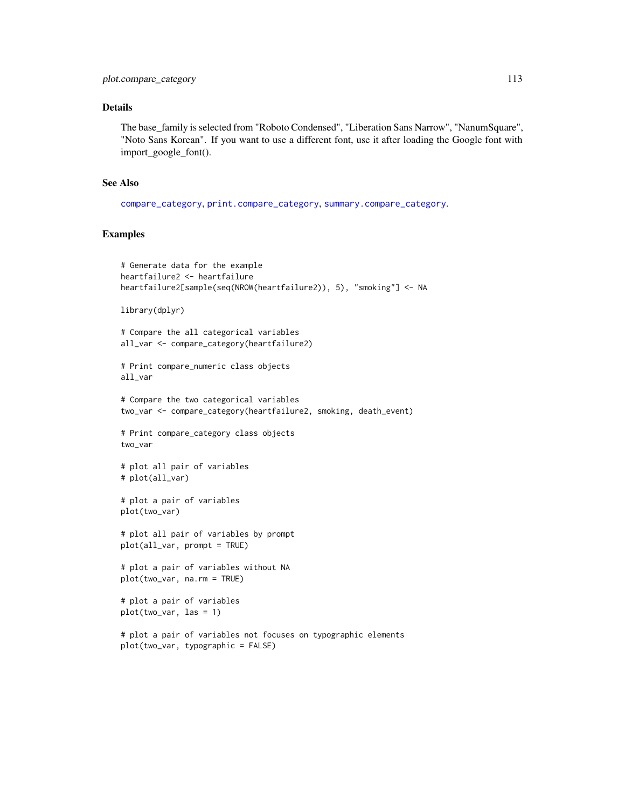## Details

The base\_family is selected from "Roboto Condensed", "Liberation Sans Narrow", "NanumSquare", "Noto Sans Korean". If you want to use a different font, use it after loading the Google font with import\_google\_font().

#### See Also

[compare\\_category](#page-10-0), [print.compare\\_category](#page-165-0), [summary.compare\\_category](#page-165-1).

```
# Generate data for the example
heartfailure2 <- heartfailure
heartfailure2[sample(seq(NROW(heartfailure2)), 5), "smoking"] <- NA
library(dplyr)
# Compare the all categorical variables
all_var <- compare_category(heartfailure2)
# Print compare_numeric class objects
all_var
# Compare the two categorical variables
two_var <- compare_category(heartfailure2, smoking, death_event)
# Print compare_category class objects
two_var
# plot all pair of variables
# plot(all_var)
# plot a pair of variables
plot(two_var)
# plot all pair of variables by prompt
plot(all_var, prompt = TRUE)
# plot a pair of variables without NA
plot(two_var, na.rm = TRUE)
# plot a pair of variables
plot(two_var, las = 1)
# plot a pair of variables not focuses on typographic elements
plot(two_var, typographic = FALSE)
```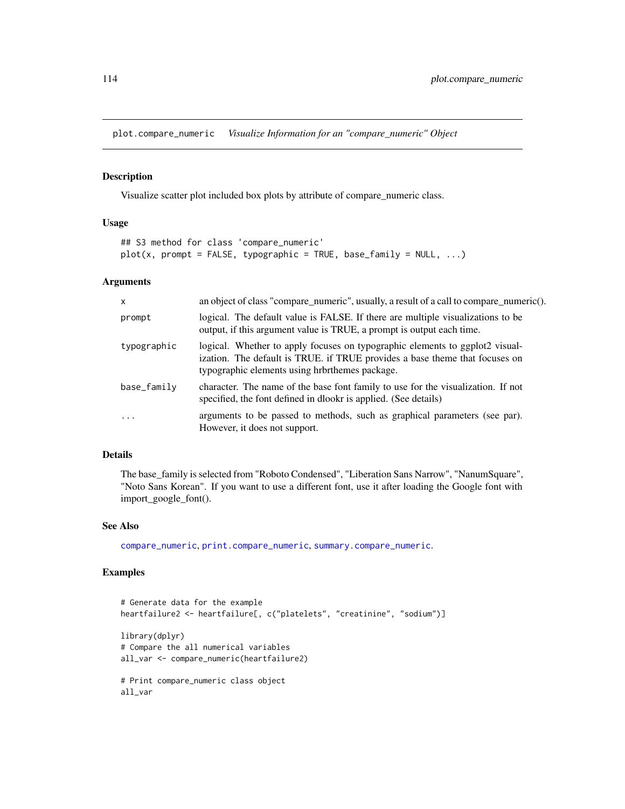plot.compare\_numeric *Visualize Information for an "compare\_numeric" Object*

#### Description

Visualize scatter plot included box plots by attribute of compare\_numeric class.

## Usage

```
## S3 method for class 'compare_numeric'
plot(x, prompt = FALSE, typographic = TRUE, base-family = null;">NULL, ...)
```
## Arguments

| $\mathsf{x}$ | an object of class "compare_numeric", usually, a result of a call to compare_numeric().                                                                                                                       |
|--------------|---------------------------------------------------------------------------------------------------------------------------------------------------------------------------------------------------------------|
| prompt       | logical. The default value is FALSE. If there are multiple visualizations to be<br>output, if this argument value is TRUE, a prompt is output each time.                                                      |
| typographic  | logical. Whether to apply focuses on typographic elements to ggplot2 visual-<br>ization. The default is TRUE. if TRUE provides a base theme that focuses on<br>typographic elements using hrbrthemes package. |
| base_family  | character. The name of the base font family to use for the visualization. If not<br>specified, the font defined in dlookr is applied. (See details)                                                           |
| $\cdot$      | arguments to be passed to methods, such as graphical parameters (see par).<br>However, it does not support.                                                                                                   |

# Details

The base\_family is selected from "Roboto Condensed", "Liberation Sans Narrow", "NanumSquare", "Noto Sans Korean". If you want to use a different font, use it after loading the Google font with import\_google\_font().

#### See Also

[compare\\_numeric](#page-13-0), [print.compare\\_numeric](#page-167-0), [summary.compare\\_numeric](#page-167-1).

```
# Generate data for the example
heartfailure2 <- heartfailure[, c("platelets", "creatinine", "sodium")]
library(dplyr)
# Compare the all numerical variables
all_var <- compare_numeric(heartfailure2)
# Print compare_numeric class object
all_var
```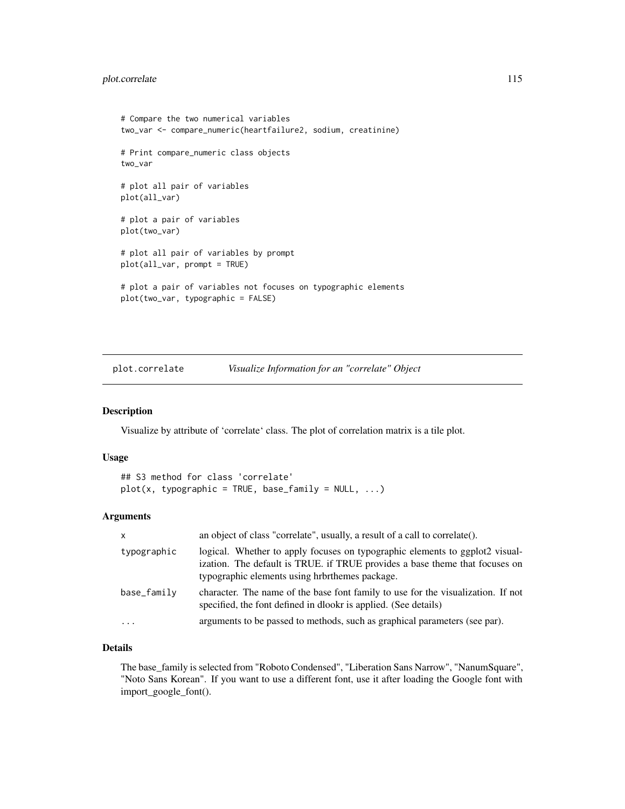## plot.correlate 115

```
# Compare the two numerical variables
two_var <- compare_numeric(heartfailure2, sodium, creatinine)
# Print compare_numeric class objects
two_var
# plot all pair of variables
plot(all_var)
# plot a pair of variables
plot(two_var)
# plot all pair of variables by prompt
plot(all_var, prompt = TRUE)
# plot a pair of variables not focuses on typographic elements
plot(two_var, typographic = FALSE)
```
plot.correlate *Visualize Information for an "correlate" Object*

# Description

Visualize by attribute of 'correlate' class. The plot of correlation matrix is a tile plot.

### Usage

```
## S3 method for class 'correlate'
plot(x, typographic = TRUE, base-family = NULL, ...)
```
# Arguments

| $\times$    | an object of class "correlate", usually, a result of a call to correlate().                                                                                                                                   |
|-------------|---------------------------------------------------------------------------------------------------------------------------------------------------------------------------------------------------------------|
| typographic | logical. Whether to apply focuses on typographic elements to ggplot2 visual-<br>ization. The default is TRUE. if TRUE provides a base theme that focuses on<br>typographic elements using hrbrthemes package. |
| base_family | character. The name of the base font family to use for the visualization. If not<br>specified, the font defined in dlookr is applied. (See details)                                                           |
| $\cdots$    | arguments to be passed to methods, such as graphical parameters (see par).                                                                                                                                    |

# Details

The base\_family is selected from "Roboto Condensed", "Liberation Sans Narrow", "NanumSquare", "Noto Sans Korean". If you want to use a different font, use it after loading the Google font with import\_google\_font().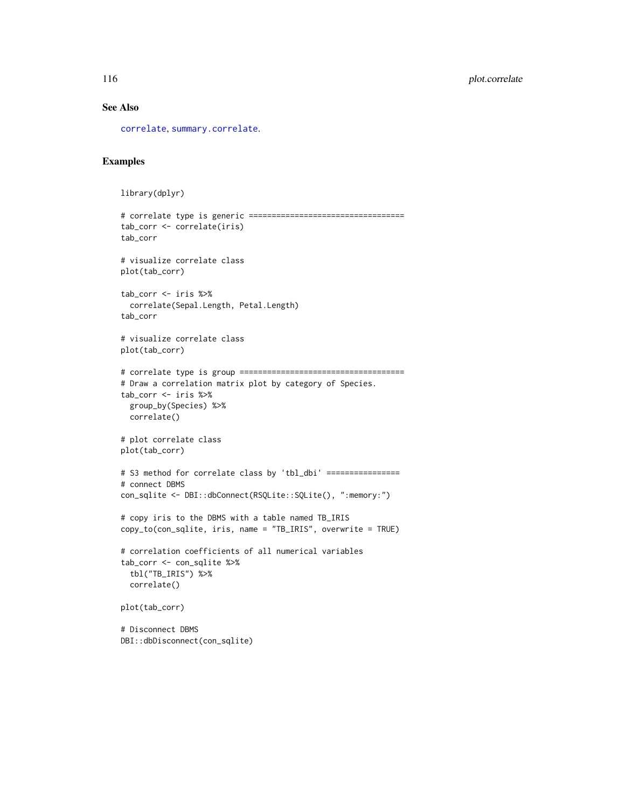## See Also

[correlate](#page-16-0), [summary.correlate](#page-170-0).

```
library(dplyr)
# correlate type is generic ==================================
tab_corr <- correlate(iris)
tab_corr
# visualize correlate class
plot(tab_corr)
tab_corr <- iris %>%
  correlate(Sepal.Length, Petal.Length)
tab_corr
# visualize correlate class
plot(tab_corr)
# correlate type is group ====================================
# Draw a correlation matrix plot by category of Species.
tab_corr <- iris %>%
  group_by(Species) %>%
  correlate()
# plot correlate class
plot(tab_corr)
# S3 method for correlate class by 'tbl_dbi' ================
# connect DBMS
con_sqlite <- DBI::dbConnect(RSQLite::SQLite(), ":memory:")
# copy iris to the DBMS with a table named TB_IRIS
copy_to(con_sqlite, iris, name = "TB_IRIS", overwrite = TRUE)
# correlation coefficients of all numerical variables
tab_corr <- con_sqlite %>%
 tbl("TB_IRIS") %>%
  correlate()
plot(tab_corr)
# Disconnect DBMS
DBI::dbDisconnect(con_sqlite)
```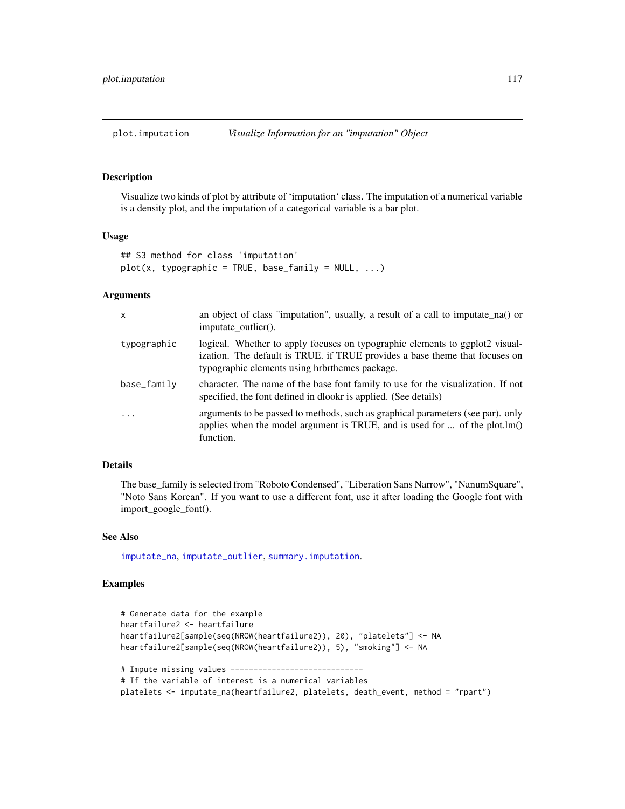#### Description

Visualize two kinds of plot by attribute of 'imputation' class. The imputation of a numerical variable is a density plot, and the imputation of a categorical variable is a bar plot.

### Usage

```
## S3 method for class 'imputation'
plot(x, typographic = TRUE, base-family = NULL, ...)
```
#### Arguments

| X           | an object of class "imputation", usually, a result of a call to imputate_na() or<br>imputate outlier().                                                                                                       |
|-------------|---------------------------------------------------------------------------------------------------------------------------------------------------------------------------------------------------------------|
| typographic | logical. Whether to apply focuses on typographic elements to ggplot2 visual-<br>ization. The default is TRUE. if TRUE provides a base theme that focuses on<br>typographic elements using hrbrthemes package. |
| base_family | character. The name of the base font family to use for the visualization. If not<br>specified, the font defined in dlookr is applied. (See details)                                                           |
| $\ddots$ .  | arguments to be passed to methods, such as graphical parameters (see par). only<br>applies when the model argument is TRUE, and is used for $\dots$ of the plot.lm()<br>function.                             |

## Details

The base\_family is selected from "Roboto Condensed", "Liberation Sans Narrow", "NanumSquare", "Noto Sans Korean". If you want to use a different font, use it after loading the Google font with import\_google\_font().

## See Also

[imputate\\_na](#page-94-0), [imputate\\_outlier](#page-96-0), [summary.imputation](#page-172-0).

```
# Generate data for the example
heartfailure2 <- heartfailure
heartfailure2[sample(seq(NROW(heartfailure2)), 20), "platelets"] <- NA
heartfailure2[sample(seq(NROW(heartfailure2)), 5), "smoking"] <- NA
# Impute missing values -----------------------------
# If the variable of interest is a numerical variables
platelets <- imputate_na(heartfailure2, platelets, death_event, method = "rpart")
```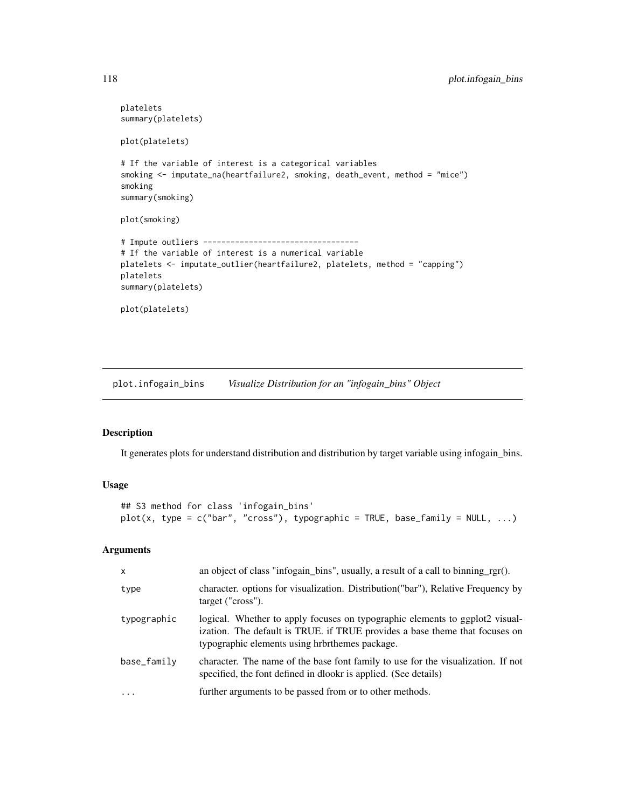```
platelets
summary(platelets)
plot(platelets)
# If the variable of interest is a categorical variables
smoking <- imputate_na(heartfailure2, smoking, death_event, method = "mice")
smoking
summary(smoking)
plot(smoking)
# Impute outliers ----------------------------------
# If the variable of interest is a numerical variable
platelets <- imputate_outlier(heartfailure2, platelets, method = "capping")
platelets
summary(platelets)
plot(platelets)
```
plot.infogain\_bins *Visualize Distribution for an "infogain\_bins" Object*

# Description

It generates plots for understand distribution and distribution by target variable using infogain\_bins.

## Usage

```
## S3 method for class 'infogain_bins'
plot(x, type = c("bar", "cross"), typographic = TRUE, base-family = null;">NULL, ...)
```
## Arguments

| $\mathsf{x}$ | an object of class "infogain_bins", usually, a result of a call to binning_rgr().                                                                                                                             |
|--------------|---------------------------------------------------------------------------------------------------------------------------------------------------------------------------------------------------------------|
| type         | character. options for visualization. Distribution ("bar"), Relative Frequency by<br>target ("cross").                                                                                                        |
| typographic  | logical. Whether to apply focuses on typographic elements to ggplot2 visual-<br>ization. The default is TRUE. if TRUE provides a base theme that focuses on<br>typographic elements using hrbrthemes package. |
| base_family  | character. The name of the base font family to use for the visualization. If not<br>specified, the font defined in dlookr is applied. (See details)                                                           |
| $\cdots$     | further arguments to be passed from or to other methods.                                                                                                                                                      |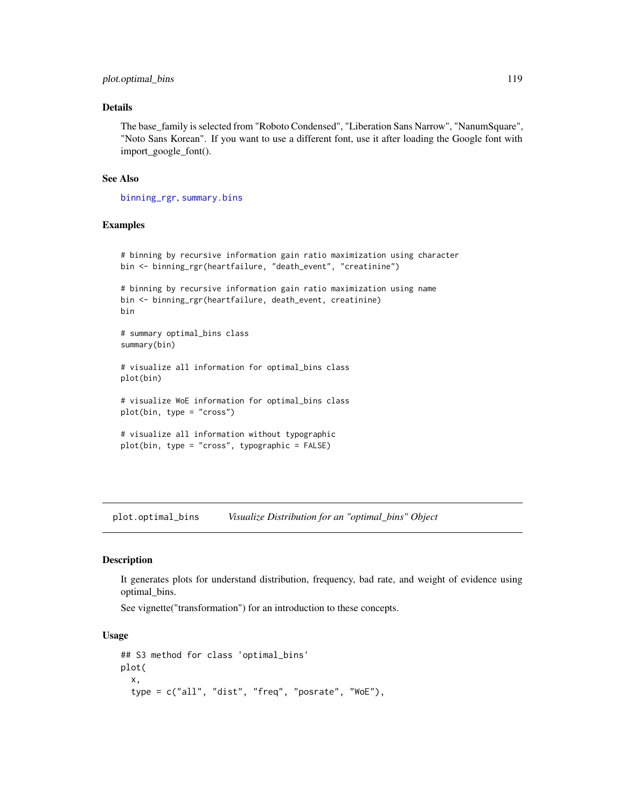## plot.optimal\_bins 119

## Details

The base\_family is selected from "Roboto Condensed", "Liberation Sans Narrow", "NanumSquare", "Noto Sans Korean". If you want to use a different font, use it after loading the Google font with import\_google\_font().

#### See Also

[binning\\_rgr](#page-8-0), [summary.bins](#page-164-1)

# Examples

```
# binning by recursive information gain ratio maximization using character
bin <- binning_rgr(heartfailure, "death_event", "creatinine")
# binning by recursive information gain ratio maximization using name
bin <- binning_rgr(heartfailure, death_event, creatinine)
bin
# summary optimal_bins class
summary(bin)
# visualize all information for optimal_bins class
plot(bin)
# visualize WoE information for optimal_bins class
plot(bin, type = "cross")
# visualize all information without typographic
plot(bin, type = "cross", typographic = FALSE)
```
<span id="page-118-0"></span>plot.optimal\_bins *Visualize Distribution for an "optimal\_bins" Object*

## Description

It generates plots for understand distribution, frequency, bad rate, and weight of evidence using optimal\_bins.

See vignette("transformation") for an introduction to these concepts.

#### Usage

```
## S3 method for class 'optimal_bins'
plot(
  x,
  type = c("all", "dist", "freq", "posrate", "WoE"),
```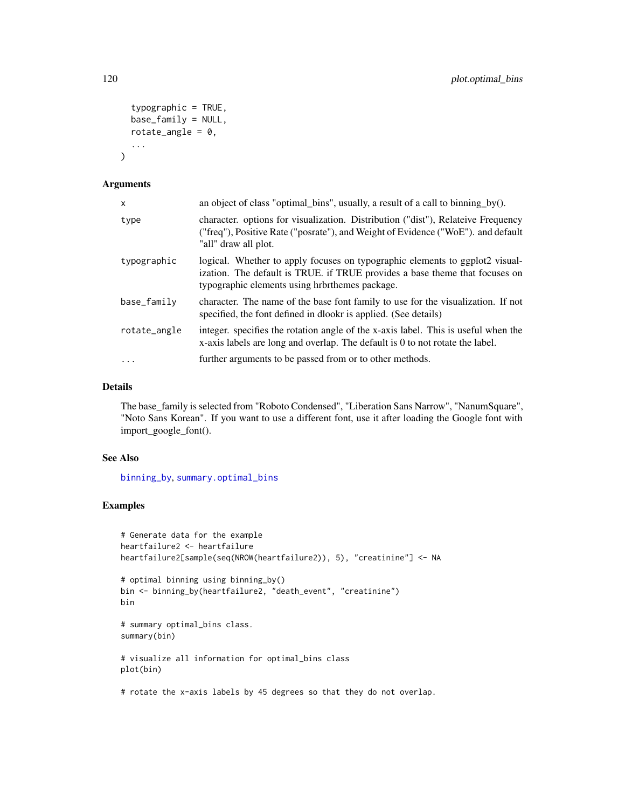```
typographic = TRUE,
base_family = NULL,
rotate_angle = 0,
...
```
## Arguments

)

| $\times$     | an object of class "optimal_bins", usually, a result of a call to binning_by().                                                                                                                               |
|--------------|---------------------------------------------------------------------------------------------------------------------------------------------------------------------------------------------------------------|
| type         | character, options for visualization. Distribution ("dist"), Relateive Frequency<br>("freq"), Positive Rate ("posrate"), and Weight of Evidence ("WoE"). and default<br>"all" draw all plot.                  |
| typographic  | logical. Whether to apply focuses on typographic elements to ggplot2 visual-<br>ization. The default is TRUE. if TRUE provides a base theme that focuses on<br>typographic elements using hrbrthemes package. |
| base_family  | character. The name of the base font family to use for the visualization. If not<br>specified, the font defined in dlookr is applied. (See details)                                                           |
| rotate_angle | integer, specifies the rotation angle of the x-axis label. This is useful when the<br>x-axis labels are long and overlap. The default is 0 to not rotate the label.                                           |
| $\cdots$     | further arguments to be passed from or to other methods.                                                                                                                                                      |

## Details

The base\_family is selected from "Roboto Condensed", "Liberation Sans Narrow", "NanumSquare", "Noto Sans Korean". If you want to use a different font, use it after loading the Google font with import\_google\_font().

## See Also

[binning\\_by](#page-6-0), [summary.optimal\\_bins](#page-173-0)

```
# Generate data for the example
heartfailure2 <- heartfailure
heartfailure2[sample(seq(NROW(heartfailure2)), 5), "creatinine"] <- NA
# optimal binning using binning_by()
bin <- binning_by(heartfailure2, "death_event", "creatinine")
bin
# summary optimal_bins class.
summary(bin)
# visualize all information for optimal_bins class
plot(bin)
# rotate the x-axis labels by 45 degrees so that they do not overlap.
```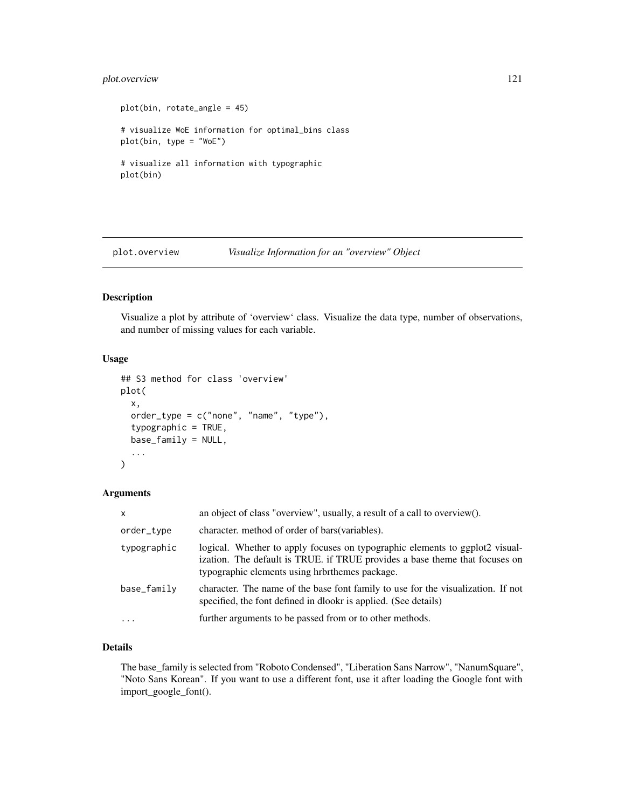# plot.overview 121

```
plot(bin, rotate_angle = 45)
# visualize WoE information for optimal_bins class
plot(bin, type = "WoE")
# visualize all information with typographic
plot(bin)
```
plot.overview *Visualize Information for an "overview" Object*

# Description

Visualize a plot by attribute of 'overview' class. Visualize the data type, number of observations, and number of missing values for each variable.

# Usage

```
## S3 method for class 'overview'
plot(
  x,
 order_type = c("none", "name", "type"),
  typographic = TRUE,
 base_family = NULL,
  ...
)
```
## Arguments

| $\mathsf{x}$ | an object of class "overview", usually, a result of a call to overview().                                                                                                                                     |
|--------------|---------------------------------------------------------------------------------------------------------------------------------------------------------------------------------------------------------------|
| order_type   | character, method of order of bars (variables).                                                                                                                                                               |
| typographic  | logical. Whether to apply focuses on typographic elements to ggplot2 visual-<br>ization. The default is TRUE. if TRUE provides a base theme that focuses on<br>typographic elements using hrbrthemes package. |
| base_family  | character. The name of the base font family to use for the visualization. If not<br>specified, the font defined in dlookr is applied. (See details)                                                           |
| $\ddotsc$    | further arguments to be passed from or to other methods.                                                                                                                                                      |

# Details

The base\_family is selected from "Roboto Condensed", "Liberation Sans Narrow", "NanumSquare", "Noto Sans Korean". If you want to use a different font, use it after loading the Google font with import\_google\_font().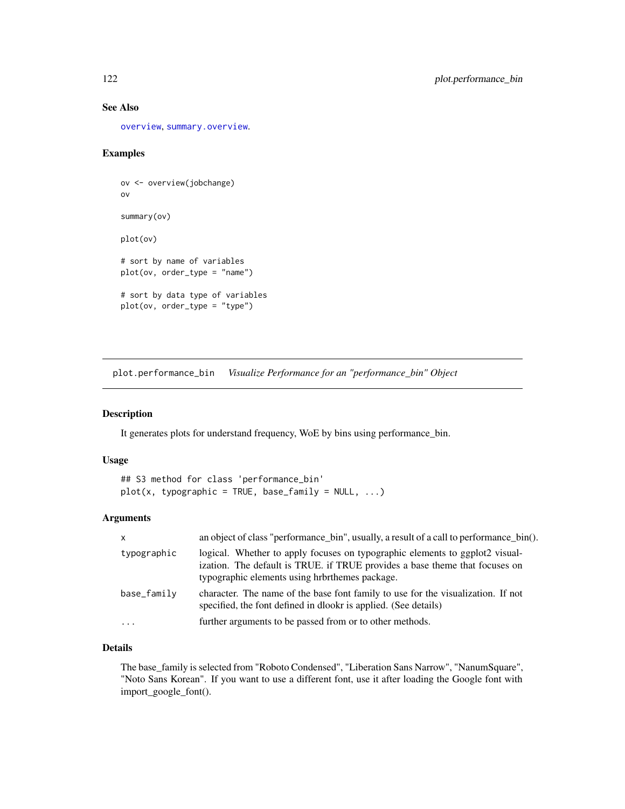# See Also

[overview](#page-106-0), [summary.overview](#page-175-0).

## Examples

```
ov <- overview(jobchange)
ov
summary(ov)
plot(ov)
# sort by name of variables
plot(ov, order_type = "name")
# sort by data type of variables
plot(ov, order_type = "type")
```
<span id="page-121-0"></span>plot.performance\_bin *Visualize Performance for an "performance\_bin" Object*

#### Description

It generates plots for understand frequency, WoE by bins using performance\_bin.

# Usage

```
## S3 method for class 'performance_bin'
plot(x, typeographic = TRUE, base-family = NULL, ...)
```
# Arguments

| $\mathsf{x}$ | an object of class "performance_bin", usually, a result of a call to performance_bin().                                                                                                                       |
|--------------|---------------------------------------------------------------------------------------------------------------------------------------------------------------------------------------------------------------|
| typographic  | logical. Whether to apply focuses on typographic elements to ggplot2 visual-<br>ization. The default is TRUE. if TRUE provides a base theme that focuses on<br>typographic elements using hrbrthemes package. |
| base_family  | character. The name of the base font family to use for the visualization. If not<br>specified, the font defined in dlookr is applied. (See details)                                                           |
| $\cdot$      | further arguments to be passed from or to other methods.                                                                                                                                                      |

# Details

The base\_family is selected from "Roboto Condensed", "Liberation Sans Narrow", "NanumSquare", "Noto Sans Korean". If you want to use a different font, use it after loading the Google font with import\_google\_font().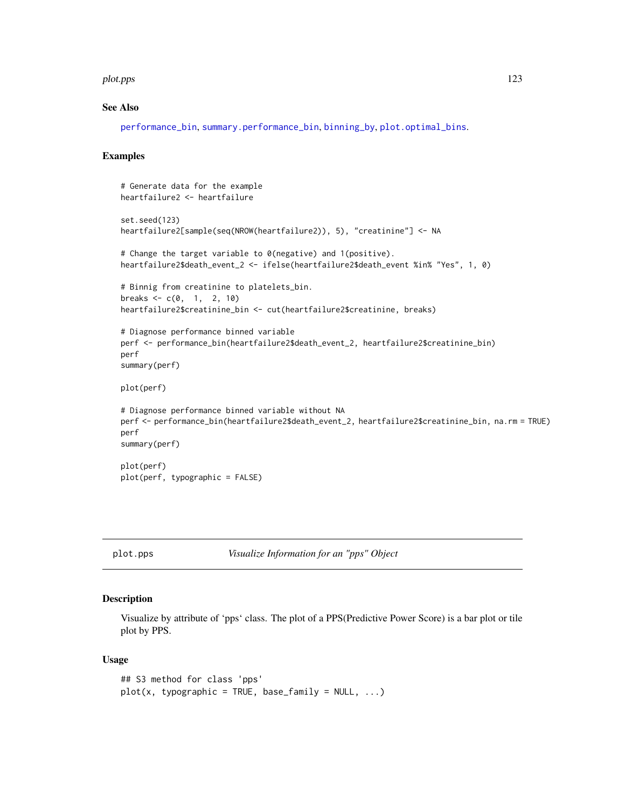#### plot.pps that a state of the state of the state of the state of the state of the state of the state of the state of the state of the state of the state of the state of the state of the state of the state of the state of th

### See Also

[performance\\_bin](#page-107-0), [summary.performance\\_bin](#page-176-0), [binning\\_by](#page-6-0), [plot.optimal\\_bins](#page-118-0).

## Examples

```
# Generate data for the example
heartfailure2 <- heartfailure
set.seed(123)
heartfailure2[sample(seq(NROW(heartfailure2)), 5), "creatinine"] <- NA
# Change the target variable to 0(negative) and 1(positive).
heartfailure2$death_event_2 <- ifelse(heartfailure2$death_event %in% "Yes", 1, 0)
# Binnig from creatinine to platelets_bin.
breaks <-c(0, 1, 2, 10)heartfailure2$creatinine_bin <- cut(heartfailure2$creatinine, breaks)
# Diagnose performance binned variable
perf <- performance_bin(heartfailure2$death_event_2, heartfailure2$creatinine_bin)
perf
summary(perf)
plot(perf)
# Diagnose performance binned variable without NA
perf <- performance_bin(heartfailure2$death_event_2, heartfailure2$creatinine_bin, na.rm = TRUE)
perf
summary(perf)
plot(perf)
plot(perf, typographic = FALSE)
```
plot.pps *Visualize Information for an "pps" Object*

## Description

Visualize by attribute of 'pps' class. The plot of a PPS(Predictive Power Score) is a bar plot or tile plot by PPS.

#### Usage

```
## S3 method for class 'pps'
plot(x, typeographic = TRUE, base-family = NULL, ...)
```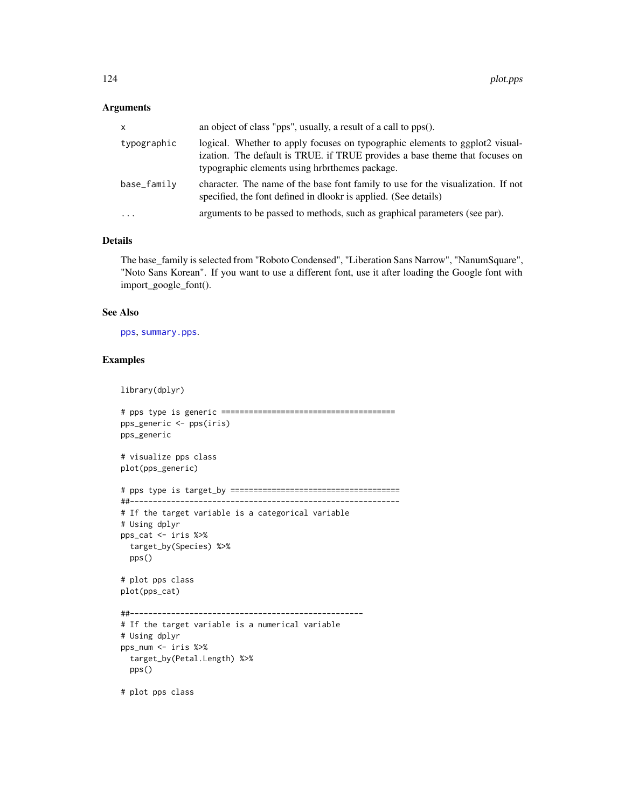## Arguments

| <b>X</b>    | an object of class "pps", usually, a result of a call to pps().                                                                                                                                               |
|-------------|---------------------------------------------------------------------------------------------------------------------------------------------------------------------------------------------------------------|
| typographic | logical. Whether to apply focuses on typographic elements to ggplot2 visual-<br>ization. The default is TRUE. if TRUE provides a base theme that focuses on<br>typographic elements using hrbrthemes package. |
| base_family | character. The name of the base font family to use for the visualization. If not<br>specified, the font defined in dlookr is applied. (See details)                                                           |
| $\cdots$    | arguments to be passed to methods, such as graphical parameters (see par).                                                                                                                                    |

# Details

The base\_family is selected from "Roboto Condensed", "Liberation Sans Narrow", "NanumSquare", "Noto Sans Korean". If you want to use a different font, use it after loading the Google font with import\_google\_font().

#### See Also

[pps](#page-156-0), [summary.pps](#page-177-0).

# Examples

library(dplyr)

```
# pps type is generic ======================================
pps_generic <- pps(iris)
pps_generic
# visualize pps class
plot(pps_generic)
# pps type is target_by =====================================
##-----------------------------------------------------------
# If the target variable is a categorical variable
# Using dplyr
pps_cat <- iris %>%
 target_by(Species) %>%
 pps()
# plot pps class
plot(pps_cat)
##---------------------------------------------------
# If the target variable is a numerical variable
# Using dplyr
pps_num <- iris %>%
 target_by(Petal.Length) %>%
 pps()
```
# plot pps class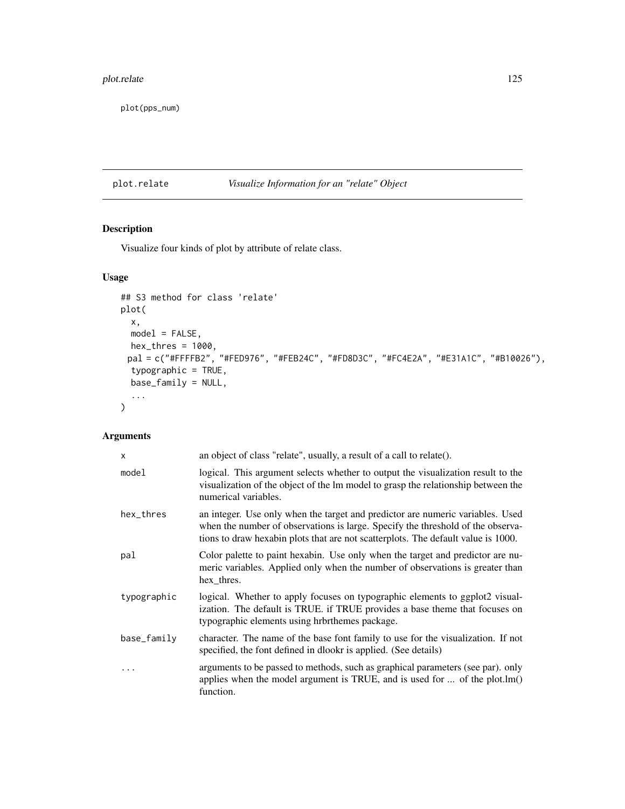# plot.relate 125

plot(pps\_num)

# plot.relate *Visualize Information for an "relate" Object*

# Description

Visualize four kinds of plot by attribute of relate class.

# Usage

```
## S3 method for class 'relate'
plot(
  x,
  model = FALSE,
  hex\_thres = 1000,pal = c("#FFFFB2", "#FED976", "#FEB24C", "#FD8D3C", "#FC4E2A", "#E31A1C", "#B10026"),
  typographic = TRUE,
  base_family = NULL,
  ...
\mathcal{L}
```
# Arguments

| $\mathsf{x}$ | an object of class "relate", usually, a result of a call to relate().                                                                                                                                                                                  |
|--------------|--------------------------------------------------------------------------------------------------------------------------------------------------------------------------------------------------------------------------------------------------------|
| model        | logical. This argument selects whether to output the visualization result to the<br>visualization of the object of the lm model to grasp the relationship between the<br>numerical variables.                                                          |
| hex_thres    | an integer. Use only when the target and predictor are numeric variables. Used<br>when the number of observations is large. Specify the threshold of the observa-<br>tions to draw hexabin plots that are not scatterplots. The default value is 1000. |
| pal          | Color palette to paint hexabin. Use only when the target and predictor are nu-<br>meric variables. Applied only when the number of observations is greater than<br>hex_thres.                                                                          |
| typographic  | logical. Whether to apply focuses on typographic elements to ggplot2 visual-<br>ization. The default is TRUE. if TRUE provides a base theme that focuses on<br>typographic elements using hrbrthemes package.                                          |
| base_family  | character. The name of the base font family to use for the visualization. If not<br>specified, the font defined in dlookr is applied. (See details)                                                                                                    |
| $\cdots$     | arguments to be passed to methods, such as graphical parameters (see par). only<br>applies when the model argument is TRUE, and is used for $\dots$ of the plot. $lm()$<br>function.                                                                   |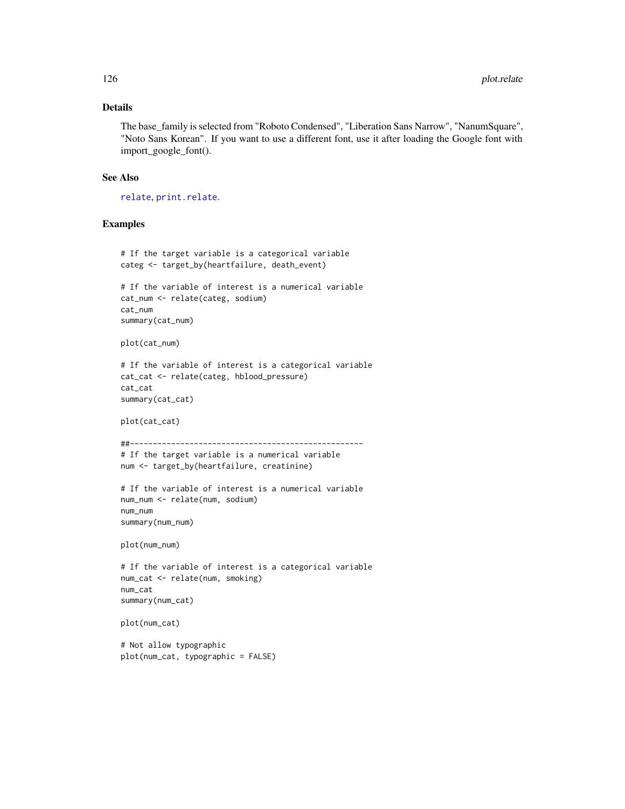## Details

The base\_family is selected from "Roboto Condensed", "Liberation Sans Narrow", "NanumSquare", "Noto Sans Korean". If you want to use a different font, use it after loading the Google font with import\_google\_font().

#### See Also

[relate](#page-160-0), [print.relate](#page-159-0).

## Examples

```
# If the target variable is a categorical variable
categ <- target_by(heartfailure, death_event)
# If the variable of interest is a numerical variable
cat_num <- relate(categ, sodium)
cat_num
summary(cat_num)
plot(cat_num)
# If the variable of interest is a categorical variable
cat_cat <- relate(categ, hblood_pressure)
cat_cat
summary(cat_cat)
plot(cat_cat)
##---------------------------------------------------
# If the target variable is a numerical variable
num <- target_by(heartfailure, creatinine)
# If the variable of interest is a numerical variable
num_num <- relate(num, sodium)
num_num
summary(num_num)
plot(num_num)
# If the variable of interest is a categorical variable
num_cat <- relate(num, smoking)
num_cat
summary(num_cat)
plot(num_cat)
# Not allow typographic
```
plot(num\_cat, typographic = FALSE)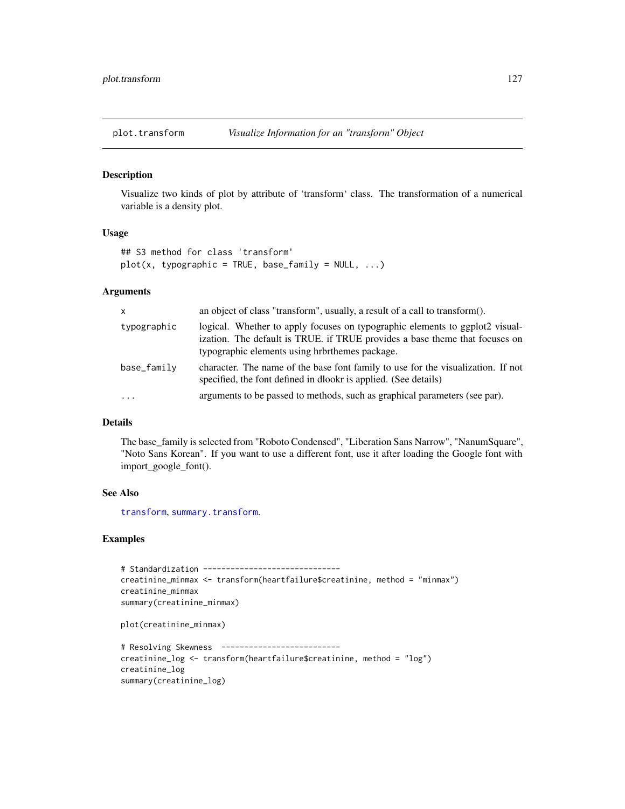#### Description

Visualize two kinds of plot by attribute of 'transform' class. The transformation of a numerical variable is a density plot.

#### Usage

```
## S3 method for class 'transform'
plot(x, typographic = TRUE, base-family = NULL, ...)
```
## Arguments

| $\mathsf{x}$ | an object of class "transform", usually, a result of a call to transform().                                                                                                                                   |
|--------------|---------------------------------------------------------------------------------------------------------------------------------------------------------------------------------------------------------------|
| typographic  | logical. Whether to apply focuses on typographic elements to ggplot2 visual-<br>ization. The default is TRUE. if TRUE provides a base theme that focuses on<br>typographic elements using hrbrthemes package. |
| base_family  | character. The name of the base font family to use for the visualization. If not<br>specified, the font defined in dlookr is applied. (See details)                                                           |
| .            | arguments to be passed to methods, such as graphical parameters (see par).                                                                                                                                    |

## Details

The base\_family is selected from "Roboto Condensed", "Liberation Sans Narrow", "NanumSquare", "Noto Sans Korean". If you want to use a different font, use it after loading the Google font with import\_google\_font().

#### See Also

[transform](#page-187-0), [summary.transform](#page-179-0).

```
# Standardization ------------------------------
creatinine_minmax <- transform(heartfailure$creatinine, method = "minmax")
creatinine_minmax
summary(creatinine_minmax)
plot(creatinine_minmax)
# Resolving Skewness --------------------------
creatinine_log <- transform(heartfailure$creatinine, method = "log")
creatinine_log
summary(creatinine_log)
```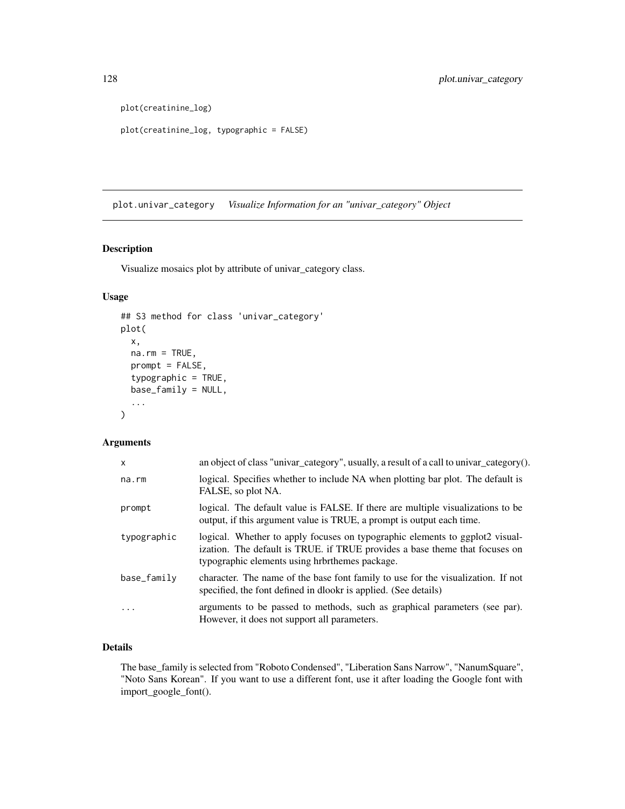```
plot(creatinine_log)
```

```
plot(creatinine_log, typographic = FALSE)
```
plot.univar\_category *Visualize Information for an "univar\_category" Object*

## Description

Visualize mosaics plot by attribute of univar\_category class.

# Usage

```
## S3 method for class 'univar_category'
plot(
 x,
 na.rm = TRUE,prompt = FALSE,
  typographic = TRUE,
 base_family = NULL,
  ...
)
```
# Arguments

| an object of class "univar_category", usually, a result of a call to univar_category().                                                                                                                       |
|---------------------------------------------------------------------------------------------------------------------------------------------------------------------------------------------------------------|
| logical. Specifies whether to include NA when plotting bar plot. The default is<br>FALSE, so plot NA.                                                                                                         |
| logical. The default value is FALSE. If there are multiple visualizations to be<br>output, if this argument value is TRUE, a prompt is output each time.                                                      |
| logical. Whether to apply focuses on typographic elements to ggplot2 visual-<br>ization. The default is TRUE. if TRUE provides a base theme that focuses on<br>typographic elements using hrbrthemes package. |
| character. The name of the base font family to use for the visualization. If not<br>specified, the font defined in dlookr is applied. (See details)                                                           |
| arguments to be passed to methods, such as graphical parameters (see par).<br>However, it does not support all parameters.                                                                                    |
|                                                                                                                                                                                                               |

# Details

The base\_family is selected from "Roboto Condensed", "Liberation Sans Narrow", "NanumSquare", "Noto Sans Korean". If you want to use a different font, use it after loading the Google font with import\_google\_font().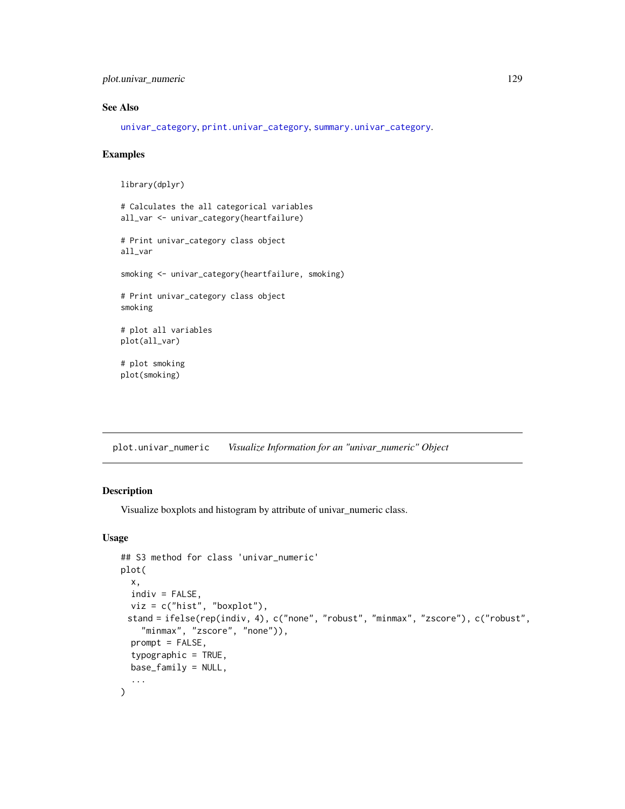plot.univar\_numeric 129

# See Also

[univar\\_category](#page-195-0), [print.univar\\_category](#page-180-0), [summary.univar\\_category](#page-180-1).

## Examples

```
library(dplyr)
# Calculates the all categorical variables
all_var <- univar_category(heartfailure)
# Print univar_category class object
all_var
smoking <- univar_category(heartfailure, smoking)
# Print univar_category class object
smoking
# plot all variables
plot(all_var)
# plot smoking
plot(smoking)
```
plot.univar\_numeric *Visualize Information for an "univar\_numeric" Object*

#### Description

Visualize boxplots and histogram by attribute of univar\_numeric class.

## Usage

```
## S3 method for class 'univar_numeric'
plot(
 x,
  indiv = FALSE,viz = c("hist", "boxplot"),
 stand = ifelse(rep(indiv, 4), c("none", "robust", "minmax", "zscore"), c("robust",
    "minmax", "zscore", "none")),
 prompt = FALSE,
  typographic = TRUE,
 base_family = NULL,
  ...
\mathcal{L}
```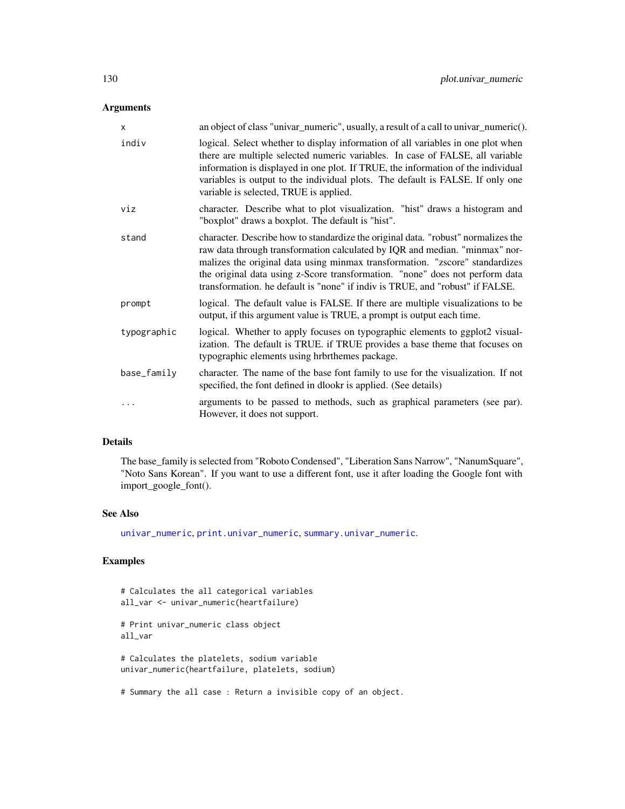# Arguments

| $\mathsf{x}$ | an object of class "univar_numeric", usually, a result of a call to univar_numeric().                                                                                                                                                                                                                                                                                                                             |
|--------------|-------------------------------------------------------------------------------------------------------------------------------------------------------------------------------------------------------------------------------------------------------------------------------------------------------------------------------------------------------------------------------------------------------------------|
| indiv        | logical. Select whether to display information of all variables in one plot when<br>there are multiple selected numeric variables. In case of FALSE, all variable<br>information is displayed in one plot. If TRUE, the information of the individual<br>variables is output to the individual plots. The default is FALSE. If only one<br>variable is selected, TRUE is applied.                                 |
| viz          | character. Describe what to plot visualization. "hist" draws a histogram and<br>"boxplot" draws a boxplot. The default is "hist".                                                                                                                                                                                                                                                                                 |
| stand        | character. Describe how to standardize the original data. "robust" normalizes the<br>raw data through transformation calculated by IQR and median. "minmax" nor-<br>malizes the original data using minmax transformation. "zscore" standardizes<br>the original data using z-Score transformation. "none" does not perform data<br>transformation. he default is "none" if indiv is TRUE, and "robust" if FALSE. |
| prompt       | logical. The default value is FALSE. If there are multiple visualizations to be<br>output, if this argument value is TRUE, a prompt is output each time.                                                                                                                                                                                                                                                          |
| typographic  | logical. Whether to apply focuses on typographic elements to ggplot2 visual-<br>ization. The default is TRUE. if TRUE provides a base theme that focuses on<br>typographic elements using hrbrthemes package.                                                                                                                                                                                                     |
| base_family  | character. The name of the base font family to use for the visualization. If not<br>specified, the font defined in dlookr is applied. (See details)                                                                                                                                                                                                                                                               |
| $\cdots$     | arguments to be passed to methods, such as graphical parameters (see par).<br>However, it does not support.                                                                                                                                                                                                                                                                                                       |

# Details

The base\_family is selected from "Roboto Condensed", "Liberation Sans Narrow", "NanumSquare", "Noto Sans Korean". If you want to use a different font, use it after loading the Google font with import\_google\_font().

## See Also

[univar\\_numeric](#page-197-0), [print.univar\\_numeric](#page-181-0), [summary.univar\\_numeric](#page-181-1).

```
# Calculates the all categorical variables
all_var <- univar_numeric(heartfailure)
# Print univar_numeric class object
all_var
# Calculates the platelets, sodium variable
univar_numeric(heartfailure, platelets, sodium)
# Summary the all case : Return a invisible copy of an object.
```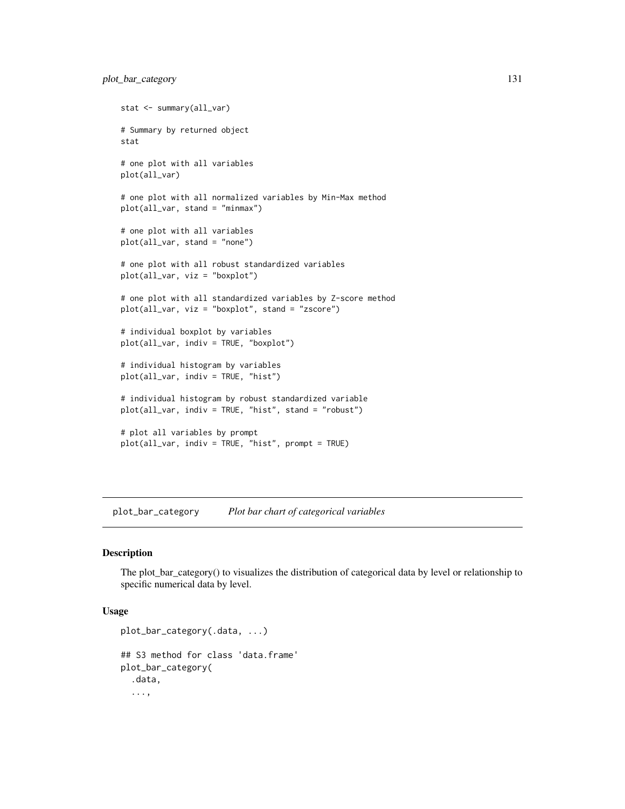```
stat <- summary(all_var)
# Summary by returned object
stat
# one plot with all variables
plot(all_var)
# one plot with all normalized variables by Min-Max method
plot(all_var, stand = "minmax")
# one plot with all variables
plot(all_var, stand = "none")
# one plot with all robust standardized variables
plot(all_var, viz = "boxplot")
# one plot with all standardized variables by Z-score method
plot(all_var, viz = "boxplot", stand = "zscore")
# individual boxplot by variables
plot(all_var, indiv = TRUE, "boxplot")
# individual histogram by variables
plot(all_var, indiv = TRUE, "hist")
# individual histogram by robust standardized variable
plot(all_var, indiv = TRUE, "hist", stand = "robust")
# plot all variables by prompt
plot(all_var, indiv = TRUE, "hist", prompt = TRUE)
```
plot\_bar\_category *Plot bar chart of categorical variables*

#### Description

The plot\_bar\_category() to visualizes the distribution of categorical data by level or relationship to specific numerical data by level.

## Usage

```
plot_bar_category(.data, ...)
## S3 method for class 'data.frame'
plot_bar_category(
  .data,
  ...,
```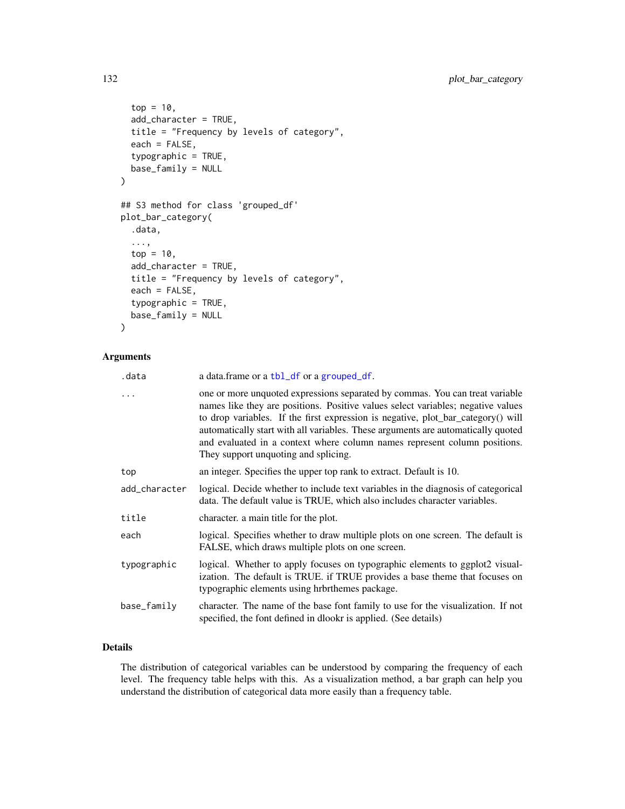```
top = 10,
  add_character = TRUE,
 title = "Frequency by levels of category",
 each = FALSE,typographic = TRUE,
 base_family = NULL
)
## S3 method for class 'grouped_df'
plot_bar_category(
  .data,
  ...,
 top = 10,
 add_character = TRUE,
 title = "Frequency by levels of category",
  each = FALSE,typographic = TRUE,
 base_family = NULL
\mathcal{L}
```
# Arguments

| .data         | a data.frame or a tbl_df or a grouped_df.                                                                                                                                                                                                                                                                                                                                                                                                                     |
|---------------|---------------------------------------------------------------------------------------------------------------------------------------------------------------------------------------------------------------------------------------------------------------------------------------------------------------------------------------------------------------------------------------------------------------------------------------------------------------|
| $\cdots$      | one or more unquoted expressions separated by commas. You can treat variable<br>names like they are positions. Positive values select variables; negative values<br>to drop variables. If the first expression is negative, plot_bar_category() will<br>automatically start with all variables. These arguments are automatically quoted<br>and evaluated in a context where column names represent column positions.<br>They support unquoting and splicing. |
| top           | an integer. Specifies the upper top rank to extract. Default is 10.                                                                                                                                                                                                                                                                                                                                                                                           |
| add_character | logical. Decide whether to include text variables in the diagnosis of categorical<br>data. The default value is TRUE, which also includes character variables.                                                                                                                                                                                                                                                                                                |
| title         | character, a main title for the plot.                                                                                                                                                                                                                                                                                                                                                                                                                         |
| each          | logical. Specifies whether to draw multiple plots on one screen. The default is<br>FALSE, which draws multiple plots on one screen.                                                                                                                                                                                                                                                                                                                           |
| typographic   | logical. Whether to apply focuses on typographic elements to ggplot2 visual-<br>ization. The default is TRUE. if TRUE provides a base theme that focuses on<br>typographic elements using hrbrthemes package.                                                                                                                                                                                                                                                 |
| base_family   | character. The name of the base font family to use for the visualization. If not<br>specified, the font defined in dlookr is applied. (See details)                                                                                                                                                                                                                                                                                                           |

# Details

The distribution of categorical variables can be understood by comparing the frequency of each level. The frequency table helps with this. As a visualization method, a bar graph can help you understand the distribution of categorical data more easily than a frequency table.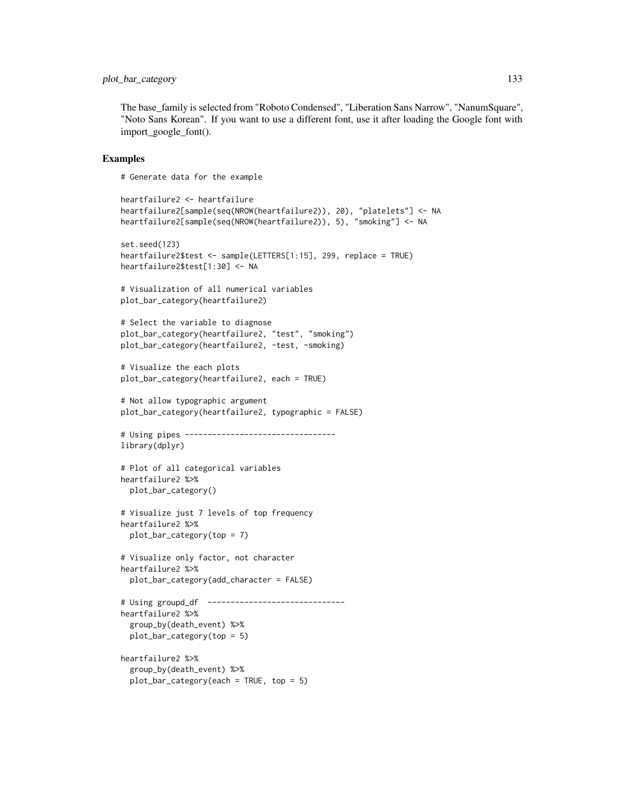# plot\_bar\_category 133

The base\_family is selected from "Roboto Condensed", "Liberation Sans Narrow", "NanumSquare", "Noto Sans Korean". If you want to use a different font, use it after loading the Google font with import\_google\_font().

## Examples

# Generate data for the example

```
heartfailure2 <- heartfailure
heartfailure2[sample(seq(NROW(heartfailure2)), 20), "platelets"] <- NA
heartfailure2[sample(seq(NROW(heartfailure2)), 5), "smoking"] <- NA
set.seed(123)
heartfailure2$test <- sample(LETTERS[1:15], 299, replace = TRUE)
heartfailure2$test[1:30] <- NA
# Visualization of all numerical variables
plot_bar_category(heartfailure2)
# Select the variable to diagnose
plot_bar_category(heartfailure2, "test", "smoking")
plot_bar_category(heartfailure2, -test, -smoking)
# Visualize the each plots
plot_bar_category(heartfailure2, each = TRUE)
# Not allow typographic argument
plot_bar_category(heartfailure2, typographic = FALSE)
# Using pipes ---------------------------------
library(dplyr)
# Plot of all categorical variables
heartfailure2 %>%
  plot_bar_category()
# Visualize just 7 levels of top frequency
heartfailure2 %>%
  plot_bar_category(top = 7)
# Visualize only factor, not character
heartfailure2 %>%
  plot_bar_category(add_character = FALSE)
# Using groupd_df ------------------------------
heartfailure2 %>%
  group_by(death_event) %>%
  plot_bar_category(top = 5)
heartfailure2 %>%
  group_by(death_event) %>%
  plot\_bar\_category(each = TRUE, top = 5)
```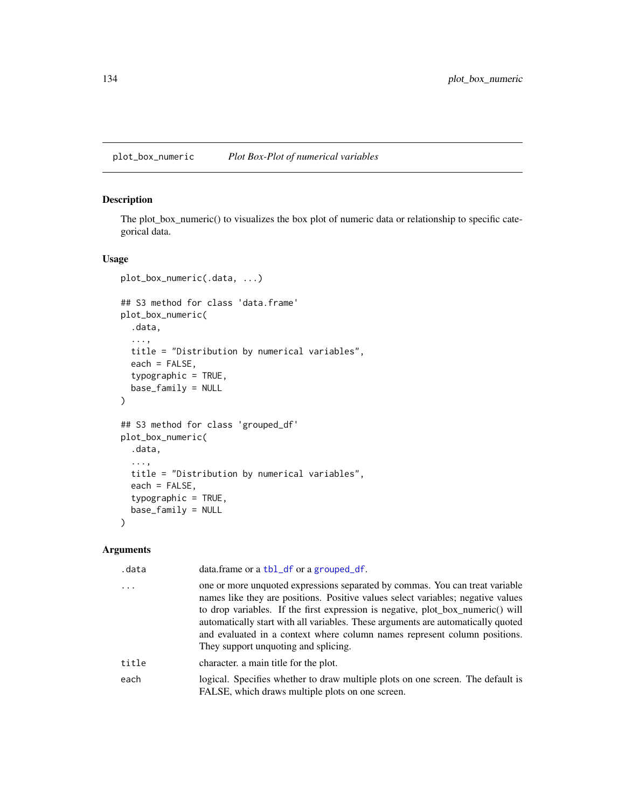plot\_box\_numeric *Plot Box-Plot of numerical variables*

# Description

The plot\_box\_numeric() to visualizes the box plot of numeric data or relationship to specific categorical data.

# Usage

```
plot_box_numeric(.data, ...)
## S3 method for class 'data.frame'
plot_box_numeric(
  .data,
  ...,
  title = "Distribution by numerical variables",
  each = FALSE,
  typographic = TRUE,
  base_family = NULL
)
## S3 method for class 'grouped_df'
plot_box_numeric(
  .data,
  ...,
  title = "Distribution by numerical variables",
  each = FALSE,
  typographic = TRUE,
 base_family = NULL
\mathcal{E}
```
# Arguments

| .data | data.frame or a tbl_df or a grouped_df.                                                                                                                                                                                                                                                                                                                                                                                                                      |
|-------|--------------------------------------------------------------------------------------------------------------------------------------------------------------------------------------------------------------------------------------------------------------------------------------------------------------------------------------------------------------------------------------------------------------------------------------------------------------|
|       | one or more unquoted expressions separated by commas. You can treat variable<br>names like they are positions. Positive values select variables; negative values<br>to drop variables. If the first expression is negative, plot_box_numeric() will<br>automatically start with all variables. These arguments are automatically quoted<br>and evaluated in a context where column names represent column positions.<br>They support unquoting and splicing. |
| title | character, a main title for the plot.                                                                                                                                                                                                                                                                                                                                                                                                                        |
| each  | logical. Specifies whether to draw multiple plots on one screen. The default is<br>FALSE, which draws multiple plots on one screen.                                                                                                                                                                                                                                                                                                                          |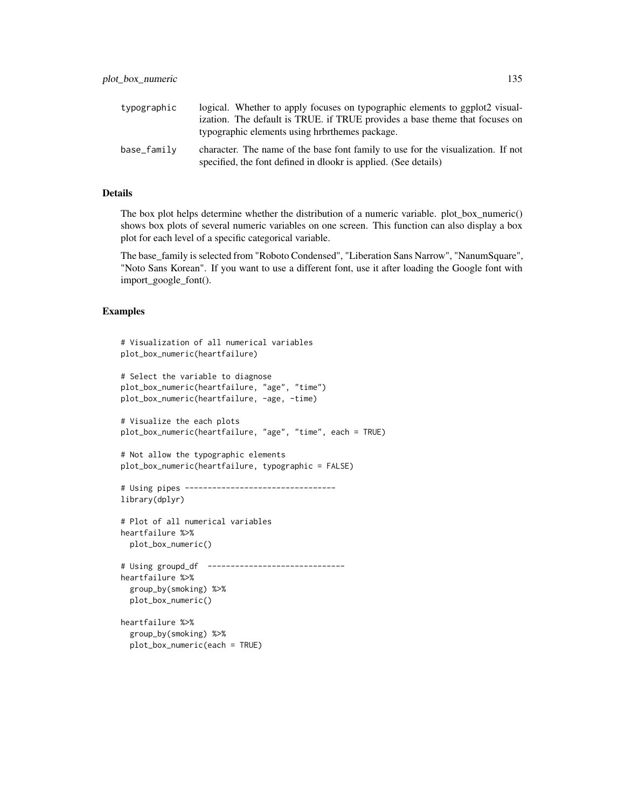| typographic | logical. Whether to apply focuses on typographic elements to ggplot2 visual-                                                                        |
|-------------|-----------------------------------------------------------------------------------------------------------------------------------------------------|
|             | ization. The default is TRUE, if TRUE provides a base theme that focuses on                                                                         |
|             | typographic elements using hrbrthemes package.                                                                                                      |
| base_family | character. The name of the base font family to use for the visualization. If not<br>specified, the font defined in dlookr is applied. (See details) |

# Details

The box plot helps determine whether the distribution of a numeric variable. plot\_box\_numeric() shows box plots of several numeric variables on one screen. This function can also display a box plot for each level of a specific categorical variable.

The base\_family is selected from "Roboto Condensed", "Liberation Sans Narrow", "NanumSquare", "Noto Sans Korean". If you want to use a different font, use it after loading the Google font with import\_google\_font().

```
# Visualization of all numerical variables
plot_box_numeric(heartfailure)
# Select the variable to diagnose
plot_box_numeric(heartfailure, "age", "time")
plot_box_numeric(heartfailure, -age, -time)
# Visualize the each plots
plot_box_numeric(heartfailure, "age", "time", each = TRUE)
# Not allow the typographic elements
plot_box_numeric(heartfailure, typographic = FALSE)
# Using pipes ---------------------------------
library(dplyr)
# Plot of all numerical variables
heartfailure %>%
 plot_box_numeric()
# Using groupd_df ------------------------------
heartfailure %>%
 group_by(smoking) %>%
 plot_box_numeric()
heartfailure %>%
 group_by(smoking) %>%
 plot_box_numeric(each = TRUE)
```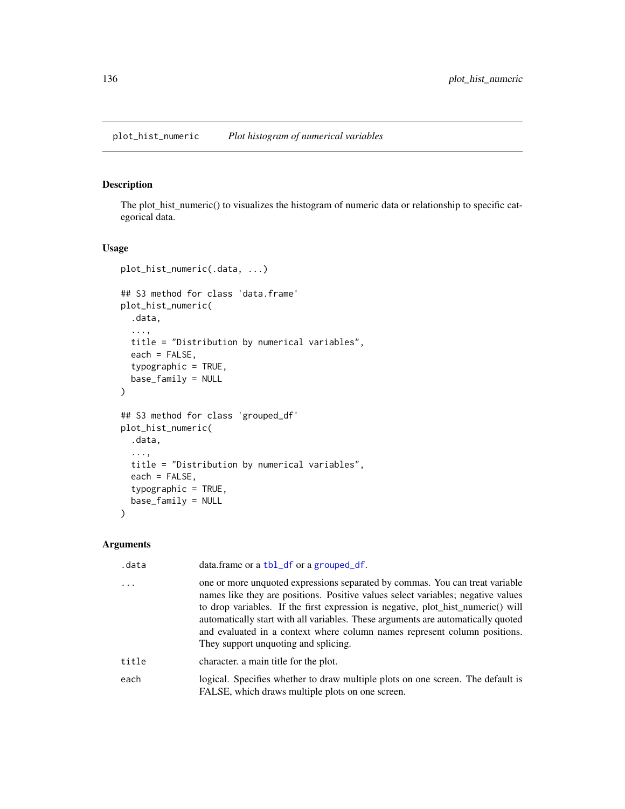# Description

The plot\_hist\_numeric() to visualizes the histogram of numeric data or relationship to specific categorical data.

## Usage

```
plot_hist_numeric(.data, ...)
## S3 method for class 'data.frame'
plot_hist_numeric(
  .data,
  ...,
 title = "Distribution by numerical variables",
  each = FALSE,
  typographic = TRUE,
 base_family = NULL
\mathcal{L}## S3 method for class 'grouped_df'
plot_hist_numeric(
  .data,
  ...,
  title = "Distribution by numerical variables",
  each = FALSE,
  typographic = TRUE,
 base_family = NULL
)
```
# Arguments

| .data | data.frame or a tbl_df or a grouped_df.                                                                                                                                                                                                                                                                                                                                                                                                                       |
|-------|---------------------------------------------------------------------------------------------------------------------------------------------------------------------------------------------------------------------------------------------------------------------------------------------------------------------------------------------------------------------------------------------------------------------------------------------------------------|
| .     | one or more unquoted expressions separated by commas. You can treat variable<br>names like they are positions. Positive values select variables; negative values<br>to drop variables. If the first expression is negative, plot_hist_numeric() will<br>automatically start with all variables. These arguments are automatically quoted<br>and evaluated in a context where column names represent column positions.<br>They support unquoting and splicing. |
| title | character, a main title for the plot.                                                                                                                                                                                                                                                                                                                                                                                                                         |
| each  | logical. Specifies whether to draw multiple plots on one screen. The default is<br>FALSE, which draws multiple plots on one screen.                                                                                                                                                                                                                                                                                                                           |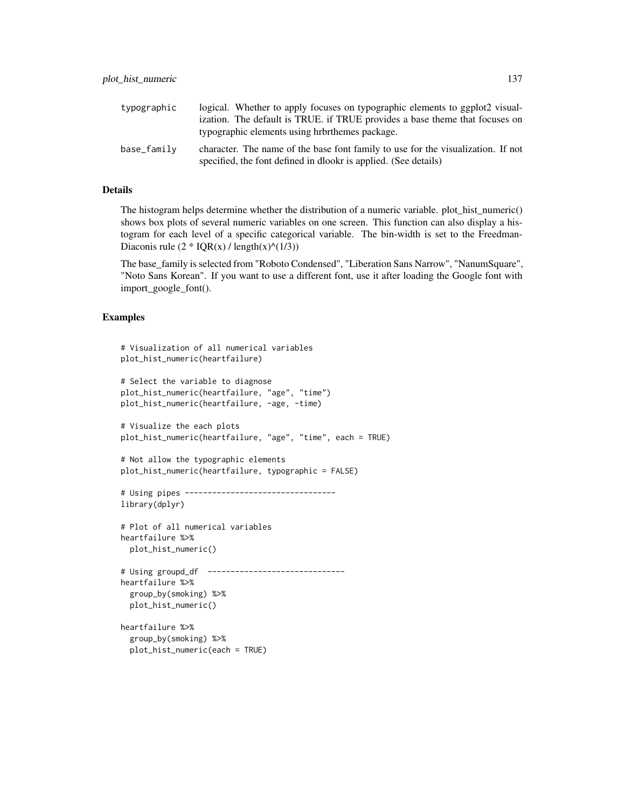| typographic | logical. Whether to apply focuses on typographic elements to ggplot2 visual-                                                                        |
|-------------|-----------------------------------------------------------------------------------------------------------------------------------------------------|
|             | ization. The default is TRUE, if TRUE provides a base theme that focuses on                                                                         |
|             | typographic elements using hrbrthemes package.                                                                                                      |
| base_family | character. The name of the base font family to use for the visualization. If not<br>specified, the font defined in dlookr is applied. (See details) |

# Details

The histogram helps determine whether the distribution of a numeric variable. plot hist numeric() shows box plots of several numeric variables on one screen. This function can also display a histogram for each level of a specific categorical variable. The bin-width is set to the Freedman-Diaconis rule  $(2 * IQR(x) / length(x)^{(1/3)})$ 

The base\_family is selected from "Roboto Condensed", "Liberation Sans Narrow", "NanumSquare", "Noto Sans Korean". If you want to use a different font, use it after loading the Google font with import\_google\_font().

```
# Visualization of all numerical variables
plot_hist_numeric(heartfailure)
# Select the variable to diagnose
plot_hist_numeric(heartfailure, "age", "time")
plot_hist_numeric(heartfailure, -age, -time)
# Visualize the each plots
plot_hist_numeric(heartfailure, "age", "time", each = TRUE)
# Not allow the typographic elements
plot_hist_numeric(heartfailure, typographic = FALSE)
# Using pipes ---------------------------------
library(dplyr)
# Plot of all numerical variables
heartfailure %>%
  plot_hist_numeric()
# Using groupd_df ------------------------------
heartfailure %>%
  group_by(smoking) %>%
  plot_hist_numeric()
heartfailure %>%
  group_by(smoking) %>%
  plot_hist_numeric(each = TRUE)
```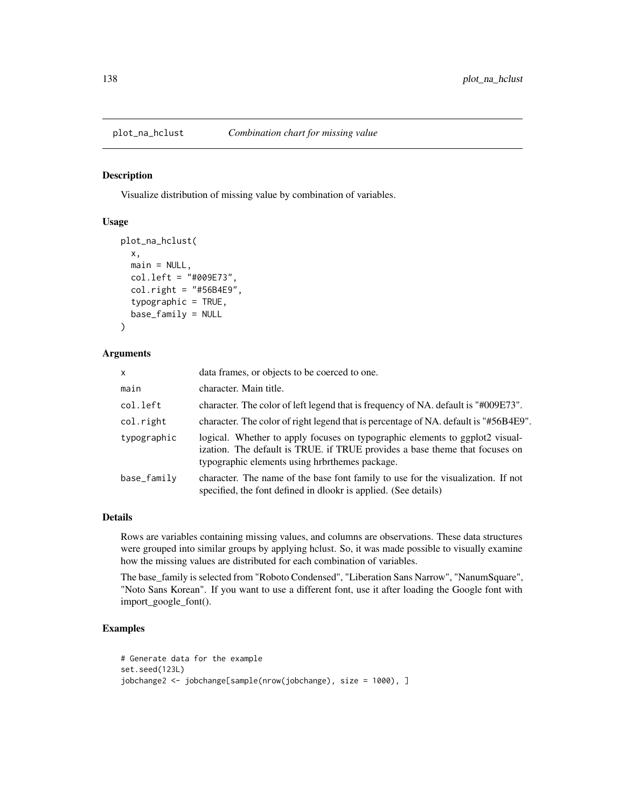#### Description

Visualize distribution of missing value by combination of variables.

## Usage

```
plot_na_hclust(
  x,
 main = NULL,
 col.left = "#009E73",
  col.right = "#56B4E9",typographic = TRUE,
 base_family = NULL
)
```
# Arguments

| $\mathsf{x}$ | data frames, or objects to be coerced to one.                                                                                                                                                                 |
|--------------|---------------------------------------------------------------------------------------------------------------------------------------------------------------------------------------------------------------|
| main         | character. Main title.                                                                                                                                                                                        |
| col.left     | character. The color of left legend that is frequency of NA. default is "#009E73".                                                                                                                            |
| col.right    | character. The color of right legend that is percentage of NA. default is "#56B4E9".                                                                                                                          |
| typographic  | logical. Whether to apply focuses on typographic elements to ggplot2 visual-<br>ization. The default is TRUE. if TRUE provides a base theme that focuses on<br>typographic elements using hrbrthemes package. |
| base_family  | character. The name of the base font family to use for the visualization. If not<br>specified, the font defined in dlookr is applied. (See details)                                                           |

# Details

Rows are variables containing missing values, and columns are observations. These data structures were grouped into similar groups by applying hclust. So, it was made possible to visually examine how the missing values are distributed for each combination of variables.

The base\_family is selected from "Roboto Condensed", "Liberation Sans Narrow", "NanumSquare", "Noto Sans Korean". If you want to use a different font, use it after loading the Google font with import\_google\_font().

```
# Generate data for the example
set.seed(123L)
jobchange2 <- jobchange[sample(nrow(jobchange), size = 1000), ]
```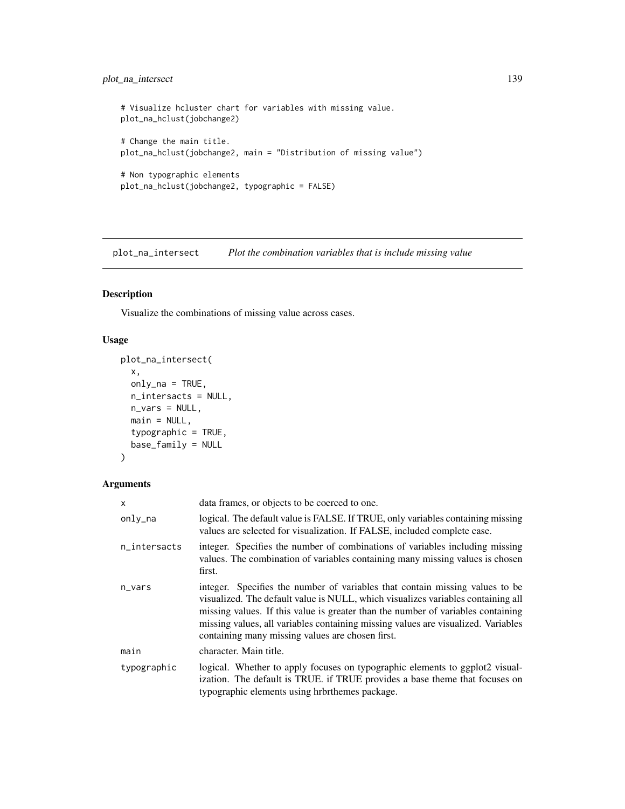# plot\_na\_intersect 139

```
# Visualize hcluster chart for variables with missing value.
plot_na_hclust(jobchange2)
# Change the main title.
plot_na_hclust(jobchange2, main = "Distribution of missing value")
# Non typographic elements
plot_na_hclust(jobchange2, typographic = FALSE)
```
plot\_na\_intersect *Plot the combination variables that is include missing value*

# Description

Visualize the combinations of missing value across cases.

## Usage

```
plot_na_intersect(
  x,
 only_na = TRUE,
 n_intersacts = NULL,
 n_vars = NULL,
 main = NULL,typographic = TRUE,
 base_family = NULL
)
```
# Arguments

| x            | data frames, or objects to be coerced to one.                                                                                                                                                                                                                                                                                                                                                 |
|--------------|-----------------------------------------------------------------------------------------------------------------------------------------------------------------------------------------------------------------------------------------------------------------------------------------------------------------------------------------------------------------------------------------------|
| only_na      | logical. The default value is FALSE. If TRUE, only variables containing missing<br>values are selected for visualization. If FALSE, included complete case.                                                                                                                                                                                                                                   |
| n_intersacts | integer. Specifies the number of combinations of variables including missing<br>values. The combination of variables containing many missing values is chosen<br>first.                                                                                                                                                                                                                       |
| n_vars       | integer. Specifies the number of variables that contain missing values to be<br>visualized. The default value is NULL, which visualizes variables containing all<br>missing values. If this value is greater than the number of variables containing<br>missing values, all variables containing missing values are visualized. Variables<br>containing many missing values are chosen first. |
| main         | character. Main title.                                                                                                                                                                                                                                                                                                                                                                        |
| typographic  | logical. Whether to apply focuses on typographic elements to ggplot2 visual-<br>ization. The default is TRUE. if TRUE provides a base theme that focuses on<br>typographic elements using hrbrthemes package.                                                                                                                                                                                 |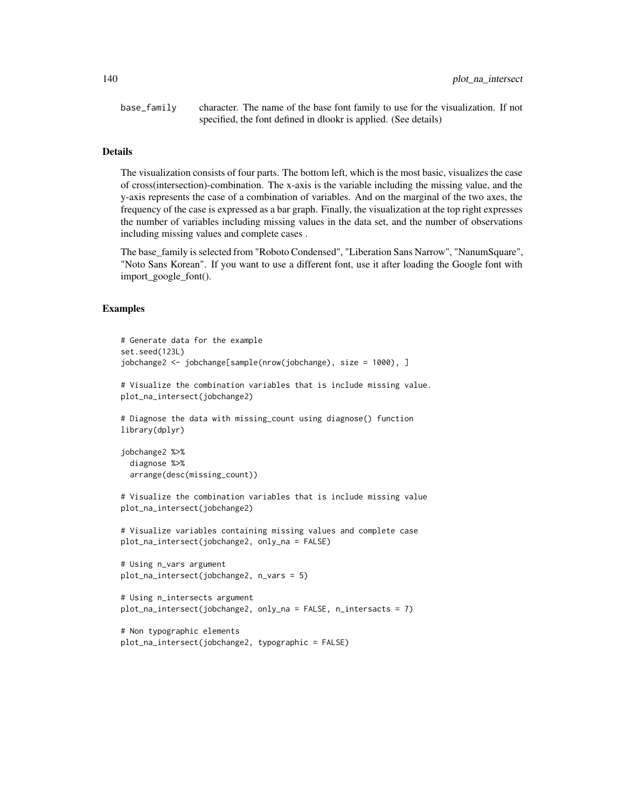base\_family character. The name of the base font family to use for the visualization. If not specified, the font defined in dlookr is applied. (See details)

#### Details

The visualization consists of four parts. The bottom left, which is the most basic, visualizes the case of cross(intersection)-combination. The x-axis is the variable including the missing value, and the y-axis represents the case of a combination of variables. And on the marginal of the two axes, the frequency of the case is expressed as a bar graph. Finally, the visualization at the top right expresses the number of variables including missing values in the data set, and the number of observations including missing values and complete cases .

The base\_family is selected from "Roboto Condensed", "Liberation Sans Narrow", "NanumSquare", "Noto Sans Korean". If you want to use a different font, use it after loading the Google font with import\_google\_font().

```
# Generate data for the example
set.seed(123L)
jobchange2 <- jobchange[sample(nrow(jobchange), size = 1000), ]
# Visualize the combination variables that is include missing value.
plot_na_intersect(jobchange2)
# Diagnose the data with missing_count using diagnose() function
library(dplyr)
jobchange2 %>%
 diagnose %>%
 arrange(desc(missing_count))
# Visualize the combination variables that is include missing value
plot_na_intersect(jobchange2)
# Visualize variables containing missing values and complete case
plot_na_intersect(jobchange2, only_na = FALSE)
# Using n_vars argument
plot_na_intersect(jobchange2, n_vars = 5)
# Using n_intersects argument
plot_na_intersect(jobchange2, only_na = FALSE, n_intersacts = 7)
```

```
# Non typographic elements
plot_na_intersect(jobchange2, typographic = FALSE)
```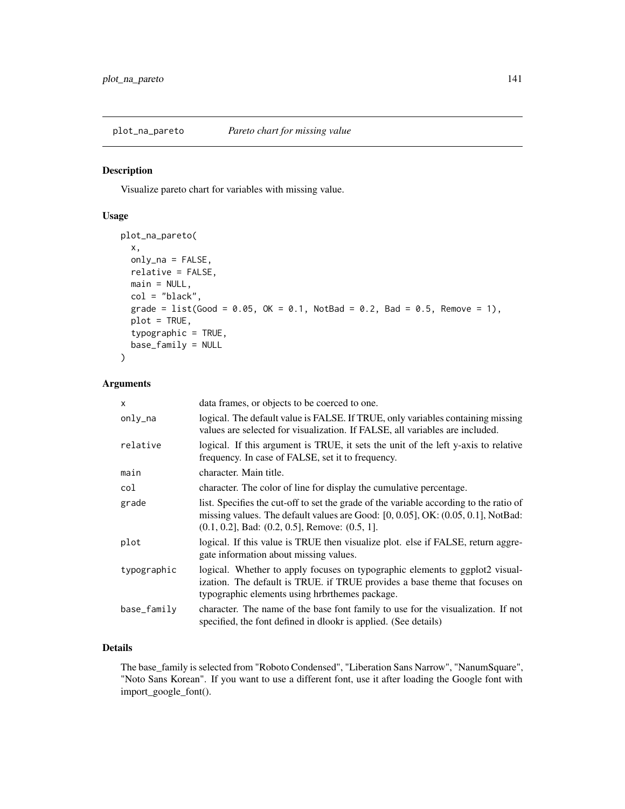plot\_na\_pareto *Pareto chart for missing value*

## Description

Visualize pareto chart for variables with missing value.

## Usage

```
plot_na_pareto(
 x,
 only_na = FALSE,
 relative = FALSE,
 main = NULL,
 col = "black",grade = list(Good = 0.05, OK = 0.1, NotBad = 0.2, Bad = 0.5, Remove = 1),
 plot = TRUE,
  typographic = TRUE,
 base_family = NULL
)
```
# Arguments

| $\mathsf{x}$ | data frames, or objects to be coerced to one.                                                                                                                                                                                               |
|--------------|---------------------------------------------------------------------------------------------------------------------------------------------------------------------------------------------------------------------------------------------|
| only_na      | logical. The default value is FALSE. If TRUE, only variables containing missing<br>values are selected for visualization. If FALSE, all variables are included.                                                                             |
| relative     | logical. If this argument is TRUE, it sets the unit of the left y-axis to relative<br>frequency. In case of FALSE, set it to frequency.                                                                                                     |
| main         | character. Main title.                                                                                                                                                                                                                      |
| col          | character. The color of line for display the cumulative percentage.                                                                                                                                                                         |
| grade        | list. Specifies the cut-off to set the grade of the variable according to the ratio of<br>missing values. The default values are Good: $[0, 0.05]$ , OK: $(0.05, 0.1]$ , NotBad:<br>$(0.1, 0.2]$ , Bad: $(0.2, 0.5]$ , Remove: $(0.5, 1]$ . |
| plot         | logical. If this value is TRUE then visualize plot. else if FALSE, return aggre-<br>gate information about missing values.                                                                                                                  |
| typographic  | logical. Whether to apply focuses on typographic elements to ggplot2 visual-<br>ization. The default is TRUE. if TRUE provides a base theme that focuses on<br>typographic elements using hrbrthemes package.                               |
| base_family  | character. The name of the base font family to use for the visualization. If not<br>specified, the font defined in dlookr is applied. (See details)                                                                                         |

## Details

The base\_family is selected from "Roboto Condensed", "Liberation Sans Narrow", "NanumSquare", "Noto Sans Korean". If you want to use a different font, use it after loading the Google font with import\_google\_font().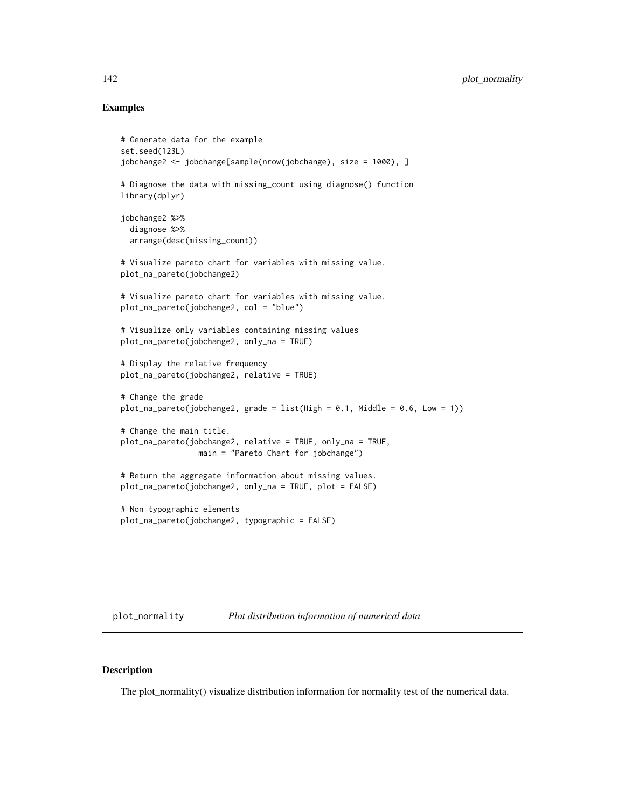## Examples

```
# Generate data for the example
set.seed(123L)
jobchange2 <- jobchange[sample(nrow(jobchange), size = 1000), ]
# Diagnose the data with missing_count using diagnose() function
library(dplyr)
jobchange2 %>%
 diagnose %>%
 arrange(desc(missing_count))
# Visualize pareto chart for variables with missing value.
plot_na_pareto(jobchange2)
# Visualize pareto chart for variables with missing value.
plot_na_pareto(jobchange2, col = "blue")
# Visualize only variables containing missing values
plot_na_pareto(jobchange2, only_na = TRUE)
# Display the relative frequency
plot_na_pareto(jobchange2, relative = TRUE)
# Change the grade
plot_na_pareto(jobchange2, grade = list(High = 0.1, Middle = 0.6, Low = 1))
# Change the main title.
plot_na_pareto(jobchange2, relative = TRUE, only_na = TRUE,
                 main = "Pareto Chart for jobchange")
# Return the aggregate information about missing values.
plot_na_pareto(jobchange2, only_na = TRUE, plot = FALSE)
# Non typographic elements
plot_na_pareto(jobchange2, typographic = FALSE)
```
plot\_normality *Plot distribution information of numerical data*

#### Description

The plot\_normality() visualize distribution information for normality test of the numerical data.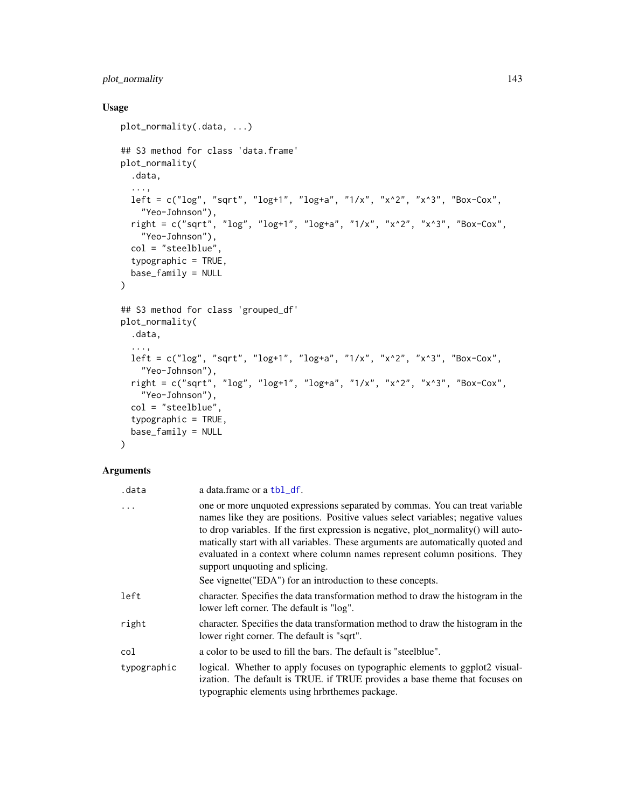# plot\_normality 143

# Usage

```
plot_normality(.data, ...)
## S3 method for class 'data.frame'
plot_normality(
  .data,
  ...,
 left = c("log", "sqrt", "log+1", "log+a", "1/x", "x^2", "x^3", "Box-Cox",
    "Yeo-Johnson"),
 right = c("sqrt", "log", "log+1", "log+a", "1/x", "x^2", "x^3", "Box-Cox",
   "Yeo-Johnson"),
 col = "steelblue",
  typographic = TRUE,
 base_family = NULL
\mathcal{L}## S3 method for class 'grouped_df'
plot_normality(
  .data,
  ...,
 left = c("log", "sqrt", "log+1", "log+a", "1/x", "x^2", "x^3", "Box-Cox",
    "Yeo-Johnson"),
  right = c("sqrt", "log", "log+1", "log+a", "1/x", "x^2", "x^3", "Box-Cox","Yeo-Johnson"),
 col = "steelblue",
  typographic = TRUE,
 base_family = NULL
```

```
\mathcal{L}
```
# Arguments

| .data       | a data.frame or a tbl_df.                                                                                                                                                                                                                                                                                                                                                                                                                                                                                                   |
|-------------|-----------------------------------------------------------------------------------------------------------------------------------------------------------------------------------------------------------------------------------------------------------------------------------------------------------------------------------------------------------------------------------------------------------------------------------------------------------------------------------------------------------------------------|
| .           | one or more unquoted expressions separated by commas. You can treat variable<br>names like they are positions. Positive values select variables; negative values<br>to drop variables. If the first expression is negative, plot_normality() will auto-<br>matically start with all variables. These arguments are automatically quoted and<br>evaluated in a context where column names represent column positions. They<br>support unquoting and splicing.<br>See vignette ("EDA") for an introduction to these concepts. |
| left        | character. Specifies the data transformation method to draw the histogram in the<br>lower left corner. The default is "log".                                                                                                                                                                                                                                                                                                                                                                                                |
| right       | character. Specifies the data transformation method to draw the histogram in the<br>lower right corner. The default is "sqrt".                                                                                                                                                                                                                                                                                                                                                                                              |
| col         | a color to be used to fill the bars. The default is "steelblue".                                                                                                                                                                                                                                                                                                                                                                                                                                                            |
| typographic | logical. Whether to apply focuses on typographic elements to ggplot2 visual-<br>ization. The default is TRUE. if TRUE provides a base theme that focuses on<br>typographic elements using hrbrthemes package.                                                                                                                                                                                                                                                                                                               |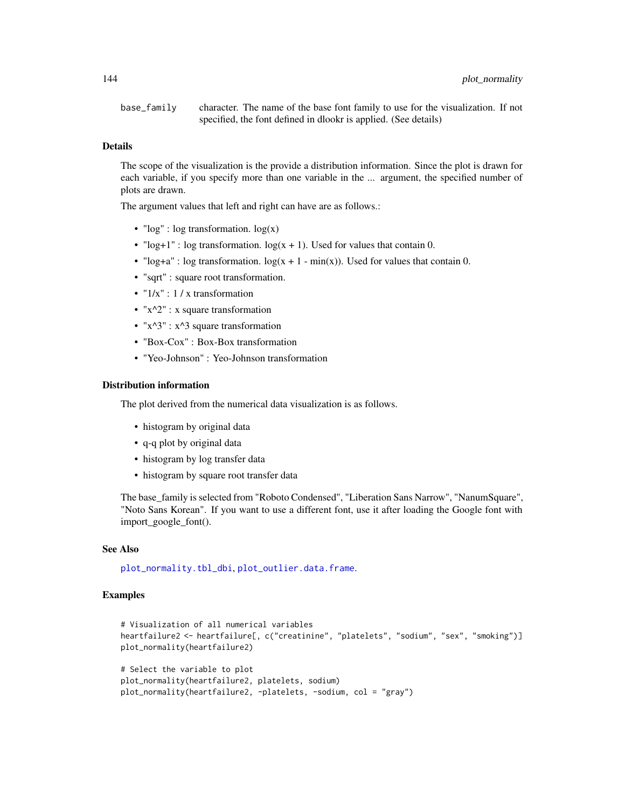base\_family character. The name of the base font family to use for the visualization. If not specified, the font defined in dlookr is applied. (See details)

## Details

The scope of the visualization is the provide a distribution information. Since the plot is drawn for each variable, if you specify more than one variable in the ... argument, the specified number of plots are drawn.

The argument values that left and right can have are as follows.:

- " $log$ ":  $log$  transformation.  $log(x)$
- " $log+1$ " : log transformation.  $log(x + 1)$ . Used for values that contain 0.
- " $log+ a$ " : log transformation.  $log(x + 1 min(x))$ . Used for values that contain 0.
- "sqrt" : square root transformation.
- $"1/x"$ : 1 / x transformation
- " $x^2$ " : x square transformation
- " $x^3$ " :  $x^3$  square transformation
- "Box-Cox" : Box-Box transformation
- "Yeo-Johnson" : Yeo-Johnson transformation

#### Distribution information

The plot derived from the numerical data visualization is as follows.

- histogram by original data
- q-q plot by original data
- histogram by log transfer data
- histogram by square root transfer data

The base\_family is selected from "Roboto Condensed", "Liberation Sans Narrow", "NanumSquare", "Noto Sans Korean". If you want to use a different font, use it after loading the Google font with import\_google\_font().

#### See Also

[plot\\_normality.tbl\\_dbi](#page-145-0), [plot\\_outlier.data.frame](#page-147-0).

```
# Visualization of all numerical variables
heartfailure2 <- heartfailure[, c("creatinine", "platelets", "sodium", "sex", "smoking")]
plot_normality(heartfailure2)
```

```
# Select the variable to plot
plot_normality(heartfailure2, platelets, sodium)
plot_normality(heartfailure2, -platelets, -sodium, col = "gray")
```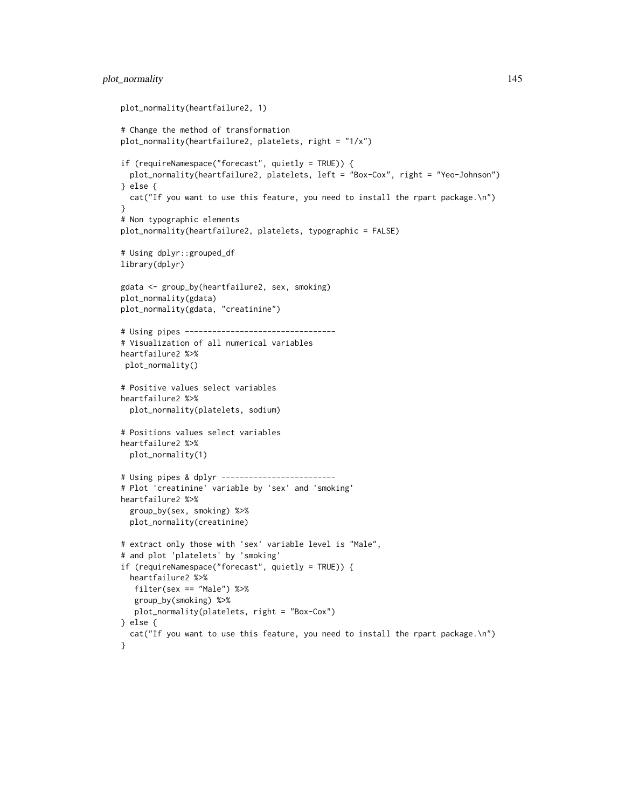```
plot_normality(heartfailure2, 1)
# Change the method of transformation
plot_normality(heartfailure2, platelets, right = "1/x")
if (requireNamespace("forecast", quietly = TRUE)) {
  plot_normality(heartfailure2, platelets, left = "Box-Cox", right = "Yeo-Johnson")
} else {
  cat("If you want to use this feature, you need to install the rpart package.\n")
}
# Non typographic elements
plot_normality(heartfailure2, platelets, typographic = FALSE)
# Using dplyr::grouped_df
library(dplyr)
gdata <- group_by(heartfailure2, sex, smoking)
plot_normality(gdata)
plot_normality(gdata, "creatinine")
# Using pipes ---------------------------------
# Visualization of all numerical variables
heartfailure2 %>%
 plot_normality()
# Positive values select variables
heartfailure2 %>%
  plot_normality(platelets, sodium)
# Positions values select variables
heartfailure2 %>%
  plot_normality(1)
# Using pipes & dplyr -------------------------
# Plot 'creatinine' variable by 'sex' and 'smoking'
heartfailure2 %>%
  group_by(sex, smoking) %>%
  plot_normality(creatinine)
# extract only those with 'sex' variable level is "Male",
# and plot 'platelets' by 'smoking'
if (requireNamespace("forecast", quietly = TRUE)) {
  heartfailure2 %>%
  filter(sex == "Male") %>%
  group_by(smoking) %>%
  plot_normality(platelets, right = "Box-Cox")
} else {
  cat("If you want to use this feature, you need to install the rpart package.\n")
}
```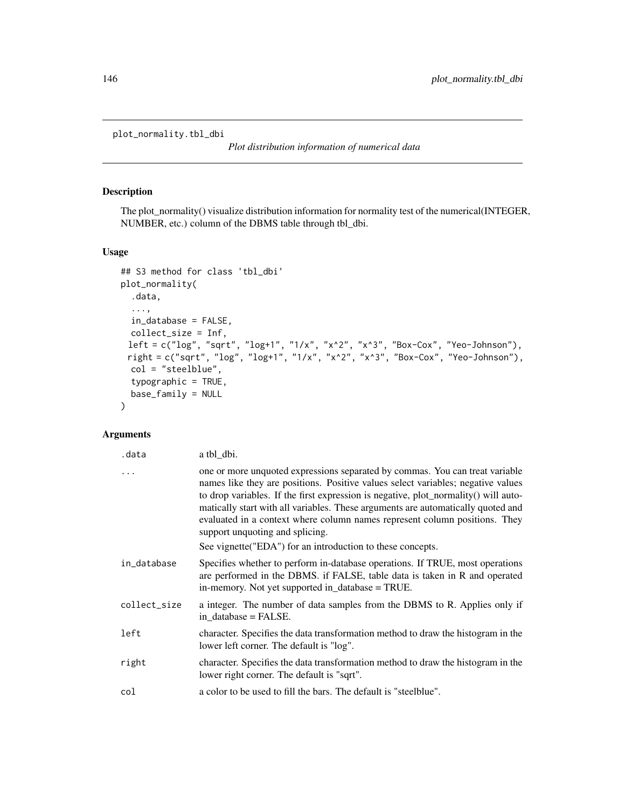plot\_normality.tbl\_dbi

*Plot distribution information of numerical data*

# Description

The plot\_normality() visualize distribution information for normality test of the numerical(INTEGER, NUMBER, etc.) column of the DBMS table through tbl\_dbi.

# Usage

```
## S3 method for class 'tbl_dbi'
plot_normality(
  .data,
  ...,
 in_database = FALSE,
 collect_size = Inf,
 left = c("log", "sqrt", "log+1", "1/x", "x^2", "x^3", "Box-Cox", "Yeo-Johnson"),
 right = c("sqrt", "log", "log+1", "1/x", "x^2", "x^3", "Box-Cox", "Yeo-Johnson"),
 col = "steelblue",
  typographic = TRUE,
 base_family = NULL
)
```
# Arguments

| .data        | a tbl_dbi.                                                                                                                                                                                                                                                                                                                                                                                                                                                   |
|--------------|--------------------------------------------------------------------------------------------------------------------------------------------------------------------------------------------------------------------------------------------------------------------------------------------------------------------------------------------------------------------------------------------------------------------------------------------------------------|
| $\ddots$     | one or more unquoted expressions separated by commas. You can treat variable<br>names like they are positions. Positive values select variables; negative values<br>to drop variables. If the first expression is negative, plot_normality() will auto-<br>matically start with all variables. These arguments are automatically quoted and<br>evaluated in a context where column names represent column positions. They<br>support unquoting and splicing. |
|              | See vignette ("EDA") for an introduction to these concepts.                                                                                                                                                                                                                                                                                                                                                                                                  |
| in_database  | Specifies whether to perform in-database operations. If TRUE, most operations<br>are performed in the DBMS. if FALSE, table data is taken in R and operated<br>in-memory. Not yet supported in_database = TRUE.                                                                                                                                                                                                                                              |
| collect_size | a integer. The number of data samples from the DBMS to R. Applies only if<br>in database = FALSE.                                                                                                                                                                                                                                                                                                                                                            |
| left         | character. Specifies the data transformation method to draw the histogram in the<br>lower left corner. The default is "log".                                                                                                                                                                                                                                                                                                                                 |
| right        | character. Specifies the data transformation method to draw the histogram in the<br>lower right corner. The default is "sqrt".                                                                                                                                                                                                                                                                                                                               |
| col          | a color to be used to fill the bars. The default is "steelblue".                                                                                                                                                                                                                                                                                                                                                                                             |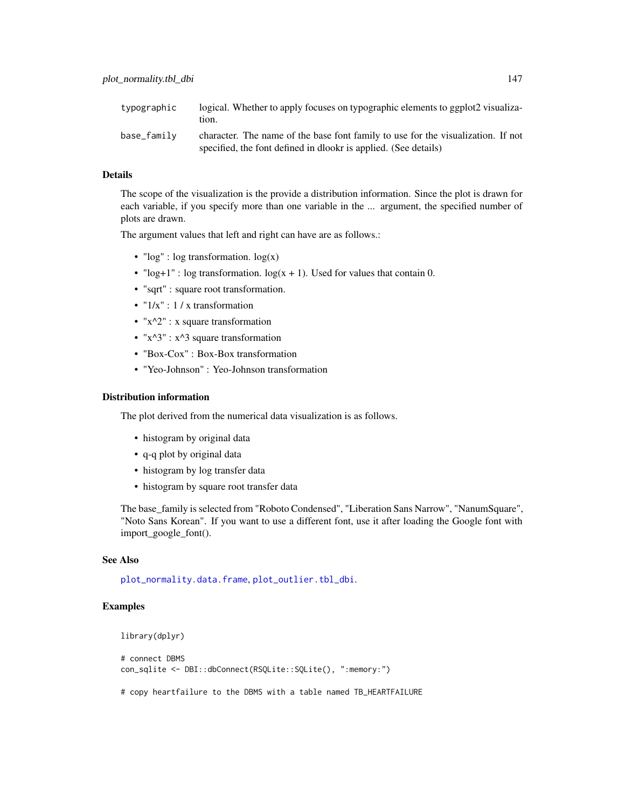| typographic | logical. Whether to apply focuses on typographic elements to ggplot2 visualiza-<br>tion.                                                            |
|-------------|-----------------------------------------------------------------------------------------------------------------------------------------------------|
| base_family | character. The name of the base font family to use for the visualization. If not<br>specified, the font defined in dlookr is applied. (See details) |

#### Details

The scope of the visualization is the provide a distribution information. Since the plot is drawn for each variable, if you specify more than one variable in the ... argument, the specified number of plots are drawn.

The argument values that left and right can have are as follows.:

- "log" : log transformation. log(x)
- "log+1" : log transformation.  $log(x + 1)$ . Used for values that contain 0.
- "sqrt" : square root transformation.
- $"1/x"$ : 1 / x transformation
- " $x^2$ " : x square transformation
- " $x^3$ " :  $x^3$  square transformation
- "Box-Cox" : Box-Box transformation
- "Yeo-Johnson" : Yeo-Johnson transformation

#### Distribution information

The plot derived from the numerical data visualization is as follows.

- histogram by original data
- q-q plot by original data
- histogram by log transfer data
- histogram by square root transfer data

The base\_family is selected from "Roboto Condensed", "Liberation Sans Narrow", "NanumSquare", "Noto Sans Korean". If you want to use a different font, use it after loading the Google font with import\_google\_font().

#### See Also

[plot\\_normality.data.frame](#page-141-0), [plot\\_outlier.tbl\\_dbi](#page-151-0).

## Examples

```
library(dplyr)
```

```
# connect DBMS
con_sqlite <- DBI::dbConnect(RSQLite::SQLite(), ":memory:")
```
# copy heartfailure to the DBMS with a table named TB\_HEARTFAILURE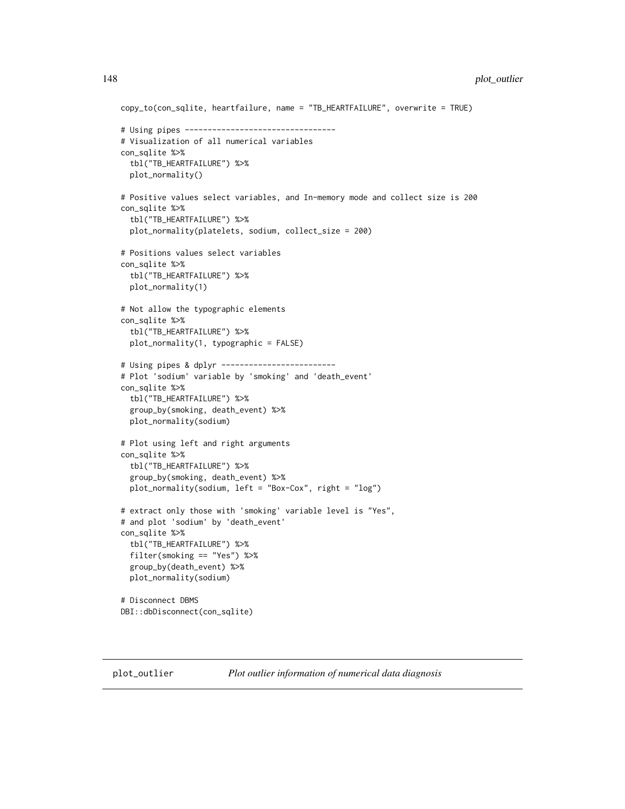```
copy_to(con_sqlite, heartfailure, name = "TB_HEARTFAILURE", overwrite = TRUE)
# Using pipes ---------------------------------
# Visualization of all numerical variables
con_sqlite %>%
 tbl("TB_HEARTFAILURE") %>%
 plot_normality()
# Positive values select variables, and In-memory mode and collect size is 200
con_sqlite %>%
 tbl("TB_HEARTFAILURE") %>%
 plot_normality(platelets, sodium, collect_size = 200)
# Positions values select variables
con_sqlite %>%
 tbl("TB_HEARTFAILURE") %>%
 plot_normality(1)
# Not allow the typographic elements
con_sqlite %>%
 tbl("TB_HEARTFAILURE") %>%
 plot_normality(1, typographic = FALSE)
# Using pipes & dplyr -------------------------
# Plot 'sodium' variable by 'smoking' and 'death_event'
con_sqlite %>%
 tbl("TB_HEARTFAILURE") %>%
 group_by(smoking, death_event) %>%
 plot_normality(sodium)
# Plot using left and right arguments
con_sqlite %>%
 tbl("TB_HEARTFAILURE") %>%
 group_by(smoking, death_event) %>%
 plot_normality(sodium, left = "Box-Cox", right = "log")
# extract only those with 'smoking' variable level is "Yes",
# and plot 'sodium' by 'death_event'
con_sqlite %>%
 tbl("TB_HEARTFAILURE") %>%
 filter(smoking == "Yes") %>%
 group_by(death_event) %>%
 plot_normality(sodium)
# Disconnect DBMS
DBI::dbDisconnect(con_sqlite)
```
<span id="page-147-0"></span>

plot\_outlier *Plot outlier information of numerical data diagnosis*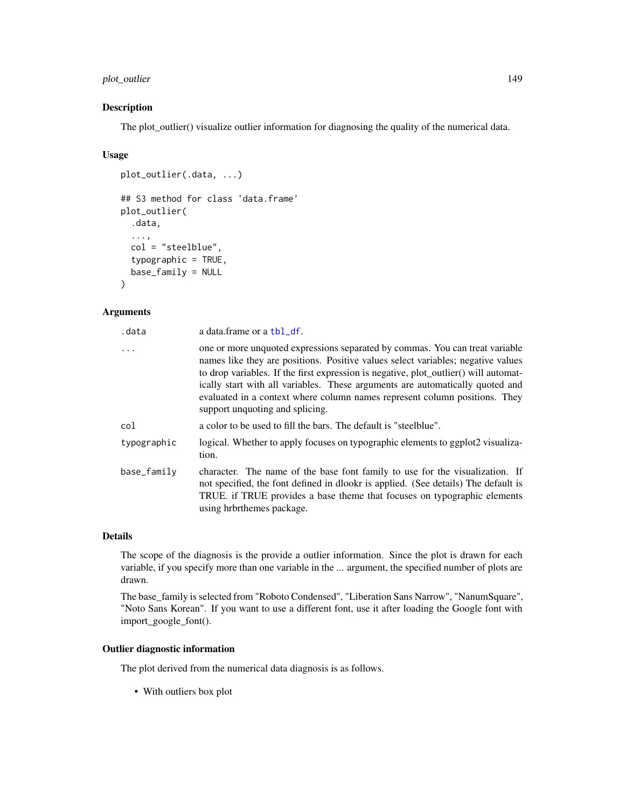# plot\_outlier 149

# Description

The plot\_outlier() visualize outlier information for diagnosing the quality of the numerical data.

#### Usage

```
plot_outlier(.data, ...)
## S3 method for class 'data.frame'
plot_outlier(
  .data,
  ...,
  col = "steelblue",
  typographic = TRUE,
 base_family = NULL
\lambda
```
#### Arguments

| .data       | a data.frame or a tbl_df.                                                                                                                                                                                                                                                                                                                                                                                                                                  |
|-------------|------------------------------------------------------------------------------------------------------------------------------------------------------------------------------------------------------------------------------------------------------------------------------------------------------------------------------------------------------------------------------------------------------------------------------------------------------------|
| $\ddots$    | one or more unquoted expressions separated by commas. You can treat variable<br>names like they are positions. Positive values select variables; negative values<br>to drop variables. If the first expression is negative, plot_outlier() will automat-<br>ically start with all variables. These arguments are automatically quoted and<br>evaluated in a context where column names represent column positions. They<br>support unquoting and splicing. |
| col         | a color to be used to fill the bars. The default is "steelblue".                                                                                                                                                                                                                                                                                                                                                                                           |
| typographic | logical. Whether to apply focuses on typographic elements to ggplot2 visualiza-<br>tion.                                                                                                                                                                                                                                                                                                                                                                   |
| base_family | character. The name of the base font family to use for the visualization. If<br>not specified, the font defined in dlookr is applied. (See details) The default is<br>TRUE. if TRUE provides a base theme that focuses on typographic elements<br>using hrbrthemes package.                                                                                                                                                                                |

#### Details

The scope of the diagnosis is the provide a outlier information. Since the plot is drawn for each variable, if you specify more than one variable in the ... argument, the specified number of plots are drawn.

The base\_family is selected from "Roboto Condensed", "Liberation Sans Narrow", "NanumSquare", "Noto Sans Korean". If you want to use a different font, use it after loading the Google font with import\_google\_font().

# Outlier diagnostic information

The plot derived from the numerical data diagnosis is as follows.

• With outliers box plot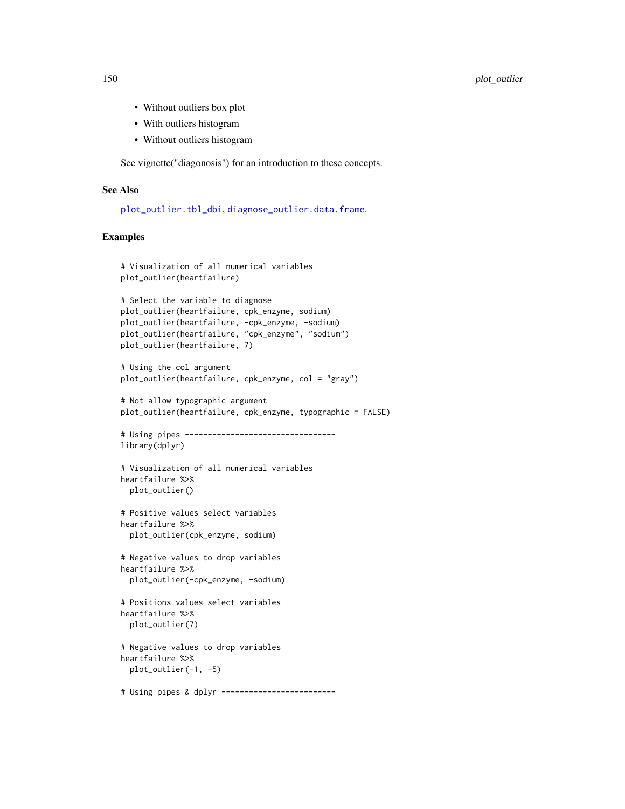- Without outliers box plot
- With outliers histogram
- Without outliers histogram

See vignette("diagonosis") for an introduction to these concepts.

## See Also

[plot\\_outlier.tbl\\_dbi](#page-151-0), [diagnose\\_outlier.data.frame](#page-40-0).

```
# Visualization of all numerical variables
plot_outlier(heartfailure)
# Select the variable to diagnose
plot_outlier(heartfailure, cpk_enzyme, sodium)
plot_outlier(heartfailure, -cpk_enzyme, -sodium)
plot_outlier(heartfailure, "cpk_enzyme", "sodium")
plot_outlier(heartfailure, 7)
# Using the col argument
plot_outlier(heartfailure, cpk_enzyme, col = "gray")
# Not allow typographic argument
plot_outlier(heartfailure, cpk_enzyme, typographic = FALSE)
# Using pipes ---------------------------------
library(dplyr)
# Visualization of all numerical variables
heartfailure %>%
  plot_outlier()
# Positive values select variables
heartfailure %>%
  plot_outlier(cpk_enzyme, sodium)
# Negative values to drop variables
heartfailure %>%
  plot_outlier(-cpk_enzyme, -sodium)
# Positions values select variables
heartfailure %>%
  plot_outlier(7)
# Negative values to drop variables
heartfailure %>%
  plot_outlier(-1, -5)
# Using pipes & dplyr -------------------------
```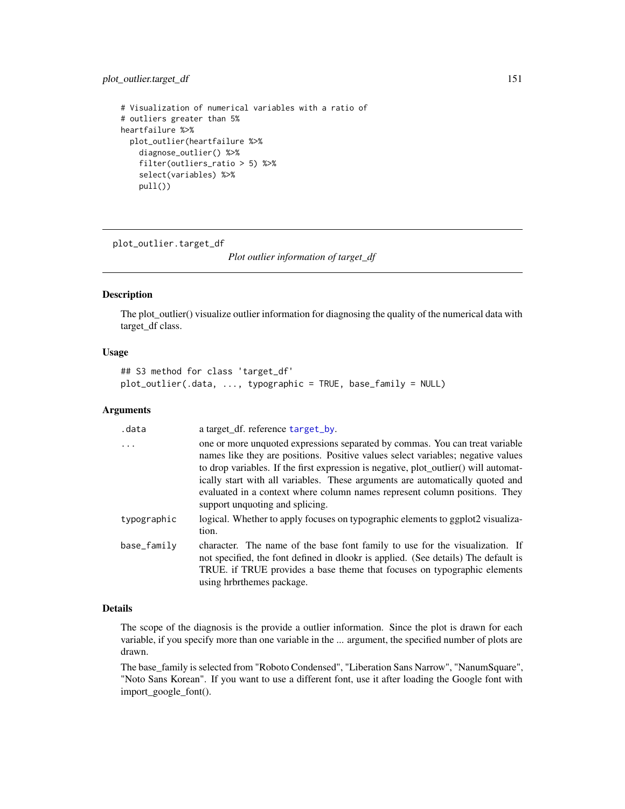# plot\_outlier.target\_df 151

```
# Visualization of numerical variables with a ratio of
# outliers greater than 5%
heartfailure %>%
  plot_outlier(heartfailure %>%
    diagnose_outlier() %>%
    filter(outliers_ratio > 5) %>%
    select(variables) %>%
   pull())
```
plot\_outlier.target\_df

*Plot outlier information of target\_df*

#### Description

The plot\_outlier() visualize outlier information for diagnosing the quality of the numerical data with target\_df class.

#### Usage

```
## S3 method for class 'target_df'
plot_outlier(.data, ..., typographic = TRUE, base_family = NULL)
```
# Arguments

| .data       | a target_df. reference target_by.                                                                                                                                                                                                                                                                                                                                                                                                                          |
|-------------|------------------------------------------------------------------------------------------------------------------------------------------------------------------------------------------------------------------------------------------------------------------------------------------------------------------------------------------------------------------------------------------------------------------------------------------------------------|
| $\cdot$     | one or more unquoted expressions separated by commas. You can treat variable<br>names like they are positions. Positive values select variables; negative values<br>to drop variables. If the first expression is negative, plot_outlier() will automat-<br>ically start with all variables. These arguments are automatically quoted and<br>evaluated in a context where column names represent column positions. They<br>support unquoting and splicing. |
| typographic | logical. Whether to apply focuses on typographic elements to ggplot2 visualiza-<br>tion.                                                                                                                                                                                                                                                                                                                                                                   |
| base_family | character. The name of the base font family to use for the visualization. If<br>not specified, the font defined in dlookr is applied. (See details) The default is<br>TRUE. if TRUE provides a base theme that focuses on typographic elements<br>using hrbrthemes package.                                                                                                                                                                                |

# Details

The scope of the diagnosis is the provide a outlier information. Since the plot is drawn for each variable, if you specify more than one variable in the ... argument, the specified number of plots are drawn.

The base\_family is selected from "Roboto Condensed", "Liberation Sans Narrow", "NanumSquare", "Noto Sans Korean". If you want to use a different font, use it after loading the Google font with import\_google\_font().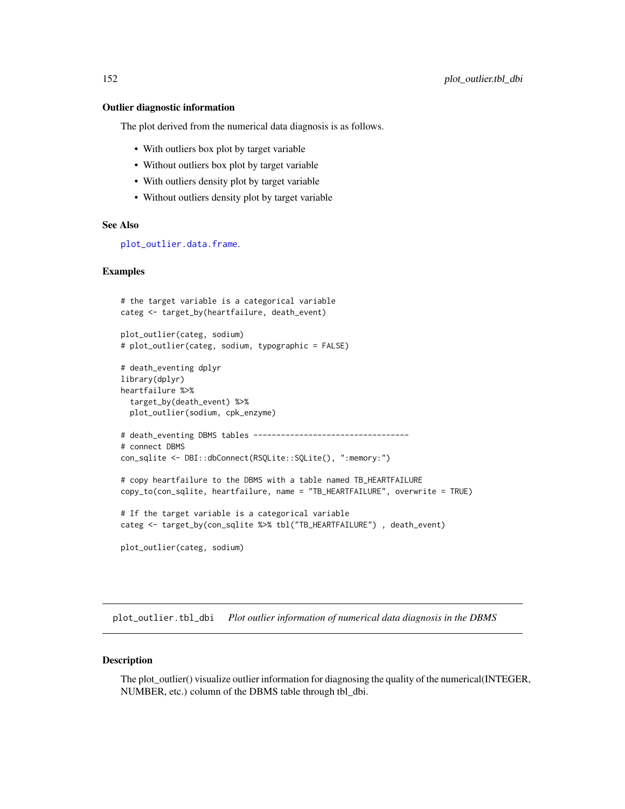#### Outlier diagnostic information

The plot derived from the numerical data diagnosis is as follows.

- With outliers box plot by target variable
- Without outliers box plot by target variable
- With outliers density plot by target variable
- Without outliers density plot by target variable

# See Also

[plot\\_outlier.data.frame](#page-147-0).

#### Examples

```
# the target variable is a categorical variable
categ <- target_by(heartfailure, death_event)
plot_outlier(categ, sodium)
# plot_outlier(categ, sodium, typographic = FALSE)
# death_eventing dplyr
library(dplyr)
heartfailure %>%
  target_by(death_event) %>%
  plot_outlier(sodium, cpk_enzyme)
# death_eventing DBMS tables -----------------------------------
# connect DBMS
con_sqlite <- DBI::dbConnect(RSQLite::SQLite(), ":memory:")
# copy heartfailure to the DBMS with a table named TB_HEARTFAILURE
copy_to(con_sqlite, heartfailure, name = "TB_HEARTFAILURE", overwrite = TRUE)
# If the target variable is a categorical variable
categ <- target_by(con_sqlite %>% tbl("TB_HEARTFAILURE") , death_event)
plot_outlier(categ, sodium)
```
<span id="page-151-0"></span>plot\_outlier.tbl\_dbi *Plot outlier information of numerical data diagnosis in the DBMS*

#### **Description**

The plot\_outlier() visualize outlier information for diagnosing the quality of the numerical(INTEGER, NUMBER, etc.) column of the DBMS table through tbl\_dbi.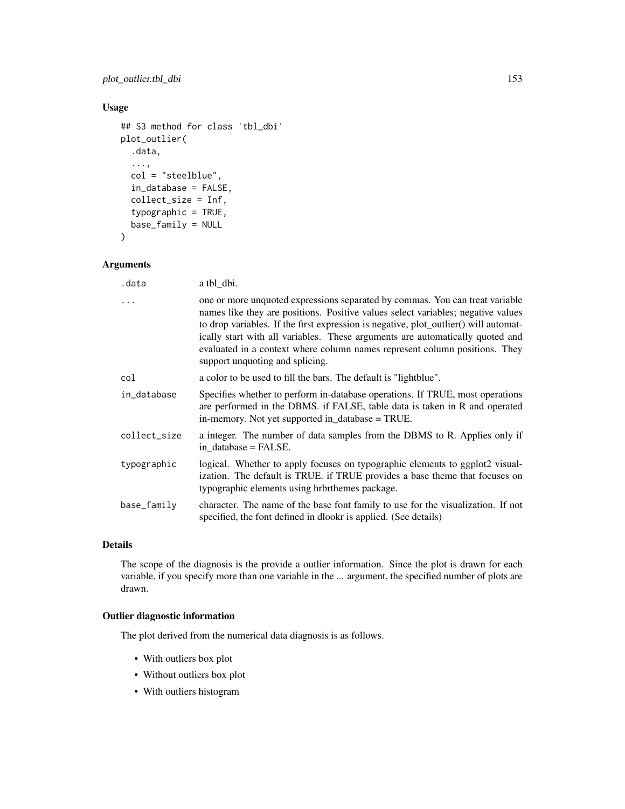# plot\_outlier.tbl\_dbi 153

# Usage

```
## S3 method for class 'tbl_dbi'
plot_outlier(
  .data,
  ...,
  col = "steelblue",
  in_database = FALSE,
  collect_size = Inf,
  typographic = TRUE,
 base_family = NULL
```

```
\mathcal{L}
```
# Arguments

| .data        | a tbl_dbi.                                                                                                                                                                                                                                                                                                                                                                                                                                                 |
|--------------|------------------------------------------------------------------------------------------------------------------------------------------------------------------------------------------------------------------------------------------------------------------------------------------------------------------------------------------------------------------------------------------------------------------------------------------------------------|
| $\ddots$     | one or more unquoted expressions separated by commas. You can treat variable<br>names like they are positions. Positive values select variables; negative values<br>to drop variables. If the first expression is negative, plot_outlier() will automat-<br>ically start with all variables. These arguments are automatically quoted and<br>evaluated in a context where column names represent column positions. They<br>support unquoting and splicing. |
| col          | a color to be used to fill the bars. The default is "lightblue".                                                                                                                                                                                                                                                                                                                                                                                           |
| in_database  | Specifies whether to perform in-database operations. If TRUE, most operations<br>are performed in the DBMS. if FALSE, table data is taken in R and operated<br>in-memory. Not yet supported in database = TRUE.                                                                                                                                                                                                                                            |
| collect_size | a integer. The number of data samples from the DBMS to R. Applies only if<br>in database = FALSE.                                                                                                                                                                                                                                                                                                                                                          |
| typographic  | logical. Whether to apply focuses on typographic elements to ggplot2 visual-<br>ization. The default is TRUE. if TRUE provides a base theme that focuses on<br>typographic elements using hrbrthemes package.                                                                                                                                                                                                                                              |
| base_family  | character. The name of the base font family to use for the visualization. If not<br>specified, the font defined in dlookr is applied. (See details)                                                                                                                                                                                                                                                                                                        |

# Details

The scope of the diagnosis is the provide a outlier information. Since the plot is drawn for each variable, if you specify more than one variable in the ... argument, the specified number of plots are drawn.

# Outlier diagnostic information

The plot derived from the numerical data diagnosis is as follows.

- With outliers box plot
- Without outliers box plot
- With outliers histogram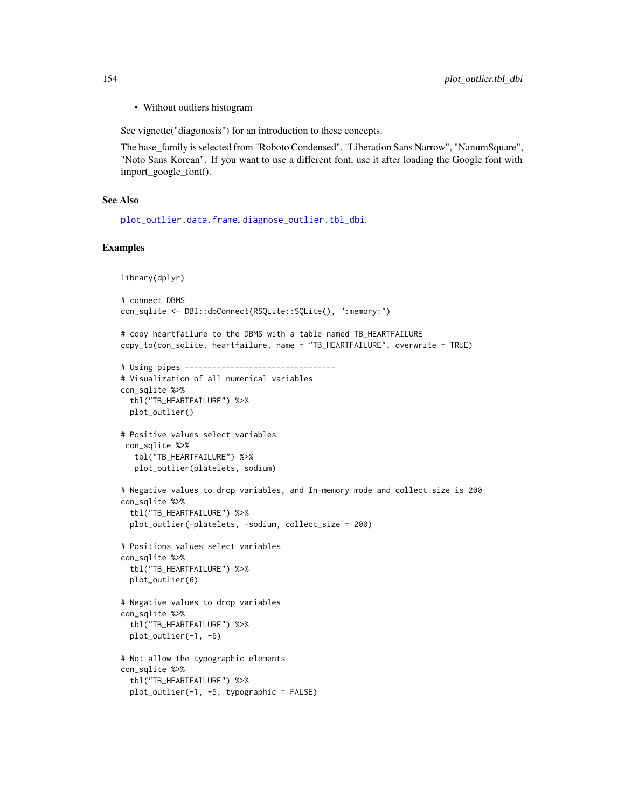• Without outliers histogram

See vignette("diagonosis") for an introduction to these concepts.

The base\_family is selected from "Roboto Condensed", "Liberation Sans Narrow", "NanumSquare", "Noto Sans Korean". If you want to use a different font, use it after loading the Google font with import\_google\_font().

#### See Also

[plot\\_outlier.data.frame](#page-147-0), [diagnose\\_outlier.tbl\\_dbi](#page-42-0).

```
library(dplyr)
# connect DBMS
con_sqlite <- DBI::dbConnect(RSQLite::SQLite(), ":memory:")
# copy heartfailure to the DBMS with a table named TB_HEARTFAILURE
copy_to(con_sqlite, heartfailure, name = "TB_HEARTFAILURE", overwrite = TRUE)
# Using pipes ---------------------------------
# Visualization of all numerical variables
con_sqlite %>%
 tbl("TB_HEARTFAILURE") %>%
 plot_outlier()
# Positive values select variables
con_sqlite %>%
  tbl("TB_HEARTFAILURE") %>%
  plot_outlier(platelets, sodium)
# Negative values to drop variables, and In-memory mode and collect size is 200
con_sqlite %>%
 tbl("TB_HEARTFAILURE") %>%
 plot_outlier(-platelets, -sodium, collect_size = 200)
# Positions values select variables
con_sqlite %>%
 tbl("TB_HEARTFAILURE") %>%
 plot_outlier(6)
# Negative values to drop variables
con_sqlite %>%
 tbl("TB_HEARTFAILURE") %>%
 plot_outlier(-1, -5)
# Not allow the typographic elements
con_sqlite %>%
 tbl("TB_HEARTFAILURE") %>%
 plot_outlier(-1, -5, typographic = FALSE)
```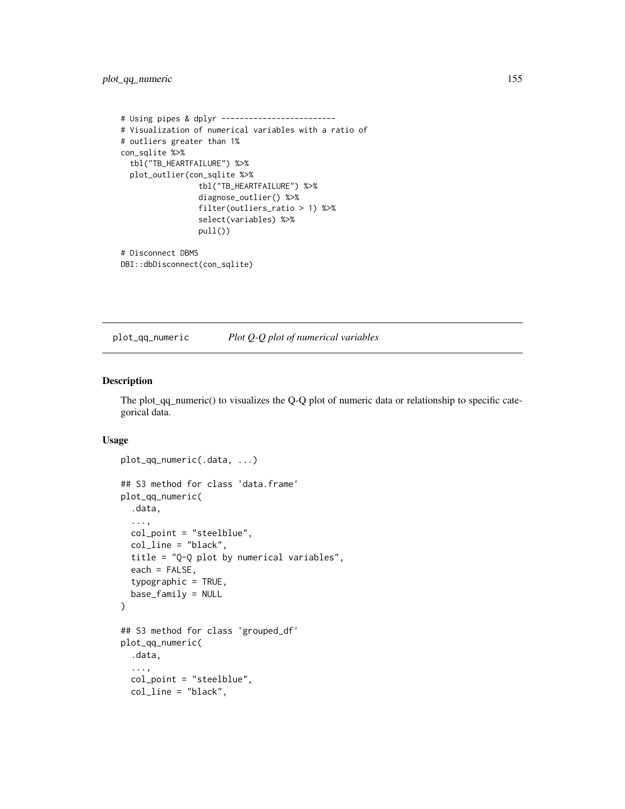```
# Using pipes & dplyr -------------------------
# Visualization of numerical variables with a ratio of
# outliers greater than 1%
con_sqlite %>%
  tbl("TB_HEARTFAILURE") %>%
  plot_outlier(con_sqlite %>%
                 tbl("TB_HEARTFAILURE") %>%
                 diagnose_outlier() %>%
                 filter(outliers_ratio > 1) %>%
                 select(variables) %>%
                 pull())
# Disconnect DBMS
DBI::dbDisconnect(con_sqlite)
```
plot\_qq\_numeric *Plot Q-Q plot of numerical variables*

#### Description

The plot\_qq\_numeric() to visualizes the Q-Q plot of numeric data or relationship to specific categorical data.

# Usage

```
plot_qq_numeric(.data, ...)
## S3 method for class 'data.frame'
plot_qq_numeric(
  .data,
  ...,
  col_point = "steelblue",
  col_line = "black",
  title = "Q-Q plot by numerical variables",
  each = FALSE,typographic = TRUE,
  base_family = NULL
)
## S3 method for class 'grouped_df'
plot_qq_numeric(
  .data,
  ...,
  col_point = "steelblue",
  col_line = "black",
```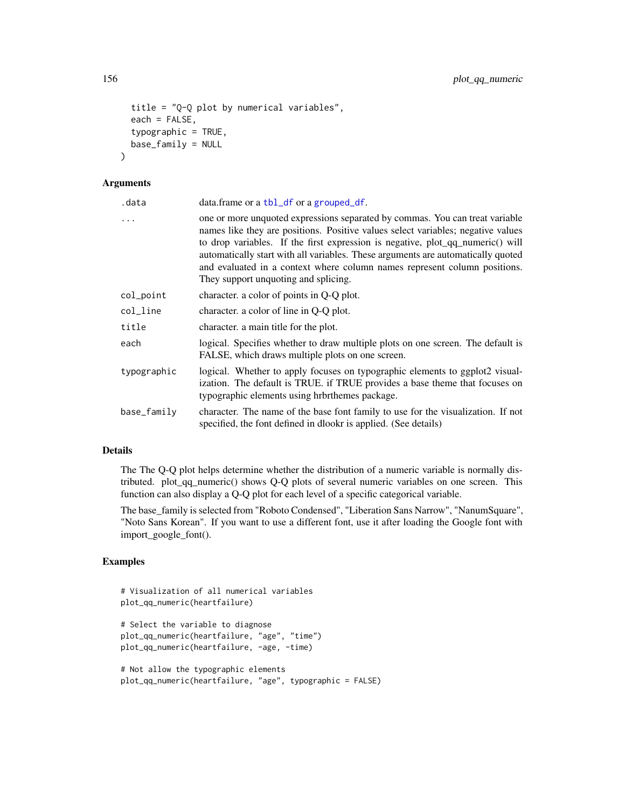```
title = "Q-Q plot by numerical variables",
each = FALSE,typographic = TRUE,
base_family = NULL
```
#### Arguments

 $\lambda$ 

| .data       | data.frame or a tbl_df or a grouped_df.                                                                                                                                                                                                                                                                                                                                                                                                                     |
|-------------|-------------------------------------------------------------------------------------------------------------------------------------------------------------------------------------------------------------------------------------------------------------------------------------------------------------------------------------------------------------------------------------------------------------------------------------------------------------|
| $\ddots$    | one or more unquoted expressions separated by commas. You can treat variable<br>names like they are positions. Positive values select variables; negative values<br>to drop variables. If the first expression is negative, plot_qq_numeric() will<br>automatically start with all variables. These arguments are automatically quoted<br>and evaluated in a context where column names represent column positions.<br>They support unquoting and splicing. |
| col_point   | character. a color of points in Q-Q plot.                                                                                                                                                                                                                                                                                                                                                                                                                   |
| col_line    | character. a color of line in Q-Q plot.                                                                                                                                                                                                                                                                                                                                                                                                                     |
| title       | character, a main title for the plot.                                                                                                                                                                                                                                                                                                                                                                                                                       |
| each        | logical. Specifies whether to draw multiple plots on one screen. The default is<br>FALSE, which draws multiple plots on one screen.                                                                                                                                                                                                                                                                                                                         |
| typographic | logical. Whether to apply focuses on typographic elements to ggplot2 visual-<br>ization. The default is TRUE. if TRUE provides a base theme that focuses on<br>typographic elements using hrbrthemes package.                                                                                                                                                                                                                                               |
| base_family | character. The name of the base font family to use for the visualization. If not<br>specified, the font defined in dlookr is applied. (See details)                                                                                                                                                                                                                                                                                                         |

# Details

The The Q-Q plot helps determine whether the distribution of a numeric variable is normally distributed. plot\_qq\_numeric() shows Q-Q plots of several numeric variables on one screen. This function can also display a Q-Q plot for each level of a specific categorical variable.

The base\_family is selected from "Roboto Condensed", "Liberation Sans Narrow", "NanumSquare", "Noto Sans Korean". If you want to use a different font, use it after loading the Google font with import\_google\_font().

```
# Visualization of all numerical variables
plot_qq_numeric(heartfailure)
# Select the variable to diagnose
plot_qq_numeric(heartfailure, "age", "time")
plot_qq_numeric(heartfailure, -age, -time)
# Not allow the typographic elements
plot_qq_numeric(heartfailure, "age", typographic = FALSE)
```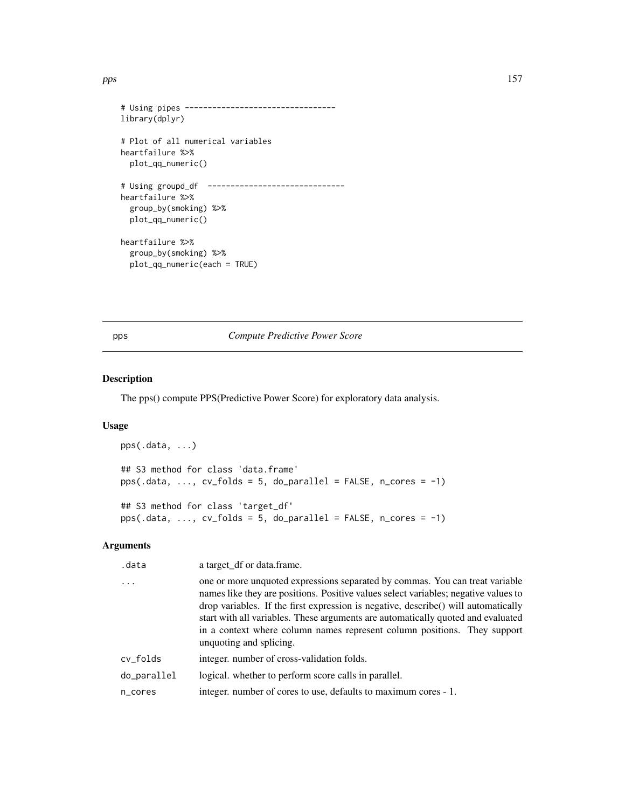```
# Using pipes ---------------------------------
library(dplyr)
# Plot of all numerical variables
heartfailure %>%
  plot_qq_numeric()
# Using groupd_df ------------------------------
heartfailure %>%
  group_by(smoking) %>%
  plot_qq_numeric()
heartfailure %>%
  group_by(smoking) %>%
  plot_qq_numeric(each = TRUE)
```
# <span id="page-156-0"></span>pps *Compute Predictive Power Score*

# Description

The pps() compute PPS(Predictive Power Score) for exploratory data analysis.

#### Usage

```
pps(.data, ...)
## S3 method for class 'data.frame'
pps(.data, ..., cv_folds = 5, do_parallel = FALSE, n_cores = -1)## S3 method for class 'target_df'
pps(.data, ..., cv_folds = 5, do\_parallel = FALSE, n_cores = -1)
```
# Arguments

| .data       | a target_df or data.frame.                                                                                                                                                                                                                                                                                                                                                                                                                           |
|-------------|------------------------------------------------------------------------------------------------------------------------------------------------------------------------------------------------------------------------------------------------------------------------------------------------------------------------------------------------------------------------------------------------------------------------------------------------------|
|             | one or more unquoted expressions separated by commas. You can treat variable<br>names like they are positions. Positive values select variables; negative values to<br>drop variables. If the first expression is negative, describe() will automatically<br>start with all variables. These arguments are automatically quoted and evaluated<br>in a context where column names represent column positions. They support<br>unquoting and splicing. |
| cv_folds    | integer, number of cross-validation folds.                                                                                                                                                                                                                                                                                                                                                                                                           |
| do_parallel | logical. whether to perform score calls in parallel.                                                                                                                                                                                                                                                                                                                                                                                                 |
| n_cores     | integer. number of cores to use, defaults to maximum cores - 1.                                                                                                                                                                                                                                                                                                                                                                                      |
|             |                                                                                                                                                                                                                                                                                                                                                                                                                                                      |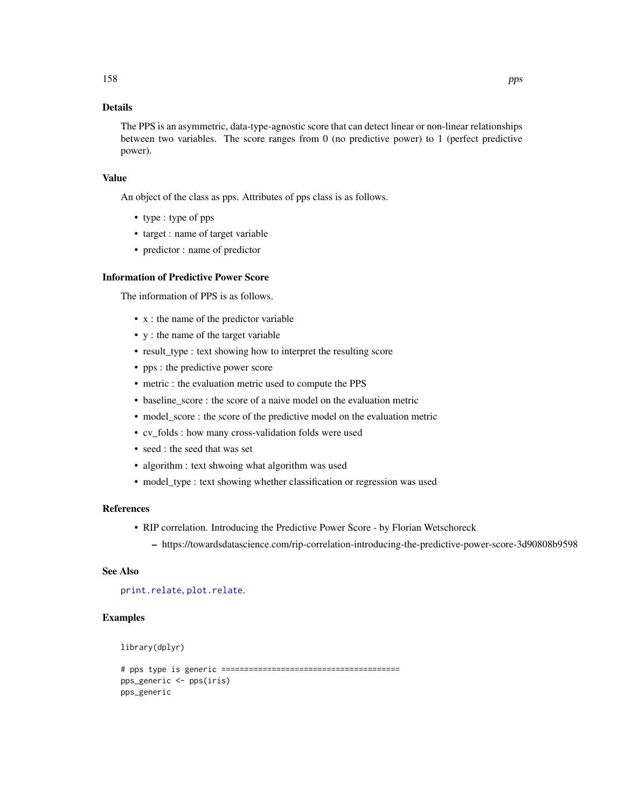# Details

The PPS is an asymmetric, data-type-agnostic score that can detect linear or non-linear relationships between two variables. The score ranges from 0 (no predictive power) to 1 (perfect predictive power).

#### Value

An object of the class as pps. Attributes of pps class is as follows.

- type : type of pps
- target : name of target variable
- predictor : name of predictor

# Information of Predictive Power Score

The information of PPS is as follows.

- x : the name of the predictor variable
- y : the name of the target variable
- result\_type : text showing how to interpret the resulting score
- pps : the predictive power score
- metric : the evaluation metric used to compute the PPS
- baseline\_score : the score of a naive model on the evaluation metric
- model\_score : the score of the predictive model on the evaluation metric
- cv\_folds : how many cross-validation folds were used
- seed : the seed that was set
- algorithm : text shwoing what algorithm was used
- model\_type : text showing whether classification or regression was used

#### References

- RIP correlation. Introducing the Predictive Power Score by Florian Wetschoreck
	- https://towardsdatascience.com/rip-correlation-introducing-the-predictive-power-score-3d90808b9598

# See Also

[print.relate](#page-159-0), [plot.relate](#page-124-0).

```
library(dplyr)
```

```
# pps type is generic =======================================
pps_generic <- pps(iris)
pps_generic
```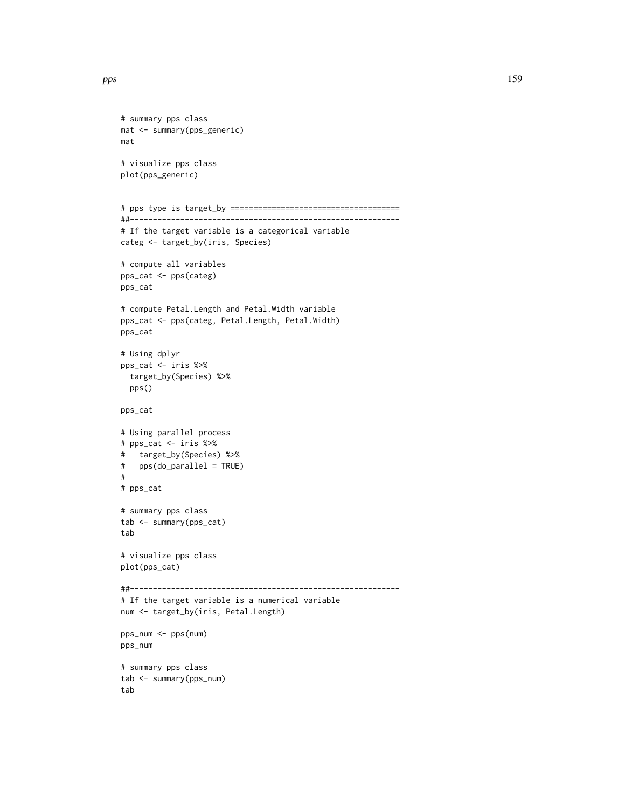```
# summary pps class
mat <- summary(pps_generic)
mat
# visualize pps class
plot(pps_generic)
# pps type is target_by =====================================
##-----------------------------------------------------------
# If the target variable is a categorical variable
categ <- target_by(iris, Species)
# compute all variables
pps_cat <- pps(categ)
pps_cat
# compute Petal.Length and Petal.Width variable
pps_cat <- pps(categ, Petal.Length, Petal.Width)
pps_cat
# Using dplyr
pps_cat <- iris %>%
  target_by(Species) %>%
  pps()
pps_cat
# Using parallel process
# pps_cat <- iris %>%
# target_by(Species) %>%
# pps(do_parallel = TRUE)
#
# pps_cat
# summary pps class
tab <- summary(pps_cat)
tab
# visualize pps class
plot(pps_cat)
##-----------------------------------------------------------
# If the target variable is a numerical variable
num <- target_by(iris, Petal.Length)
pps_num <- pps(num)
pps_num
# summary pps class
tab <- summary(pps_num)
tab
```
pps the contract of the contract of the contract of the contract of the contract of the contract of the contract of the contract of the contract of the contract of the contract of the contract of the contract of the contra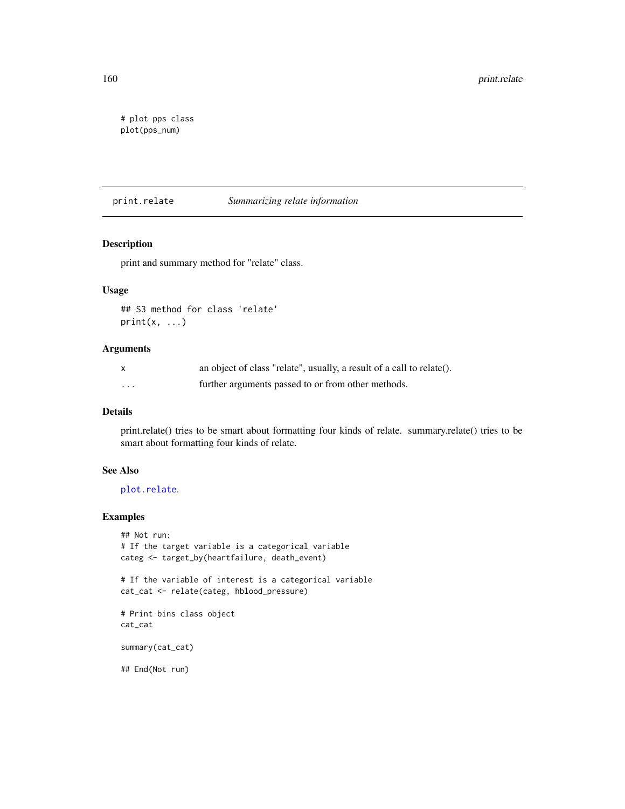```
# plot pps class
plot(pps_num)
```
<span id="page-159-0"></span>print.relate *Summarizing relate information*

# Description

print and summary method for "relate" class.

# Usage

```
## S3 method for class 'relate'
print(x, \ldots)
```
# Arguments

| X       | an object of class "relate", usually, a result of a call to relate(). |
|---------|-----------------------------------------------------------------------|
| $\cdot$ | further arguments passed to or from other methods.                    |

# Details

print.relate() tries to be smart about formatting four kinds of relate. summary.relate() tries to be smart about formatting four kinds of relate.

# See Also

[plot.relate](#page-124-0).

# Examples

```
## Not run:
# If the target variable is a categorical variable
categ <- target_by(heartfailure, death_event)
```
# If the variable of interest is a categorical variable cat\_cat <- relate(categ, hblood\_pressure)

```
# Print bins class object
cat_cat
```
summary(cat\_cat)

## End(Not run)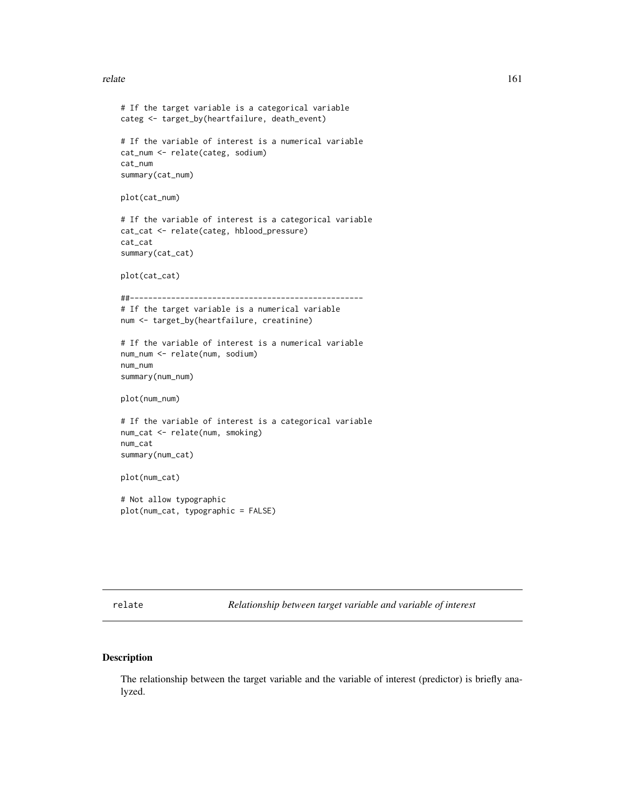#### relate the contract of the contract of the contract of the contract of the contract of the contract of the contract of the contract of the contract of the contract of the contract of the contract of the contract of the con

```
# If the target variable is a categorical variable
categ <- target_by(heartfailure, death_event)
# If the variable of interest is a numerical variable
cat_num <- relate(categ, sodium)
cat_num
summary(cat_num)
plot(cat_num)
# If the variable of interest is a categorical variable
cat_cat <- relate(categ, hblood_pressure)
cat_cat
summary(cat_cat)
plot(cat_cat)
##---------------------------------------------------
# If the target variable is a numerical variable
num <- target_by(heartfailure, creatinine)
# If the variable of interest is a numerical variable
num_num <- relate(num, sodium)
num_num
summary(num_num)
plot(num_num)
# If the variable of interest is a categorical variable
num_cat <- relate(num, smoking)
num_cat
summary(num_cat)
plot(num_cat)
# Not allow typographic
plot(num_cat, typographic = FALSE)
```
relate *Relationship between target variable and variable of interest*

# Description

The relationship between the target variable and the variable of interest (predictor) is briefly analyzed.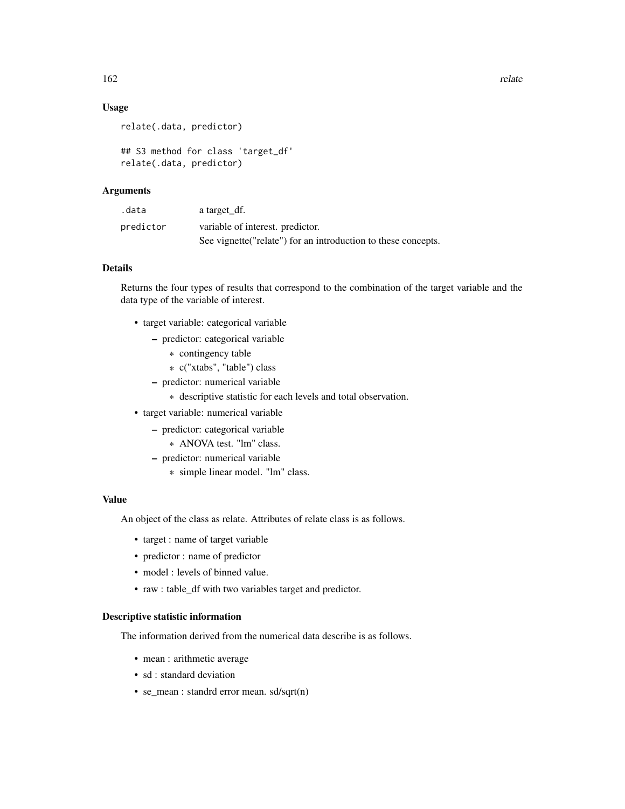# Usage

```
relate(.data, predictor)
```

```
## S3 method for class 'target_df'
relate(.data, predictor)
```
# Arguments

| .data     | a target df.                                                   |
|-----------|----------------------------------------------------------------|
| predictor | variable of interest, predictor.                               |
|           | See vignette ("relate") for an introduction to these concepts. |

# Details

Returns the four types of results that correspond to the combination of the target variable and the data type of the variable of interest.

- target variable: categorical variable
	- predictor: categorical variable
		- \* contingency table
		- \* c("xtabs", "table") class
	- predictor: numerical variable
		- \* descriptive statistic for each levels and total observation.
- target variable: numerical variable
	- predictor: categorical variable
		- \* ANOVA test. "lm" class.
	- predictor: numerical variable
		- \* simple linear model. "lm" class.

# Value

An object of the class as relate. Attributes of relate class is as follows.

- target : name of target variable
- predictor : name of predictor
- model : levels of binned value.
- raw : table\_df with two variables target and predictor.

#### Descriptive statistic information

The information derived from the numerical data describe is as follows.

- mean : arithmetic average
- sd : standard deviation
- se\_mean : standrd error mean. sd/sqrt(n)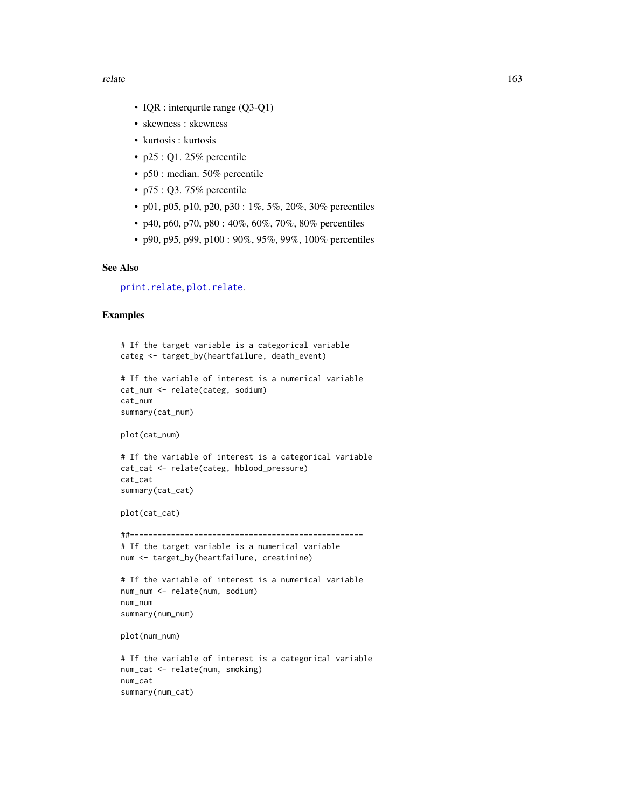- IQR : interqurtle range (Q3-Q1)
- skewness : skewness
- kurtosis : kurtosis
- p25 : Q1. 25% percentile
- p50 : median. 50% percentile
- p75 : Q3. 75% percentile
- p01, p05, p10, p20, p30 :  $1\%$ , 5%, 20%, 30% percentiles
- p40, p60, p70, p80 : 40%, 60%, 70%, 80% percentiles
- p90, p95, p99, p100 : 90%, 95%, 99%, 100% percentiles

# See Also

[print.relate](#page-159-0), [plot.relate](#page-124-0).

#### Examples

```
# If the target variable is a categorical variable
categ <- target_by(heartfailure, death_event)
```

```
# If the variable of interest is a numerical variable
cat_num <- relate(categ, sodium)
cat_num
summary(cat_num)
```
plot(cat\_num)

```
# If the variable of interest is a categorical variable
cat_cat <- relate(categ, hblood_pressure)
cat_cat
summary(cat_cat)
```

```
plot(cat_cat)
```
##---------------------------------------------------

# If the target variable is a numerical variable num <- target\_by(heartfailure, creatinine)

```
# If the variable of interest is a numerical variable
num_num <- relate(num, sodium)
num_num
summary(num_num)
```
plot(num\_num)

```
# If the variable of interest is a categorical variable
num_cat <- relate(num, smoking)
num_cat
summary(num_cat)
```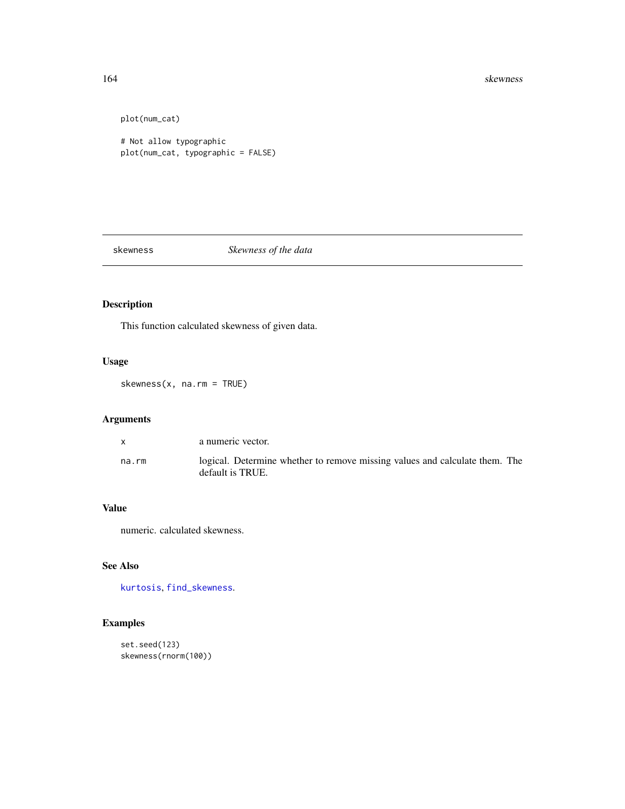#### 164 skewness and the set of the set of the set of the set of the set of the set of the set of the set of the set of the set of the set of the set of the set of the set of the set of the set of the set of the set of the set

plot(num\_cat)

# Not allow typographic plot(num\_cat, typographic = FALSE)

skewness *Skewness of the data*

# Description

This function calculated skewness of given data.

# Usage

skewness(x, na.rm = TRUE)

# Arguments

|       | a numeric vector.                                                                               |
|-------|-------------------------------------------------------------------------------------------------|
| na.rm | logical. Determine whether to remove missing values and calculate them. The<br>default is TRUE. |

# Value

numeric. calculated skewness.

# See Also

[kurtosis](#page-101-0), [find\\_skewness](#page-86-0).

```
set.seed(123)
skewness(rnorm(100))
```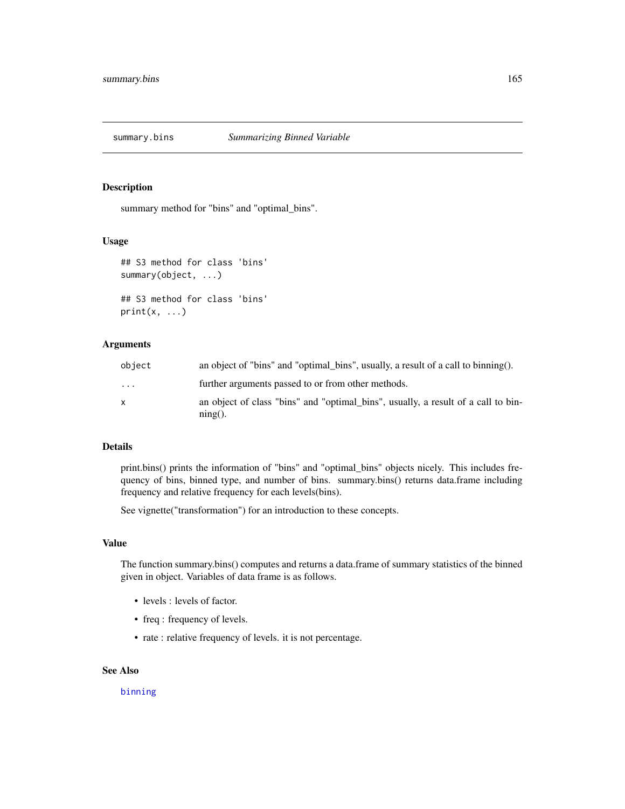#### Description

summary method for "bins" and "optimal\_bins".

# Usage

```
## S3 method for class 'bins'
summary(object, ...)
## S3 method for class 'bins'
print(x, \ldots)
```
# Arguments

| object       | an object of "bins" and "optimal_bins", usually, a result of a call to binning().               |
|--------------|-------------------------------------------------------------------------------------------------|
| $\cdot$      | further arguments passed to or from other methods.                                              |
| $\mathsf{x}$ | an object of class "bins" and "optimal_bins", usually, a result of a call to bin-<br>$ning()$ . |

# Details

print.bins() prints the information of "bins" and "optimal\_bins" objects nicely. This includes frequency of bins, binned type, and number of bins. summary.bins() returns data.frame including frequency and relative frequency for each levels(bins).

See vignette("transformation") for an introduction to these concepts.

# Value

The function summary.bins() computes and returns a data.frame of summary statistics of the binned given in object. Variables of data frame is as follows.

- levels : levels of factor.
- freq : frequency of levels.
- rate : relative frequency of levels. it is not percentage.

# See Also

#### [binning](#page-4-0)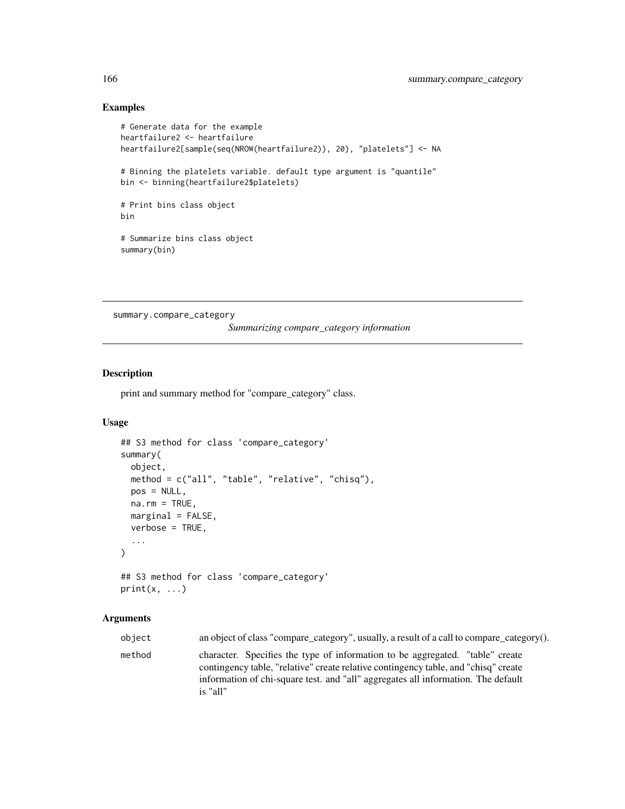# Examples

```
# Generate data for the example
heartfailure2 <- heartfailure
heartfailure2[sample(seq(NROW(heartfailure2)), 20), "platelets"] <- NA
# Binning the platelets variable. default type argument is "quantile"
bin <- binning(heartfailure2$platelets)
# Print bins class object
bin
# Summarize bins class object
summary(bin)
```
summary.compare\_category

*Summarizing compare\_category information*

# Description

print and summary method for "compare\_category" class.

# Usage

```
## S3 method for class 'compare_category'
summary(
 object,
 method = c("all", "table", "relative", "chisq"),
 pos = NULL,
 na.rm = TRUE,marginal = FALSE,verbose = TRUE,
  ...
\mathcal{L}## S3 method for class 'compare_category'
```
# $print(x, \ldots)$

# Arguments

| object | an object of class "compare_category", usually, a result of a call to compare_category().                                                                                                                                                                             |
|--------|-----------------------------------------------------------------------------------------------------------------------------------------------------------------------------------------------------------------------------------------------------------------------|
| method | character. Specifies the type of information to be aggregated. "table" create<br>contingency table, "relative" create relative contingency table, and "chisq" create<br>information of chi-square test. and "all" aggregates all information. The default<br>is "all" |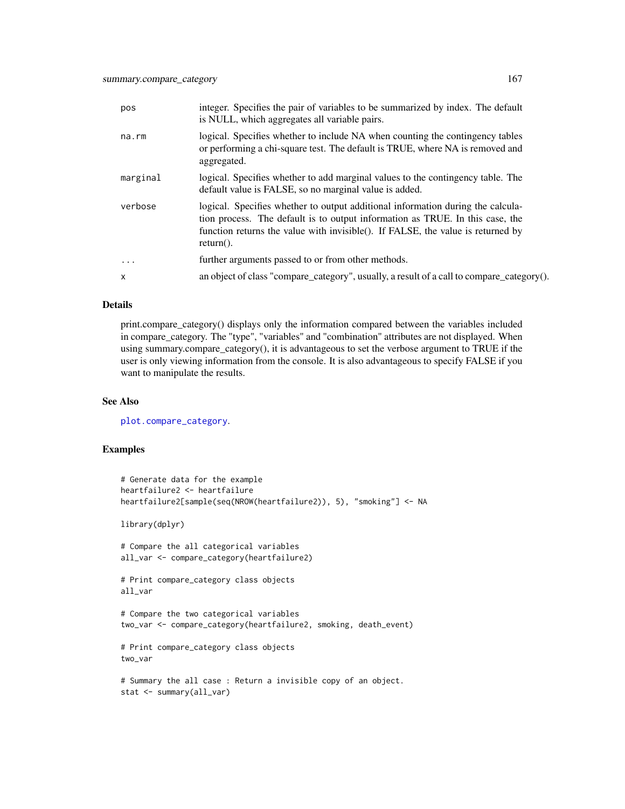| pos          | integer. Specifies the pair of variables to be summarized by index. The default<br>is NULL, which aggregates all variable pairs.                                                                                                                                    |
|--------------|---------------------------------------------------------------------------------------------------------------------------------------------------------------------------------------------------------------------------------------------------------------------|
| na.rm        | logical. Specifies whether to include NA when counting the contingency tables<br>or performing a chi-square test. The default is TRUE, where NA is removed and<br>aggregated.                                                                                       |
| marginal     | logical. Specifies whether to add marginal values to the contingency table. The<br>default value is FALSE, so no marginal value is added.                                                                                                                           |
| verbose      | logical. Specifies whether to output additional information during the calcula-<br>tion process. The default is to output information as TRUE. In this case, the<br>function returns the value with invisible(). If FALSE, the value is returned by<br>$return()$ . |
| .            | further arguments passed to or from other methods.                                                                                                                                                                                                                  |
| $\mathsf{x}$ | an object of class "compare_category", usually, a result of a call to compare_category().                                                                                                                                                                           |
|              |                                                                                                                                                                                                                                                                     |

#### Details

print.compare\_category() displays only the information compared between the variables included in compare\_category. The "type", "variables" and "combination" attributes are not displayed. When using summary.compare\_category(), it is advantageous to set the verbose argument to TRUE if the user is only viewing information from the console. It is also advantageous to specify FALSE if you want to manipulate the results.

#### See Also

[plot.compare\\_category](#page-111-0).

```
# Generate data for the example
heartfailure2 <- heartfailure
heartfailure2[sample(seq(NROW(heartfailure2)), 5), "smoking"] <- NA
library(dplyr)
# Compare the all categorical variables
all_var <- compare_category(heartfailure2)
# Print compare_category class objects
all_var
# Compare the two categorical variables
two_var <- compare_category(heartfailure2, smoking, death_event)
# Print compare_category class objects
two_var
# Summary the all case : Return a invisible copy of an object.
stat <- summary(all_var)
```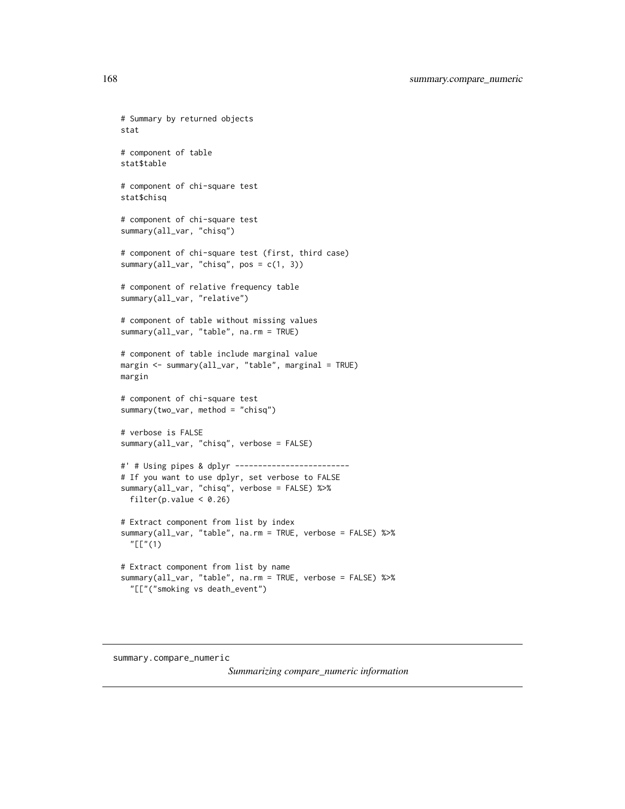```
# Summary by returned objects
stat
# component of table
stat$table
# component of chi-square test
stat$chisq
# component of chi-square test
summary(all_var, "chisq")
# component of chi-square test (first, third case)
summary(all_var, "chisq", pos = c(1, 3))
# component of relative frequency table
summary(all_var, "relative")
# component of table without missing values
summary(all_var, "table", na.rm = TRUE)
# component of table include marginal value
margin <- summary(all_var, "table", marginal = TRUE)
margin
# component of chi-square test
summary(two_var, method = "chisq")
# verbose is FALSE
summary(all_var, "chisq", verbose = FALSE)
#' # Using pipes & dplyr -------------------------
# If you want to use dplyr, set verbose to FALSE
summary(all_var, "chisq", verbose = FALSE) %>%
  filter(p.value < 0.26)
# Extract component from list by index
summary(all_var, "table", na.rm = TRUE, verbose = FALSE) %>%
  "[["(1)
# Extract component from list by name
summary(all_var, "table", na.rm = TRUE, verbose = FALSE) %>%
  "[["("smoking vs death_event")
```
summary.compare\_numeric

*Summarizing compare\_numeric information*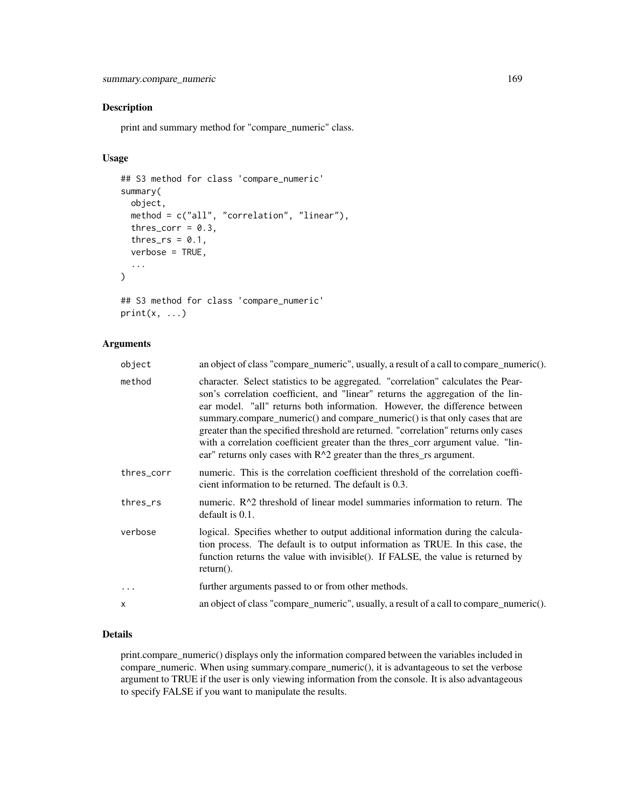# Description

print and summary method for "compare\_numeric" class.

# Usage

```
## S3 method for class 'compare_numeric'
summary(
 object,
 method = c("all", "correlation", "linear"),
  thres_corr = 0.3,
  thres_rs = 0.1,
  verbose = TRUE,
  ...
)
## S3 method for class 'compare_numeric'
```

```
print(x, \ldots)
```
# Arguments

| object     | an object of class "compare_numeric", usually, a result of a call to compare_numeric().                                                                                                                                                                                                                                                                                                                                                                                                                                                                                                |
|------------|----------------------------------------------------------------------------------------------------------------------------------------------------------------------------------------------------------------------------------------------------------------------------------------------------------------------------------------------------------------------------------------------------------------------------------------------------------------------------------------------------------------------------------------------------------------------------------------|
| method     | character. Select statistics to be aggregated. "correlation" calculates the Pear-<br>son's correlation coefficient, and "linear" returns the aggregation of the lin-<br>ear model. "all" returns both information. However, the difference between<br>summary.compare_numeric() and compare_numeric() is that only cases that are<br>greater than the specified threshold are returned. "correlation" returns only cases<br>with a correlation coefficient greater than the thres_corr argument value. "lin-<br>ear" returns only cases with $R^2$ greater than the thres_rs argument. |
| thres_corr | numeric. This is the correlation coefficient threshold of the correlation coeffi-<br>cient information to be returned. The default is 0.3.                                                                                                                                                                                                                                                                                                                                                                                                                                             |
| thres_rs   | numeric. R <sup><math>\wedge</math>2</sup> threshold of linear model summaries information to return. The<br>default is $0.1$ .                                                                                                                                                                                                                                                                                                                                                                                                                                                        |
| verbose    | logical. Specifies whether to output additional information during the calcula-<br>tion process. The default is to output information as TRUE. In this case, the<br>function returns the value with invisible(). If FALSE, the value is returned by<br>$return(.)$ .                                                                                                                                                                                                                                                                                                                   |
| .          | further arguments passed to or from other methods.                                                                                                                                                                                                                                                                                                                                                                                                                                                                                                                                     |
| x          | an object of class "compare_numeric", usually, a result of a call to compare_numeric().                                                                                                                                                                                                                                                                                                                                                                                                                                                                                                |
|            |                                                                                                                                                                                                                                                                                                                                                                                                                                                                                                                                                                                        |

# Details

print.compare\_numeric() displays only the information compared between the variables included in compare\_numeric. When using summary.compare\_numeric(), it is advantageous to set the verbose argument to TRUE if the user is only viewing information from the console. It is also advantageous to specify FALSE if you want to manipulate the results.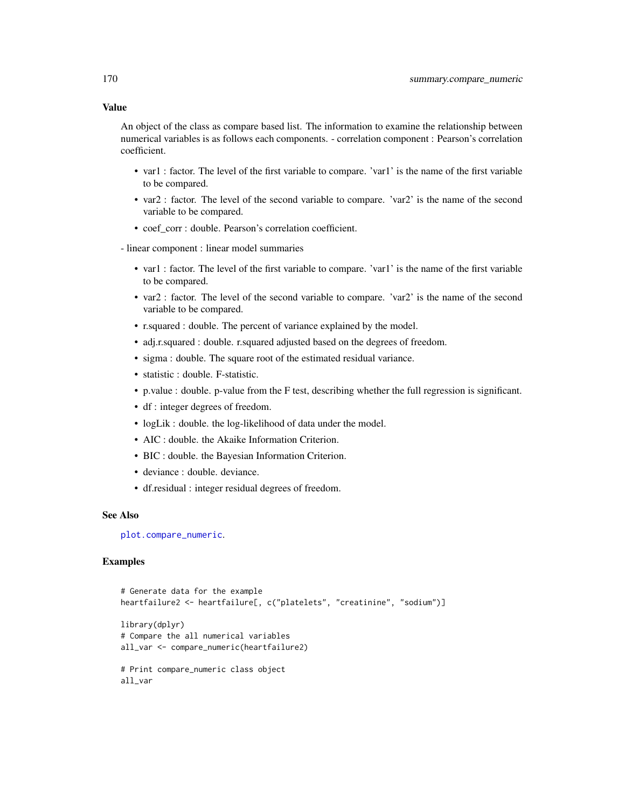#### Value

An object of the class as compare based list. The information to examine the relationship between numerical variables is as follows each components. - correlation component : Pearson's correlation coefficient.

- var1 : factor. The level of the first variable to compare. 'var1' is the name of the first variable to be compared.
- var2 : factor. The level of the second variable to compare. 'var2' is the name of the second variable to be compared.
- coef\_corr : double. Pearson's correlation coefficient.
- linear component : linear model summaries
	- var1 : factor. The level of the first variable to compare. 'var1' is the name of the first variable to be compared.
	- var2 : factor. The level of the second variable to compare. 'var2' is the name of the second variable to be compared.
	- r.squared : double. The percent of variance explained by the model.
	- adj.r.squared : double. r.squared adjusted based on the degrees of freedom.
	- sigma : double. The square root of the estimated residual variance.
	- statistic : double. F-statistic.
	- p.value : double. p-value from the F test, describing whether the full regression is significant.
	- df : integer degrees of freedom.
	- logLik : double. the log-likelihood of data under the model.
	- AIC : double. the Akaike Information Criterion.
	- BIC : double. the Bayesian Information Criterion.
	- deviance : double. deviance.
	- df.residual : integer residual degrees of freedom.

#### See Also

[plot.compare\\_numeric](#page-113-0).

```
# Generate data for the example
heartfailure2 <- heartfailure[, c("platelets", "creatinine", "sodium")]
library(dplyr)
# Compare the all numerical variables
all_var <- compare_numeric(heartfailure2)
# Print compare_numeric class object
all_var
```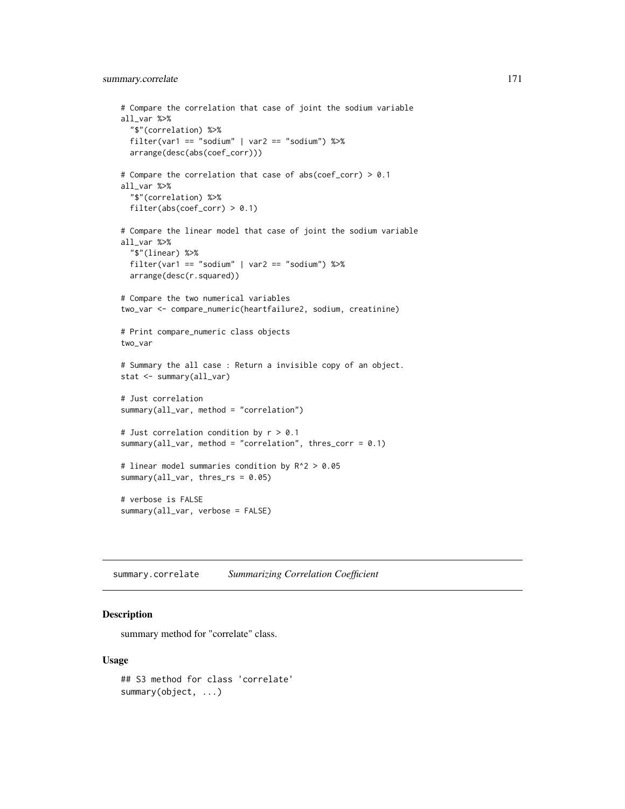# summary.correlate 171

```
# Compare the correlation that case of joint the sodium variable
all_var %>%
  "$"(correlation) %>%
 filter(var1 == "sodium" | var2 == "sodium") %arrange(desc(abs(coef_corr)))
# Compare the correlation that case of abs(coef_corr) > 0.1
all_var %>%
  "$"(correlation) %>%
 filter(abs(coef_corr) > 0.1)
# Compare the linear model that case of joint the sodium variable
all_var %>%
  "$"(linear) %>%
 filter(var1 == "sodium" | var2 == "sodium") %arrange(desc(r.squared))
# Compare the two numerical variables
two_var <- compare_numeric(heartfailure2, sodium, creatinine)
# Print compare_numeric class objects
two_var
# Summary the all case : Return a invisible copy of an object.
stat <- summary(all_var)
# Just correlation
summary(all_var, method = "correlation")
# Just correlation condition by r > 0.1
summary(all_var, method = "correlation", thres_corr = 0.1)
# linear model summaries condition by R^2 > 0.05
summary(all_var, thres_rs = 0.05)
# verbose is FALSE
summary(all_var, verbose = FALSE)
```
summary.correlate *Summarizing Correlation Coefficient*

#### Description

summary method for "correlate" class.

#### Usage

```
## S3 method for class 'correlate'
summary(object, ...)
```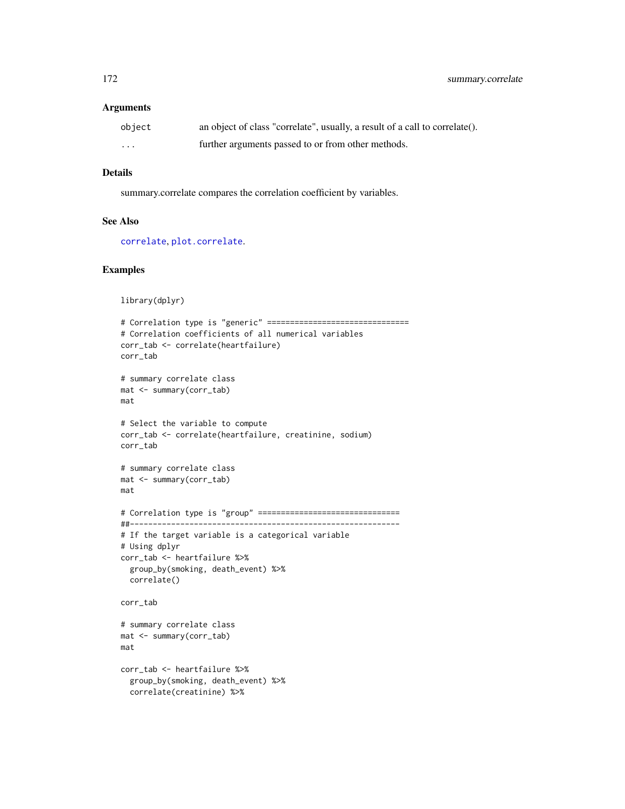#### Arguments

| object | an object of class "correlate", usually, a result of a call to correlate(). |
|--------|-----------------------------------------------------------------------------|
| .      | further arguments passed to or from other methods.                          |

## Details

summary.correlate compares the correlation coefficient by variables.

#### See Also

[correlate](#page-16-0), [plot.correlate](#page-114-0).

```
library(dplyr)
# Correlation type is "generic" ===============================
# Correlation coefficients of all numerical variables
corr_tab <- correlate(heartfailure)
corr_tab
# summary correlate class
mat <- summary(corr_tab)
mat
# Select the variable to compute
corr_tab <- correlate(heartfailure, creatinine, sodium)
corr_tab
# summary correlate class
mat <- summary(corr_tab)
mat
# Correlation type is "group" ===============================
##-----------------------------------------------------------
# If the target variable is a categorical variable
# Using dplyr
corr_tab <- heartfailure %>%
  group_by(smoking, death_event) %>%
 correlate()
corr_tab
# summary correlate class
mat <- summary(corr_tab)
mat
corr_tab <- heartfailure %>%
  group_by(smoking, death_event) %>%
  correlate(creatinine) %>%
```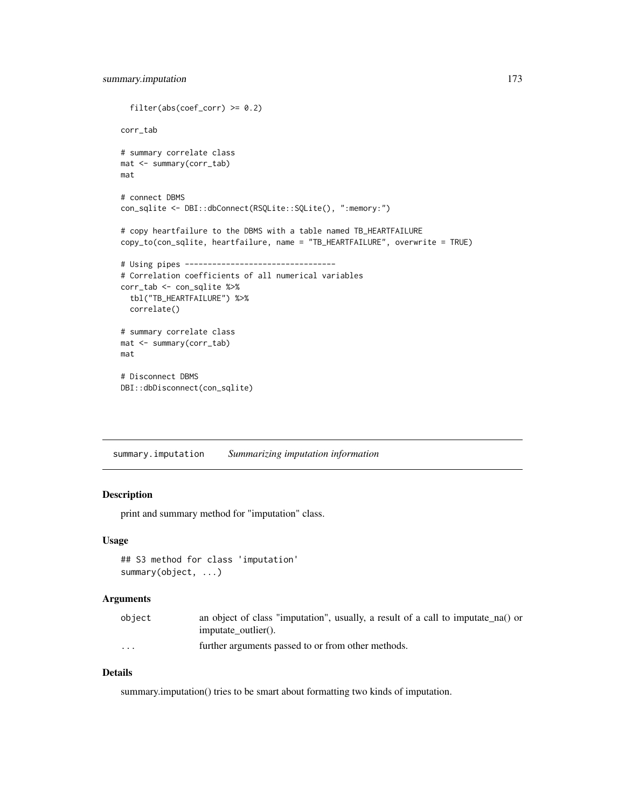```
filter(abs(coef\_corr) \ge 0.2)corr_tab
# summary correlate class
mat <- summary(corr_tab)
mat
# connect DBMS
con_sqlite <- DBI::dbConnect(RSQLite::SQLite(), ":memory:")
# copy heartfailure to the DBMS with a table named TB_HEARTFAILURE
copy_to(con_sqlite, heartfailure, name = "TB_HEARTFAILURE", overwrite = TRUE)
# Using pipes ---------------------------------
# Correlation coefficients of all numerical variables
corr_tab <- con_sqlite %>%
  tbl("TB_HEARTFAILURE") %>%
  correlate()
# summary correlate class
mat <- summary(corr_tab)
mat
# Disconnect DBMS
DBI::dbDisconnect(con_sqlite)
```
<span id="page-172-0"></span>summary.imputation *Summarizing imputation information*

# Description

print and summary method for "imputation" class.

#### Usage

```
## S3 method for class 'imputation'
summary(object, ...)
```
# Arguments

| object               | an object of class "imputation", usually, a result of a call to imputate na() or |
|----------------------|----------------------------------------------------------------------------------|
|                      | imputate outlier().                                                              |
| $\ddot{\phantom{0}}$ | further arguments passed to or from other methods.                               |

# Details

summary.imputation() tries to be smart about formatting two kinds of imputation.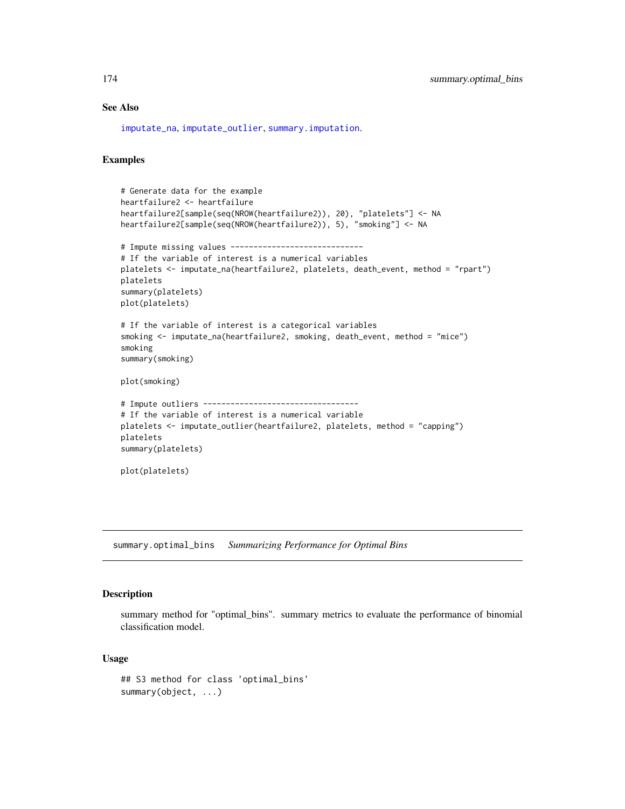# See Also

[imputate\\_na](#page-94-0), [imputate\\_outlier](#page-96-0), [summary.imputation](#page-172-0).

# Examples

```
# Generate data for the example
heartfailure2 <- heartfailure
heartfailure2[sample(seq(NROW(heartfailure2)), 20), "platelets"] <- NA
heartfailure2[sample(seq(NROW(heartfailure2)), 5), "smoking"] <- NA
# Impute missing values -----------------------------
# If the variable of interest is a numerical variables
platelets <- imputate_na(heartfailure2, platelets, death_event, method = "rpart")
platelets
summary(platelets)
plot(platelets)
# If the variable of interest is a categorical variables
smoking <- imputate_na(heartfailure2, smoking, death_event, method = "mice")
smoking
summary(smoking)
plot(smoking)
# Impute outliers ----------------------------------
# If the variable of interest is a numerical variable
platelets <- imputate_outlier(heartfailure2, platelets, method = "capping")
platelets
summary(platelets)
plot(platelets)
```
<span id="page-173-0"></span>summary.optimal\_bins *Summarizing Performance for Optimal Bins*

#### Description

summary method for "optimal\_bins". summary metrics to evaluate the performance of binomial classification model.

#### Usage

```
## S3 method for class 'optimal_bins'
summary(object, ...)
```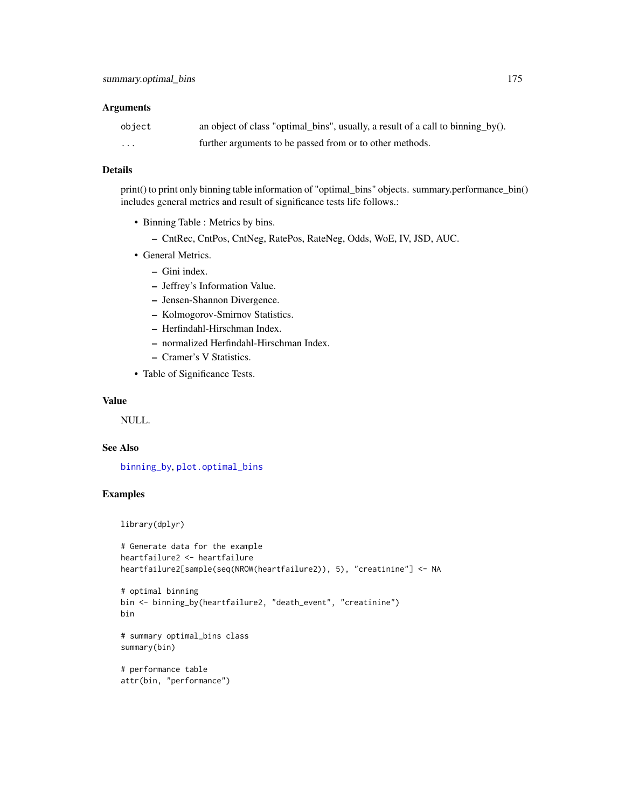# Arguments

| object   | an object of class "optimal_bins", usually, a result of a call to binning_by(). |
|----------|---------------------------------------------------------------------------------|
| $\cdots$ | further arguments to be passed from or to other methods.                        |

## Details

print() to print only binning table information of "optimal\_bins" objects. summary.performance\_bin() includes general metrics and result of significance tests life follows.:

- Binning Table : Metrics by bins.
	- CntRec, CntPos, CntNeg, RatePos, RateNeg, Odds, WoE, IV, JSD, AUC.
- General Metrics.
	- Gini index.
	- Jeffrey's Information Value.
	- Jensen-Shannon Divergence.
	- Kolmogorov-Smirnov Statistics.
	- Herfindahl-Hirschman Index.
	- normalized Herfindahl-Hirschman Index.
	- Cramer's V Statistics.
- Table of Significance Tests.

#### Value

NULL.

#### See Also

[binning\\_by](#page-6-0), [plot.optimal\\_bins](#page-118-0)

# Examples

library(dplyr)

```
# Generate data for the example
heartfailure2 <- heartfailure
heartfailure2[sample(seq(NROW(heartfailure2)), 5), "creatinine"] <- NA
```

```
# optimal binning
bin <- binning_by(heartfailure2, "death_event", "creatinine")
bin
```

```
# summary optimal_bins class
summary(bin)
```

```
# performance table
attr(bin, "performance")
```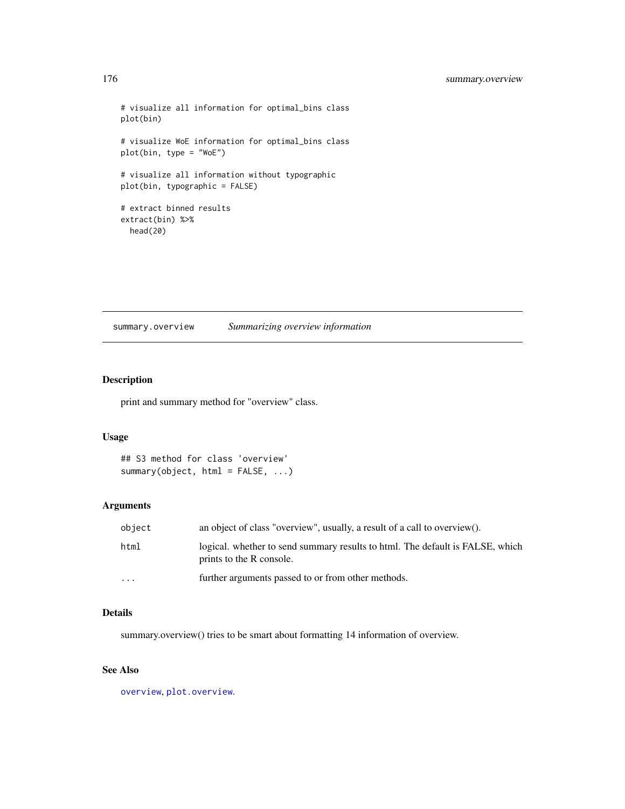```
# visualize all information for optimal_bins class
plot(bin)
# visualize WoE information for optimal_bins class
plot(bin, type = "WoE")
# visualize all information without typographic
plot(bin, typographic = FALSE)
# extract binned results
extract(bin) %>%
  head(20)
```
summary.overview *Summarizing overview information*

# Description

print and summary method for "overview" class.

# Usage

```
## S3 method for class 'overview'
summary(object, html = FALSE, ...)
```
# Arguments

| object   | an object of class "overview", usually, a result of a call to overview().                                 |
|----------|-----------------------------------------------------------------------------------------------------------|
| html     | logical, whether to send summary results to html. The default is FALSE, which<br>prints to the R console. |
| $\cdots$ | further arguments passed to or from other methods.                                                        |

# Details

summary.overview() tries to be smart about formatting 14 information of overview.

# See Also

[overview](#page-106-0), [plot.overview](#page-120-0).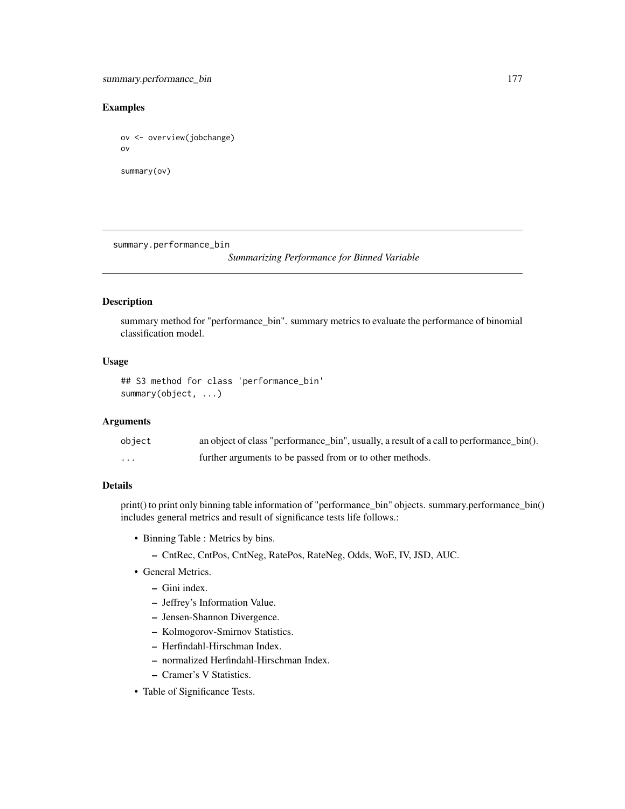# Examples

```
ov <- overview(jobchange)
ov
summary(ov)
```
summary.performance\_bin

*Summarizing Performance for Binned Variable*

#### Description

summary method for "performance\_bin". summary metrics to evaluate the performance of binomial classification model.

#### Usage

```
## S3 method for class 'performance_bin'
summary(object, ...)
```
# Arguments

| object   | an object of class "performance_bin", usually, a result of a call to performance_bin(). |
|----------|-----------------------------------------------------------------------------------------|
| $\cdots$ | further arguments to be passed from or to other methods.                                |

# Details

print() to print only binning table information of "performance\_bin" objects. summary.performance\_bin() includes general metrics and result of significance tests life follows.:

- Binning Table : Metrics by bins.
	- CntRec, CntPos, CntNeg, RatePos, RateNeg, Odds, WoE, IV, JSD, AUC.
- General Metrics.
	- Gini index.
	- Jeffrey's Information Value.
	- Jensen-Shannon Divergence.
	- Kolmogorov-Smirnov Statistics.
	- Herfindahl-Hirschman Index.
	- normalized Herfindahl-Hirschman Index.
	- Cramer's V Statistics.
- Table of Significance Tests.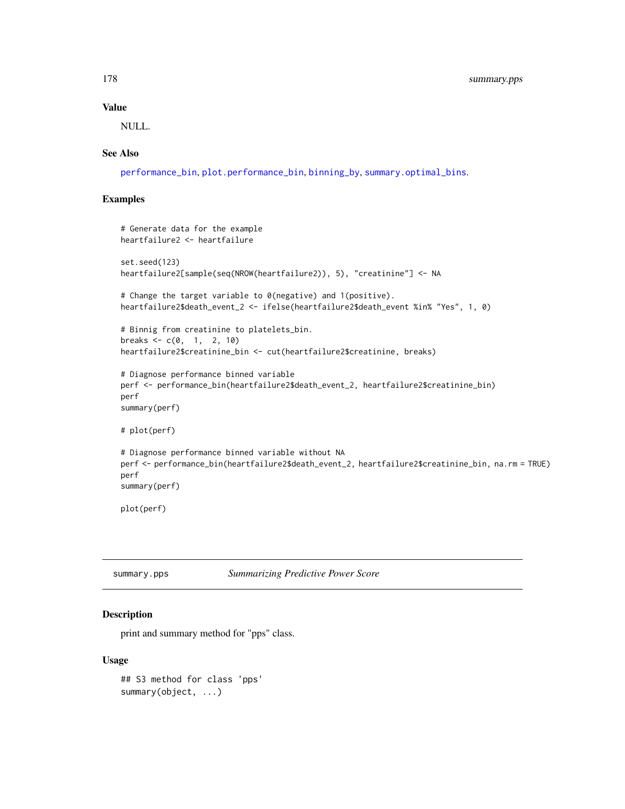#### Value

NULL.

#### See Also

[performance\\_bin](#page-107-0), [plot.performance\\_bin](#page-121-0), [binning\\_by](#page-6-0), [summary.optimal\\_bins](#page-173-0).

# Examples

```
# Generate data for the example
heartfailure2 <- heartfailure
set.seed(123)
heartfailure2[sample(seq(NROW(heartfailure2)), 5), "creatinine"] <- NA
# Change the target variable to 0(negative) and 1(positive).
heartfailure2$death_event_2 <- ifelse(heartfailure2$death_event %in% "Yes", 1, 0)
# Binnig from creatinine to platelets_bin.
breaks <-c(0, 1, 2, 10)heartfailure2$creatinine_bin <- cut(heartfailure2$creatinine, breaks)
# Diagnose performance binned variable
perf <- performance_bin(heartfailure2$death_event_2, heartfailure2$creatinine_bin)
perf
summary(perf)
# plot(perf)
# Diagnose performance binned variable without NA
perf <- performance_bin(heartfailure2$death_event_2, heartfailure2$creatinine_bin, na.rm = TRUE)
perf
summary(perf)
plot(perf)
```
summary.pps *Summarizing Predictive Power Score*

#### Description

print and summary method for "pps" class.

# Usage

## S3 method for class 'pps' summary(object, ...)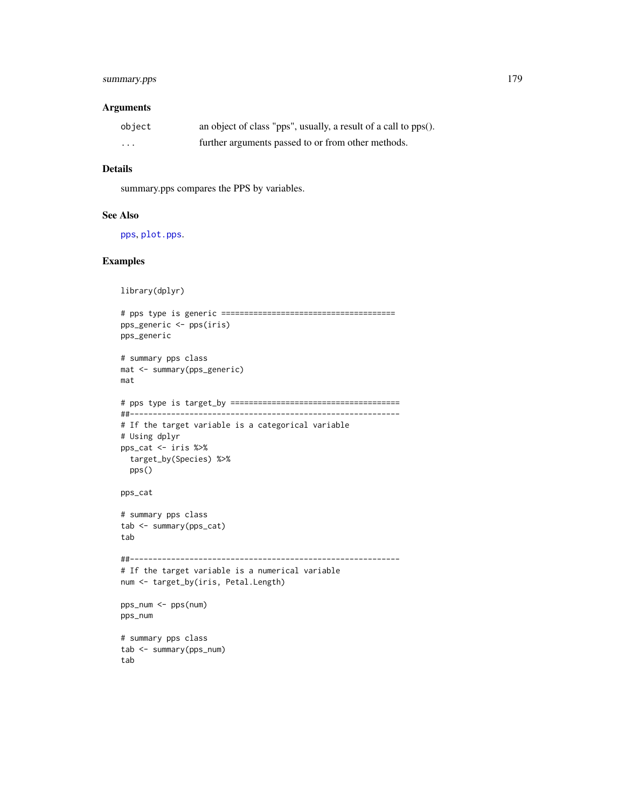# summary.pps 179

#### Arguments

| object   | an object of class "pps", usually, a result of a call to pps(). |
|----------|-----------------------------------------------------------------|
| $\cdots$ | further arguments passed to or from other methods.              |

# Details

summary.pps compares the PPS by variables.

#### See Also

[pps](#page-156-0), [plot.pps](#page-122-0).

```
library(dplyr)
# pps type is generic ======================================
pps_generic <- pps(iris)
pps_generic
# summary pps class
mat <- summary(pps_generic)
mat
# pps type is target_by =====================================
##-----------------------------------------------------------
# If the target variable is a categorical variable
# Using dplyr
pps_cat <- iris %>%
  target_by(Species) %>%
  pps()
pps_cat
# summary pps class
tab <- summary(pps_cat)
tab
##-----------------------------------------------------------
# If the target variable is a numerical variable
num <- target_by(iris, Petal.Length)
pps_num <- pps(num)
pps_num
# summary pps class
tab <- summary(pps_num)
tab
```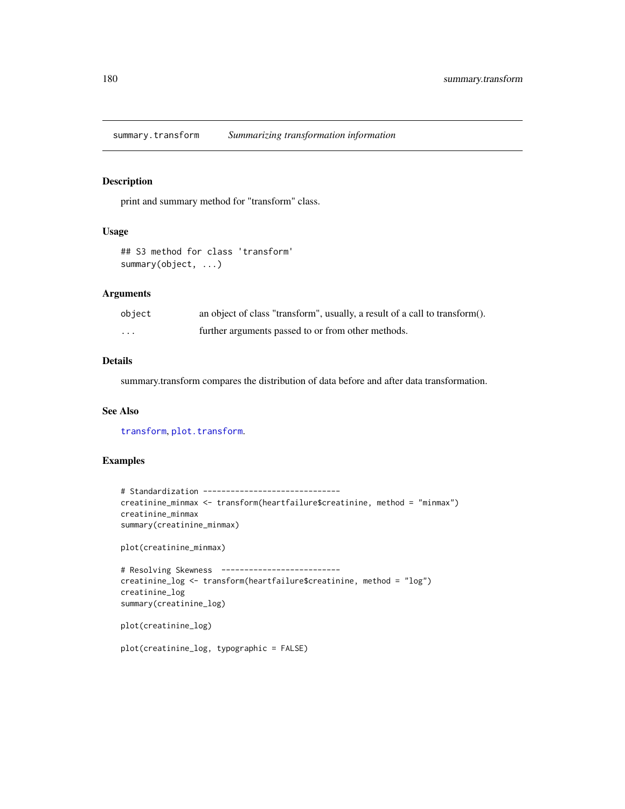summary.transform *Summarizing transformation information*

# Description

print and summary method for "transform" class.

#### Usage

```
## S3 method for class 'transform'
summary(object, ...)
```
# Arguments

| object | an object of class "transform", usually, a result of a call to transform(). |
|--------|-----------------------------------------------------------------------------|
| .      | further arguments passed to or from other methods.                          |

# Details

summary.transform compares the distribution of data before and after data transformation.

# See Also

[transform](#page-187-0), [plot.transform](#page-126-0).

```
# Standardization ------------------------------
creatinine_minmax <- transform(heartfailure$creatinine, method = "minmax")
creatinine_minmax
summary(creatinine_minmax)
plot(creatinine_minmax)
# Resolving Skewness --------------------------
creatinine_log <- transform(heartfailure$creatinine, method = "log")
creatinine_log
summary(creatinine_log)
plot(creatinine_log)
plot(creatinine_log, typographic = FALSE)
```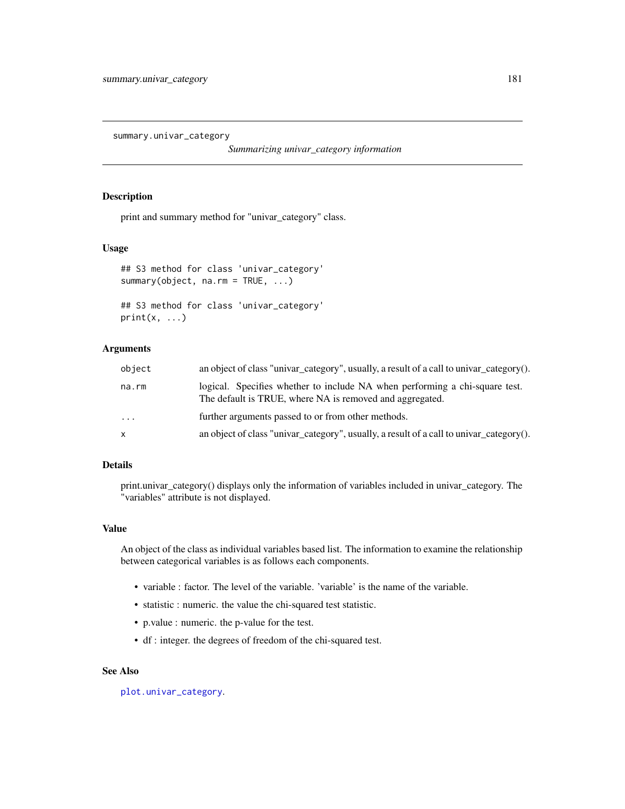<span id="page-180-2"></span><span id="page-180-0"></span>summary.univar\_category

*Summarizing univar\_category information*

## <span id="page-180-1"></span>Description

print and summary method for "univar\_category" class.

## Usage

```
## S3 method for class 'univar_category'
summary(object, na.rm = TRUE, ...)
## S3 method for class 'univar_category'
```

```
print(x, \ldots)
```
## Arguments

| logical. Specifies whether to include NA when performing a chi-square test.<br>na.rm<br>The default is TRUE, where NA is removed and aggregated. |  |
|--------------------------------------------------------------------------------------------------------------------------------------------------|--|
| further arguments passed to or from other methods.<br>$\cdot \cdot \cdot$                                                                        |  |
| an object of class "univar_category", usually, a result of a call to univar_category().<br>$\mathsf{x}$                                          |  |

## Details

print.univar\_category() displays only the information of variables included in univar\_category. The "variables" attribute is not displayed.

#### Value

An object of the class as individual variables based list. The information to examine the relationship between categorical variables is as follows each components.

- variable : factor. The level of the variable. 'variable' is the name of the variable.
- statistic : numeric. the value the chi-squared test statistic.
- p.value : numeric. the p-value for the test.
- df : integer. the degrees of freedom of the chi-squared test.

#### See Also

[plot.univar\\_category](#page-127-0).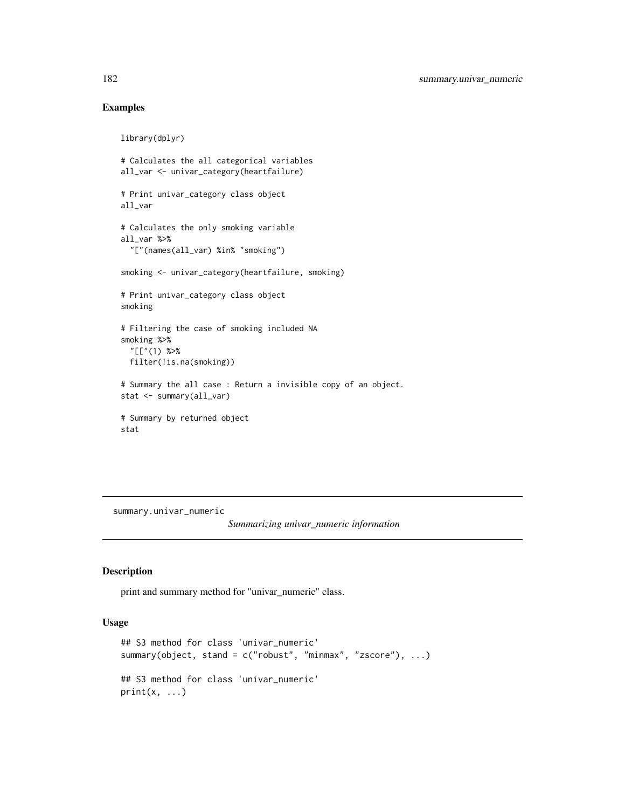## Examples

```
library(dplyr)
# Calculates the all categorical variables
all_var <- univar_category(heartfailure)
# Print univar_category class object
all_var
# Calculates the only smoking variable
all_var %>%
  "["(names(all_var) %in% "smoking")
smoking <- univar_category(heartfailure, smoking)
# Print univar_category class object
smoking
# Filtering the case of smoking included NA
smoking %>%
  "[["(1) %>%
  filter(!is.na(smoking))
# Summary the all case : Return a invisible copy of an object.
stat <- summary(all_var)
# Summary by returned object
stat
```
<span id="page-181-0"></span>summary.univar\_numeric

*Summarizing univar\_numeric information*

#### <span id="page-181-1"></span>Description

print and summary method for "univar\_numeric" class.

## Usage

```
## S3 method for class 'univar_numeric'
summary(object, stand = c("robust", "minmax", "zscore"), ...)
## S3 method for class 'univar_numeric'
print(x, \ldots)
```
<span id="page-181-2"></span>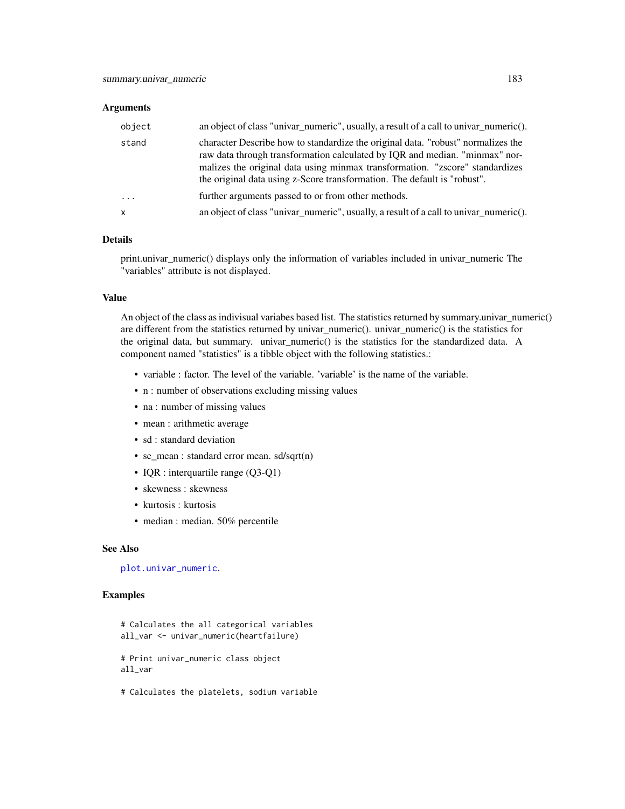#### <span id="page-182-0"></span>**Arguments**

| object       | an object of class "univar_numeric", usually, a result of a call to univar_numeric().                                                                                                                                                                                                                                       |
|--------------|-----------------------------------------------------------------------------------------------------------------------------------------------------------------------------------------------------------------------------------------------------------------------------------------------------------------------------|
| stand        | character Describe how to standardize the original data. "robust" normalizes the<br>raw data through transformation calculated by IQR and median. "minmax" nor-<br>malizes the original data using minmax transformation. "zscore" standardizes<br>the original data using z-Score transformation. The default is "robust". |
| $\cdots$     | further arguments passed to or from other methods.                                                                                                                                                                                                                                                                          |
| $\mathsf{x}$ | an object of class "univar_numeric", usually, a result of a call to univar_numeric().                                                                                                                                                                                                                                       |

#### Details

print.univar\_numeric() displays only the information of variables included in univar\_numeric The "variables" attribute is not displayed.

## Value

An object of the class as indivisual variabes based list. The statistics returned by summary.univar\_numeric() are different from the statistics returned by univar\_numeric(). univar\_numeric() is the statistics for the original data, but summary. univar\_numeric() is the statistics for the standardized data. A component named "statistics" is a tibble object with the following statistics.:

- variable : factor. The level of the variable. 'variable' is the name of the variable.
- n : number of observations excluding missing values
- na : number of missing values
- mean : arithmetic average
- sd : standard deviation
- se\_mean : standard error mean. sd/sqrt(n)
- IQR : interquartile range (Q3-Q1)
- skewness : skewness
- kurtosis : kurtosis
- median : median. 50% percentile

#### See Also

[plot.univar\\_numeric](#page-128-0).

#### Examples

```
# Calculates the all categorical variables
all_var <- univar_numeric(heartfailure)
# Print univar_numeric class object
```
all\_var

# Calculates the platelets, sodium variable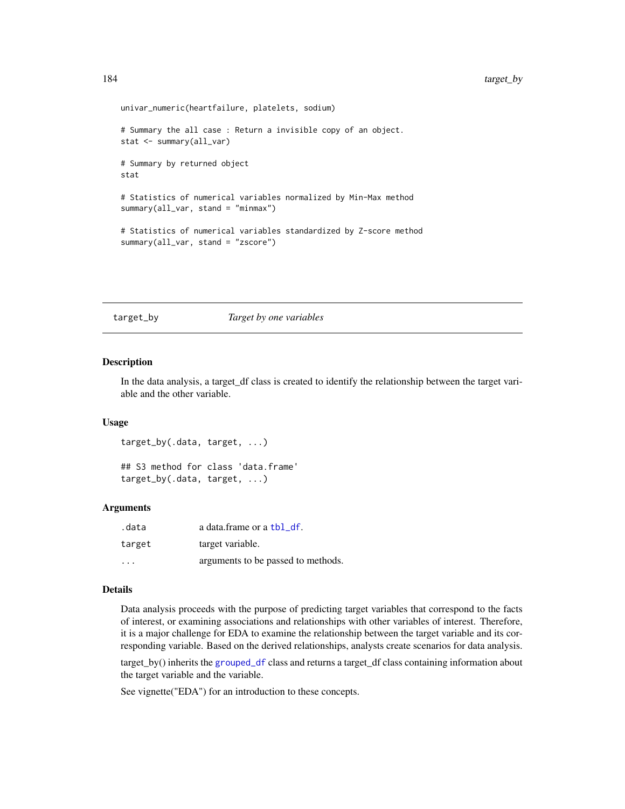```
univar_numeric(heartfailure, platelets, sodium)
# Summary the all case : Return a invisible copy of an object.
stat <- summary(all_var)
# Summary by returned object
stat
# Statistics of numerical variables normalized by Min-Max method
summary(all_var, stand = "minmax")
# Statistics of numerical variables standardized by Z-score method
summary(all_var, stand = "zscore")
```
#### target\_by *Target by one variables*

#### <span id="page-183-0"></span>Description

In the data analysis, a target\_df class is created to identify the relationship between the target variable and the other variable.

#### Usage

```
target_by(.data, target, ...)
## S3 method for class 'data.frame'
target_by(.data, target, ...)
```
#### Arguments

| .data   | a data.frame or a tbl df.          |
|---------|------------------------------------|
| target  | target variable.                   |
| $\cdot$ | arguments to be passed to methods. |

## Details

Data analysis proceeds with the purpose of predicting target variables that correspond to the facts of interest, or examining associations and relationships with other variables of interest. Therefore, it is a major challenge for EDA to examine the relationship between the target variable and its corresponding variable. Based on the derived relationships, analysts create scenarios for data analysis.

target\_by() inherits the [grouped\\_df](#page-0-0) class and returns a target\_df class containing information about the target variable and the variable.

See vignette("EDA") for an introduction to these concepts.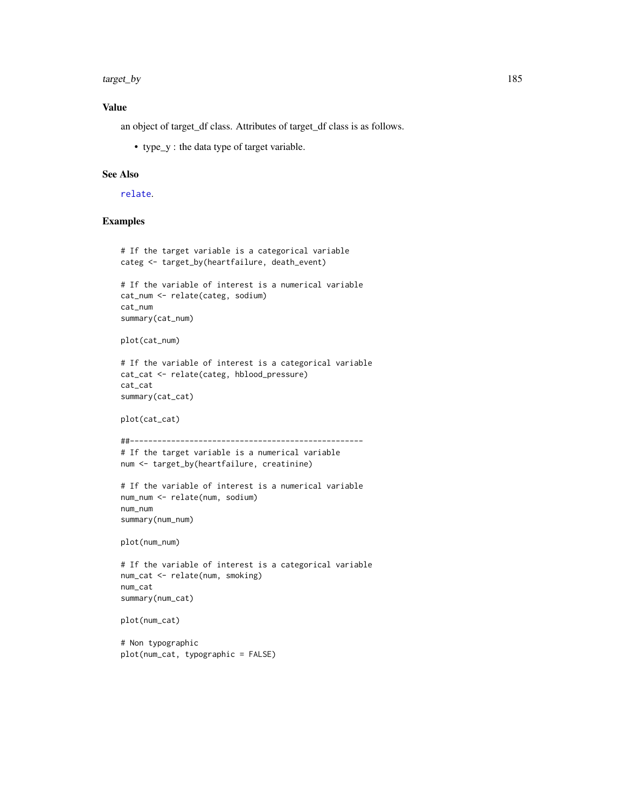<span id="page-184-0"></span>target\_by 185

#### Value

an object of target\_df class. Attributes of target\_df class is as follows.

• type\_y : the data type of target variable.

## See Also

#### [relate](#page-160-0).

#### Examples

```
# If the target variable is a categorical variable
categ <- target_by(heartfailure, death_event)
# If the variable of interest is a numerical variable
cat_num <- relate(categ, sodium)
cat_num
summary(cat_num)
plot(cat_num)
# If the variable of interest is a categorical variable
cat_cat <- relate(categ, hblood_pressure)
cat_cat
summary(cat_cat)
plot(cat_cat)
##---------------------------------------------------
# If the target variable is a numerical variable
num <- target_by(heartfailure, creatinine)
# If the variable of interest is a numerical variable
num_num <- relate(num, sodium)
num_num
summary(num_num)
plot(num_num)
# If the variable of interest is a categorical variable
num_cat <- relate(num, smoking)
num_cat
summary(num_cat)
plot(num_cat)
# Non typographic
```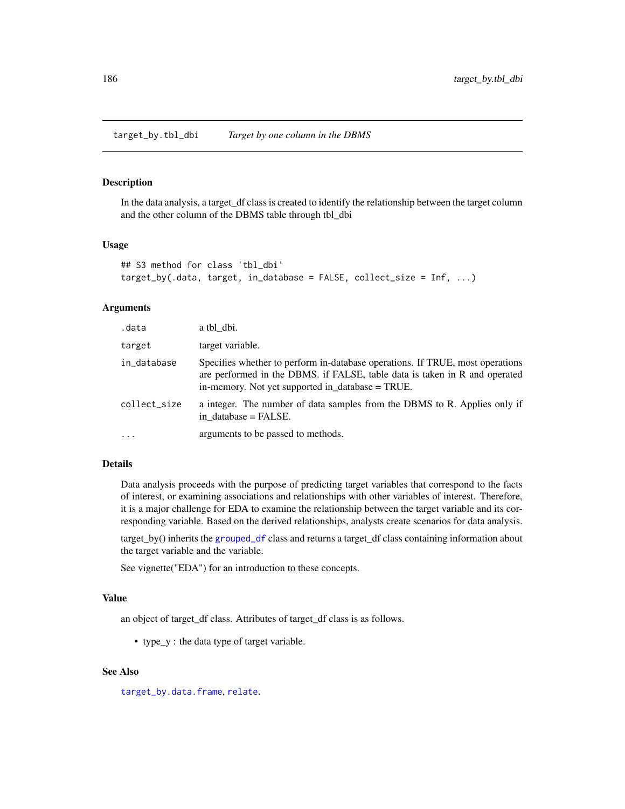<span id="page-185-0"></span>target\_by.tbl\_dbi *Target by one column in the DBMS*

#### Description

In the data analysis, a target\_df class is created to identify the relationship between the target column and the other column of the DBMS table through tbl\_dbi

## Usage

```
## S3 method for class 'tbl_dbi'
target_by(.data, target, in_database = FALSE, collect_size = Inf, ...)
```
#### Arguments

| .data        | a tbl dbi.                                                                                                                                                                                                      |
|--------------|-----------------------------------------------------------------------------------------------------------------------------------------------------------------------------------------------------------------|
| target       | target variable.                                                                                                                                                                                                |
| in_database  | Specifies whether to perform in-database operations. If TRUE, most operations<br>are performed in the DBMS. if FALSE, table data is taken in R and operated<br>in-memory. Not yet supported in_database = TRUE. |
| collect_size | a integer. The number of data samples from the DBMS to R. Applies only if<br>in database $=$ FALSE.                                                                                                             |
| $\cdots$     | arguments to be passed to methods.                                                                                                                                                                              |

#### Details

Data analysis proceeds with the purpose of predicting target variables that correspond to the facts of interest, or examining associations and relationships with other variables of interest. Therefore, it is a major challenge for EDA to examine the relationship between the target variable and its corresponding variable. Based on the derived relationships, analysts create scenarios for data analysis.

target\_by() inherits the [grouped\\_df](#page-0-0) class and returns a target\_df class containing information about the target variable and the variable.

See vignette("EDA") for an introduction to these concepts.

#### Value

an object of target\_df class. Attributes of target\_df class is as follows.

• type\_y : the data type of target variable.

#### See Also

[target\\_by.data.frame](#page-183-0), [relate](#page-160-0).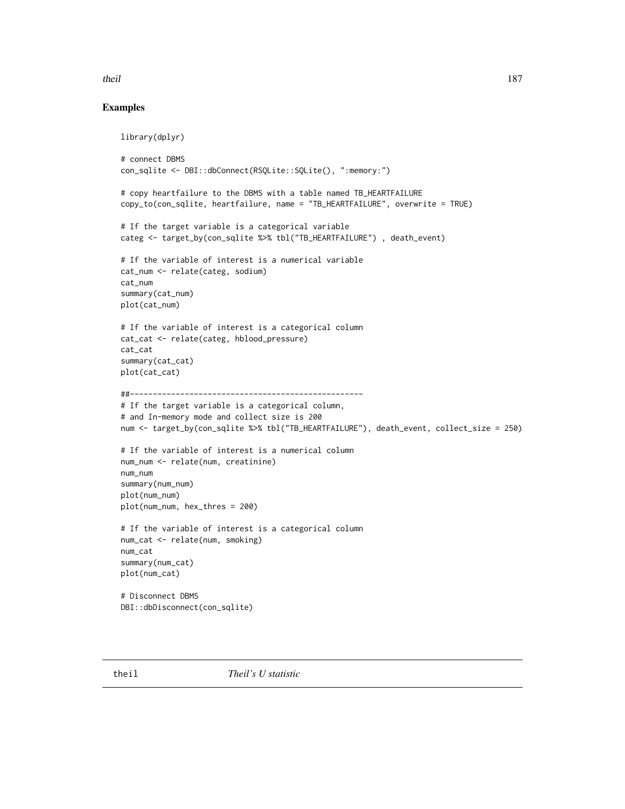## <span id="page-186-0"></span>theil and the set of the set of the set of the set of the set of the set of the set of the set of the set of the set of the set of the set of the set of the set of the set of the set of the set of the set of the set of the

## Examples

```
library(dplyr)
# connect DBMS
con_sqlite <- DBI::dbConnect(RSQLite::SQLite(), ":memory:")
# copy heartfailure to the DBMS with a table named TB_HEARTFAILURE
copy_to(con_sqlite, heartfailure, name = "TB_HEARTFAILURE", overwrite = TRUE)
# If the target variable is a categorical variable
categ <- target_by(con_sqlite %>% tbl("TB_HEARTFAILURE") , death_event)
# If the variable of interest is a numerical variable
cat_num <- relate(categ, sodium)
cat_num
summary(cat_num)
plot(cat_num)
# If the variable of interest is a categorical column
cat_cat <- relate(categ, hblood_pressure)
cat_cat
summary(cat_cat)
plot(cat_cat)
##---------------------------------------------------
# If the target variable is a categorical column,
# and In-memory mode and collect size is 200
num <- target_by(con_sqlite %>% tbl("TB_HEARTFAILURE"), death_event, collect_size = 250)
# If the variable of interest is a numerical column
num_num <- relate(num, creatinine)
num_num
summary(num_num)
plot(num_num)
plot(num_num, hex_thres = 200)
# If the variable of interest is a categorical column
num_cat <- relate(num, smoking)
num_cat
summary(num_cat)
plot(num_cat)
# Disconnect DBMS
DBI::dbDisconnect(con_sqlite)
```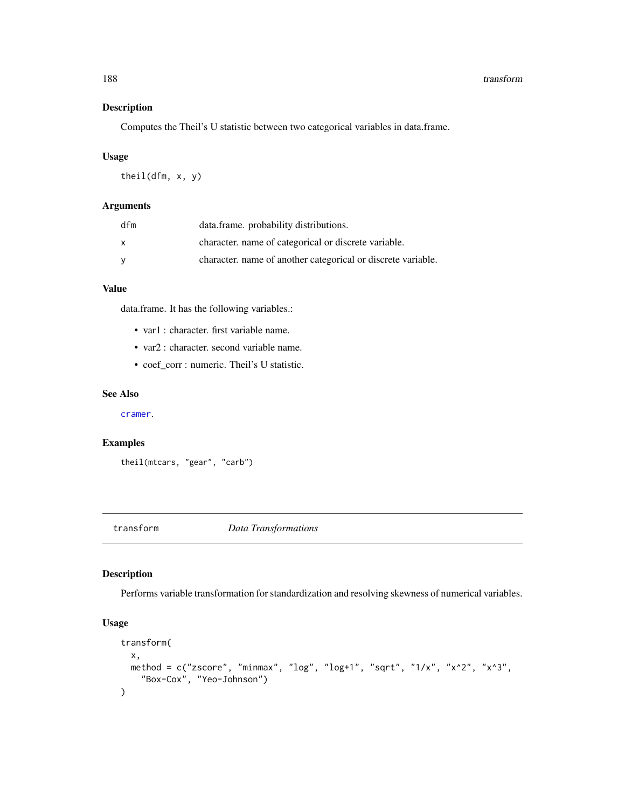## Description

Computes the Theil's U statistic between two categorical variables in data.frame.

## Usage

theil(dfm, x, y)

## Arguments

| dfm          | data.frame. probability distributions.                       |
|--------------|--------------------------------------------------------------|
| $\mathsf{x}$ | character, name of categorical or discrete variable.         |
| - V          | character, name of another categorical or discrete variable. |

## Value

data.frame. It has the following variables.:

- var1 : character. first variable name.
- var2 : character. second variable name.
- coef\_corr : numeric. Theil's U statistic.

## See Also

[cramer](#page-19-0).

## Examples

theil(mtcars, "gear", "carb")

transform *Data Transformations*

## Description

Performs variable transformation for standardization and resolving skewness of numerical variables.

## Usage

```
transform(
  x,
 method = c("zscore", "minmax", "log", "log+1", "sqrt", "1/x", "x^2", "x^3",
    "Box-Cox", "Yeo-Johnson")
\mathcal{E}
```
<span id="page-187-0"></span>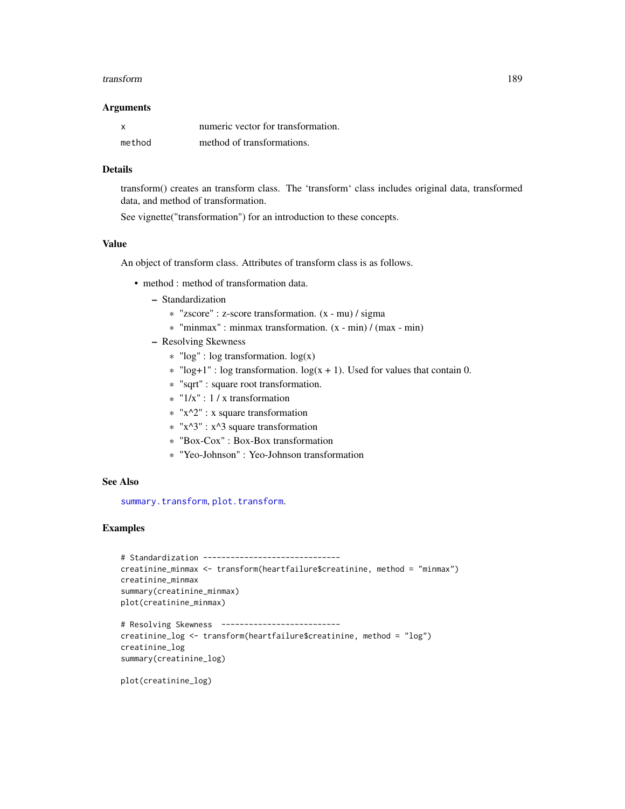#### <span id="page-188-0"></span>transform 189

#### **Arguments**

| <b>X</b> | numeric vector for transformation. |
|----------|------------------------------------|
| method   | method of transformations.         |

#### Details

transform() creates an transform class. The 'transform' class includes original data, transformed data, and method of transformation.

See vignette("transformation") for an introduction to these concepts.

## Value

An object of transform class. Attributes of transform class is as follows.

- method : method of transformation data.
	- Standardization
		- \* "zscore" : z-score transformation. (x mu) / sigma
		- \* "minmax" : minmax transformation. (x min) / (max min)
	- Resolving Skewness
		- $*$  "log" : log transformation. log(x)
		- $*$  "log+1" : log transformation. log(x + 1). Used for values that contain 0.
		- \* "sqrt" : square root transformation.
		- \* "1/x" : 1 / x transformation
		- $*$  "x^2" : x square transformation
		- $*$  "x^3" : x^3 square transformation
		- \* "Box-Cox" : Box-Box transformation
		- \* "Yeo-Johnson" : Yeo-Johnson transformation

## See Also

[summary.transform](#page-179-0), [plot.transform](#page-126-0).

#### Examples

```
# Standardization ------------------------------
creatinine_minmax <- transform(heartfailure$creatinine, method = "minmax")
creatinine_minmax
summary(creatinine_minmax)
plot(creatinine_minmax)
# Resolving Skewness --------------------------
```

```
creatinine_log <- transform(heartfailure$creatinine, method = "log")
creatinine_log
summary(creatinine_log)
```
plot(creatinine\_log)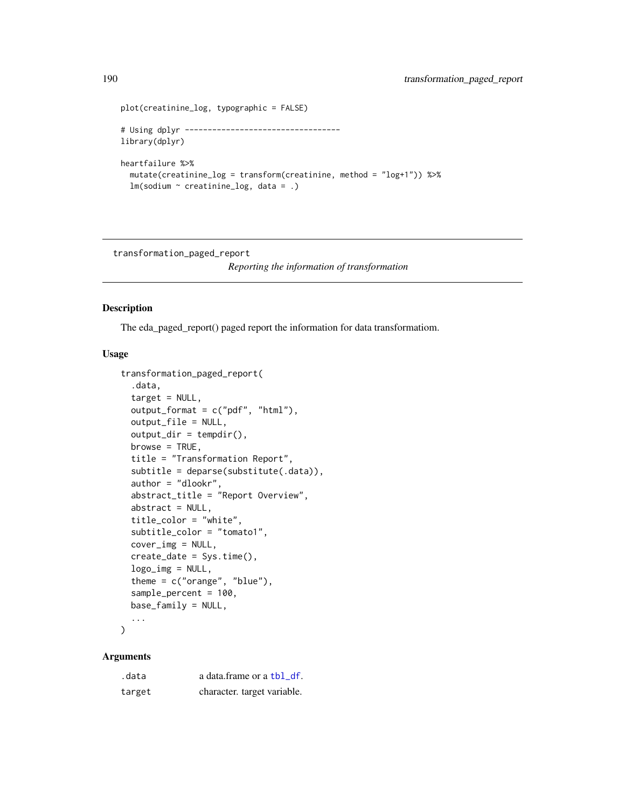```
plot(creatinine_log, typographic = FALSE)
# Using dplyr ----------------------------------
library(dplyr)
heartfailure %>%
  mutate(creatinine_log = transform(creatinine, method = "log+1")) %>%
  lm(sodium ~ creatinine_log, data = .)
```
transformation\_paged\_report

*Reporting the information of transformation*

## Description

The eda\_paged\_report() paged report the information for data transformatiom.

## Usage

```
transformation_paged_report(
  .data,
  target = NULL,output_format = c("pdf", "html"),
 output_file = NULL,
 output\_dir = tempdir(),browse = TRUE,title = "Transformation Report",
 subtitle = deparse(substitute(.data)),
 author = "dlookr",
 abstract_title = "Report Overview",
 abstract = NULL,title_color = "white",
 subtitle_color = "tomato1",
 cover_img = NULL,
 create_date = Sys.time(),
 logo\_img = NULL,theme = c("orange", "blue"),sample_percent = 100,
 base_family = NULL,
  ...
```
## $\mathcal{L}$

## Arguments

| .data  | a data frame or a tbl df.   |
|--------|-----------------------------|
| target | character. target variable. |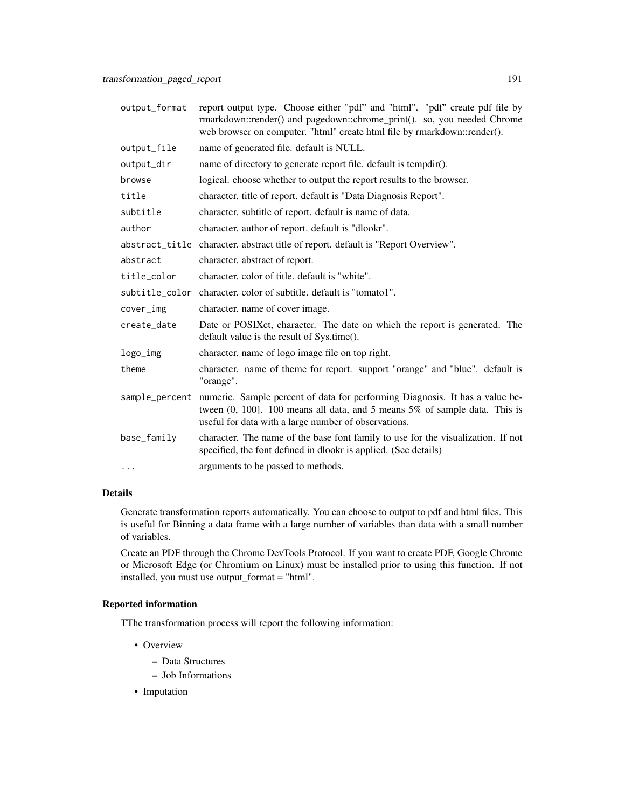| output_format | report output type. Choose either "pdf" and "html". "pdf" create pdf file by<br>rmarkdown::render() and pagedown::chrome_print(). so, you needed Chrome<br>web browser on computer. "html" create html file by rmarkdown::render().     |
|---------------|-----------------------------------------------------------------------------------------------------------------------------------------------------------------------------------------------------------------------------------------|
| output_file   | name of generated file. default is NULL.                                                                                                                                                                                                |
| output_dir    | name of directory to generate report file. default is tempdir().                                                                                                                                                                        |
| browse        | logical. choose whether to output the report results to the browser.                                                                                                                                                                    |
| title         | character. title of report. default is "Data Diagnosis Report".                                                                                                                                                                         |
| subtitle      | character. subtitle of report. default is name of data.                                                                                                                                                                                 |
| author        | character. author of report. default is "dlookr".                                                                                                                                                                                       |
|               | abstract_title character. abstract title of report. default is "Report Overview".                                                                                                                                                       |
| abstract      | character. abstract of report.                                                                                                                                                                                                          |
| title_color   | character, color of title, default is "white".                                                                                                                                                                                          |
|               | subtitle_color character. color of subtitle. default is "tomato1".                                                                                                                                                                      |
| cover_img     | character. name of cover image.                                                                                                                                                                                                         |
| create_date   | Date or POSIX ct, character. The date on which the report is generated. The<br>default value is the result of Sys.time().                                                                                                               |
| logo_img      | character. name of logo image file on top right.                                                                                                                                                                                        |
| theme         | character. name of theme for report. support "orange" and "blue". default is<br>"orange".                                                                                                                                               |
|               | sample_percent numeric. Sample percent of data for performing Diagnosis. It has a value be-<br>tween $(0, 100]$ . 100 means all data, and 5 means $5\%$ of sample data. This is<br>useful for data with a large number of observations. |
| base_family   | character. The name of the base font family to use for the visualization. If not<br>specified, the font defined in dlookr is applied. (See details)                                                                                     |
| $\cdots$      | arguments to be passed to methods.                                                                                                                                                                                                      |

## Details

Generate transformation reports automatically. You can choose to output to pdf and html files. This is useful for Binning a data frame with a large number of variables than data with a small number of variables.

Create an PDF through the Chrome DevTools Protocol. If you want to create PDF, Google Chrome or Microsoft Edge (or Chromium on Linux) must be installed prior to using this function. If not installed, you must use output\_format = "html".

#### Reported information

TThe transformation process will report the following information:

- Overview
	- Data Structures
	- Job Informations
- Imputation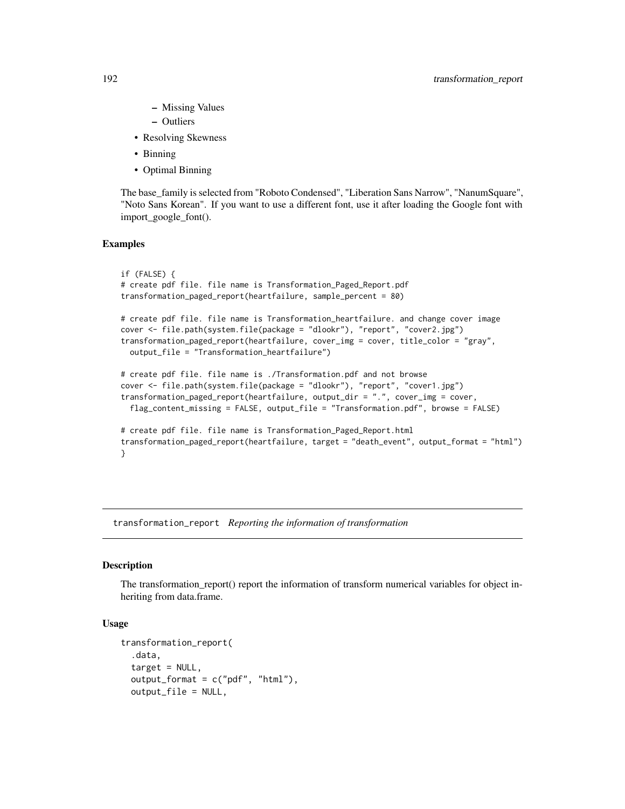- Missing Values
- Outliers
- Resolving Skewness
- Binning
- Optimal Binning

The base\_family is selected from "Roboto Condensed", "Liberation Sans Narrow", "NanumSquare", "Noto Sans Korean". If you want to use a different font, use it after loading the Google font with import\_google\_font().

#### Examples

```
if (FALSE) {
# create pdf file. file name is Transformation_Paged_Report.pdf
transformation_paged_report(heartfailure, sample_percent = 80)
# create pdf file. file name is Transformation_heartfailure. and change cover image
cover <- file.path(system.file(package = "dlookr"), "report", "cover2.jpg")
transformation_paged_report(heartfailure, cover_img = cover, title_color = "gray",
 output_file = "Transformation_heartfailure")
# create pdf file. file name is ./Transformation.pdf and not browse
cover <- file.path(system.file(package = "dlookr"), "report", "cover1.jpg")
transformation_paged_report(heartfailure, output_dir = ".", cover_img = cover,
 flag_content_missing = FALSE, output_file = "Transformation.pdf", browse = FALSE)
# create pdf file. file name is Transformation_Paged_Report.html
transformation_paged_report(heartfailure, target = "death_event", output_format = "html")
}
```
transformation\_report *Reporting the information of transformation*

#### **Description**

The transformation\_report() report the information of transform numerical variables for object inheriting from data.frame.

## Usage

```
transformation_report(
  .data,
  target = NULL,output_format = c("pdf", "html"),
  output_file = NULL,
```
<span id="page-191-0"></span>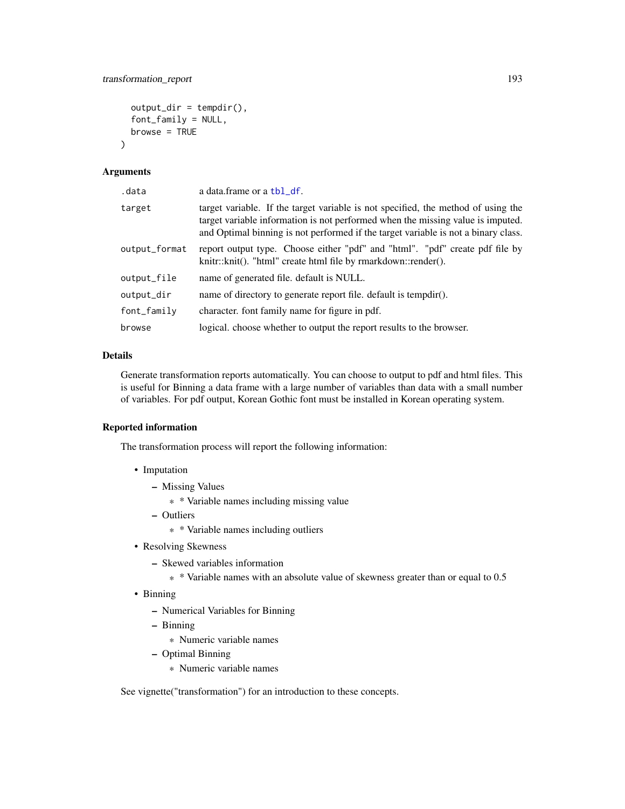```
output\_dir = template(),font_family = NULL,
  browse = TRUE
\lambda
```
## Arguments

| .data            | a data.frame or a tbl_df.                                                                                                                                                                                                                                  |  |
|------------------|------------------------------------------------------------------------------------------------------------------------------------------------------------------------------------------------------------------------------------------------------------|--|
| target           | target variable. If the target variable is not specified, the method of using the<br>target variable information is not performed when the missing value is imputed.<br>and Optimal binning is not performed if the target variable is not a binary class. |  |
| output_format    | report output type. Choose either "pdf" and "html". "pdf" create pdf file by<br>knitr::knit(). "html" create html file by rmarkdown::render().                                                                                                             |  |
| output_file      | name of generated file. default is NULL.                                                                                                                                                                                                                   |  |
| output_dir       | name of directory to generate report file. default is tempdir().                                                                                                                                                                                           |  |
| $font$ $f$ amily | character. font family name for figure in pdf.                                                                                                                                                                                                             |  |
| browse           | logical, choose whether to output the report results to the browser.                                                                                                                                                                                       |  |

## Details

Generate transformation reports automatically. You can choose to output to pdf and html files. This is useful for Binning a data frame with a large number of variables than data with a small number of variables. For pdf output, Korean Gothic font must be installed in Korean operating system.

## Reported information

The transformation process will report the following information:

- Imputation
	- Missing Values
		- \* \* Variable names including missing value
	- Outliers
		- \* \* Variable names including outliers
- Resolving Skewness
	- Skewed variables information
		- \* \* Variable names with an absolute value of skewness greater than or equal to 0.5
- Binning
	- Numerical Variables for Binning
	- Binning
		- \* Numeric variable names
	- Optimal Binning
		- \* Numeric variable names

See vignette("transformation") for an introduction to these concepts.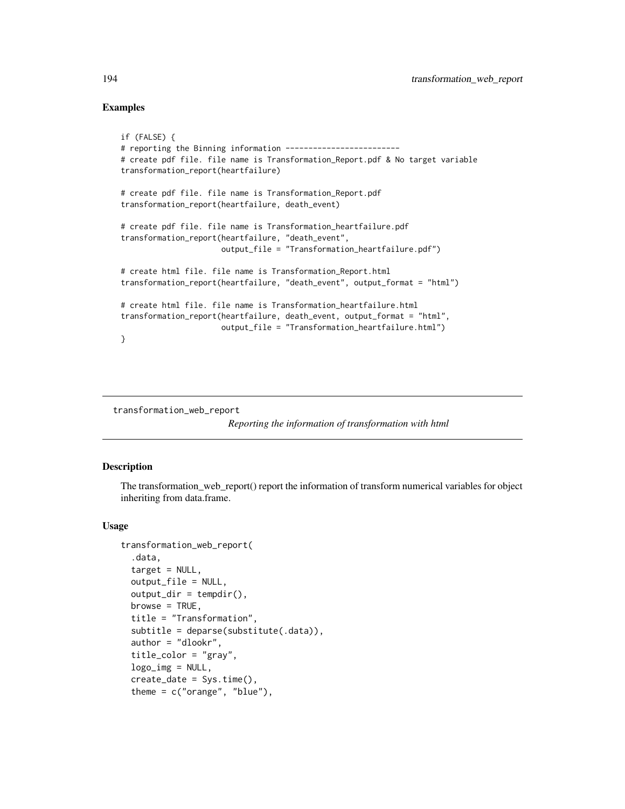## Examples

```
if (FALSE) {
# reporting the Binning information -------------------------
# create pdf file. file name is Transformation_Report.pdf & No target variable
transformation_report(heartfailure)
# create pdf file. file name is Transformation_Report.pdf
transformation_report(heartfailure, death_event)
# create pdf file. file name is Transformation_heartfailure.pdf
transformation_report(heartfailure, "death_event",
                     output_file = "Transformation_heartfailure.pdf")
# create html file. file name is Transformation_Report.html
transformation_report(heartfailure, "death_event", output_format = "html")
# create html file. file name is Transformation_heartfailure.html
transformation_report(heartfailure, death_event, output_format = "html",
                     output_file = "Transformation_heartfailure.html")
}
```
transformation\_web\_report

*Reporting the information of transformation with html*

## Description

The transformation\_web\_report() report the information of transform numerical variables for object inheriting from data.frame.

#### Usage

```
transformation_web_report(
  .data,
  target = NULL,output_file = NULL,
  output\_dir = template(),browse = TRUE,
  title = "Transformation",
  subtitle = deparse(substitute(.data)),
  author = "dlookr",
  title_color = "gray",
  logo\_img = NULL,create_date = Sys.time(),
  theme = c("orange", "blue"),
```
<span id="page-193-0"></span>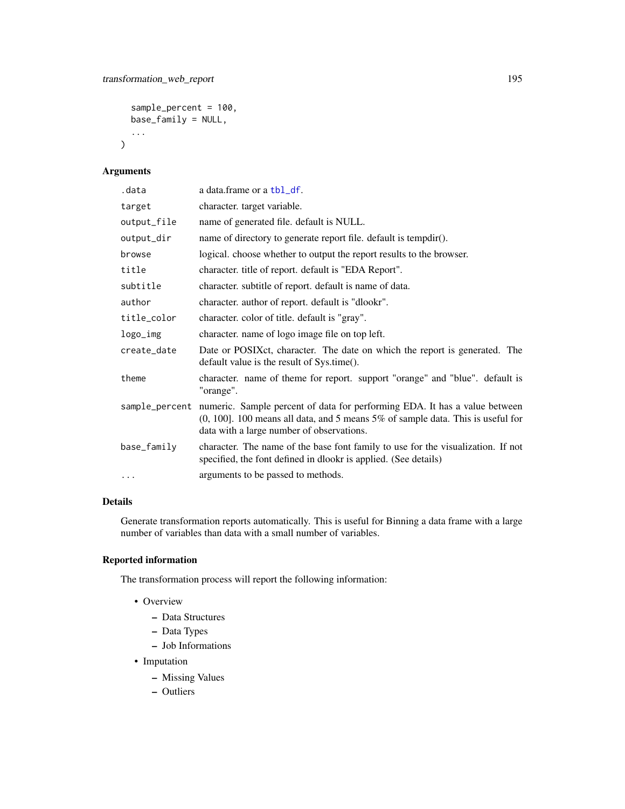```
sample_percent = 100,
base_family = NULL,
...
```
## Arguments

 $\mathcal{L}$ 

| .data       | a data.frame or a tbl_df.                                                                                                                                                                                                    |
|-------------|------------------------------------------------------------------------------------------------------------------------------------------------------------------------------------------------------------------------------|
| target      | character. target variable.                                                                                                                                                                                                  |
| output_file | name of generated file. default is NULL.                                                                                                                                                                                     |
| output_dir  | name of directory to generate report file. default is tempdir().                                                                                                                                                             |
| browse      | logical, choose whether to output the report results to the browser.                                                                                                                                                         |
| title       | character. title of report. default is "EDA Report".                                                                                                                                                                         |
| subtitle    | character. subtitle of report. default is name of data.                                                                                                                                                                      |
| author      | character. author of report. default is "dlookr".                                                                                                                                                                            |
| title_color | character. color of title. default is "gray".                                                                                                                                                                                |
| logo_img    | character. name of logo image file on top left.                                                                                                                                                                              |
| create_date | Date or POSIX ct, character. The date on which the report is generated. The<br>default value is the result of Sys.time().                                                                                                    |
| theme       | character. name of theme for report. support "orange" and "blue". default is<br>"orange".                                                                                                                                    |
|             | sample_percent numeric. Sample percent of data for performing EDA. It has a value between<br>$(0, 100]$ . 100 means all data, and 5 means 5% of sample data. This is useful for<br>data with a large number of observations. |
| base_family | character. The name of the base font family to use for the visualization. If not<br>specified, the font defined in dlookr is applied. (See details)                                                                          |
|             | arguments to be passed to methods.                                                                                                                                                                                           |
|             |                                                                                                                                                                                                                              |

## Details

Generate transformation reports automatically. This is useful for Binning a data frame with a large number of variables than data with a small number of variables.

## Reported information

The transformation process will report the following information:

- Overview
	- Data Structures
	- Data Types
	- Job Informations
- Imputation
	- Missing Values
	- Outliers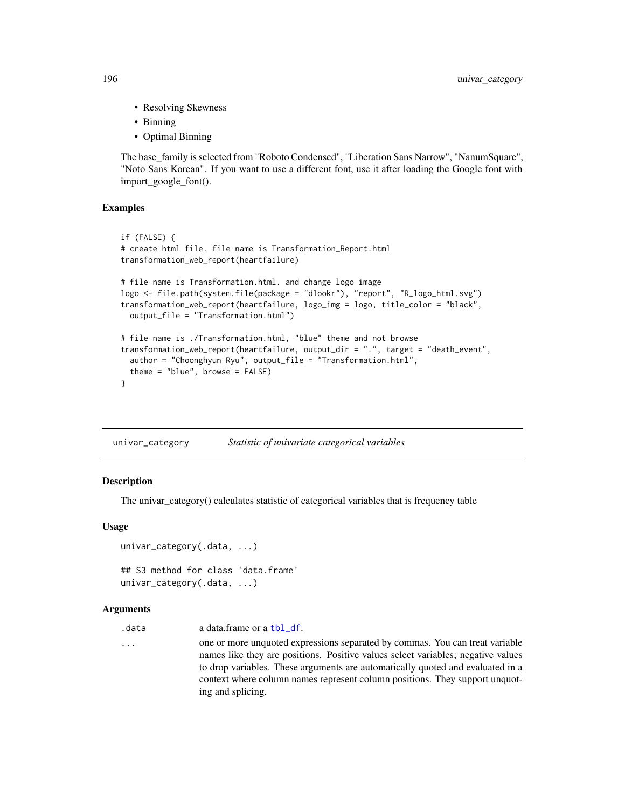- Resolving Skewness
- Binning
- Optimal Binning

The base\_family is selected from "Roboto Condensed", "Liberation Sans Narrow", "NanumSquare", "Noto Sans Korean". If you want to use a different font, use it after loading the Google font with import\_google\_font().

#### Examples

```
if (FALSE) {
# create html file. file name is Transformation_Report.html
transformation_web_report(heartfailure)
# file name is Transformation.html. and change logo image
logo <- file.path(system.file(package = "dlookr"), "report", "R_logo_html.svg")
transformation_web_report(heartfailure, logo_img = logo, title_color = "black",
 output_file = "Transformation.html")
# file name is ./Transformation.html, "blue" theme and not browse
transformation_web_report(heartfailure, output_dir = ".", target = "death_event",
 author = "Choonghyun Ryu", output_file = "Transformation.html",
  theme = "blue", browse = FALSE)
}
```
univar\_category *Statistic of univariate categorical variables*

#### Description

The univar\_category() calculates statistic of categorical variables that is frequency table

#### Usage

```
univar_category(.data, ...)
## S3 method for class 'data.frame'
univar_category(.data, ...)
```
#### Arguments

.data a data.frame or a [tbl\\_df](#page-0-0).

... one or more unquoted expressions separated by commas. You can treat variable names like they are positions. Positive values select variables; negative values to drop variables. These arguments are automatically quoted and evaluated in a context where column names represent column positions. They support unquoting and splicing.

<span id="page-195-0"></span>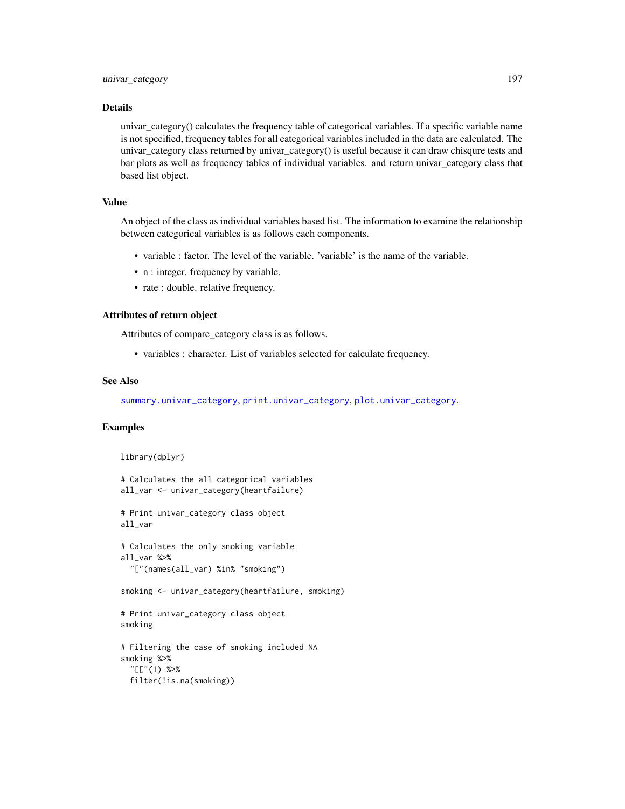#### <span id="page-196-0"></span>Details

univar category() calculates the frequency table of categorical variables. If a specific variable name is not specified, frequency tables for all categorical variables included in the data are calculated. The univar\_category class returned by univar\_category() is useful because it can draw chisqure tests and bar plots as well as frequency tables of individual variables. and return univar\_category class that based list object.

## Value

An object of the class as individual variables based list. The information to examine the relationship between categorical variables is as follows each components.

- variable : factor. The level of the variable. 'variable' is the name of the variable.
- n : integer. frequency by variable.
- rate : double. relative frequency.

## Attributes of return object

Attributes of compare\_category class is as follows.

• variables : character. List of variables selected for calculate frequency.

## See Also

[summary.univar\\_category](#page-180-0), [print.univar\\_category](#page-180-1), [plot.univar\\_category](#page-127-0).

#### Examples

library(dplyr)

```
# Calculates the all categorical variables
all_var <- univar_category(heartfailure)
# Print univar_category class object
all_var
# Calculates the only smoking variable
all_var %>%
  "["(names(all_var) %in% "smoking")
smoking <- univar_category(heartfailure, smoking)
# Print univar_category class object
smoking
# Filtering the case of smoking included NA
smoking %>%
  "[["(1) %>%
 filter(!is.na(smoking))
```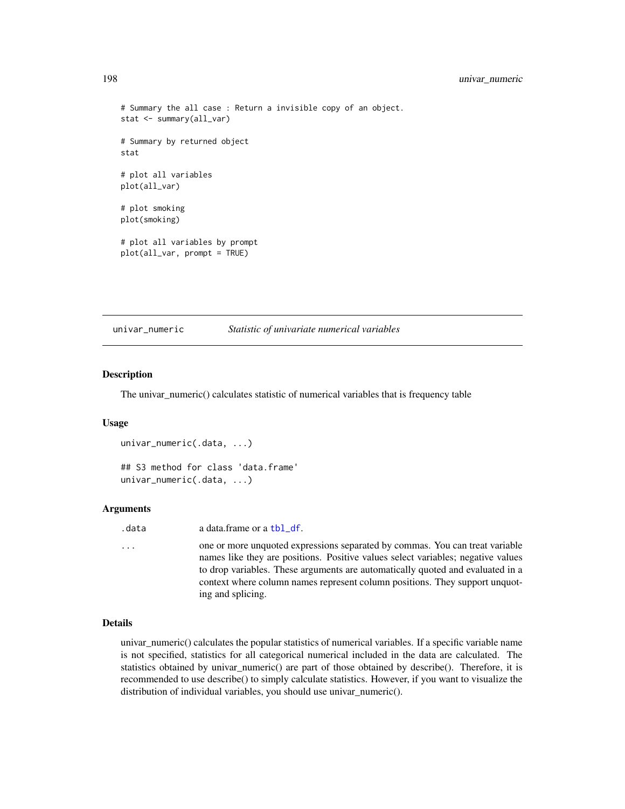```
# Summary the all case : Return a invisible copy of an object.
stat <- summary(all_var)
# Summary by returned object
stat
# plot all variables
plot(all_var)
# plot smoking
plot(smoking)
# plot all variables by prompt
plot(all_var, prompt = TRUE)
```
univar\_numeric *Statistic of univariate numerical variables*

#### Description

The univar\_numeric() calculates statistic of numerical variables that is frequency table

#### Usage

```
univar_numeric(.data, ...)
## S3 method for class 'data.frame'
univar_numeric(.data, ...)
```
#### Arguments

| .data | a data frame or a tbl df. |  |
|-------|---------------------------|--|
|       |                           |  |

... one or more unquoted expressions separated by commas. You can treat variable names like they are positions. Positive values select variables; negative values to drop variables. These arguments are automatically quoted and evaluated in a context where column names represent column positions. They support unquoting and splicing.

## Details

univar\_numeric() calculates the popular statistics of numerical variables. If a specific variable name is not specified, statistics for all categorical numerical included in the data are calculated. The statistics obtained by univar\_numeric() are part of those obtained by describe(). Therefore, it is recommended to use describe() to simply calculate statistics. However, if you want to visualize the distribution of individual variables, you should use univar\_numeric().

<span id="page-197-0"></span>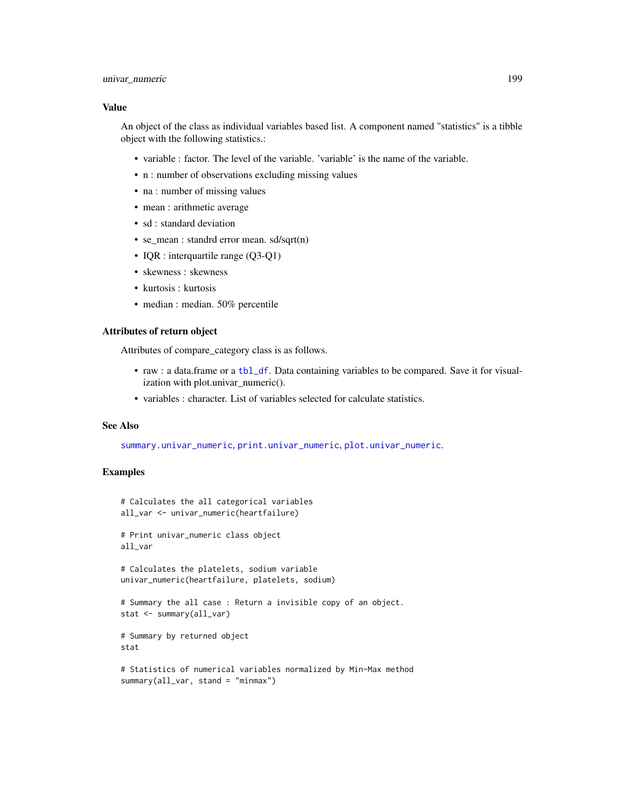## <span id="page-198-0"></span>univar\_numeric 199

#### Value

An object of the class as individual variables based list. A component named "statistics" is a tibble object with the following statistics.:

- variable : factor. The level of the variable. 'variable' is the name of the variable.
- n : number of observations excluding missing values
- na : number of missing values
- mean : arithmetic average
- sd : standard deviation
- se\_mean : standrd error mean. sd/sqrt(n)
- IQR : interquartile range (Q3-Q1)
- skewness : skewness
- kurtosis : kurtosis
- median : median. 50% percentile

## Attributes of return object

Attributes of compare\_category class is as follows.

- raw : a data.frame or a [tbl\\_df](#page-0-0). Data containing variables to be compared. Save it for visualization with plot.univar\_numeric().
- variables : character. List of variables selected for calculate statistics.

#### See Also

[summary.univar\\_numeric](#page-181-0), [print.univar\\_numeric](#page-181-1), [plot.univar\\_numeric](#page-128-0).

## Examples

```
# Calculates the all categorical variables
all_var <- univar_numeric(heartfailure)
# Print univar_numeric class object
all_var
```

```
# Calculates the platelets, sodium variable
```

```
univar_numeric(heartfailure, platelets, sodium)
```

```
# Summary the all case : Return a invisible copy of an object.
stat <- summary(all_var)
```

```
# Summary by returned object
stat
```

```
# Statistics of numerical variables normalized by Min-Max method
summary(all_var, stand = "minmax")
```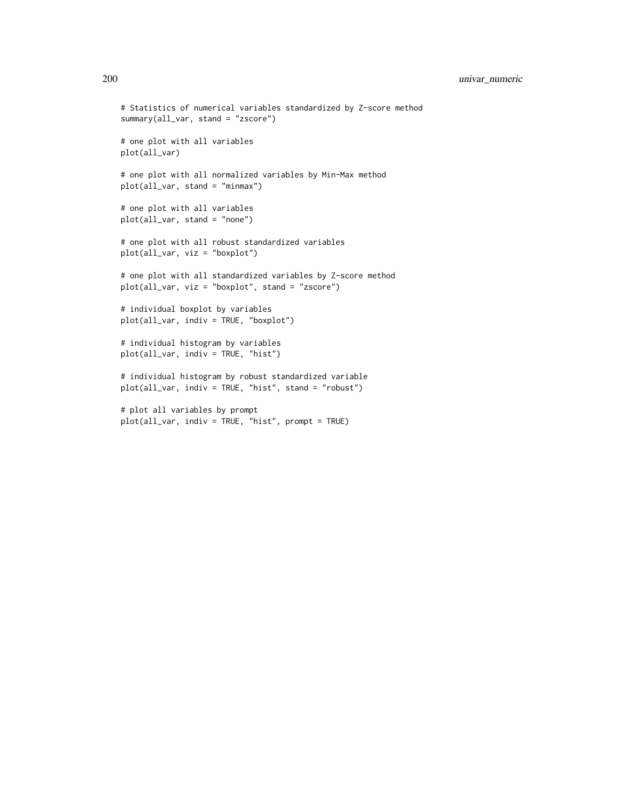```
# Statistics of numerical variables standardized by Z-score method
summary(all_var, stand = "zscore")
# one plot with all variables
plot(all_var)
# one plot with all normalized variables by Min-Max method
plot(all_var, stand = "minmax")
# one plot with all variables
plot(all_var, stand = "none")
# one plot with all robust standardized variables
plot(all_var, viz = "boxplot")
# one plot with all standardized variables by Z-score method
plot(all_var, viz = "boxplot", stand = "zscore")
# individual boxplot by variables
plot(all_var, indiv = TRUE, "boxplot")
# individual histogram by variables
plot(all_var, indiv = TRUE, "hist")
# individual histogram by robust standardized variable
plot(all_var, indiv = TRUE, "hist", stand = "robust")
# plot all variables by prompt
plot(all_var, indiv = TRUE, "hist", prompt = TRUE)
```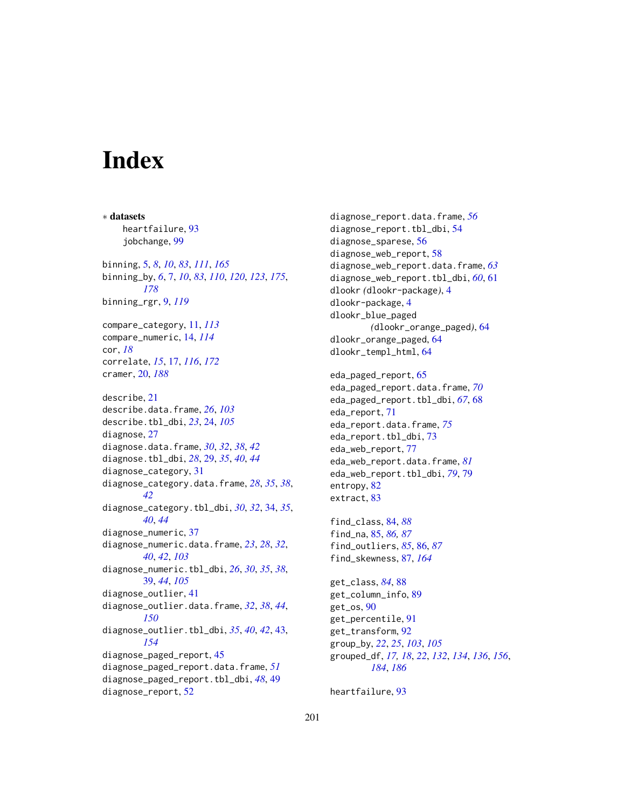# **Index**

∗ datasets heartfailure, [93](#page-92-0) jobchange, [99](#page-98-0) binning, [5,](#page-4-0) *[8](#page-7-0)*, *[10](#page-9-0)*, *[83](#page-82-0)*, *[111](#page-110-0)*, *[165](#page-164-0)* binning\_by, *[6](#page-5-0)*, [7,](#page-6-0) *[10](#page-9-0)*, *[83](#page-82-0)*, *[110](#page-109-0)*, *[120](#page-119-0)*, *[123](#page-122-0)*, *[175](#page-174-0)*, *[178](#page-177-0)* binning\_rgr, [9,](#page-8-0) *[119](#page-118-0)* compare\_category, [11,](#page-10-0) *[113](#page-112-0)* compare\_numeric, [14,](#page-13-0) *[114](#page-113-0)* cor, *[18](#page-17-0)* correlate, *[15](#page-14-0)*, [17,](#page-16-0) *[116](#page-115-0)*, *[172](#page-171-0)* cramer, [20,](#page-19-1) *[188](#page-187-0)* describe, [21](#page-20-0) describe.data.frame, *[26](#page-25-0)*, *[103](#page-102-0)* describe.tbl\_dbi, *[23](#page-22-0)*, [24,](#page-23-0) *[105](#page-104-0)* diagnose, [27](#page-26-0) diagnose.data.frame, *[30](#page-29-0)*, *[32](#page-31-0)*, *[38](#page-37-0)*, *[42](#page-41-0)* diagnose.tbl\_dbi, *[28](#page-27-0)*, [29,](#page-28-0) *[35](#page-34-0)*, *[40](#page-39-0)*, *[44](#page-43-0)* diagnose\_category, [31](#page-30-0) diagnose\_category.data.frame, *[28](#page-27-0)*, *[35](#page-34-0)*, *[38](#page-37-0)*, *[42](#page-41-0)* diagnose\_category.tbl\_dbi, *[30](#page-29-0)*, *[32](#page-31-0)*, [34,](#page-33-0) *[35](#page-34-0)*, *[40](#page-39-0)*, *[44](#page-43-0)* diagnose\_numeric, [37](#page-36-0) diagnose\_numeric.data.frame, *[23](#page-22-0)*, *[28](#page-27-0)*, *[32](#page-31-0)*, *[40](#page-39-0)*, *[42](#page-41-0)*, *[103](#page-102-0)* diagnose\_numeric.tbl\_dbi, *[26](#page-25-0)*, *[30](#page-29-0)*, *[35](#page-34-0)*, *[38](#page-37-0)*, [39,](#page-38-0) *[44](#page-43-0)*, *[105](#page-104-0)* diagnose\_outlier, [41](#page-40-0) diagnose\_outlier.data.frame, *[32](#page-31-0)*, *[38](#page-37-0)*, *[44](#page-43-0)*, *[150](#page-149-0)* diagnose\_outlier.tbl\_dbi, *[35](#page-34-0)*, *[40](#page-39-0)*, *[42](#page-41-0)*, [43,](#page-42-0) *[154](#page-153-0)* diagnose\_paged\_report, [45](#page-44-0) diagnose\_paged\_report.data.frame, *[51](#page-50-0)* diagnose\_paged\_report.tbl\_dbi, *[48](#page-47-0)*, [49](#page-48-0) diagnose\_report, [52](#page-51-0)

diagnose\_report.data.frame, *[56](#page-55-0)* diagnose\_report.tbl\_dbi, [54](#page-53-0) diagnose\_sparese, [56](#page-55-0) diagnose\_web\_report, [58](#page-57-0) diagnose\_web\_report.data.frame, *[63](#page-62-0)* diagnose\_web\_report.tbl\_dbi, *[60](#page-59-0)*, [61](#page-60-0) dlookr *(*dlookr-package*)*, [4](#page-3-0) dlookr-package, [4](#page-3-0) dlookr\_blue\_paged *(*dlookr\_orange\_paged*)*, [64](#page-63-0) dlookr\_orange\_paged, [64](#page-63-0) dlookr\_templ\_html, [64](#page-63-0) eda\_paged\_report, [65](#page-64-0) eda\_paged\_report.data.frame, *[70](#page-69-0)* eda\_paged\_report.tbl\_dbi, *[67](#page-66-0)*, [68](#page-67-0) eda\_report, [71](#page-70-0) eda\_report.data.frame, *[75](#page-74-0)* eda\_report.tbl\_dbi, [73](#page-72-0) eda\_web\_report, [77](#page-76-0) eda\_web\_report.data.frame, *[81](#page-80-0)* eda\_web\_report.tbl\_dbi, *[79](#page-78-0)*, [79](#page-78-0) entropy, [82](#page-81-0) extract, [83](#page-82-0) find\_class, [84,](#page-83-0) *[88](#page-87-0)* find\_na, [85,](#page-84-0) *[86,](#page-85-0) [87](#page-86-0)* find\_outliers, *[85](#page-84-0)*, [86,](#page-85-0) *[87](#page-86-0)* find\_skewness, [87,](#page-86-0) *[164](#page-163-0)* get\_class, *[84](#page-83-0)*, [88](#page-87-0) get\_column\_info, [89](#page-88-0) get\_os, [90](#page-89-0) get\_percentile, [91](#page-90-0) get\_transform, [92](#page-91-0) group\_by, *[22](#page-21-0)*, *[25](#page-24-0)*, *[103](#page-102-0)*, *[105](#page-104-0)* grouped\_df, *[17,](#page-16-0) [18](#page-17-0)*, *[22](#page-21-0)*, *[132](#page-131-0)*, *[134](#page-133-0)*, *[136](#page-135-0)*, *[156](#page-155-0)*, *[184](#page-183-1)*, *[186](#page-185-0)*

heartfailure, [93](#page-92-0)